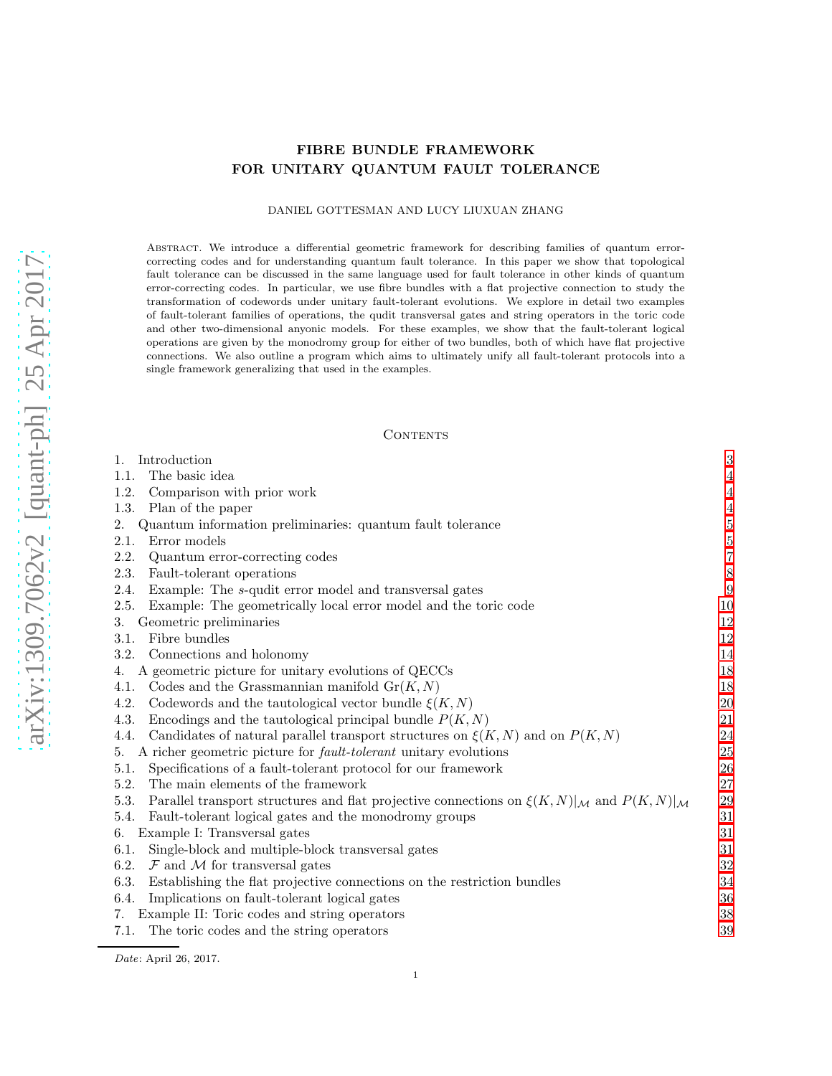# arXiv:1309.7062v2 [quant-ph] 25 Apr 2017 [arXiv:1309.7062v2 \[quant-ph\] 25 Apr 2017](http://arxiv.org/abs/1309.7062v2)

# FIBRE BUNDLE FRAMEWORK FOR UNITARY QUANTUM FAULT TOLERANCE

# DANIEL GOTTESMAN AND LUCY LIUXUAN ZHANG

Abstract. We introduce a differential geometric framework for describing families of quantum errorcorrecting codes and for understanding quantum fault tolerance. In this paper we show that topological fault tolerance can be discussed in the same language used for fault tolerance in other kinds of quantum error-correcting codes. In particular, we use fibre bundles with a flat projective connection to study the transformation of codewords under unitary fault-tolerant evolutions. We explore in detail two examples of fault-tolerant families of operations, the qudit transversal gates and string operators in the toric code and other two-dimensional anyonic models. For these examples, we show that the fault-tolerant logical operations are given by the monodromy group for either of two bundles, both of which have flat projective connections. We also outline a program which aims to ultimately unify all fault-tolerant protocols into a single framework generalizing that used in the examples.

#### CONTENTS

| 1.<br>Introduction                                                                                                             | 3              |
|--------------------------------------------------------------------------------------------------------------------------------|----------------|
| The basic idea<br>1.1.                                                                                                         | $\overline{4}$ |
| 1.2.<br>Comparison with prior work                                                                                             | $\overline{4}$ |
| Plan of the paper<br>1.3.                                                                                                      | $\overline{4}$ |
| 2.<br>Quantum information preliminaries: quantum fault tolerance                                                               | $\overline{5}$ |
| 2.1.<br>Error models                                                                                                           | $\frac{5}{7}$  |
| 2.2.<br>Quantum error-correcting codes                                                                                         |                |
| 2.3.<br>Fault-tolerant operations                                                                                              | 8              |
| Example: The s-qudit error model and transversal gates<br>2.4.                                                                 | 9              |
| 2.5.<br>Example: The geometrically local error model and the toric code                                                        | 10             |
| Geometric preliminaries<br>3.                                                                                                  | 12             |
| Fibre bundles<br>3.1.                                                                                                          | 12             |
| Connections and holonomy<br>3.2.                                                                                               | 14             |
| A geometric picture for unitary evolutions of QECCs<br>4.                                                                      | 18             |
| Codes and the Grassmannian manifold $\text{Gr}(K, N)$<br>4.1.                                                                  | 18             |
| Codewords and the tautological vector bundle $\xi(K, N)$<br>4.2.                                                               | 20             |
| 4.3.<br>Encodings and the tautological principal bundle $P(K, N)$                                                              | 21             |
| Candidates of natural parallel transport structures on $\xi(K, N)$ and on $P(K, N)$<br>4.4.                                    | 24             |
| A richer geometric picture for <i>fault-tolerant</i> unitary evolutions<br>5.                                                  | 25             |
| Specifications of a fault-tolerant protocol for our framework<br>5.1.                                                          | 26             |
| 5.2.<br>The main elements of the framework                                                                                     | 27             |
| Parallel transport structures and flat projective connections on $\xi(K,N) _{\mathcal{M}}$ and $P(K,N) _{\mathcal{M}}$<br>5.3. | 29             |
| Fault-tolerant logical gates and the monodromy groups<br>5.4.                                                                  | 31             |
| Example I: Transversal gates<br>6.                                                                                             | 31             |
| Single-block and multiple-block transversal gates<br>6.1.                                                                      | 31             |
| 6.2.<br>$\mathcal F$ and $\mathcal M$ for transversal gates                                                                    | 32             |
| 6.3.<br>Establishing the flat projective connections on the restriction bundles                                                | 34             |
| Implications on fault-tolerant logical gates<br>6.4.                                                                           | 36             |
| Example II: Toric codes and string operators<br>7.                                                                             | 38             |
| 7.1.<br>The toric codes and the string operators                                                                               | 39             |

Date: April 26, 2017.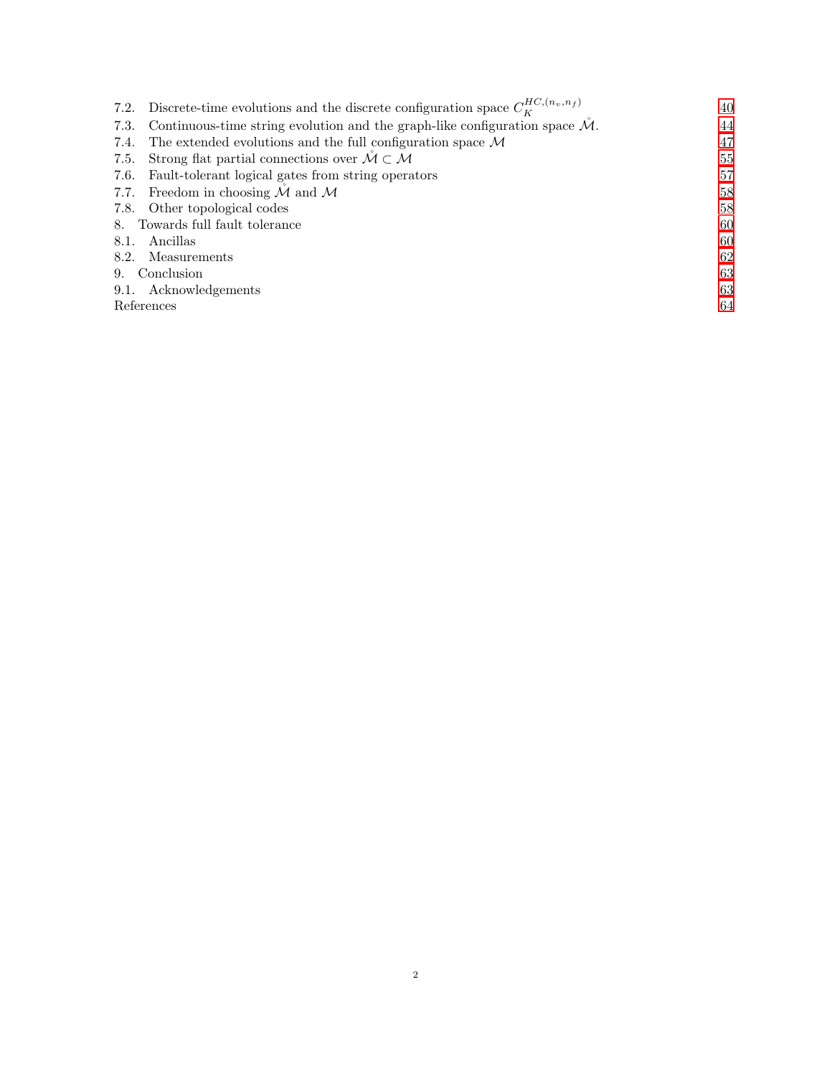| 7.2. Discrete-time evolutions and the discrete configuration space $C_{\kappa}^{HC,(n_v,n_f)}$  | 40 |
|-------------------------------------------------------------------------------------------------|----|
| Continuous-time string evolution and the graph-like configuration space $\mathcal{M}$ .<br>7.3. | 44 |
| The extended evolutions and the full configuration space $\mathcal M$<br>7.4.                   | 47 |
| Strong flat partial connections over $\mathcal{M} \subset \mathcal{M}$<br>7.5.                  | 55 |
| Fault-tolerant logical gates from string operators<br>7.6.                                      | 57 |
| Freedom in choosing $M$ and $M$<br>7.7.                                                         | 58 |
| 7.8. Other topological codes                                                                    | 58 |
| 8. Towards full fault tolerance                                                                 |    |
| Ancillas<br>8.1.                                                                                | 60 |
| 8.2. Measurements                                                                               | 62 |
| 9. Conclusion                                                                                   | 63 |
| 9.1. Acknowledgements                                                                           | 63 |
| References                                                                                      |    |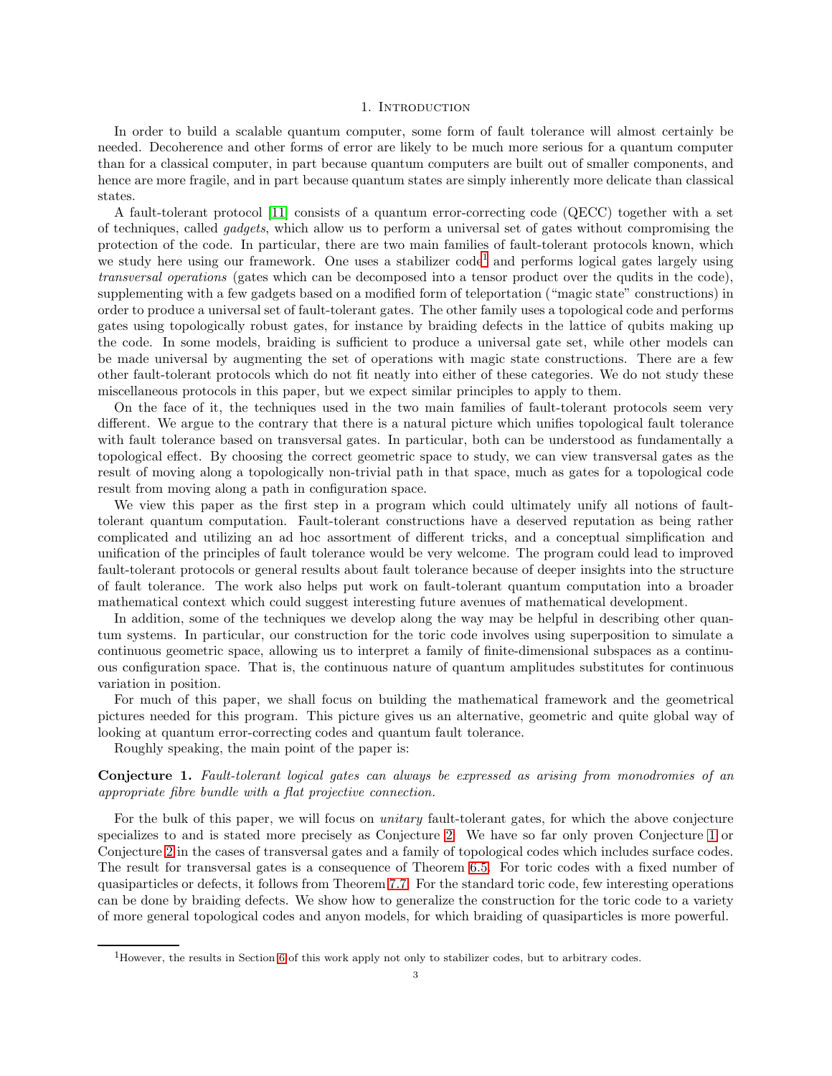#### 1. INTRODUCTION

<span id="page-2-0"></span>In order to build a scalable quantum computer, some form of fault tolerance will almost certainly be needed. Decoherence and other forms of error are likely to be much more serious for a quantum computer than for a classical computer, in part because quantum computers are built out of smaller components, and hence are more fragile, and in part because quantum states are simply inherently more delicate than classical states.

A fault-tolerant protocol [\[11\]](#page-63-1) consists of a quantum error-correcting code (QECC) together with a set of techniques, called gadgets, which allow us to perform a universal set of gates without compromising the protection of the code. In particular, there are two main families of fault-tolerant protocols known, which we study here using our framework. One uses a stabilizer code<sup>[1](#page-2-1)</sup> and performs logical gates largely using transversal operations (gates which can be decomposed into a tensor product over the qudits in the code), supplementing with a few gadgets based on a modified form of teleportation ("magic state" constructions) in order to produce a universal set of fault-tolerant gates. The other family uses a topological code and performs gates using topologically robust gates, for instance by braiding defects in the lattice of qubits making up the code. In some models, braiding is sufficient to produce a universal gate set, while other models can be made universal by augmenting the set of operations with magic state constructions. There are a few other fault-tolerant protocols which do not fit neatly into either of these categories. We do not study these miscellaneous protocols in this paper, but we expect similar principles to apply to them.

On the face of it, the techniques used in the two main families of fault-tolerant protocols seem very different. We argue to the contrary that there is a natural picture which unifies topological fault tolerance with fault tolerance based on transversal gates. In particular, both can be understood as fundamentally a topological effect. By choosing the correct geometric space to study, we can view transversal gates as the result of moving along a topologically non-trivial path in that space, much as gates for a topological code result from moving along a path in configuration space.

We view this paper as the first step in a program which could ultimately unify all notions of faulttolerant quantum computation. Fault-tolerant constructions have a deserved reputation as being rather complicated and utilizing an ad hoc assortment of different tricks, and a conceptual simplification and unification of the principles of fault tolerance would be very welcome. The program could lead to improved fault-tolerant protocols or general results about fault tolerance because of deeper insights into the structure of fault tolerance. The work also helps put work on fault-tolerant quantum computation into a broader mathematical context which could suggest interesting future avenues of mathematical development.

In addition, some of the techniques we develop along the way may be helpful in describing other quantum systems. In particular, our construction for the toric code involves using superposition to simulate a continuous geometric space, allowing us to interpret a family of finite-dimensional subspaces as a continuous configuration space. That is, the continuous nature of quantum amplitudes substitutes for continuous variation in position.

For much of this paper, we shall focus on building the mathematical framework and the geometrical pictures needed for this program. This picture gives us an alternative, geometric and quite global way of looking at quantum error-correcting codes and quantum fault tolerance.

Roughly speaking, the main point of the paper is:

# <span id="page-2-2"></span>Conjecture 1. Fault-tolerant logical gates can always be expressed as arising from monodromies of an appropriate fibre bundle with a flat projective connection.

For the bulk of this paper, we will focus on *unitary* fault-tolerant gates, for which the above conjecture specializes to and is stated more precisely as Conjecture [2.](#page-29-0) We have so far only proven Conjecture [1](#page-2-2) or Conjecture [2](#page-29-0) in the cases of transversal gates and a family of topological codes which includes surface codes. The result for transversal gates is a consequence of Theorem [6.5.](#page-34-0) For toric codes with a fixed number of quasiparticles or defects, it follows from Theorem [7.7.](#page-55-0) For the standard toric code, few interesting operations can be done by braiding defects. We show how to generalize the construction for the toric code to a variety of more general topological codes and anyon models, for which braiding of quasiparticles is more powerful.

<span id="page-2-1"></span><sup>1</sup>However, the results in Section [6](#page-30-1) of this work apply not only to stabilizer codes, but to arbitrary codes.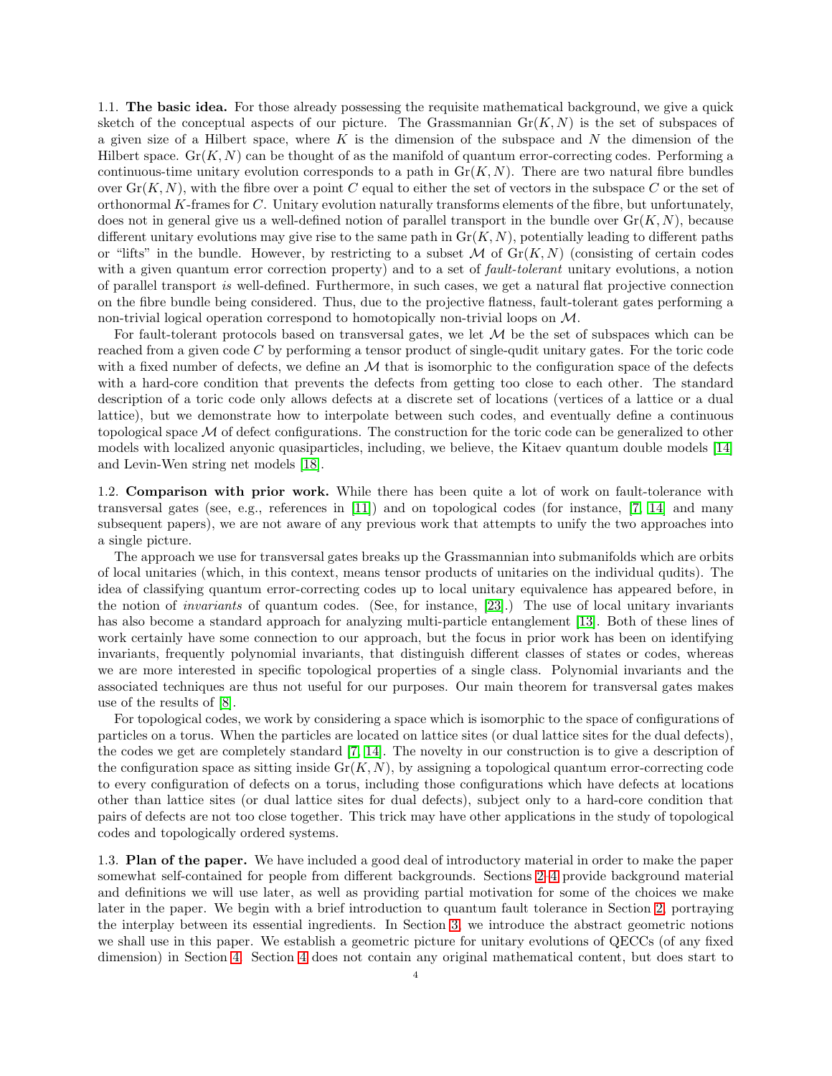<span id="page-3-0"></span>1.1. The basic idea. For those already possessing the requisite mathematical background, we give a quick sketch of the conceptual aspects of our picture. The Grassmannian  $\text{Gr}(K, N)$  is the set of subspaces of a given size of a Hilbert space, where K is the dimension of the subspace and N the dimension of the Hilbert space.  $Gr(K, N)$  can be thought of as the manifold of quantum error-correcting codes. Performing a continuous-time unitary evolution corresponds to a path in  $Gr(K, N)$ . There are two natural fibre bundles over  $\text{Gr}(K, N)$ , with the fibre over a point C equal to either the set of vectors in the subspace C or the set of orthonormal K-frames for C. Unitary evolution naturally transforms elements of the fibre, but unfortunately, does not in general give us a well-defined notion of parallel transport in the bundle over  $Gr(K, N)$ , because different unitary evolutions may give rise to the same path in  $Gr(K, N)$ , potentially leading to different paths or "lifts" in the bundle. However, by restricting to a subset  $M$  of  $Gr(K, N)$  (consisting of certain codes with a given quantum error correction property) and to a set of fault-tolerant unitary evolutions, a notion of parallel transport is well-defined. Furthermore, in such cases, we get a natural flat projective connection on the fibre bundle being considered. Thus, due to the projective flatness, fault-tolerant gates performing a non-trivial logical operation correspond to homotopically non-trivial loops on M.

For fault-tolerant protocols based on transversal gates, we let  $M$  be the set of subspaces which can be reached from a given code C by performing a tensor product of single-qudit unitary gates. For the toric code with a fixed number of defects, we define an  $M$  that is isomorphic to the configuration space of the defects with a hard-core condition that prevents the defects from getting too close to each other. The standard description of a toric code only allows defects at a discrete set of locations (vertices of a lattice or a dual lattice), but we demonstrate how to interpolate between such codes, and eventually define a continuous topological space M of defect configurations. The construction for the toric code can be generalized to other models with localized anyonic quasiparticles, including, we believe, the Kitaev quantum double models [\[14\]](#page-63-2) and Levin-Wen string net models [\[18\]](#page-63-3).

<span id="page-3-1"></span>1.2. Comparison with prior work. While there has been quite a lot of work on fault-tolerance with transversal gates (see, e.g., references in [\[11\]](#page-63-1)) and on topological codes (for instance, [\[7,](#page-63-4) [14\]](#page-63-2) and many subsequent papers), we are not aware of any previous work that attempts to unify the two approaches into a single picture.

The approach we use for transversal gates breaks up the Grassmannian into submanifolds which are orbits of local unitaries (which, in this context, means tensor products of unitaries on the individual qudits). The idea of classifying quantum error-correcting codes up to local unitary equivalence has appeared before, in the notion of invariants of quantum codes. (See, for instance, [\[23\]](#page-63-5).) The use of local unitary invariants has also become a standard approach for analyzing multi-particle entanglement [\[13\]](#page-63-6). Both of these lines of work certainly have some connection to our approach, but the focus in prior work has been on identifying invariants, frequently polynomial invariants, that distinguish different classes of states or codes, whereas we are more interested in specific topological properties of a single class. Polynomial invariants and the associated techniques are thus not useful for our purposes. Our main theorem for transversal gates makes use of the results of [\[8\]](#page-63-7).

For topological codes, we work by considering a space which is isomorphic to the space of configurations of particles on a torus. When the particles are located on lattice sites (or dual lattice sites for the dual defects), the codes we get are completely standard [\[7,](#page-63-4) [14\]](#page-63-2). The novelty in our construction is to give a description of the configuration space as sitting inside  $\text{Gr}(K, N)$ , by assigning a topological quantum error-correcting code to every configuration of defects on a torus, including those configurations which have defects at locations other than lattice sites (or dual lattice sites for dual defects), subject only to a hard-core condition that pairs of defects are not too close together. This trick may have other applications in the study of topological codes and topologically ordered systems.

<span id="page-3-2"></span>1.3. Plan of the paper. We have included a good deal of introductory material in order to make the paper somewhat self-contained for people from different backgrounds. Sections [2](#page-4-0)[–4](#page-17-0) provide background material and definitions we will use later, as well as providing partial motivation for some of the choices we make later in the paper. We begin with a brief introduction to quantum fault tolerance in Section [2,](#page-4-0) portraying the interplay between its essential ingredients. In Section [3,](#page-11-0) we introduce the abstract geometric notions we shall use in this paper. We establish a geometric picture for unitary evolutions of QECCs (of any fixed dimension) in Section [4.](#page-17-0) Section [4](#page-17-0) does not contain any original mathematical content, but does start to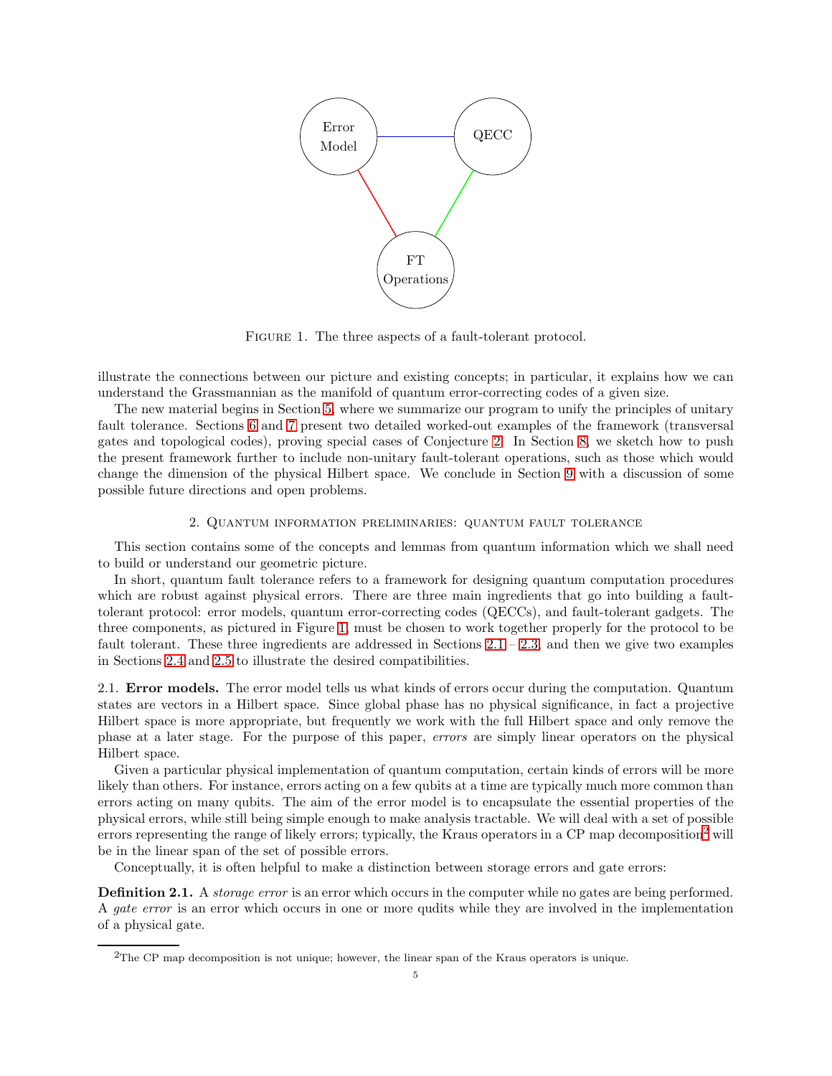

<span id="page-4-2"></span>FIGURE 1. The three aspects of a fault-tolerant protocol.

illustrate the connections between our picture and existing concepts; in particular, it explains how we can understand the Grassmannian as the manifold of quantum error-correcting codes of a given size.

The new material begins in Section [5,](#page-24-0) where we summarize our program to unify the principles of unitary fault tolerance. Sections [6](#page-30-1) and [7](#page-37-0) present two detailed worked-out examples of the framework (transversal gates and topological codes), proving special cases of Conjecture [2.](#page-29-0) In Section [8,](#page-59-0) we sketch how to push the present framework further to include non-unitary fault-tolerant operations, such as those which would change the dimension of the physical Hilbert space. We conclude in Section [9](#page-62-0) with a discussion of some possible future directions and open problems.

#### 2. Quantum information preliminaries: quantum fault tolerance

<span id="page-4-0"></span>This section contains some of the concepts and lemmas from quantum information which we shall need to build or understand our geometric picture.

In short, quantum fault tolerance refers to a framework for designing quantum computation procedures which are robust against physical errors. There are three main ingredients that go into building a faulttolerant protocol: error models, quantum error-correcting codes (QECCs), and fault-tolerant gadgets. The three components, as pictured in Figure [1,](#page-4-2) must be chosen to work together properly for the protocol to be fault tolerant. These three ingredients are addressed in Sections [2.1](#page-4-1) – [2.3,](#page-7-0) and then we give two examples in Sections [2.4](#page-8-0) and [2.5](#page-9-0) to illustrate the desired compatibilities.

<span id="page-4-1"></span>2.1. Error models. The error model tells us what kinds of errors occur during the computation. Quantum states are vectors in a Hilbert space. Since global phase has no physical significance, in fact a projective Hilbert space is more appropriate, but frequently we work with the full Hilbert space and only remove the phase at a later stage. For the purpose of this paper, errors are simply linear operators on the physical Hilbert space.

Given a particular physical implementation of quantum computation, certain kinds of errors will be more likely than others. For instance, errors acting on a few qubits at a time are typically much more common than errors acting on many qubits. The aim of the error model is to encapsulate the essential properties of the physical errors, while still being simple enough to make analysis tractable. We will deal with a set of possible errors representing the range of likely errors; typically, the Kraus operators in a CP map decomposition<sup>[2](#page-4-3)</sup> will be in the linear span of the set of possible errors.

Conceptually, it is often helpful to make a distinction between storage errors and gate errors:

<span id="page-4-4"></span>**Definition 2.1.** A *storage error* is an error which occurs in the computer while no gates are being performed. A *gate error* is an error which occurs in one or more qudits while they are involved in the implementation of a physical gate.

<span id="page-4-3"></span><sup>2</sup>The CP map decomposition is not unique; however, the linear span of the Kraus operators is unique.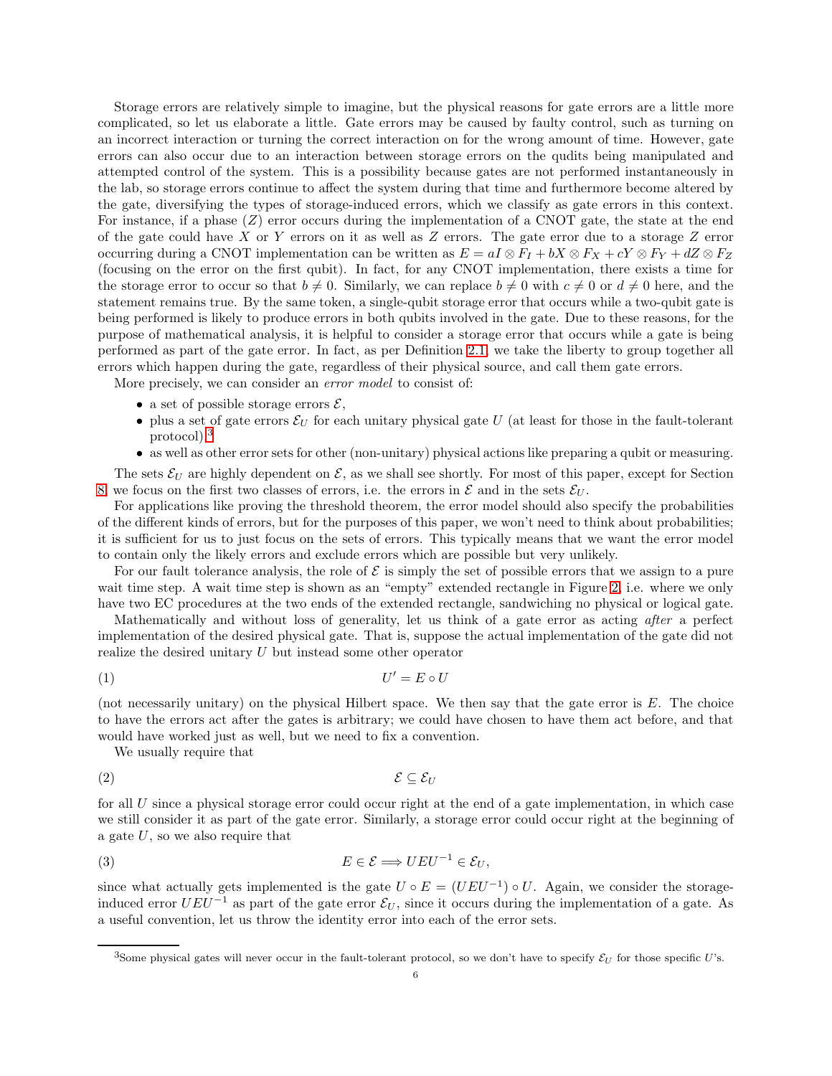Storage errors are relatively simple to imagine, but the physical reasons for gate errors are a little more complicated, so let us elaborate a little. Gate errors may be caused by faulty control, such as turning on an incorrect interaction or turning the correct interaction on for the wrong amount of time. However, gate errors can also occur due to an interaction between storage errors on the qudits being manipulated and attempted control of the system. This is a possibility because gates are not performed instantaneously in the lab, so storage errors continue to affect the system during that time and furthermore become altered by the gate, diversifying the types of storage-induced errors, which we classify as gate errors in this context. For instance, if a phase  $(Z)$  error occurs during the implementation of a CNOT gate, the state at the end of the gate could have X or Y errors on it as well as  $Z$  errors. The gate error due to a storage  $Z$  error occurring during a CNOT implementation can be written as  $E = aI \otimes F_I + bX \otimes F_X + cY \otimes F_Y + dZ \otimes F_Z$ (focusing on the error on the first qubit). In fact, for any CNOT implementation, there exists a time for the storage error to occur so that  $b \neq 0$ . Similarly, we can replace  $b \neq 0$  with  $c \neq 0$  or  $d \neq 0$  here, and the statement remains true. By the same token, a single-qubit storage error that occurs while a two-qubit gate is being performed is likely to produce errors in both qubits involved in the gate. Due to these reasons, for the purpose of mathematical analysis, it is helpful to consider a storage error that occurs while a gate is being performed as part of the gate error. In fact, as per Definition [2.1,](#page-4-4) we take the liberty to group together all errors which happen during the gate, regardless of their physical source, and call them gate errors.

More precisely, we can consider an *error model* to consist of:

- a set of possible storage errors  $\mathcal{E},$
- plus a set of gate errors  $\mathcal{E}_U$  for each unitary physical gate U (at least for those in the fault-tolerant protocol),[3](#page-5-0)
- as well as other error sets for other (non-unitary) physical actions like preparing a qubit or measuring.

The sets  $\mathcal{E}_U$  are highly dependent on  $\mathcal{E}$ , as we shall see shortly. For most of this paper, except for Section [8,](#page-59-0) we focus on the first two classes of errors, i.e. the errors in  $\mathcal E$  and in the sets  $\mathcal E_U$ .

For applications like proving the threshold theorem, the error model should also specify the probabilities of the different kinds of errors, but for the purposes of this paper, we won't need to think about probabilities; it is sufficient for us to just focus on the sets of errors. This typically means that we want the error model to contain only the likely errors and exclude errors which are possible but very unlikely.

For our fault tolerance analysis, the role of  $\mathcal E$  is simply the set of possible errors that we assign to a pure wait time step. A wait time step is shown as an "empty" extended rectangle in Figure [2,](#page-7-1) i.e. where we only have two EC procedures at the two ends of the extended rectangle, sandwiching no physical or logical gate.

Mathematically and without loss of generality, let us think of a gate error as acting after a perfect implementation of the desired physical gate. That is, suppose the actual implementation of the gate did not realize the desired unitary U but instead some other operator

$$
(1) \t\t\t U'=E\circ U
$$

(not necessarily unitary) on the physical Hilbert space. We then say that the gate error is E. The choice to have the errors act after the gates is arbitrary; we could have chosen to have them act before, and that would have worked just as well, but we need to fix a convention.

We usually require that

$$
\mathcal{E} \subseteq \mathcal{E}_U
$$

for all  $U$  since a physical storage error could occur right at the end of a gate implementation, in which case we still consider it as part of the gate error. Similarly, a storage error could occur right at the beginning of a gate  $U$ , so we also require that

(3) 
$$
E \in \mathcal{E} \Longrightarrow UEU^{-1} \in \mathcal{E}_U,
$$

since what actually gets implemented is the gate  $U \circ E = (UEU^{-1}) \circ U$ . Again, we consider the storageinduced error  $UEU^{-1}$  as part of the gate error  $\mathcal{E}_U$ , since it occurs during the implementation of a gate. As a useful convention, let us throw the identity error into each of the error sets.

<span id="page-5-0"></span><sup>&</sup>lt;sup>3</sup>Some physical gates will never occur in the fault-tolerant protocol, so we don't have to specify  $\mathcal{E}_U$  for those specific U's.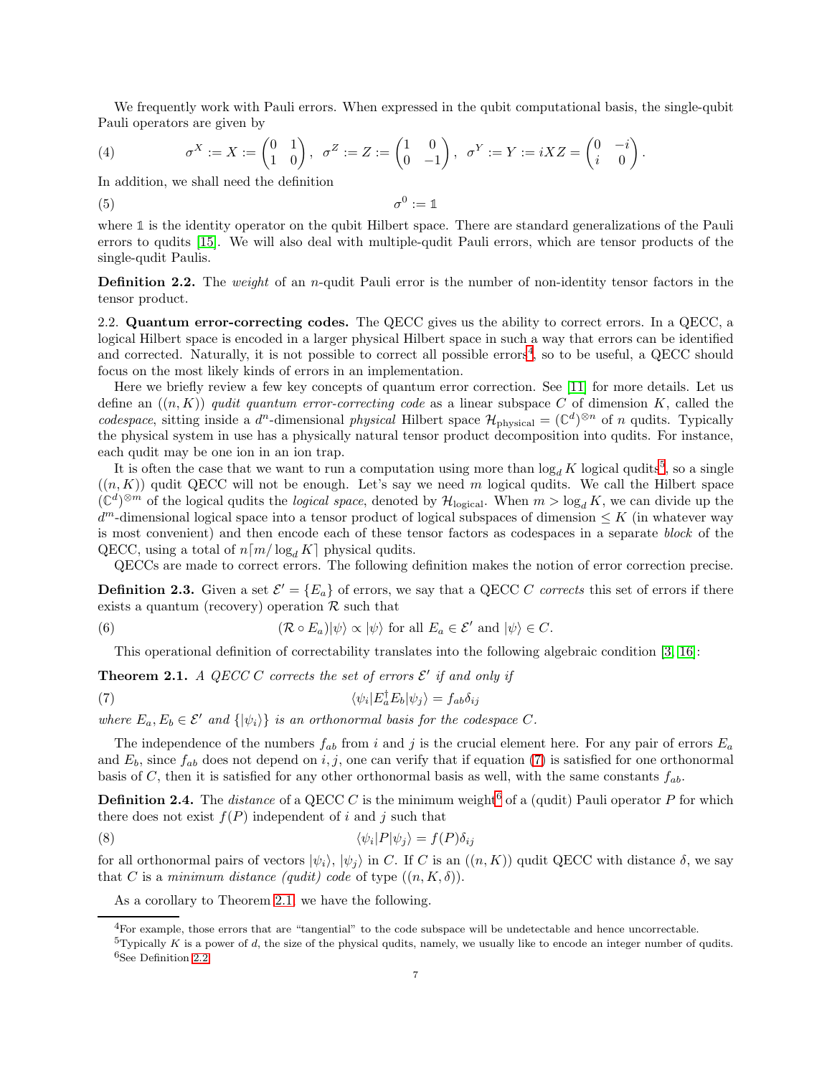We frequently work with Pauli errors. When expressed in the qubit computational basis, the single-qubit Pauli operators are given by

<span id="page-6-8"></span>(4) 
$$
\sigma^X := X := \begin{pmatrix} 0 & 1 \\ 1 & 0 \end{pmatrix}, \quad \sigma^Z := Z := \begin{pmatrix} 1 & 0 \\ 0 & -1 \end{pmatrix}, \quad \sigma^Y := Y := iXZ = \begin{pmatrix} 0 & -i \\ i & 0 \end{pmatrix}.
$$

In addition, we shall need the definition

$$
\sigma^0 := \mathbb{1}
$$

where **1** is the identity operator on the qubit Hilbert space. There are standard generalizations of the Pauli errors to qudits [\[15\]](#page-63-8). We will also deal with multiple-qudit Pauli errors, which are tensor products of the single-qudit Paulis.

<span id="page-6-6"></span>**Definition 2.2.** The *weight* of an *n*-qudit Pauli error is the number of non-identity tensor factors in the tensor product.

<span id="page-6-0"></span>2.2. Quantum error-correcting codes. The QECC gives us the ability to correct errors. In a QECC, a logical Hilbert space is encoded in a larger physical Hilbert space in such a way that errors can be identified and corrected. Naturally, it is not possible to correct all possible errors<sup>[4](#page-6-1)</sup>, so to be useful, a QECC should focus on the most likely kinds of errors in an implementation.

Here we briefly review a few key concepts of quantum error correction. See [\[11\]](#page-63-1) for more details. Let us define an  $((n, K))$  qudit quantum error-correcting code as a linear subspace C of dimension K, called the codespace, sitting inside a  $d^n$ -dimensional physical Hilbert space  $\mathcal{H}_{\text{physical}} = (\mathbb{C}^d)^{\otimes n}$  of n qudits. Typically the physical system in use has a physically natural tensor product decomposition into qudits. For instance, each qudit may be one ion in an ion trap.

It is often the case that we want to run a computation using more than  $\log_d K$  logical qudits<sup>[5](#page-6-2)</sup>, so a single  $((n, K))$  qudit QECC will not be enough. Let's say we need m logical qudits. We call the Hilbert space  $(\mathbb{C}^d)^{\otimes m}$  of the logical qudits the *logical space*, denoted by  $\mathcal{H}_{\text{logical}}$ . When  $m > \log_d K$ , we can divide up the  $d^m$ -dimensional logical space into a tensor product of logical subspaces of dimension  $\leq K$  (in whatever way is most convenient) and then encode each of these tensor factors as codespaces in a separate block of the QECC, using a total of  $n \lceil m / \log_d K \rceil$  physical qudits.

QECCs are made to correct errors. The following definition makes the notion of error correction precise.

**Definition 2.3.** Given a set  $\mathcal{E}' = \{E_a\}$  of errors, we say that a QECC C corrects this set of errors if there exists a quantum (recovery) operation  $\mathcal R$  such that

(6) 
$$
(\mathcal{R} \circ E_a)|\psi\rangle \propto |\psi\rangle \text{ for all } E_a \in \mathcal{E}' \text{ and } |\psi\rangle \in C.
$$

<span id="page-6-3"></span>This operational definition of correctability translates into the following algebraic condition [\[3,](#page-63-9) [16\]](#page-63-10):

<span id="page-6-5"></span>**Theorem 2.1.** A QECC C corrects the set of errors  $\mathcal{E}'$  if and only if

(7) 
$$
\langle \psi_i | E_a^{\dagger} E_b | \psi_j \rangle = f_{ab} \delta_{ij}
$$

where  $E_a, E_b \in \mathcal{E}'$  and  $\{|\psi_i\rangle\}$  is an orthonormal basis for the codespace C.

The independence of the numbers  $f_{ab}$  from i and j is the crucial element here. For any pair of errors  $E_a$ and  $E_b$ , since  $f_{ab}$  does not depend on i, j, one can verify that if equation [\(7\)](#page-6-3) is satisfied for one orthonormal basis of C, then it is satisfied for any other orthonormal basis as well, with the same constants  $f_{ab}$ .

**Definition 2.4.** The *distance* of a QECC C is the minimum weight<sup>[6](#page-6-4)</sup> of a (qudit) Pauli operator P for which there does not exist  $f(P)$  independent of i and j such that

(8) 
$$
\langle \psi_i | P | \psi_j \rangle = f(P) \delta_{ij}
$$

for all orthonormal pairs of vectors  $|\psi_i\rangle$ ,  $|\psi_j\rangle$  in C. If C is an  $((n, K))$  qudit QECC with distance  $\delta$ , we say that C is a minimum distance (qudit) code of type  $((n, K, \delta))$ .

<span id="page-6-7"></span>As a corollary to Theorem [2.1,](#page-6-5) we have the following.

<sup>4</sup>For example, those errors that are "tangential" to the code subspace will be undetectable and hence uncorrectable.

<span id="page-6-4"></span><span id="page-6-2"></span><span id="page-6-1"></span> $5$ Typically K is a power of d, the size of the physical qudits, namely, we usually like to encode an integer number of qudits. <sup>6</sup>See Definition [2.2.](#page-6-6)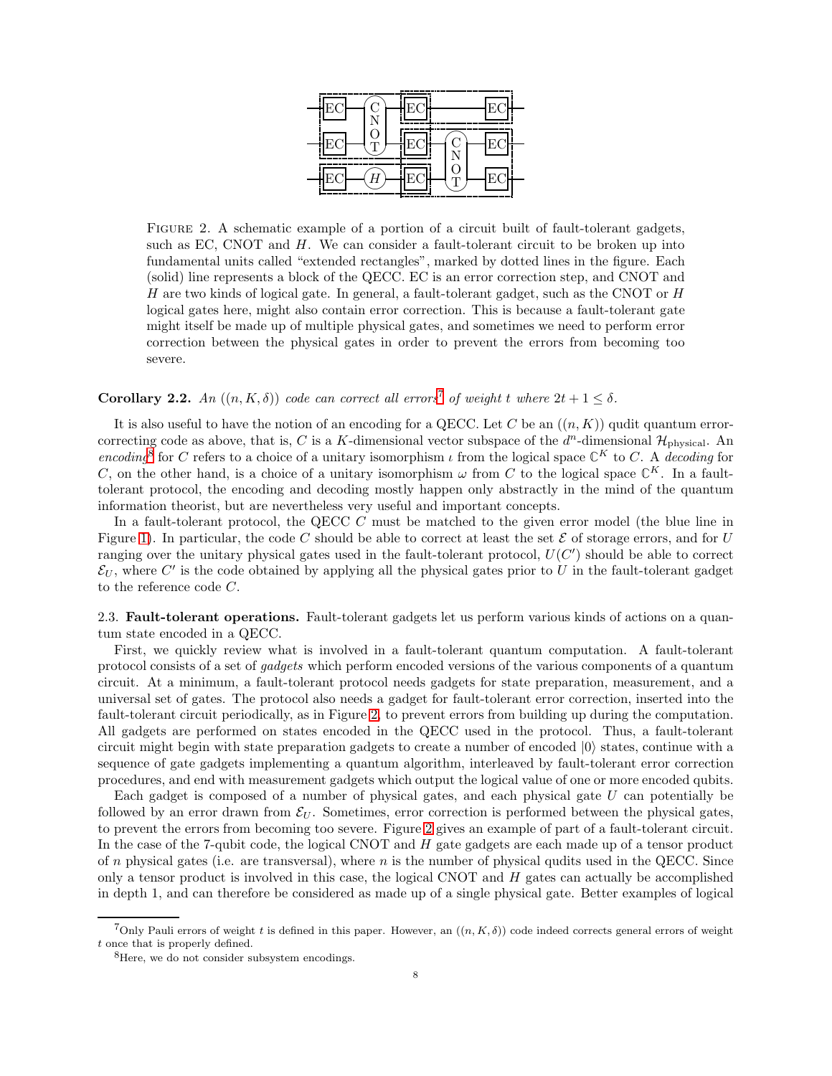

<span id="page-7-1"></span>FIGURE 2. A schematic example of a portion of a circuit built of fault-tolerant gadgets, such as EC, CNOT and  $H$ . We can consider a fault-tolerant circuit to be broken up into fundamental units called "extended rectangles", marked by dotted lines in the figure. Each (solid) line represents a block of the QECC. EC is an error correction step, and CNOT and H are two kinds of logical gate. In general, a fault-tolerant gadget, such as the CNOT or  $H$ logical gates here, might also contain error correction. This is because a fault-tolerant gate might itself be made up of multiple physical gates, and sometimes we need to perform error correction between the physical gates in order to prevent the errors from becoming too severe.

# <span id="page-7-4"></span>**Corollary 2.2.** An  $((n, K, \delta))$  code can correct all errors<sup>[7](#page-7-2)</sup> of weight t where  $2t + 1 \leq \delta$ .

It is also useful to have the notion of an encoding for a QECC. Let C be an  $((n, K))$  qudit quantum errorcorrecting code as above, that is, C is a K-dimensional vector subspace of the  $d^n$ -dimensional  $\mathcal{H}_{\text{physical}}$ . An encoding<sup>[8](#page-7-3)</sup> for C refers to a choice of a unitary isomorphism  $\iota$  from the logical space  $\mathbb{C}^K$  to C. A decoding for C, on the other hand, is a choice of a unitary isomorphism  $\omega$  from C to the logical space  $\mathbb{C}^K$ . In a faulttolerant protocol, the encoding and decoding mostly happen only abstractly in the mind of the quantum information theorist, but are nevertheless very useful and important concepts.

In a fault-tolerant protocol, the QECC C must be matched to the given error model (the blue line in Figure [1\)](#page-4-2). In particular, the code C should be able to correct at least the set  $\mathcal E$  of storage errors, and for U ranging over the unitary physical gates used in the fault-tolerant protocol,  $U(C')$  should be able to correct  $\mathcal{E}_U$ , where  $C'$  is the code obtained by applying all the physical gates prior to U in the fault-tolerant gadget to the reference code C.

<span id="page-7-0"></span>2.3. Fault-tolerant operations. Fault-tolerant gadgets let us perform various kinds of actions on a quantum state encoded in a QECC.

First, we quickly review what is involved in a fault-tolerant quantum computation. A fault-tolerant protocol consists of a set of gadgets which perform encoded versions of the various components of a quantum circuit. At a minimum, a fault-tolerant protocol needs gadgets for state preparation, measurement, and a universal set of gates. The protocol also needs a gadget for fault-tolerant error correction, inserted into the fault-tolerant circuit periodically, as in Figure [2,](#page-7-1) to prevent errors from building up during the computation. All gadgets are performed on states encoded in the QECC used in the protocol. Thus, a fault-tolerant circuit might begin with state preparation gadgets to create a number of encoded  $|0\rangle$  states, continue with a sequence of gate gadgets implementing a quantum algorithm, interleaved by fault-tolerant error correction procedures, and end with measurement gadgets which output the logical value of one or more encoded qubits.

Each gadget is composed of a number of physical gates, and each physical gate  $U$  can potentially be followed by an error drawn from  $\mathcal{E}_U$ . Sometimes, error correction is performed between the physical gates, to prevent the errors from becoming too severe. Figure [2](#page-7-1) gives an example of part of a fault-tolerant circuit. In the case of the 7-qubit code, the logical CNOT and  $H$  gate gadgets are each made up of a tensor product of n physical gates (i.e. are transversal), where n is the number of physical qudits used in the QECC. Since only a tensor product is involved in this case, the logical CNOT and  $H$  gates can actually be accomplished in depth 1, and can therefore be considered as made up of a single physical gate. Better examples of logical

<sup>&</sup>lt;sup>7</sup>Only Pauli errors of weight t is defined in this paper. However, an  $((n, K, \delta))$  code indeed corrects general errors of weight t once that is properly defined.

<span id="page-7-3"></span><span id="page-7-2"></span><sup>&</sup>lt;sup>8</sup>Here, we do not consider subsystem encodings.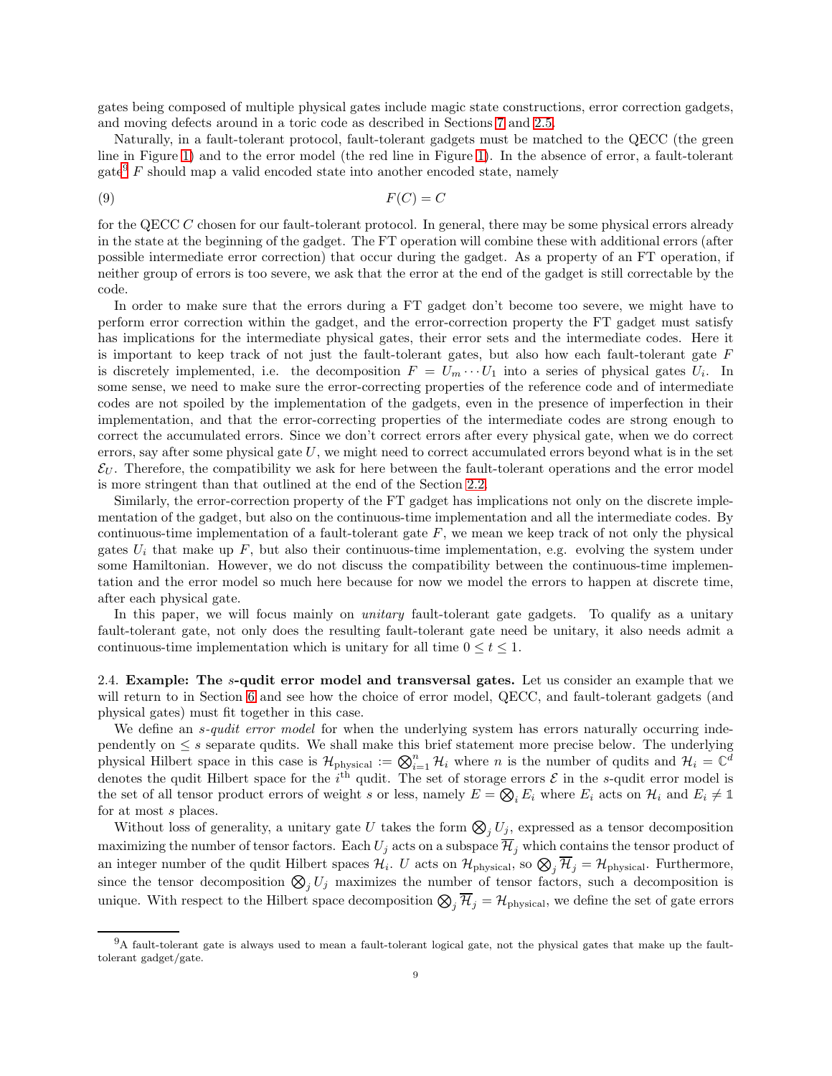gates being composed of multiple physical gates include magic state constructions, error correction gadgets, and moving defects around in a toric code as described in Sections [7](#page-37-0) and [2.5.](#page-9-0)

Naturally, in a fault-tolerant protocol, fault-tolerant gadgets must be matched to the QECC (the green line in Figure [1\)](#page-4-2) and to the error model (the red line in Figure [1\)](#page-4-2). In the absence of error, a fault-tolerant  $gate<sup>9</sup> F should map a valid encoded state into another encoded state, namely$  $gate<sup>9</sup> F should map a valid encoded state into another encoded state, namely$  $gate<sup>9</sup> F should map a valid encoded state into another encoded state, namely$ 

<span id="page-8-2"></span>
$$
(9) \t\t F(C) = C
$$

for the QECC C chosen for our fault-tolerant protocol. In general, there may be some physical errors already in the state at the beginning of the gadget. The FT operation will combine these with additional errors (after possible intermediate error correction) that occur during the gadget. As a property of an FT operation, if neither group of errors is too severe, we ask that the error at the end of the gadget is still correctable by the code.

In order to make sure that the errors during a FT gadget don't become too severe, we might have to perform error correction within the gadget, and the error-correction property the FT gadget must satisfy has implications for the intermediate physical gates, their error sets and the intermediate codes. Here it is important to keep track of not just the fault-tolerant gates, but also how each fault-tolerant gate F is discretely implemented, i.e. the decomposition  $F = U_m \cdots U_1$  into a series of physical gates  $U_i$ . In some sense, we need to make sure the error-correcting properties of the reference code and of intermediate codes are not spoiled by the implementation of the gadgets, even in the presence of imperfection in their implementation, and that the error-correcting properties of the intermediate codes are strong enough to correct the accumulated errors. Since we don't correct errors after every physical gate, when we do correct errors, say after some physical gate  $U$ , we might need to correct accumulated errors beyond what is in the set  $\mathcal{E}_U$ . Therefore, the compatibility we ask for here between the fault-tolerant operations and the error model is more stringent than that outlined at the end of the Section [2.2.](#page-6-0)

Similarly, the error-correction property of the FT gadget has implications not only on the discrete implementation of the gadget, but also on the continuous-time implementation and all the intermediate codes. By continuous-time implementation of a fault-tolerant gate  $F$ , we mean we keep track of not only the physical gates  $U_i$  that make up  $F$ , but also their continuous-time implementation, e.g. evolving the system under some Hamiltonian. However, we do not discuss the compatibility between the continuous-time implementation and the error model so much here because for now we model the errors to happen at discrete time, after each physical gate.

In this paper, we will focus mainly on *unitary* fault-tolerant gate gadgets. To qualify as a unitary fault-tolerant gate, not only does the resulting fault-tolerant gate need be unitary, it also needs admit a continuous-time implementation which is unitary for all time  $0 \le t \le 1$ .

<span id="page-8-0"></span>2.4. Example: The s-qudit error model and transversal gates. Let us consider an example that we will return to in Section [6](#page-30-1) and see how the choice of error model, QECC, and fault-tolerant gadgets (and physical gates) must fit together in this case.

We define an *s*-qudit error model for when the underlying system has errors naturally occurring independently on  $\leq s$  separate qudits. We shall make this brief statement more precise below. The underlying physical Hilbert space in this case is  $\mathcal{H}_{\text{physical}} := \bigotimes_{i=1}^n \mathcal{H}_i$  where n is the number of qudits and  $\mathcal{H}_i = \mathbb{C}^d$ denotes the qudit Hilbert space for the  $i^{\text{th}}$  qudit. The set of storage errors  $\mathcal{E}$  in the s-qudit error model is the set of all tensor product errors of weight s or less, namely  $E = \bigotimes_i E_i$  where  $E_i$  acts on  $\mathcal{H}_i$  and  $E_i \neq \mathbb{1}$ for at most s places.

Without loss of generality, a unitary gate U takes the form  $\bigotimes_j U_j$ , expressed as a tensor decomposition maximizing the number of tensor factors. Each  $U_j$  acts on a subspace  $\overline{\mathcal{H}}_j$  which contains the tensor product of an integer number of the qudit Hilbert spaces  $\mathcal{H}_i$ . U acts on  $\mathcal{H}_{\text{physical}}$ , so  $\bigotimes_j \mathcal{H}_j = \mathcal{H}_{\text{physical}}$ . Furthermore, since the tensor decomposition  $\mathcal{D}_j U_j$  maximizes the number of tensor factors, such a decomposition is unique. With respect to the Hilbert space decomposition  $\bigotimes_j \mathcal{H}_j = \mathcal{H}_{\text{physical}}$ , we define the set of gate errors

<span id="page-8-1"></span><sup>9</sup>A fault-tolerant gate is always used to mean a fault-tolerant logical gate, not the physical gates that make up the faulttolerant gadget/gate.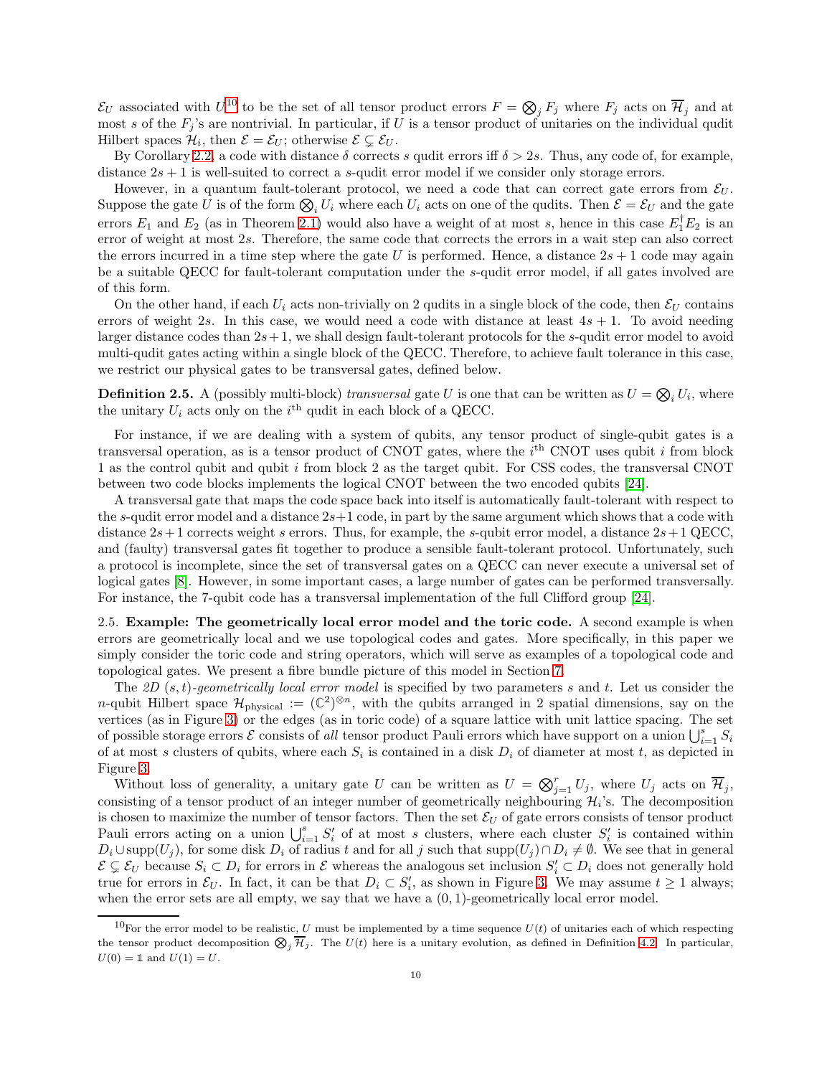$\mathcal{E}_U$  associated with  $U^{10}$  $U^{10}$  $U^{10}$  to be the set of all tensor product errors  $F = \bigotimes_j F_j$  where  $F_j$  acts on  $\overline{\mathcal{H}}_j$  and at most s of the  $F_j$ 's are nontrivial. In particular, if U is a tensor product of unitaries on the individual qudit Hilbert spaces  $\mathcal{H}_i$ , then  $\mathcal{E} = \mathcal{E}_U$ ; otherwise  $\mathcal{E} \subsetneq \mathcal{E}_U$ .

By Corollary [2.2,](#page-7-4) a code with distance  $\delta$  corrects s qudit errors iff  $\delta > 2s$ . Thus, any code of, for example, distance  $2s + 1$  is well-suited to correct a s-qudit error model if we consider only storage errors.

However, in a quantum fault-tolerant protocol, we need a code that can correct gate errors from  $\mathcal{E}_U$ . Suppose the gate U is of the form  $\bigotimes_i U_i$  where each  $U_i$  acts on one of the qudits. Then  $\mathcal{E} = \mathcal{E}_U$  and the gate errors  $E_1$  and  $E_2$  (as in Theorem [2.1\)](#page-6-5) would also have a weight of at most s, hence in this case  $E_1^{\dagger}E_2$  is an error of weight at most 2s. Therefore, the same code that corrects the errors in a wait step can also correct the errors incurred in a time step where the gate U is performed. Hence, a distance  $2s + 1$  code may again be a suitable QECC for fault-tolerant computation under the s-qudit error model, if all gates involved are of this form.

On the other hand, if each  $U_i$  acts non-trivially on 2 qudits in a single block of the code, then  $\mathcal{E}_U$  contains errors of weight 2s. In this case, we would need a code with distance at least  $4s + 1$ . To avoid needing larger distance codes than  $2s+1$ , we shall design fault-tolerant protocols for the s-qudit error model to avoid multi-qudit gates acting within a single block of the QECC. Therefore, to achieve fault tolerance in this case, we restrict our physical gates to be transversal gates, defined below.

<span id="page-9-2"></span>**Definition 2.5.** A (possibly multi-block) transversal gate U is one that can be written as  $U = \bigotimes_i U_i$ , where the unitary  $U_i$  acts only on the  $i^{\text{th}}$  qudit in each block of a QECC.

For instance, if we are dealing with a system of qubits, any tensor product of single-qubit gates is a transversal operation, as is a tensor product of CNOT gates, where the  $i<sup>th</sup>$  CNOT uses qubit i from block 1 as the control qubit and qubit  $i$  from block 2 as the target qubit. For CSS codes, the transversal CNOT between two code blocks implements the logical CNOT between the two encoded qubits [\[24\]](#page-63-11).

A transversal gate that maps the code space back into itself is automatically fault-tolerant with respect to the s-qudit error model and a distance  $2s+1$  code, in part by the same argument which shows that a code with distance  $2s+1$  corrects weight s errors. Thus, for example, the s-qubit error model, a distance  $2s+1$  QECC, and (faulty) transversal gates fit together to produce a sensible fault-tolerant protocol. Unfortunately, such a protocol is incomplete, since the set of transversal gates on a QECC can never execute a universal set of logical gates [\[8\]](#page-63-7). However, in some important cases, a large number of gates can be performed transversally. For instance, the 7-qubit code has a transversal implementation of the full Clifford group [\[24\]](#page-63-11).

<span id="page-9-0"></span>2.5. Example: The geometrically local error model and the toric code. A second example is when errors are geometrically local and we use topological codes and gates. More specifically, in this paper we simply consider the toric code and string operators, which will serve as examples of a topological code and topological gates. We present a fibre bundle picture of this model in Section [7.](#page-37-0)

The 2D  $(s, t)$ -geometrically local error model is specified by two parameters s and t. Let us consider the n-qubit Hilbert space  $\mathcal{H}_{\text{physical}} := (\mathbb{C}^2)^{\otimes n}$ , with the qubits arranged in 2 spatial dimensions, say on the vertices (as in Figure [3\)](#page-10-0) or the edges (as in toric code) of a square lattice with unit lattice spacing. The set of possible storage errors  $\mathcal E$  consists of all tensor product Pauli errors which have support on a union  $\bigcup_{i=1}^s S_i$ of at most s clusters of qubits, where each  $S_i$  is contained in a disk  $D_i$  of diameter at most t, as depicted in Figure [3.](#page-10-0)

Without loss of generality, a unitary gate U can be written as  $U = \bigotimes_{j=1}^{r} U_j$ , where  $U_j$  acts on  $\overline{\mathcal{H}}_j$ , consisting of a tensor product of an integer number of geometrically neighbouring  $\mathcal{H}_i$ 's. The decomposition is chosen to maximize the number of tensor factors. Then the set  $\mathcal{E}_U$  of gate errors consists of tensor product Pauli errors acting on a union  $\bigcup_{i=1}^s S'_i$  of at most s clusters, where each cluster  $S'_i$  is contained within  $D_i \cup \text{supp}(U_j)$ , for some disk  $D_i$  of radius t and for all j such that  $\text{supp}(U_j) \cap D_i \neq \emptyset$ . We see that in general  $\mathcal{E} \subsetneq \mathcal{E}_U$  because  $S_i \subset D_i$  for errors in  $\mathcal{E}$  whereas the analogous set inclusion  $S_i' \subset D_i$  does not generally hold true for errors in  $\mathcal{E}_U$ . In fact, it can be that  $D_i \subset S'_i$ , as shown in Figure [3.](#page-10-0) We may assume  $t \geq 1$  always; when the error sets are all empty, we say that we have a  $(0, 1)$ -geometrically local error model.

<span id="page-9-1"></span><sup>&</sup>lt;sup>10</sup>For the error model to be realistic, U must be implemented by a time sequence  $U(t)$  of unitaries each of which respecting the tensor product decomposition  $\bigotimes_j \overline{\mathcal{H}}_j$ . The  $U(t)$  here is a unitary evolution, as defined in Definition [4.2.](#page-19-1) In particular,  $U(0) = \mathbb{1}$  and  $U(1) = U$ .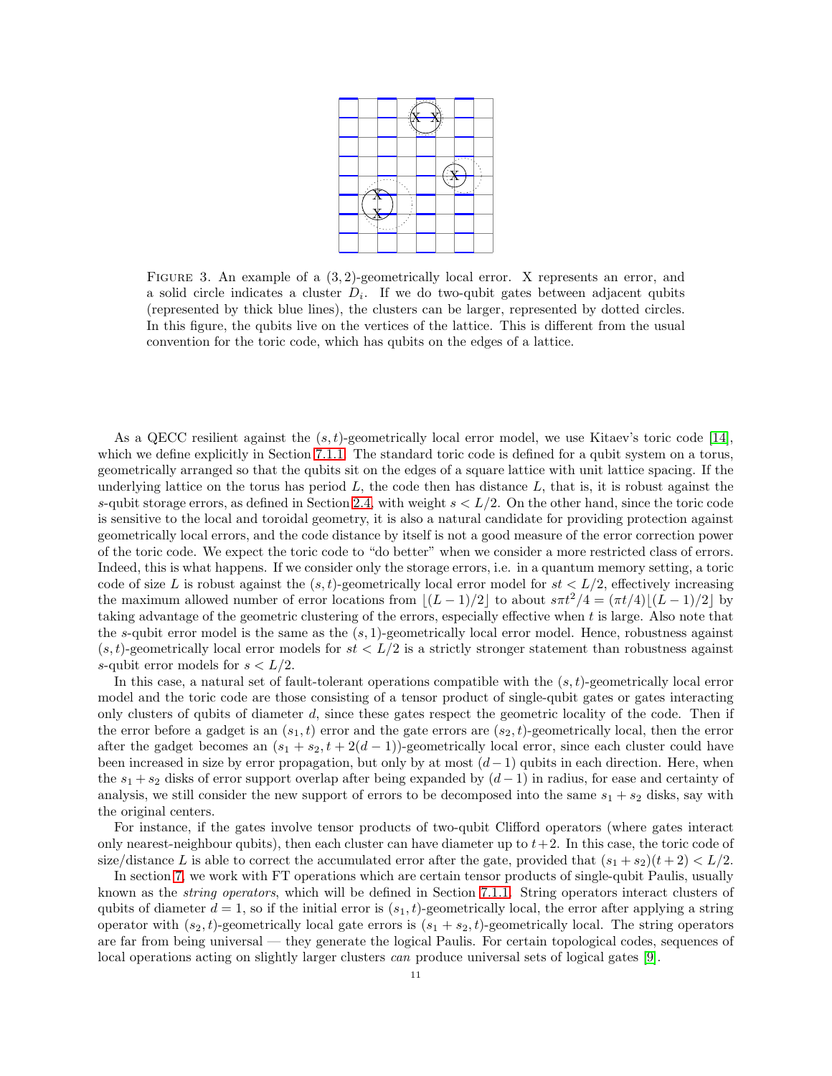

<span id="page-10-0"></span>FIGURE 3. An example of a  $(3, 2)$ -geometrically local error. X represents an error, and a solid circle indicates a cluster  $D_i$ . If we do two-qubit gates between adjacent qubits (represented by thick blue lines), the clusters can be larger, represented by dotted circles. In this figure, the qubits live on the vertices of the lattice. This is different from the usual convention for the toric code, which has qubits on the edges of a lattice.

As a QECC resilient against the  $(s, t)$ -geometrically local error model, we use Kitaev's toric code [\[14\]](#page-63-2), which we define explicitly in Section [7.1.1.](#page-38-1) The standard toric code is defined for a qubit system on a torus, geometrically arranged so that the qubits sit on the edges of a square lattice with unit lattice spacing. If the underlying lattice on the torus has period  $L$ , the code then has distance  $L$ , that is, it is robust against the s-qubit storage errors, as defined in Section [2.4,](#page-8-0) with weight  $s < L/2$ . On the other hand, since the toric code is sensitive to the local and toroidal geometry, it is also a natural candidate for providing protection against geometrically local errors, and the code distance by itself is not a good measure of the error correction power of the toric code. We expect the toric code to "do better" when we consider a more restricted class of errors. Indeed, this is what happens. If we consider only the storage errors, i.e. in a quantum memory setting, a toric code of size L is robust against the  $(s, t)$ -geometrically local error model for  $st < L/2$ , effectively increasing the maximum allowed number of error locations from  $|(L-1)/2|$  to about  $s\pi t^2/4 = (\pi t/4)(L-1)/2$  by taking advantage of the geometric clustering of the errors, especially effective when t is large. Also note that the s-qubit error model is the same as the  $(s, 1)$ -geometrically local error model. Hence, robustness against  $(s, t)$ -geometrically local error models for  $st < L/2$  is a strictly stronger statement than robustness against s-qubit error models for  $s < L/2$ .

In this case, a natural set of fault-tolerant operations compatible with the  $(s, t)$ -geometrically local error model and the toric code are those consisting of a tensor product of single-qubit gates or gates interacting only clusters of qubits of diameter d, since these gates respect the geometric locality of the code. Then if the error before a gadget is an  $(s_1, t)$  error and the gate errors are  $(s_2, t)$ -geometrically local, then the error after the gadget becomes an  $(s_1 + s_2, t + 2(d - 1))$ -geometrically local error, since each cluster could have been increased in size by error propagation, but only by at most  $(d-1)$  qubits in each direction. Here, when the  $s_1 + s_2$  disks of error support overlap after being expanded by  $(d-1)$  in radius, for ease and certainty of analysis, we still consider the new support of errors to be decomposed into the same  $s_1 + s_2$  disks, say with the original centers.

For instance, if the gates involve tensor products of two-qubit Clifford operators (where gates interact only nearest-neighbour qubits), then each cluster can have diameter up to  $t + 2$ . In this case, the toric code of size/distance L is able to correct the accumulated error after the gate, provided that  $(s_1 + s_2)(t + 2) < L/2$ .

In section [7,](#page-37-0) we work with FT operations which are certain tensor products of single-qubit Paulis, usually known as the string operators, which will be defined in Section [7.1.1.](#page-38-1) String operators interact clusters of qubits of diameter  $d = 1$ , so if the initial error is  $(s_1, t)$ -geometrically local, the error after applying a string operator with  $(s_2, t)$ -geometrically local gate errors is  $(s_1 + s_2, t)$ -geometrically local. The string operators are far from being universal — they generate the logical Paulis. For certain topological codes, sequences of local operations acting on slightly larger clusters *can* produce universal sets of logical gates [\[9\]](#page-63-12).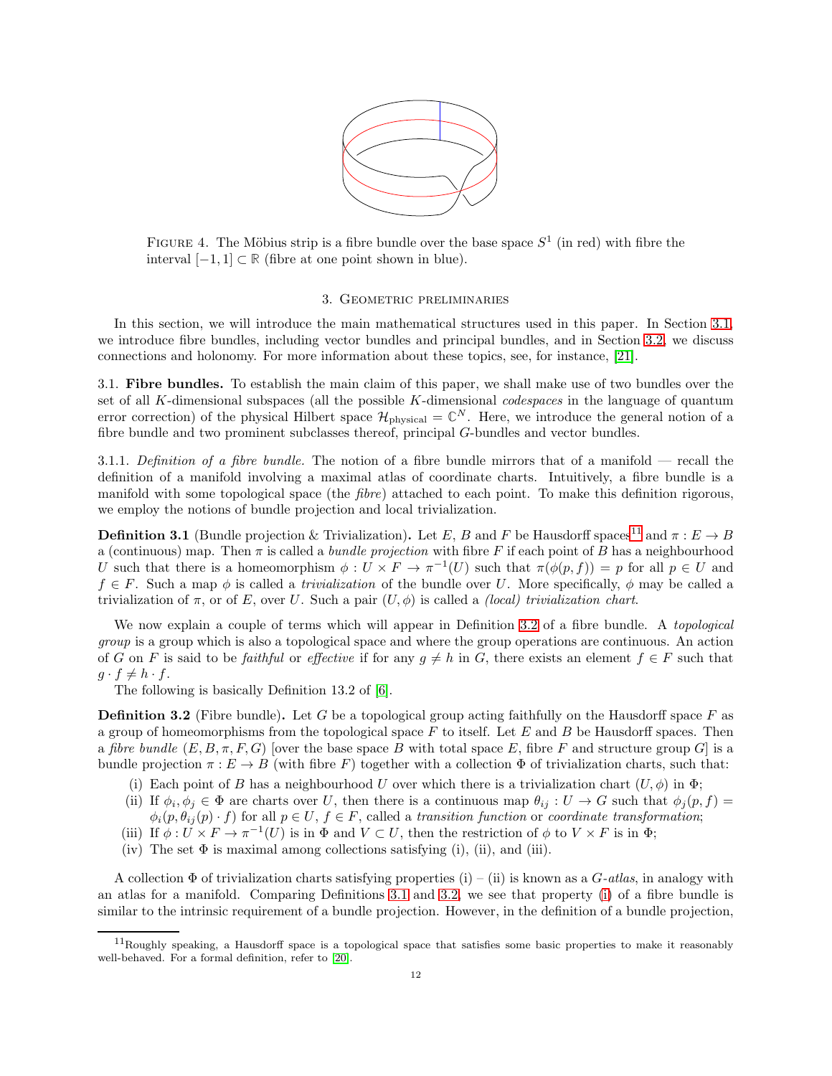

<span id="page-11-6"></span>FIGURE 4. The Möbius strip is a fibre bundle over the base space  $S<sup>1</sup>$  (in red) with fibre the interval [−1, 1] <sup>⊂</sup> **<sup>R</sup>** (fibre at one point shown in blue).

#### 3. Geometric preliminaries

<span id="page-11-0"></span>In this section, we will introduce the main mathematical structures used in this paper. In Section [3.1,](#page-11-1) we introduce fibre bundles, including vector bundles and principal bundles, and in Section [3.2,](#page-13-0) we discuss connections and holonomy. For more information about these topics, see, for instance, [\[21\]](#page-63-13).

<span id="page-11-1"></span>3.1. Fibre bundles. To establish the main claim of this paper, we shall make use of two bundles over the set of all K-dimensional subspaces (all the possible  $K$ -dimensional *codespaces* in the language of quantum error correction) of the physical Hilbert space  $\mathcal{H}_{\text{physical}} = \mathbb{C}^N$ . Here, we introduce the general notion of a fibre bundle and two prominent subclasses thereof, principal G-bundles and vector bundles.

3.1.1. Definition of a fibre bundle. The notion of a fibre bundle mirrors that of a manifold — recall the definition of a manifold involving a maximal atlas of coordinate charts. Intuitively, a fibre bundle is a manifold with some topological space (the *fibre*) attached to each point. To make this definition rigorous, we employ the notions of bundle projection and local trivialization.

<span id="page-11-4"></span>**Definition 3.1** (Bundle projection & Trivialization). Let E, B and F be Hausdorff spaces<sup>[11](#page-11-2)</sup> and  $\pi : E \to B$ a (continuous) map. Then  $\pi$  is called a *bundle projection* with fibre F if each point of B has a neighbourhood U such that there is a homeomorphism  $\phi: U \times F \to \pi^{-1}(U)$  such that  $\pi(\phi(p, f)) = p$  for all  $p \in U$  and  $f \in F$ . Such a map  $\phi$  is called a *trivialization* of the bundle over U. More specifically,  $\phi$  may be called a trivialization of  $\pi$ , or of E, over U. Such a pair  $(U, \phi)$  is called a *(local) trivialization chart.* 

We now explain a couple of terms which will appear in Definition [3.2](#page-11-3) of a fibre bundle. A *topological* group is a group which is also a topological space and where the group operations are continuous. An action of G on F is said to be faithful or effective if for any  $g \neq h$  in G, there exists an element  $f \in F$  such that  $g \cdot f \neq h \cdot f$ .

The following is basically Definition 13.2 of [\[6\]](#page-63-14).

**Definition 3.2** (Fibre bundle). Let G be a topological group acting faithfully on the Hausdorff space F as a group of homeomorphisms from the topological space  $F$  to itself. Let  $E$  and  $B$  be Hausdorff spaces. Then a fibre bundle  $(E, B, \pi, F, G)$  [over the base space B with total space E, fibre F and structure group G] is a bundle projection  $\pi : E \to B$  (with fibre F) together with a collection  $\Phi$  of trivialization charts, such that:

- <span id="page-11-5"></span>(i) Each point of B has a neighbourhood U over which there is a trivialization chart  $(U, \phi)$  in  $\Phi$ ;
- (ii) If  $\phi_i, \phi_j \in \Phi$  are charts over U, then there is a continuous map  $\theta_{ij} : U \to G$  such that  $\phi_j(p, f) =$  $\phi_i(p, \theta_{ij}(p) \cdot f)$  for all  $p \in U, f \in F$ , called a transition function or coordinate transformation;
- (iii) If  $\phi: U \times F \to \pi^{-1}(U)$  is in  $\Phi$  and  $V \subset U$ , then the restriction of  $\phi$  to  $V \times F$  is in  $\Phi$ ;
- <span id="page-11-3"></span>(iv) The set  $\Phi$  is maximal among collections satisfying (i), (ii), and (iii).

A collection  $\Phi$  of trivialization charts satisfying properties (i) – (ii) is known as a G-atlas, in analogy with an atlas for a manifold. Comparing Definitions [3.1](#page-11-4) and [3.2,](#page-11-3) we see that property [\(i\)](#page-11-5) of a fibre bundle is similar to the intrinsic requirement of a bundle projection. However, in the definition of a bundle projection,

<span id="page-11-2"></span> $11$ Roughly speaking, a Hausdorff space is a topological space that satisfies some basic properties to make it reasonably well-behaved. For a formal definition, refer to [\[20\]](#page-63-15).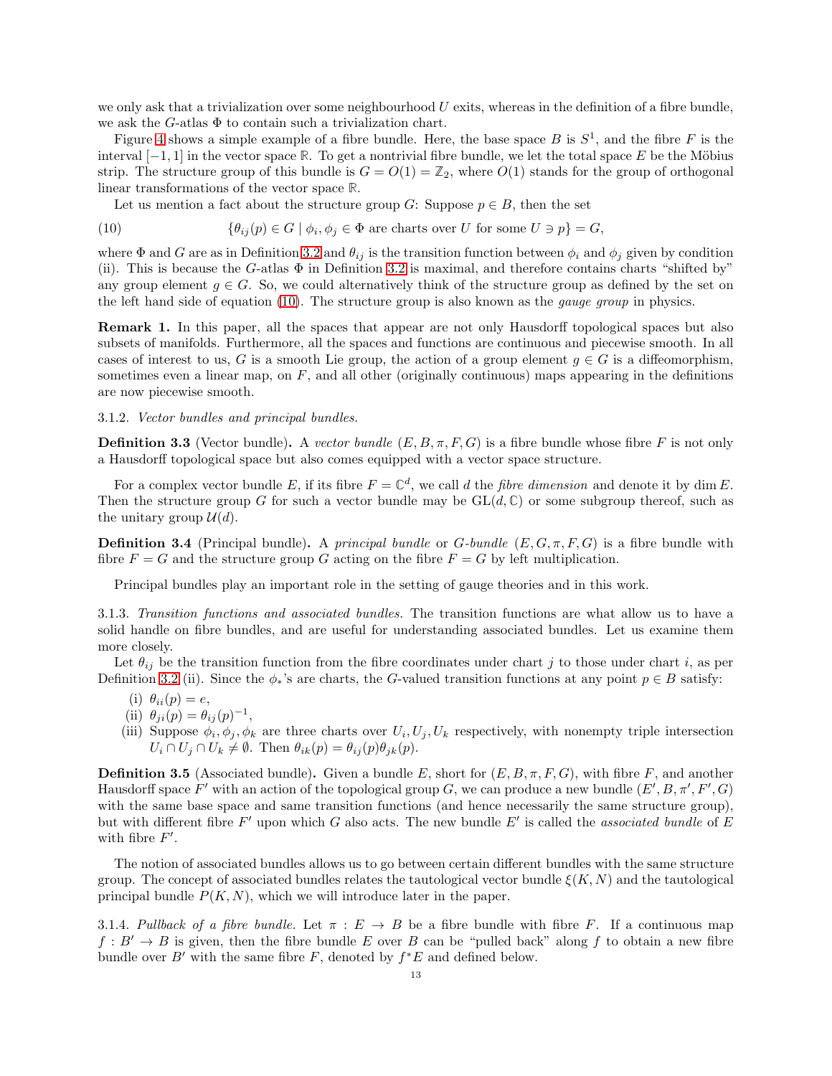we only ask that a trivialization over some neighbourhood  $U$  exits, whereas in the definition of a fibre bundle, we ask the  $G$ -atlas  $\Phi$  to contain such a trivialization chart.

Figure [4](#page-11-6) shows a simple example of a fibre bundle. Here, the base space B is  $S^1$ , and the fibre F is the interval  $[-1, 1]$  in the vector space  $\mathbb R$ . To get a nontrivial fibre bundle, we let the total space E be the Möbius strip. The structure group of this bundle is  $G = O(1) = \mathbb{Z}_2$ , where  $O(1)$  stands for the group of orthogonal linear transformations of the vector space **R**.

<span id="page-12-0"></span>Let us mention a fact about the structure group G: Suppose  $p \in B$ , then the set

(10) 
$$
\{\theta_{ij}(p) \in G \mid \phi_i, \phi_j \in \Phi \text{ are charts over } U \text{ for some } U \ni p\} = G,
$$

where  $\Phi$  and G are as in Definition [3.2](#page-11-3) and  $\theta_{ij}$  is the transition function between  $\phi_i$  and  $\phi_j$  given by condition (ii). This is because the G-atlas  $\Phi$  in Definition [3.2](#page-11-3) is maximal, and therefore contains charts "shifted by" any group element  $g \in G$ . So, we could alternatively think of the structure group as defined by the set on the left hand side of equation [\(10\)](#page-12-0). The structure group is also known as the *qauge group* in physics.

Remark 1. In this paper, all the spaces that appear are not only Hausdorff topological spaces but also subsets of manifolds. Furthermore, all the spaces and functions are continuous and piecewise smooth. In all cases of interest to us, G is a smooth Lie group, the action of a group element  $g \in G$  is a diffeomorphism, sometimes even a linear map, on  $F$ , and all other (originally continuous) maps appearing in the definitions are now piecewise smooth.

### 3.1.2. Vector bundles and principal bundles.

**Definition 3.3** (Vector bundle). A vector bundle  $(E, B, \pi, F, G)$  is a fibre bundle whose fibre F is not only a Hausdorff topological space but also comes equipped with a vector space structure.

For a complex vector bundle E, if its fibre  $F = \mathbb{C}^d$ , we call d the *fibre dimension* and denote it by dim E. Then the structure group G for such a vector bundle may be  $GL(d, \mathbb{C})$  or some subgroup thereof, such as the unitary group  $\mathcal{U}(d)$ .

**Definition 3.4** (Principal bundle). A principal bundle or G-bundle  $(E, G, \pi, F, G)$  is a fibre bundle with fibre  $F = G$  and the structure group G acting on the fibre  $F = G$  by left multiplication.

Principal bundles play an important role in the setting of gauge theories and in this work.

3.1.3. Transition functions and associated bundles. The transition functions are what allow us to have a solid handle on fibre bundles, and are useful for understanding associated bundles. Let us examine them more closely.

Let  $\theta_{ij}$  be the transition function from the fibre coordinates under chart j to those under chart i, as per Definition [3.2](#page-11-3) (ii). Since the  $\phi_*$ 's are charts, the G-valued transition functions at any point  $p \in B$  satisfy:

- (i)  $\theta_{ii}(p) = e$ ,
- (ii)  $\theta_{ji}(p) = \theta_{ij}(p)^{-1}$ ,
- (iii) Suppose  $\phi_i, \phi_j, \phi_k$  are three charts over  $U_i, U_j, U_k$  respectively, with nonempty triple intersection  $U_i \cap U_j \cap U_k \neq \emptyset$ . Then  $\theta_{ik}(p) = \theta_{ij}(p)\theta_{jk}(p)$ .

**Definition 3.5** (Associated bundle). Given a bundle E, short for  $(E, B, \pi, F, G)$ , with fibre F, and another Hausdorff space  $F'$  with an action of the topological group G, we can produce a new bundle  $(E', B, \pi', F', G)$ with the same base space and same transition functions (and hence necessarily the same structure group), but with different fibre  $F'$  upon which G also acts. The new bundle  $E'$  is called the associated bundle of E with fibre  $F'$ .

The notion of associated bundles allows us to go between certain different bundles with the same structure group. The concept of associated bundles relates the tautological vector bundle  $\xi(K, N)$  and the tautological principal bundle  $P(K, N)$ , which we will introduce later in the paper.

<span id="page-12-1"></span>3.1.4. Pullback of a fibre bundle. Let  $\pi : E \to B$  be a fibre bundle with fibre F. If a continuous map  $f: B' \to B$  is given, then the fibre bundle E over B can be "pulled back" along f to obtain a new fibre bundle over  $B'$  with the same fibre F, denoted by  $f^*E$  and defined below.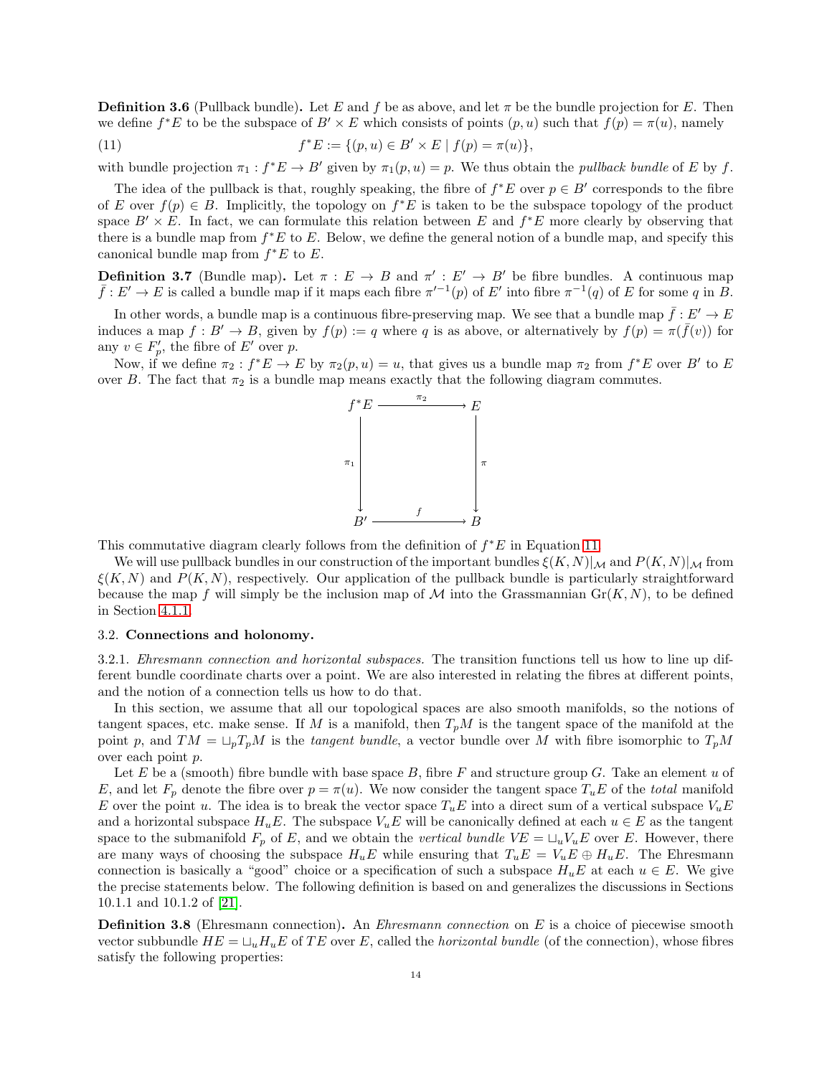**Definition 3.6** (Pullback bundle). Let E and f be as above, and let  $\pi$  be the bundle projection for E. Then we define  $f^*E$  to be the subspace of  $B' \times E$  which consists of points  $(p, u)$  such that  $f(p) = \pi(u)$ , namely

<span id="page-13-1"></span>(11) 
$$
f^*E := \{(p, u) \in B' \times E \mid f(p) = \pi(u)\},\
$$

with bundle projection  $\pi_1 : f^*E \to B'$  given by  $\pi_1(p, u) = p$ . We thus obtain the *pullback bundle* of E by f.

The idea of the pullback is that, roughly speaking, the fibre of  $f^*E$  over  $p \in B'$  corresponds to the fibre of E over  $f(p) \in B$ . Implicitly, the topology on  $f^*E$  is taken to be the subspace topology of the product space  $B' \times E$ . In fact, we can formulate this relation between E and  $f^*E$  more clearly by observing that there is a bundle map from  $f^*E$  to E. Below, we define the general notion of a bundle map, and specify this canonical bundle map from  $f^*E$  to E.

**Definition 3.7** (Bundle map). Let  $\pi : E \to B$  and  $\pi' : E' \to B'$  be fibre bundles. A continuous map  $\bar{f}: E' \to E$  is called a bundle map if it maps each fibre  $\pi^{-1}(p)$  of  $E'$  into fibre  $\pi^{-1}(q)$  of  $E$  for some  $q$  in  $\bar{B}$ .

In other words, a bundle map is a continuous fibre-preserving map. We see that a bundle map  $\bar{f}: E' \to E$ induces a map  $f: B' \to B$ , given by  $f(p) := q$  where q is as above, or alternatively by  $f(p) = \pi(\bar{f}(v))$  for any  $v \in F'_p$ , the fibre of  $E'$  over p.

Now, if we define  $\pi_2 : f^*E \to E$  by  $\pi_2(p, u) = u$ , that gives us a bundle map  $\pi_2$  from  $f^*E$  over B' to E over B. The fact that  $\pi_2$  is a bundle map means exactly that the following diagram commutes.



This commutative diagram clearly follows from the definition of  $f^*E$  in Equation [11.](#page-13-1)

We will use pullback bundles in our construction of the important bundles  $\xi(K, N)|_{\mathcal{M}}$  and  $P(K, N)|_{\mathcal{M}}$  from  $\xi(K, N)$  and  $P(K, N)$ , respectively. Our application of the pullback bundle is particularly straightforward because the map f will simply be the inclusion map of M into the Grassmannian  $\mathrm{Gr}(K, N)$ , to be defined in Section [4.1.1.](#page-18-0)

# <span id="page-13-0"></span>3.2. Connections and holonomy.

3.2.1. Ehresmann connection and horizontal subspaces. The transition functions tell us how to line up different bundle coordinate charts over a point. We are also interested in relating the fibres at different points, and the notion of a connection tells us how to do that.

In this section, we assume that all our topological spaces are also smooth manifolds, so the notions of tangent spaces, etc. make sense. If M is a manifold, then  $T_pM$  is the tangent space of the manifold at the point p, and  $TM = \sqcup_p T_pM$  is the tangent bundle, a vector bundle over M with fibre isomorphic to  $T_pM$ over each point p.

Let E be a (smooth) fibre bundle with base space B, fibre F and structure group G. Take an element u of E, and let  $F_p$  denote the fibre over  $p = \pi(u)$ . We now consider the tangent space  $T_u E$  of the total manifold E over the point u. The idea is to break the vector space  $T_uE$  into a direct sum of a vertical subspace  $V_uE$ and a horizontal subspace  $H_uE$ . The subspace  $V_uE$  will be canonically defined at each  $u \in E$  as the tangent space to the submanifold  $F_p$  of E, and we obtain the vertical bundle  $VE = \sqcup_u V_uE$  over E. However, there are many ways of choosing the subspace  $H_uE$  while ensuring that  $T_uE = V_uE \oplus H_uE$ . The Ehresmann connection is basically a "good" choice or a specification of such a subspace  $H_uE$  at each  $u \in E$ . We give the precise statements below. The following definition is based on and generalizes the discussions in Sections 10.1.1 and 10.1.2 of [\[21\]](#page-63-13).

<span id="page-13-2"></span>**Definition 3.8** (Ehresmann connection). An *Ehresmann connection* on E is a choice of piecewise smooth vector subbundle  $HE = \sqcup_u H_uE$  of TE over E, called the *horizontal bundle* (of the connection), whose fibres satisfy the following properties: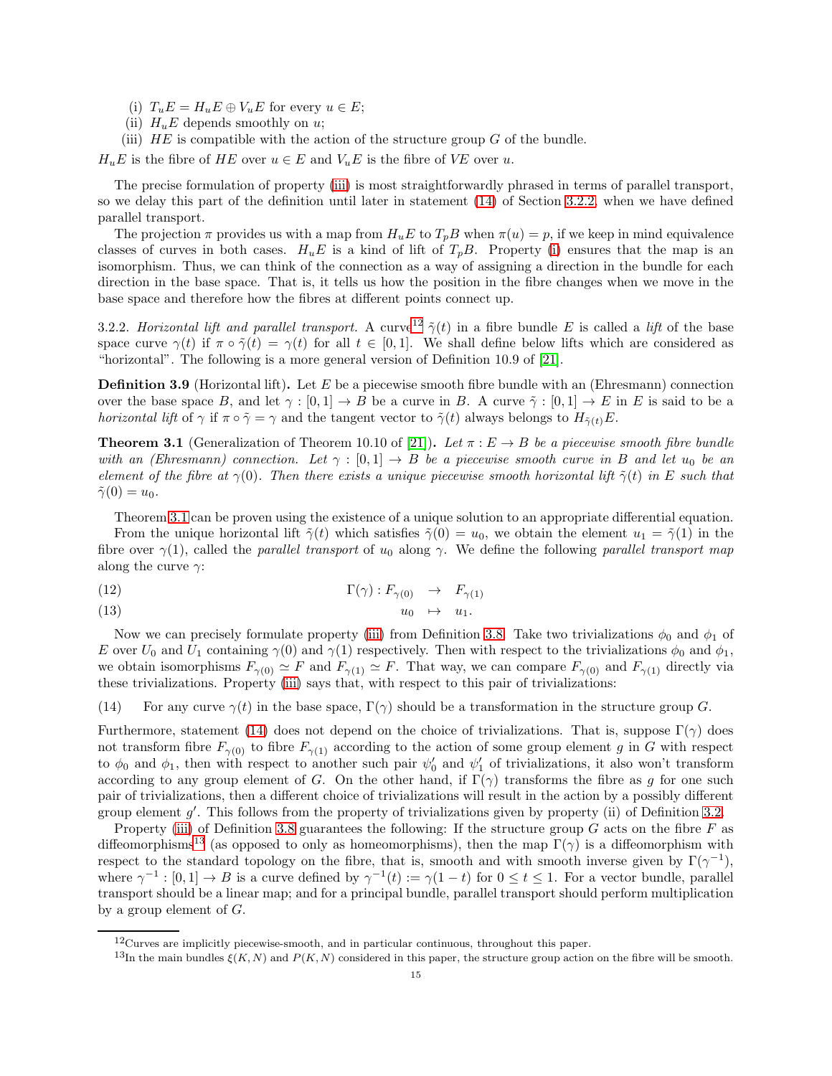- <span id="page-14-3"></span>(i)  $T_u E = H_u E \oplus V_u E$  for every  $u \in E$ ;
- (ii)  $H_uE$  depends smoothly on u;
- <span id="page-14-0"></span>(iii)  $HE$  is compatible with the action of the structure group G of the bundle.

 $H_uE$  is the fibre of HE over  $u \in E$  and  $V_uE$  is the fibre of VE over u.

The precise formulation of property [\(iii\)](#page-14-0) is most straightforwardly phrased in terms of parallel transport, so we delay this part of the definition until later in statement [\(14\)](#page-14-1) of Section [3.2.2,](#page-14-2) when we have defined parallel transport.

The projection  $\pi$  provides us with a map from  $H_uE$  to  $T_pB$  when  $\pi(u) = p$ , if we keep in mind equivalence classes of curves in both cases.  $H_uE$  is a kind of lift of  $T_pB$ . Property [\(i\)](#page-14-3) ensures that the map is an isomorphism. Thus, we can think of the connection as a way of assigning a direction in the bundle for each direction in the base space. That is, it tells us how the position in the fibre changes when we move in the base space and therefore how the fibres at different points connect up.

<span id="page-14-2"></span>3.2.2. Horizontal lift and parallel transport. A curve<sup>[12](#page-14-4)</sup>  $\tilde{\gamma}(t)$  in a fibre bundle E is called a lift of the base space curve  $\gamma(t)$  if  $\pi \circ \tilde{\gamma}(t) = \gamma(t)$  for all  $t \in [0,1]$ . We shall define below lifts which are considered as "horizontal". The following is a more general version of Definition 10.9 of [\[21\]](#page-63-13).

**Definition 3.9** (Horizontal lift). Let E be a piecewise smooth fibre bundle with an (Ehresmann) connection over the base space B, and let  $\gamma : [0,1] \to B$  be a curve in B. A curve  $\tilde{\gamma} : [0,1] \to E$  in E is said to be a *horizontal lift* of  $\gamma$  if  $\pi \circ \tilde{\gamma} = \gamma$  and the tangent vector to  $\tilde{\gamma}(t)$  always belongs to  $H_{\tilde{\gamma}(t)}E$ .

<span id="page-14-5"></span>**Theorem 3.1** (Generalization of Theorem 10.10 of [\[21\]](#page-63-13)). Let  $\pi : E \to B$  be a piecewise smooth fibre bundle with an (Ehresmann) connection. Let  $\gamma : [0,1] \to B$  be a piecewise smooth curve in B and let  $u_0$  be an element of the fibre at  $\gamma(0)$ . Then there exists a unique piecewise smooth horizontal lift  $\tilde{\gamma}(t)$  in E such that  $\tilde{\gamma}(0) = u_0.$ 

Theorem [3.1](#page-14-5) can be proven using the existence of a unique solution to an appropriate differential equation. From the unique horizontal lift  $\tilde{\gamma}(t)$  which satisfies  $\tilde{\gamma}(0) = u_0$ , we obtain the element  $u_1 = \tilde{\gamma}(1)$  in the fibre over  $\gamma(1)$ , called the parallel transport of  $u_0$  along  $\gamma$ . We define the following parallel transport map along the curve  $\gamma$ :

<span id="page-14-7"></span>(12) 
$$
\Gamma(\gamma) : F_{\gamma(0)} \to F_{\gamma(1)}
$$

(13)  $u_0 \rightarrow u_1$ .

Now we can precisely formulate property [\(iii\)](#page-14-0) from Definition [3.8.](#page-13-2) Take two trivializations  $\phi_0$  and  $\phi_1$  of E over  $U_0$  and  $U_1$  containing  $\gamma(0)$  and  $\gamma(1)$  respectively. Then with respect to the trivializations  $\phi_0$  and  $\phi_1$ , we obtain isomorphisms  $F_{\gamma(0)} \simeq F$  and  $F_{\gamma(1)} \simeq F$ . That way, we can compare  $F_{\gamma(0)}$  and  $F_{\gamma(1)}$  directly via these trivializations. Property [\(iii\)](#page-14-0) says that, with respect to this pair of trivializations:

<span id="page-14-1"></span>(14) For any curve  $\gamma(t)$  in the base space,  $\Gamma(\gamma)$  should be a transformation in the structure group G.

Furthermore, statement [\(14\)](#page-14-1) does not depend on the choice of trivializations. That is, suppose  $\Gamma(\gamma)$  does not transform fibre  $F_{\gamma(0)}$  to fibre  $F_{\gamma(1)}$  according to the action of some group element g in G with respect to  $\phi_0$  and  $\phi_1$ , then with respect to another such pair  $\psi'_0$  and  $\psi'_1$  of trivializations, it also won't transform according to any group element of G. On the other hand, if  $\Gamma(\gamma)$  transforms the fibre as g for one such pair of trivializations, then a different choice of trivializations will result in the action by a possibly different group element  $g'$ . This follows from the property of trivializations given by property (ii) of Definition [3.2.](#page-11-3)

Property [\(iii\)](#page-14-0) of Definition [3.8](#page-13-2) guarantees the following: If the structure group  $G$  acts on the fibre  $F$  as diffeomorphisms<sup>[13](#page-14-6)</sup> (as opposed to only as homeomorphisms), then the map  $\Gamma(\gamma)$  is a diffeomorphism with respect to the standard topology on the fibre, that is, smooth and with smooth inverse given by  $\Gamma(\gamma^{-1})$ , where  $\gamma^{-1} : [0,1] \to B$  is a curve defined by  $\gamma^{-1}(t) := \gamma(1-t)$  for  $0 \le t \le 1$ . For a vector bundle, parallel transport should be a linear map; and for a principal bundle, parallel transport should perform multiplication by a group element of  $G$ .

 $12$ Curves are implicitly piecewise-smooth, and in particular continuous, throughout this paper.

<span id="page-14-6"></span><span id="page-14-4"></span><sup>&</sup>lt;sup>13</sup>In the main bundles  $\xi(K, N)$  and  $P(K, N)$  considered in this paper, the structure group action on the fibre will be smooth.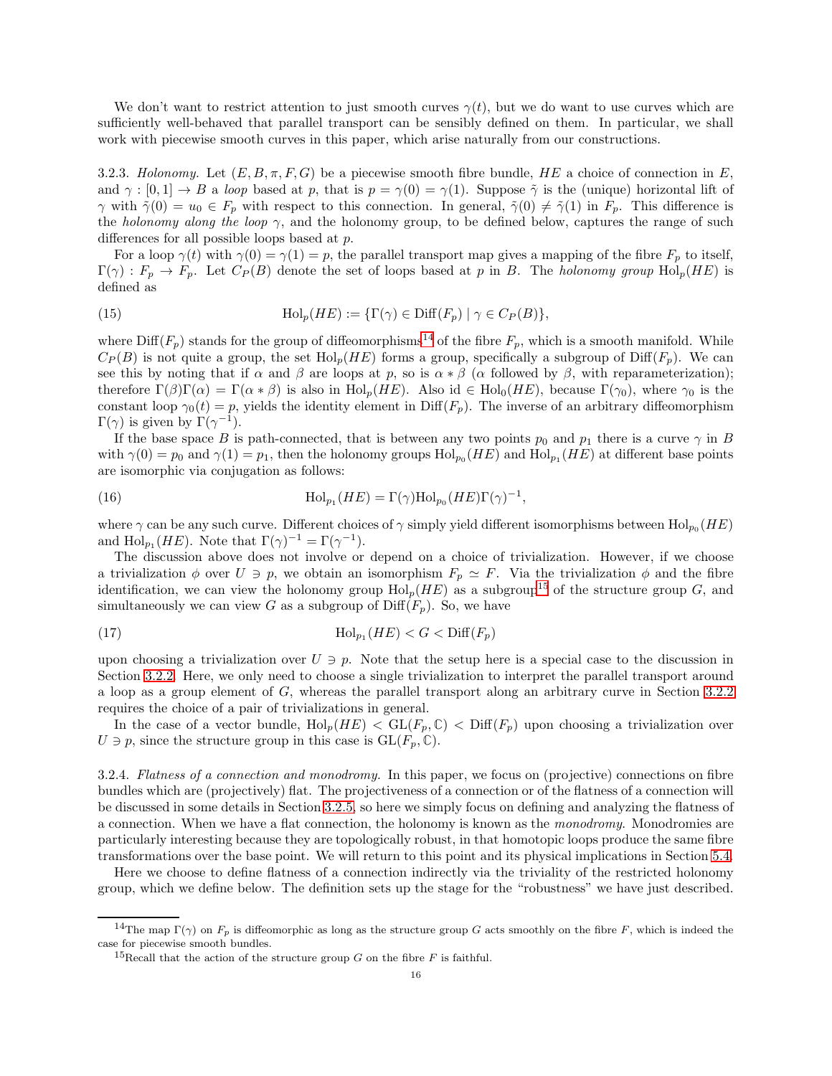We don't want to restrict attention to just smooth curves  $\gamma(t)$ , but we do want to use curves which are sufficiently well-behaved that parallel transport can be sensibly defined on them. In particular, we shall work with piecewise smooth curves in this paper, which arise naturally from our constructions.

3.2.3. Holonomy. Let  $(E, B, \pi, F, G)$  be a piecewise smooth fibre bundle, HE a choice of connection in E, and  $\gamma : [0,1] \to B$  a loop based at p, that is  $p = \gamma(0) = \gamma(1)$ . Suppose  $\tilde{\gamma}$  is the (unique) horizontal lift of  $\gamma$  with  $\tilde{\gamma}(0) = u_0 \in F_p$  with respect to this connection. In general,  $\tilde{\gamma}(0) \neq \tilde{\gamma}(1)$  in  $F_p$ . This difference is the holonomy along the loop  $\gamma$ , and the holonomy group, to be defined below, captures the range of such differences for all possible loops based at p.

For a loop  $\gamma(t)$  with  $\gamma(0) = \gamma(1) = p$ , the parallel transport map gives a mapping of the fibre  $F_p$  to itself,  $\Gamma(\gamma) : F_p \to F_p$ . Let  $C_P(B)$  denote the set of loops based at p in B. The holonomy group Hol<sub>p</sub>(HE) is defined as

(15) 
$$
\operatorname{Hol}_p(HE) := \{ \Gamma(\gamma) \in \text{Diff}(F_p) \mid \gamma \in C_P(B) \},
$$

where  $\text{Diff}(F_p)$  stands for the group of diffeomorphisms<sup>[14](#page-15-0)</sup> of the fibre  $F_p$ , which is a smooth manifold. While  $C_P(B)$  is not quite a group, the set  $\text{Hol}_p(HE)$  forms a group, specifically a subgroup of  $\text{Diff}(F_p)$ . We can see this by noting that if  $\alpha$  and  $\beta$  are loops at p, so is  $\alpha * \beta$  ( $\alpha$  followed by  $\beta$ , with reparameterization); therefore  $\Gamma(\beta)\Gamma(\alpha) = \Gamma(\alpha * \beta)$  is also in  $\text{Hol}_p(HE)$ . Also id  $\in \text{Hol}_0(HE)$ , because  $\Gamma(\gamma_0)$ , where  $\gamma_0$  is the constant loop  $\gamma_0(t) = p$ , yields the identity element in Diff( $F_p$ ). The inverse of an arbitrary diffeomorphism  $\Gamma(\gamma)$  is given by  $\Gamma(\gamma^{-1})$ .

If the base space B is path-connected, that is between any two points  $p_0$  and  $p_1$  there is a curve  $\gamma$  in B with  $\gamma(0) = p_0$  and  $\gamma(1) = p_1$ , then the holonomy groups  $\text{Hol}_{p_0}(HE)$  and  $\text{Hol}_{p_1}(HE)$  at different base points are isomorphic via conjugation as follows:

<span id="page-15-2"></span>(16) 
$$
\text{Hol}_{p_1}(HE) = \Gamma(\gamma)\text{Hol}_{p_0}(HE)\Gamma(\gamma)^{-1},
$$

where  $\gamma$  can be any such curve. Different choices of  $\gamma$  simply yield different isomorphisms between  $\text{Hol}_{p_0}(HE)$ and  $\text{Hol}_{p_1}(HE)$ . Note that  $\Gamma(\gamma)^{-1} = \Gamma(\gamma^{-1})$ .

The discussion above does not involve or depend on a choice of trivialization. However, if we choose a trivialization  $\phi$  over  $U \ni p$ , we obtain an isomorphism  $F_p \simeq F$ . Via the trivialization  $\phi$  and the fibre identification, we can view the holonomy group  $\text{Hol}_p(HE)$  as a subgroup<sup>[15](#page-15-1)</sup> of the structure group G, and simultaneously we can view G as a subgroup of  $\text{Diff}(F_p)$ . So, we have

(17) Hol<sup>p</sup><sup>1</sup> (HE) < G < Diff(Fp)

upon choosing a trivialization over  $U \ni p$ . Note that the setup here is a special case to the discussion in Section [3.2.2.](#page-14-2) Here, we only need to choose a single trivialization to interpret the parallel transport around a loop as a group element of G, whereas the parallel transport along an arbitrary curve in Section [3.2.2](#page-14-2) requires the choice of a pair of trivializations in general.

In the case of a vector bundle,  $\text{Hol}_p(HE) < \text{GL}(F_p, \mathbb{C}) < \text{Diff}(F_p)$  upon choosing a trivialization over  $U \ni p$ , since the structure group in this case is  $GL(F_p, \mathbb{C})$ .

3.2.4. Flatness of a connection and monodromy. In this paper, we focus on (projective) connections on fibre bundles which are (projectively) flat. The projectiveness of a connection or of the flatness of a connection will be discussed in some details in Section [3.2.5,](#page-16-0) so here we simply focus on defining and analyzing the flatness of a connection. When we have a flat connection, the holonomy is known as the monodromy. Monodromies are particularly interesting because they are topologically robust, in that homotopic loops produce the same fibre transformations over the base point. We will return to this point and its physical implications in Section [5.4.](#page-30-0)

Here we choose to define flatness of a connection indirectly via the triviality of the restricted holonomy group, which we define below. The definition sets up the stage for the "robustness" we have just described.

<sup>&</sup>lt;sup>14</sup>The map Γ(γ) on  $F_p$  is diffeomorphic as long as the structure group G acts smoothly on the fibre F, which is indeed the case for piecewise smooth bundles.

<span id="page-15-1"></span><span id="page-15-0"></span><sup>&</sup>lt;sup>15</sup>Recall that the action of the structure group G on the fibre F is faithful.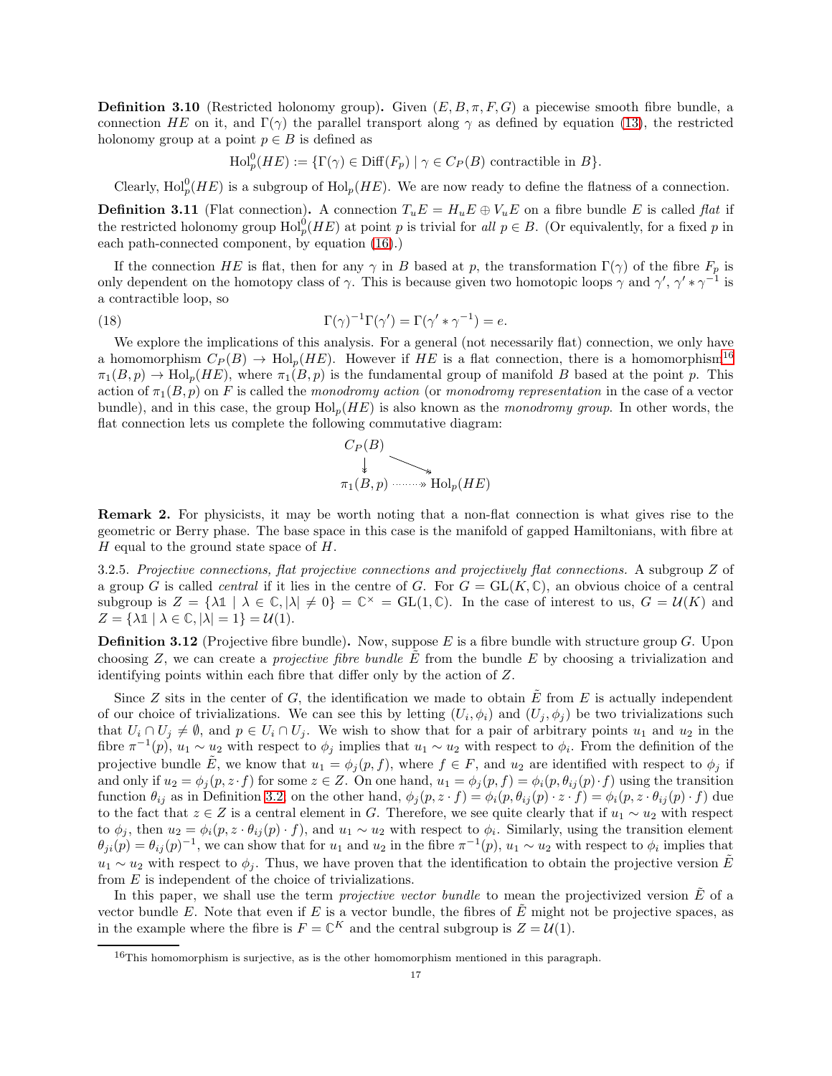**Definition 3.10** (Restricted holonomy group). Given  $(E, B, \pi, F, G)$  a piecewise smooth fibre bundle, a connection HE on it, and  $\Gamma(\gamma)$  the parallel transport along  $\gamma$  as defined by equation [\(13\)](#page-14-7), the restricted holonomy group at a point  $p \in B$  is defined as

 $\text{Hol}_p^0(HE) := {\{\Gamma(\gamma) \in \text{Diff}(F_p) \mid \gamma \in C_P(B) \text{ contractible in } B\}}.$ 

Clearly,  $\text{Hol}_p^0(HE)$  is a subgroup of  $\text{Hol}_p(HE)$ . We are now ready to define the flatness of a connection.

<span id="page-16-2"></span>**Definition 3.11** (Flat connection). A connection  $T_uE = H_uE \oplus V_uE$  on a fibre bundle E is called flat if the restricted holonomy group  $\text{Hol}_p^0(HE)$  at point p is trivial for all  $p \in B$ . (Or equivalently, for a fixed p in each path-connected component, by equation [\(16\)](#page-15-2).)

If the connection HE is flat, then for any  $\gamma$  in B based at p, the transformation  $\Gamma(\gamma)$  of the fibre  $F_p$  is only dependent on the homotopy class of  $\gamma$ . This is because given two homotopic loops  $\gamma$  and  $\gamma', \gamma' * \gamma^{-1}$  is a contractible loop, so

(18) 
$$
\Gamma(\gamma)^{-1}\Gamma(\gamma') = \Gamma(\gamma' * \gamma^{-1}) = e.
$$

We explore the implications of this analysis. For a general (not necessarily flat) connection, we only have a homomorphism  $C_P(B) \to \text{Hol}_n(HE)$ . However if HE is a flat connection, there is a homomorphism<sup>[16](#page-16-1)</sup>  $\pi_1(B, p) \to \text{Hol}_p(HE)$ , where  $\pi_1(B, p)$  is the fundamental group of manifold B based at the point p. This action of  $\pi_1(B, p)$  on F is called the monodromy action (or monodromy representation in the case of a vector bundle), and in this case, the group  $Hol_n(HE)$  is also known as the monodromy group. In other words, the flat connection lets us complete the following commutative diagram:



Remark 2. For physicists, it may be worth noting that a non-flat connection is what gives rise to the geometric or Berry phase. The base space in this case is the manifold of gapped Hamiltonians, with fibre at H equal to the ground state space of  $H$ .

<span id="page-16-0"></span>3.2.5. Projective connections, flat projective connections and projectively flat connections. A subgroup Z of a group G is called *central* if it lies in the centre of G. For  $G = GL(K, \mathbb{C})$ , an obvious choice of a central subgroup is  $Z = {\lambda \mathbb{1} \mid \lambda \in \mathbb{C}, |\lambda| \neq 0} = \mathbb{C}^{\times} = GL(1, \mathbb{C})$ . In the case of interest to us,  $G = U(K)$  and  $Z = {\lambda \mathbb{1} \mid \lambda \in \mathbb{C}, |\lambda| = 1} = \mathcal{U}(1).$ 

**Definition 3.12** (Projective fibre bundle). Now, suppose  $E$  is a fibre bundle with structure group  $G$ . Upon choosing  $Z$ , we can create a *projective fibre bundle*  $E$  from the bundle  $E$  by choosing a trivialization and identifying points within each fibre that differ only by the action of Z.

Since Z sits in the center of G, the identification we made to obtain  $\tilde{E}$  from E is actually independent of our choice of trivializations. We can see this by letting  $(U_i, \phi_i)$  and  $(U_j, \phi_j)$  be two trivializations such that  $U_i \cap U_j \neq \emptyset$ , and  $p \in U_i \cap U_j$ . We wish to show that for a pair of arbitrary points  $u_1$  and  $u_2$  in the fibre  $\pi^{-1}(p)$ ,  $u_1 \sim u_2$  with respect to  $\phi_j$  implies that  $u_1 \sim u_2$  with respect to  $\phi_i$ . From the definition of the projective bundle E, we know that  $u_1 = \phi_i(p, f)$ , where  $f \in F$ , and  $u_2$  are identified with respect to  $\phi_i$  if and only if  $u_2 = \phi_i(p, z \cdot f)$  for some  $z \in Z$ . On one hand,  $u_1 = \phi_i(p, f) = \phi_i(p, \theta_{ij}(p) \cdot f)$  using the transition function  $\theta_{ij}$  as in Definition [3.2;](#page-11-3) on the other hand,  $\phi_j(p, z \cdot f) = \phi_i(p, \theta_{ij}(p) \cdot z \cdot f) = \phi_i(p, z \cdot \theta_{ij}(p) \cdot f)$  due to the fact that  $z \in Z$  is a central element in G. Therefore, we see quite clearly that if  $u_1 \sim u_2$  with respect to  $\phi_j$ , then  $u_2 = \phi_i(p, z \cdot \theta_{ij}(p) \cdot f)$ , and  $u_1 \sim u_2$  with respect to  $\phi_i$ . Similarly, using the transition element  $\theta_{ji}(p) = \theta_{ij}(p)^{-1}$ , we can show that for  $u_1$  and  $u_2$  in the fibre  $\pi^{-1}(p)$ ,  $u_1 \sim u_2$  with respect to  $\phi_i$  implies that  $u_1 \sim u_2$  with respect to  $\phi_j$ . Thus, we have proven that the identification to obtain the projective version  $\tilde{E}$ from E is independent of the choice of trivializations.

In this paper, we shall use the term *projective vector bundle* to mean the projectivized version  $\tilde{E}$  of a vector bundle E. Note that even if E is a vector bundle, the fibres of  $\tilde{E}$  might not be projective spaces, as in the example where the fibre is  $F = \mathbb{C}^K$  and the central subgroup is  $Z = \mathcal{U}(1)$ .

<span id="page-16-1"></span><sup>&</sup>lt;sup>16</sup>This homomorphism is surjective, as is the other homomorphism mentioned in this paragraph.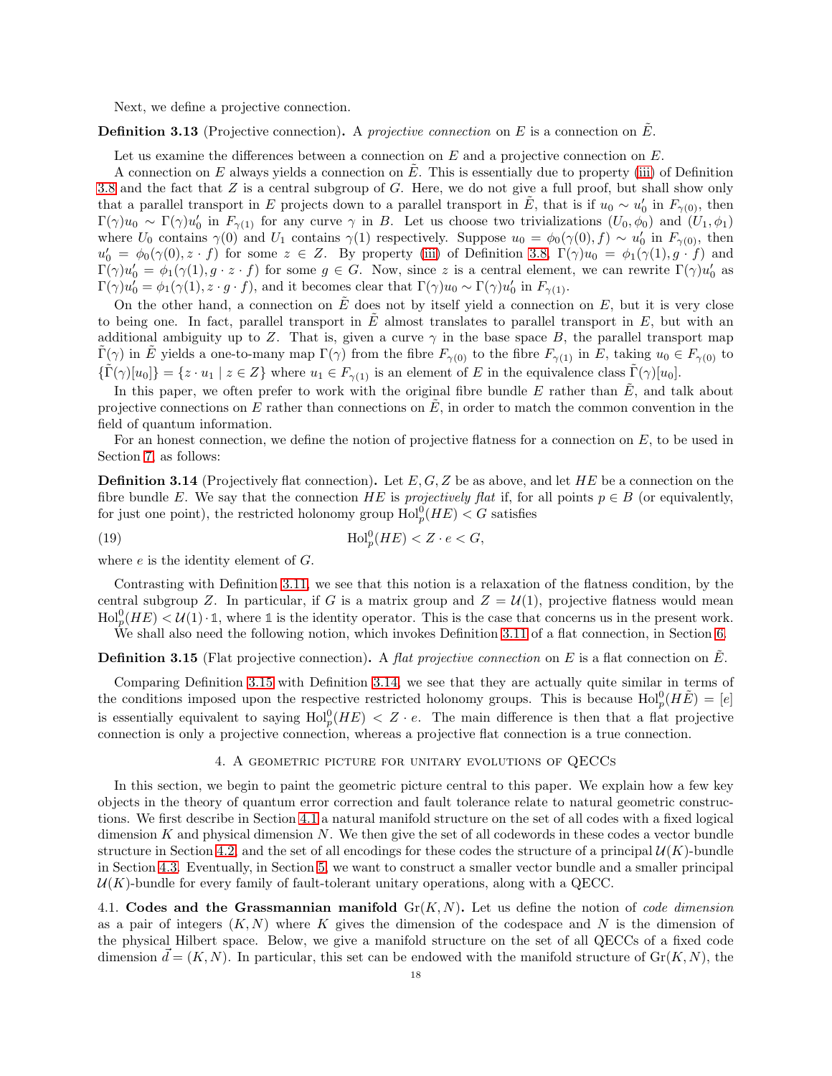Next, we define a projective connection.

**Definition 3.13** (Projective connection). A projective connection on E is a connection on E.

Let us examine the differences between a connection on  $E$  and a projective connection on  $E$ .

A connection on E always yields a connection on E. This is essentially due to property [\(iii\)](#page-14-0) of Definition [3.8](#page-13-2) and the fact that  $Z$  is a central subgroup of  $G$ . Here, we do not give a full proof, but shall show only that a parallel transport in E projects down to a parallel transport in  $\tilde{E}$ , that is if  $u_0 \sim u'_0$  in  $F_{\gamma(0)}$ , then  $\Gamma(\gamma)u_0 \sim \Gamma(\gamma)u'_0$  in  $F_{\gamma(1)}$  for any curve  $\gamma$  in B. Let us choose two trivializations  $(U_0, \phi_0)$  and  $(U_1, \phi_1)$ where  $U_0$  contains  $\gamma(0)$  and  $U_1$  contains  $\gamma(1)$  respectively. Suppose  $u_0 = \phi_0(\gamma(0), f) \sim u'_0$  in  $F_{\gamma(0)}$ , then  $u'_0 = \phi_0(\gamma(0), z \cdot f)$  for some  $z \in Z$ . By property [\(iii\)](#page-14-0) of Definition [3.8,](#page-13-2)  $\Gamma(\gamma)u_0 = \phi_1(\gamma(1), g \cdot f)$  and  $\Gamma(\gamma)u'_0 = \phi_1(\gamma(1), g \cdot z \cdot f)$  for some  $g \in G$ . Now, since z is a central element, we can rewrite  $\Gamma(\gamma)u'_0$  as  $\Gamma(\gamma)u'_0 = \phi_1(\gamma(1), z \cdot g \cdot f)$ , and it becomes clear that  $\Gamma(\gamma)u_0 \sim \Gamma(\gamma)u'_0$  in  $F_{\gamma(1)}$ .

On the other hand, a connection on  $\tilde{E}$  does not by itself yield a connection on  $E$ , but it is very close to being one. In fact, parallel transport in  $\tilde{E}$  almost translates to parallel transport in  $E$ , but with an additional ambiguity up to Z. That is, given a curve  $\gamma$  in the base space B, the parallel transport map  $\tilde{\Gamma}(\gamma)$  in  $\tilde{E}$  yields a one-to-many map  $\Gamma(\gamma)$  from the fibre  $F_{\gamma(0)}$  to the fibre  $F_{\gamma(1)}$  in E, taking  $u_0 \in F_{\gamma(0)}$  to  ${\{\tilde{\Gamma}(\gamma)[u_0]\}} = \{z \cdot u_1 \mid z \in Z\}$  where  $u_1 \in F_{\gamma(1)}$  is an element of E in the equivalence class  $\tilde{\Gamma}(\gamma)[u_0]$ .

In this paper, we often prefer to work with the original fibre bundle E rather than  $\tilde{E}$ , and talk about projective connections on E rather than connections on  $\tilde{E}$ , in order to match the common convention in the field of quantum information.

For an honest connection, we define the notion of projective flatness for a connection on  $E$ , to be used in Section [7,](#page-37-0) as follows:

**Definition 3.14** (Projectively flat connection). Let  $E, G, Z$  be as above, and let HE be a connection on the fibre bundle E. We say that the connection HE is projectively flat if, for all points  $p \in B$  (or equivalently, for just one point), the restricted holonomy group  $\text{Hol}_p^0(HE) < G$  satisfies

<span id="page-17-3"></span>(19) 
$$
\mathrm{Hol}_p^0(HE) < Z \cdot e < G,
$$

where  $e$  is the identity element of  $G$ .

Contrasting with Definition [3.11,](#page-16-2) we see that this notion is a relaxation of the flatness condition, by the central subgroup Z. In particular, if G is a matrix group and  $Z = U(1)$ , projective flatness would mean  $\text{Hol}_p^0(HE) < U(1) \cdot \mathbb{1}$ , where  $\mathbb{1}$  is the identity operator. This is the case that concerns us in the present work. We shall also need the following notion, which invokes Definition [3.11](#page-16-2) of a flat connection, in Section [6.](#page-30-1)

<span id="page-17-2"></span>**Definition 3.15** (Flat projective connection). A flat projective connection on E is a flat connection on E.

Comparing Definition [3.15](#page-17-2) with Definition [3.14,](#page-17-3) we see that they are actually quite similar in terms of the conditions imposed upon the respective restricted holonomy groups. This is because  $\text{Hol}_p^0(H\tilde{E}) = [e]$ is essentially equivalent to saying  $\text{Hol}_p^0(HE) < Z \cdot e$ . The main difference is then that a flat projective connection is only a projective connection, whereas a projective flat connection is a true connection.

# 4. A geometric picture for unitary evolutions of QECCs

<span id="page-17-0"></span>In this section, we begin to paint the geometric picture central to this paper. We explain how a few key objects in the theory of quantum error correction and fault tolerance relate to natural geometric constructions. We first describe in Section [4.1](#page-17-1) a natural manifold structure on the set of all codes with a fixed logical dimension K and physical dimension N. We then give the set of all codewords in these codes a vector bundle structure in Section [4.2,](#page-19-0) and the set of all encodings for these codes the structure of a principal  $\mathcal{U}(K)$ -bundle in Section [4.3.](#page-20-0) Eventually, in Section [5,](#page-24-0) we want to construct a smaller vector bundle and a smaller principal  $U(K)$ -bundle for every family of fault-tolerant unitary operations, along with a QECC.

<span id="page-17-1"></span>4.1. Codes and the Grassmannian manifold  $\text{Gr}(K, N)$ . Let us define the notion of *code dimension* as a pair of integers  $(K, N)$  where K gives the dimension of the codespace and N is the dimension of the physical Hilbert space. Below, we give a manifold structure on the set of all QECCs of a fixed code dimension  $\vec{d} = (K, N)$ . In particular, this set can be endowed with the manifold structure of  $\text{Gr}(K, N)$ , the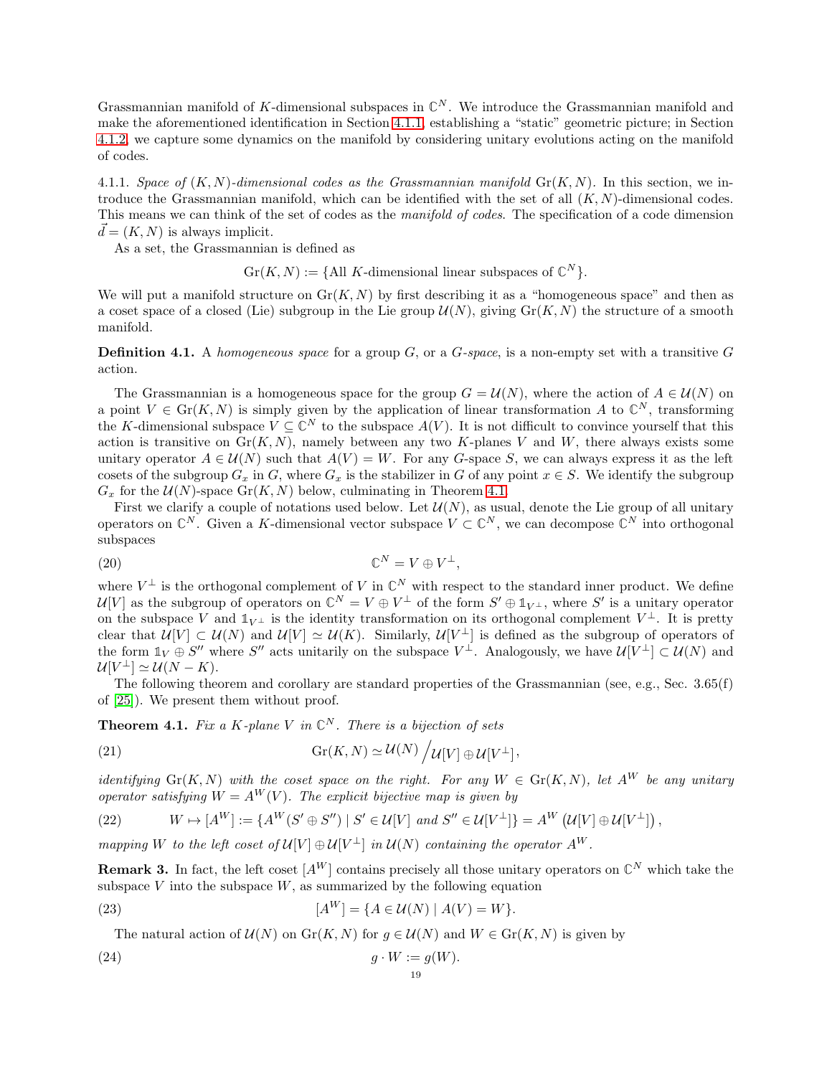Grassmannian manifold of K-dimensional subspaces in  $\mathbb{C}^N$ . We introduce the Grassmannian manifold and make the aforementioned identification in Section [4.1.1,](#page-18-0) establishing a "static" geometric picture; in Section [4.1.2,](#page-19-2) we capture some dynamics on the manifold by considering unitary evolutions acting on the manifold of codes.

<span id="page-18-0"></span>4.1.1. Space of  $(K, N)$ -dimensional codes as the Grassmannian manifold  $Gr(K, N)$ . In this section, we introduce the Grassmannian manifold, which can be identified with the set of all  $(K, N)$ -dimensional codes. This means we can think of the set of codes as the *manifold of codes*. The specification of a code dimension  $\vec{d} = (K, N)$  is always implicit.

As a set, the Grassmannian is defined as

 $\mathrm{Gr}(K,N) := \{ \text{All } K\text{-dimensional linear subspaces of } \mathbb{C}^N \}.$ 

We will put a manifold structure on  $\text{Gr}(K, N)$  by first describing it as a "homogeneous space" and then as a coset space of a closed (Lie) subgroup in the Lie group  $\mathcal{U}(N)$ , giving  $\mathrm{Gr}(K, N)$  the structure of a smooth manifold.

**Definition 4.1.** A homogeneous space for a group  $G$ , or a  $G$ -space, is a non-empty set with a transitive  $G$ action.

The Grassmannian is a homogeneous space for the group  $G = \mathcal{U}(N)$ , where the action of  $A \in \mathcal{U}(N)$  on a point  $V \in \mathrm{Gr}(K, N)$  is simply given by the application of linear transformation A to  $\mathbb{C}^N$ , transforming the K-dimensional subspace  $V \subseteq \mathbb{C}^N$  to the subspace  $A(V)$ . It is not difficult to convince yourself that this action is transitive on  $\text{Gr}(K, N)$ , namely between any two K-planes V and W, there always exists some unitary operator  $A \in \mathcal{U}(N)$  such that  $A(V) = W$ . For any G-space S, we can always express it as the left cosets of the subgroup  $G_x$  in G, where  $G_x$  is the stabilizer in G of any point  $x \in S$ . We identify the subgroup  $G_x$  for the  $\mathcal{U}(N)$ -space  $\mathrm{Gr}(K,N)$  below, culminating in Theorem [4.1.](#page-18-1)

First we clarify a couple of notations used below. Let  $\mathcal{U}(N)$ , as usual, denote the Lie group of all unitary operators on  $\mathbb{C}^N$ . Given a K-dimensional vector subspace  $V \subset \mathbb{C}^N$ , we can decompose  $\mathbb{C}^N$  into orthogonal subspaces

$$
\mathbb{C}^N = V \oplus V^{\perp},
$$
 (20)

where  $V^{\perp}$  is the orthogonal complement of V in  $\mathbb{C}^{N}$  with respect to the standard inner product. We define  $\mathcal{U}[V]$  as the subgroup of operators on  $\mathbb{C}^N = V \oplus V^{\perp}$  of the form  $S' \oplus \mathbb{1}_{V^{\perp}}$ , where  $S'$  is a unitary operator on the subspace V and  $\mathbb{1}_{V^{\perp}}$  is the identity transformation on its orthogonal complement  $V^{\perp}$ . It is pretty clear that  $\mathcal{U}[V] \subset \mathcal{U}(N)$  and  $\mathcal{U}[V] \simeq \mathcal{U}(K)$ . Similarly,  $\mathcal{U}[V^{\perp}]$  is defined as the subgroup of operators of the form  $\mathbb{1}_V \oplus S''$  where S'' acts unitarily on the subspace  $V^{\perp}$ . Analogously, we have  $\mathcal{U}[V^{\perp}] \subset \mathcal{U}(N)$  and  $\mathcal{U}[V^{\perp}] \simeq \mathcal{U}(N-K).$ 

The following theorem and corollary are standard properties of the Grassmannian (see, e.g., Sec. 3.65(f) of [\[25\]](#page-63-16)). We present them without proof.

**Theorem 4.1.** Fix a K-plane V in  $\mathbb{C}^N$ . There is a bijection of sets

<span id="page-18-2"></span>(21) 
$$
\operatorname{Gr}(K,N) \simeq \mathcal{U}(N) / \mathcal{U}[V] \oplus \mathcal{U}[V^{\perp}],
$$

*identifying* Gr(K, N) with the coset space on the right. For any  $W \in Gr(K, N)$ , let  $A^W$  be any unitary operator satisfying  $W = A^W(V)$ . The explicit bijective map is given by

<span id="page-18-1"></span>(22) 
$$
W \mapsto [A^W] := \{ A^W(S' \oplus S'') \mid S' \in \mathcal{U}[V] \text{ and } S'' \in \mathcal{U}[V^{\perp}] \} = A^W \left( \mathcal{U}[V] \oplus \mathcal{U}[V^{\perp}] \right),
$$

mapping W to the left coset of  $\mathcal{U}[V] \oplus \mathcal{U}[V^{\perp}]$  in  $\mathcal{U}(N)$  containing the operator  $A^W$ .

**Remark 3.** In fact, the left coset  $[A^W]$  contains precisely all those unitary operators on  $\mathbb{C}^N$  which take the subspace  $V$  into the subspace  $W$ , as summarized by the following equation

(23) 
$$
[A^{W}] = \{A \in \mathcal{U}(N) \mid A(V) = W\}.
$$

The natural action of  $\mathcal{U}(N)$  on  $\text{Gr}(K, N)$  for  $g \in \mathcal{U}(N)$  and  $W \in \text{Gr}(K, N)$  is given by

(24) 
$$
g \cdot W := g(W).
$$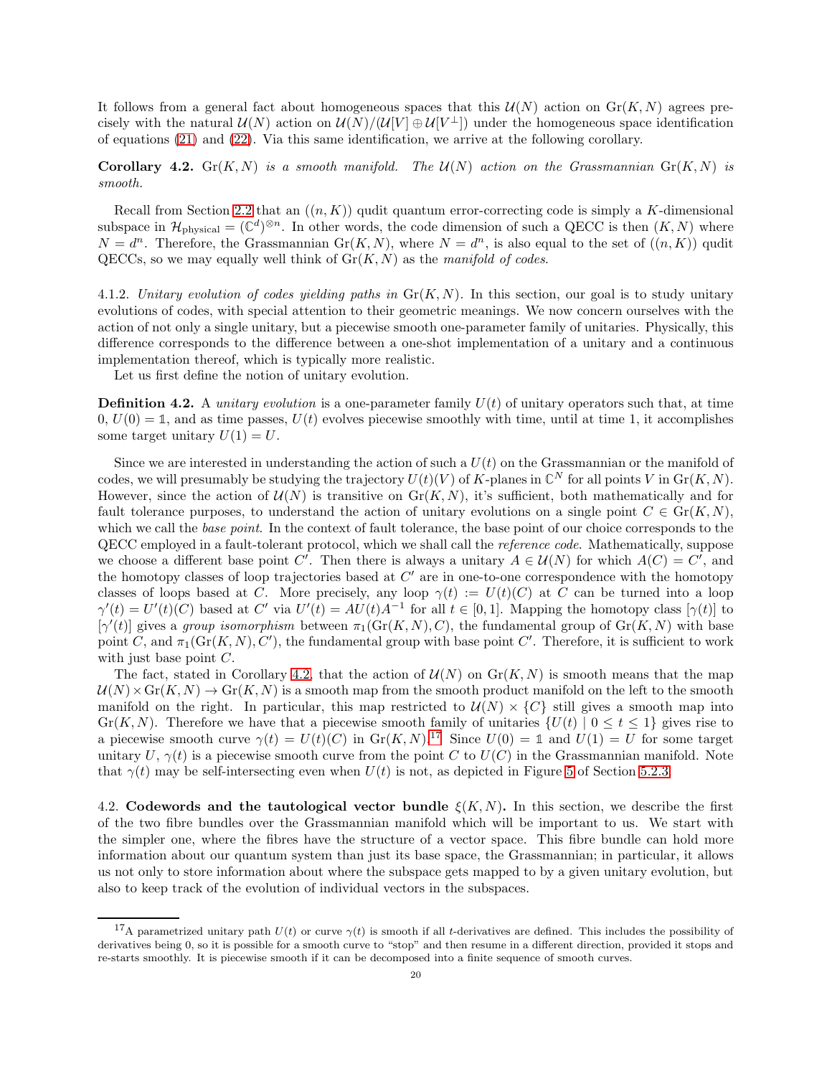It follows from a general fact about homogeneous spaces that this  $\mathcal{U}(N)$  action on  $\text{Gr}(K, N)$  agrees precisely with the natural  $\mathcal{U}(N)$  action on  $\mathcal{U}(N)/(\mathcal{U}[V] \oplus \mathcal{U}[V^{\perp}])$  under the homogeneous space identification of equations [\(21\)](#page-18-2) and [\(22\)](#page-18-1). Via this same identification, we arrive at the following corollary.

<span id="page-19-3"></span>**Corollary 4.2.** Gr(K, N) is a smooth manifold. The  $\mathcal{U}(N)$  action on the Grassmannian  $\text{Gr}(K, N)$  is smooth.

Recall from Section [2.2](#page-6-0) that an  $((n, K))$  qudit quantum error-correcting code is simply a K-dimensional subspace in  $\mathcal{H}_{\text{physical}} = (\mathbb{C}^d)^{\otimes n}$ . In other words, the code dimension of such a QECC is then  $(K, N)$  where  $N = d^n$ . Therefore, the Grassmannian  $Gr(K, N)$ , where  $N = d^n$ , is also equal to the set of  $((n, K))$  qudit QECCs, so we may equally well think of  $Gr(K, N)$  as the manifold of codes.

<span id="page-19-2"></span>4.1.2. Unitary evolution of codes yielding paths in  $\text{Gr}(K, N)$ . In this section, our goal is to study unitary evolutions of codes, with special attention to their geometric meanings. We now concern ourselves with the action of not only a single unitary, but a piecewise smooth one-parameter family of unitaries. Physically, this difference corresponds to the difference between a one-shot implementation of a unitary and a continuous implementation thereof, which is typically more realistic.

Let us first define the notion of unitary evolution.

<span id="page-19-1"></span>**Definition 4.2.** A *unitary evolution* is a one-parameter family  $U(t)$  of unitary operators such that, at time  $0, U(0) = \mathbb{1}$ , and as time passes,  $U(t)$  evolves piecewise smoothly with time, until at time 1, it accomplishes some target unitary  $U(1) = U$ .

Since we are interested in understanding the action of such a  $U(t)$  on the Grassmannian or the manifold of codes, we will presumably be studying the trajectory  $U(t)(V)$  of K-planes in  $\mathbb{C}^N$  for all points V in  $\mathrm{Gr}(K, N)$ . However, since the action of  $\mathcal{U}(N)$  is transitive on  $\mathrm{Gr}(K, N)$ , it's sufficient, both mathematically and for fault tolerance purposes, to understand the action of unitary evolutions on a single point  $C \in \mathrm{Gr}(K, N)$ , which we call the *base point*. In the context of fault tolerance, the base point of our choice corresponds to the QECC employed in a fault-tolerant protocol, which we shall call the reference code. Mathematically, suppose we choose a different base point C'. Then there is always a unitary  $A \in \mathcal{U}(N)$  for which  $A(C) = C'$ , and the homotopy classes of loop trajectories based at  $C'$  are in one-to-one correspondence with the homotopy classes of loops based at C. More precisely, any loop  $\gamma(t) := U(t)(C)$  at C can be turned into a loop  $\gamma'(t) = U'(t)(C)$  based at C' via  $U'(t) = AU(t)A^{-1}$  for all  $t \in [0, 1]$ . Mapping the homotopy class  $[\gamma(t)]$  to  $[\gamma'(t)]$  gives a group isomorphism between  $\pi_1(\mathrm{Gr}(K,N), C)$ , the fundamental group of  $\mathrm{Gr}(K, N)$  with base point C, and  $\pi_1(\mathrm{Gr}(K,N), C')$ , the fundamental group with base point C'. Therefore, it is sufficient to work with just base point  $C$ .

The fact, stated in Corollary [4.2,](#page-19-3) that the action of  $\mathcal{U}(N)$  on  $Gr(K, N)$  is smooth means that the map  $U(N) \times Gr(K, N) \to Gr(K, N)$  is a smooth map from the smooth product manifold on the left to the smooth manifold on the right. In particular, this map restricted to  $U(N) \times \{C\}$  still gives a smooth map into Gr(K, N). Therefore we have that a piecewise smooth family of unitaries  $\{U(t) | 0 \le t \le 1\}$  gives rise to a piecewise smooth curve  $\gamma(t) = U(t)(C)$  in  $\text{Gr}(K, N)$ .<sup>[17](#page-19-4)</sup> Since  $U(0) = \mathbb{1}$  and  $U(1) = U$  for some target unitary U,  $\gamma(t)$  is a piecewise smooth curve from the point C to  $U(C)$  in the Grassmannian manifold. Note that  $\gamma(t)$  may be self-intersecting even when  $U(t)$  is not, as depicted in Figure [5](#page-28-1) of Section [5.2.3.](#page-27-0)

<span id="page-19-0"></span>4.2. Codewords and the tautological vector bundle  $\xi(K, N)$ . In this section, we describe the first of the two fibre bundles over the Grassmannian manifold which will be important to us. We start with the simpler one, where the fibres have the structure of a vector space. This fibre bundle can hold more information about our quantum system than just its base space, the Grassmannian; in particular, it allows us not only to store information about where the subspace gets mapped to by a given unitary evolution, but also to keep track of the evolution of individual vectors in the subspaces.

<span id="page-19-4"></span><sup>&</sup>lt;sup>17</sup>A parametrized unitary path  $U(t)$  or curve  $\gamma(t)$  is smooth if all t-derivatives are defined. This includes the possibility of derivatives being 0, so it is possible for a smooth curve to "stop" and then resume in a different direction, provided it stops and re-starts smoothly. It is piecewise smooth if it can be decomposed into a finite sequence of smooth curves.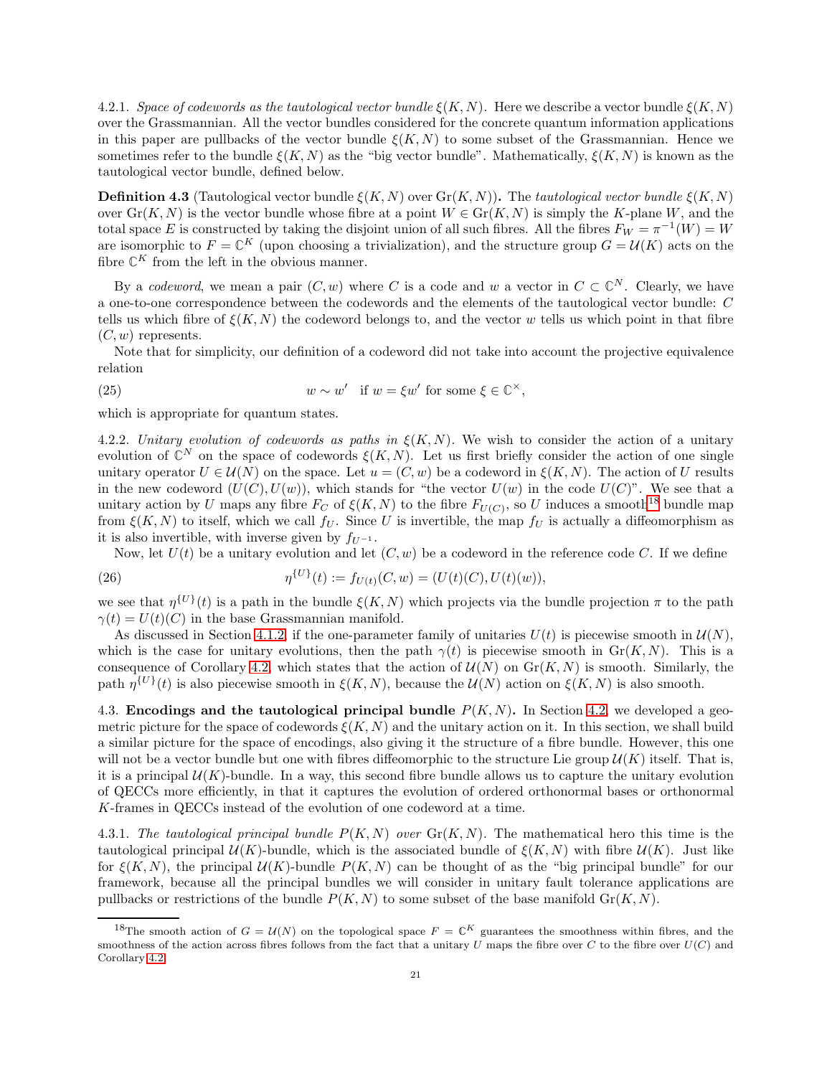4.2.1. Space of codewords as the tautological vector bundle  $\xi(K, N)$ . Here we describe a vector bundle  $\xi(K, N)$ over the Grassmannian. All the vector bundles considered for the concrete quantum information applications in this paper are pullbacks of the vector bundle  $\xi(K, N)$  to some subset of the Grassmannian. Hence we sometimes refer to the bundle  $\xi(K, N)$  as the "big vector bundle". Mathematically,  $\xi(K, N)$  is known as the tautological vector bundle, defined below.

**Definition 4.3** (Tautological vector bundle  $\xi(K, N)$  over  $\text{Gr}(K, N)$ ). The tautological vector bundle  $\xi(K, N)$ over  $\text{Gr}(K, N)$  is the vector bundle whose fibre at a point  $W \in \text{Gr}(K, N)$  is simply the K-plane W, and the total space E is constructed by taking the disjoint union of all such fibres. All the fibres  $F_W = \pi^{-1}(W) = W$ are isomorphic to  $F = \mathbb{C}^K$  (upon choosing a trivialization), and the structure group  $G = \mathcal{U}(K)$  acts on the fibre  $\mathbb{C}^K$  from the left in the obvious manner.

By a *codeword*, we mean a pair  $(C, w)$  where C is a code and w a vector in  $C \subset \mathbb{C}^N$ . Clearly, we have a one-to-one correspondence between the codewords and the elements of the tautological vector bundle: C tells us which fibre of  $\xi(K, N)$  the codeword belongs to, and the vector w tells us which point in that fibre  $(C, w)$  represents.

Note that for simplicity, our definition of a codeword did not take into account the projective equivalence relation

(25) 
$$
w \sim w' \quad \text{if } w = \xi w' \text{ for some } \xi \in \mathbb{C}^{\times},
$$

which is appropriate for quantum states.

4.2.2. Unitary evolution of codewords as paths in  $\xi(K, N)$ . We wish to consider the action of a unitary evolution of  $\mathbb{C}^N$  on the space of codewords  $\xi(K,N)$ . Let us first briefly consider the action of one single unitary operator  $U \in \mathcal{U}(N)$  on the space. Let  $u = (C, w)$  be a codeword in  $\xi(K, N)$ . The action of U results in the new codeword  $(U(C), U(w))$ , which stands for "the vector  $U(w)$  in the code  $U(C)$ ". We see that a unitary action by U maps any fibre  $F_C$  of  $\xi(K,N)$  to the fibre  $F_{U(C)}$ , so U induces a smooth<sup>[18](#page-20-1)</sup> bundle map from  $\xi(K, N)$  to itself, which we call  $f_U$ . Since U is invertible, the map  $f_U$  is actually a diffeomorphism as it is also invertible, with inverse given by  $f_{U^{-1}}$ .

<span id="page-20-2"></span>Now, let  $U(t)$  be a unitary evolution and let  $(C, w)$  be a codeword in the reference code C. If we define

(26) 
$$
\eta^{\{U\}}(t) := f_{U(t)}(C, w) = (U(t)(C), U(t)(w)),
$$

we see that  $\eta^{\{U\}}(t)$  is a path in the bundle  $\xi(K, N)$  which projects via the bundle projection  $\pi$  to the path  $\gamma(t) = U(t)(C)$  in the base Grassmannian manifold.

As discussed in Section [4.1.2,](#page-19-2) if the one-parameter family of unitaries  $U(t)$  is piecewise smooth in  $\mathcal{U}(N)$ , which is the case for unitary evolutions, then the path  $\gamma(t)$  is piecewise smooth in Gr(K, N). This is a consequence of Corollary [4.2,](#page-19-3) which states that the action of  $\mathcal{U}(N)$  on  $\text{Gr}(K, N)$  is smooth. Similarly, the path  $\eta^{\{U\}}(t)$  is also piecewise smooth in  $\xi(K, N)$ , because the  $\mathcal{U}(N)$  action on  $\xi(K, N)$  is also smooth.

<span id="page-20-0"></span>4.3. Encodings and the tautological principal bundle  $P(K, N)$ . In Section [4.2,](#page-19-0) we developed a geometric picture for the space of codewords  $\xi(K, N)$  and the unitary action on it. In this section, we shall build a similar picture for the space of encodings, also giving it the structure of a fibre bundle. However, this one will not be a vector bundle but one with fibres diffeomorphic to the structure Lie group  $\mathcal{U}(K)$  itself. That is, it is a principal  $\mathcal{U}(K)$ -bundle. In a way, this second fibre bundle allows us to capture the unitary evolution of QECCs more efficiently, in that it captures the evolution of ordered orthonormal bases or orthonormal K-frames in QECCs instead of the evolution of one codeword at a time.

4.3.1. The tautological principal bundle  $P(K, N)$  over  $Gr(K, N)$ . The mathematical hero this time is the tautological principal  $\mathcal{U}(K)$ -bundle, which is the associated bundle of  $\xi(K, N)$  with fibre  $\mathcal{U}(K)$ . Just like for  $\xi(K, N)$ , the principal  $\mathcal{U}(K)$ -bundle  $P(K, N)$  can be thought of as the "big principal bundle" for our framework, because all the principal bundles we will consider in unitary fault tolerance applications are pullbacks or restrictions of the bundle  $P(K, N)$  to some subset of the base manifold  $\mathrm{Gr}(K, N)$ .

<span id="page-20-1"></span><sup>&</sup>lt;sup>18</sup>The smooth action of  $G = \mathcal{U}(N)$  on the topological space  $F = \mathbb{C}^K$  guarantees the smoothness within fibres, and the smoothness of the action across fibres follows from the fact that a unitary U maps the fibre over  $C$  to the fibre over  $U(C)$  and Corollary [4.2.](#page-19-3)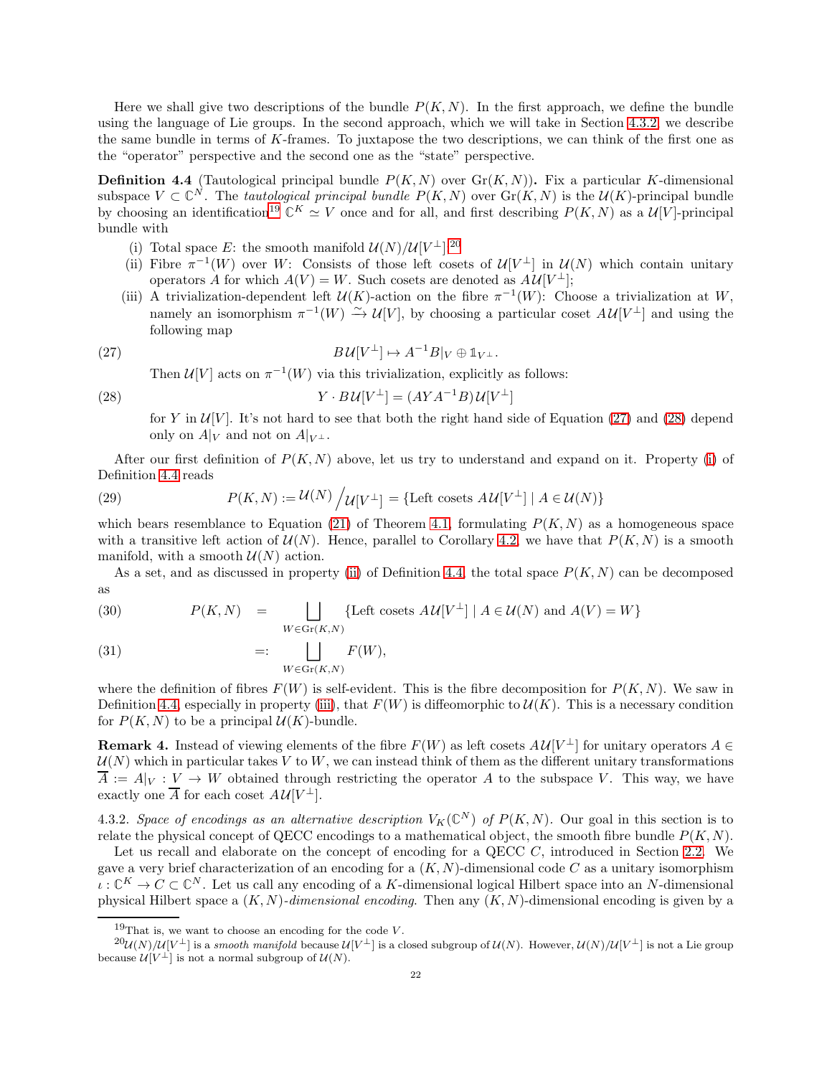Here we shall give two descriptions of the bundle  $P(K, N)$ . In the first approach, we define the bundle using the language of Lie groups. In the second approach, which we will take in Section [4.3.2,](#page-21-0) we describe the same bundle in terms of K-frames. To juxtapose the two descriptions, we can think of the first one as the "operator" perspective and the second one as the "state" perspective.

<span id="page-21-6"></span>**Definition 4.4** (Tautological principal bundle  $P(K, N)$  over  $Gr(K, N)$ ). Fix a particular K-dimensional subspace  $V \subset \mathbb{C}^N$ . The *tautological principal bundle*  $P(K, N)$  over  $Gr(K, N)$  is the  $\mathcal{U}(K)$ -principal bundle by choosing an identification<sup>[19](#page-21-1)</sup>  $\mathbb{C}^K \simeq V$  once and for all, and first describing  $P(K, N)$  as a  $\mathcal{U}[V]$ -principal bundle with

- <span id="page-21-7"></span><span id="page-21-5"></span>(i) Total space E: the smooth manifold  $\mathcal{U}(N)/\mathcal{U}[V^{\perp}].^{20}$  $\mathcal{U}(N)/\mathcal{U}[V^{\perp}].^{20}$  $\mathcal{U}(N)/\mathcal{U}[V^{\perp}].^{20}$
- (ii) Fibre  $\pi^{-1}(W)$  over W: Consists of those left cosets of  $\mathcal{U}[V^{\perp}]$  in  $\mathcal{U}(N)$  which contain unitary operators A for which  $A(V) = W$ . Such cosets are denoted as  $A \mathcal{U}[V^{\perp}];$
- (iii) A trivialization-dependent left  $\mathcal{U}(K)$ -action on the fibre  $\pi^{-1}(W)$ : Choose a trivialization at W, namely an isomorphism  $\pi^{-1}(W) \stackrel{\sim}{\to} \mathcal{U}[V]$ , by choosing a particular coset  $A\mathcal{U}[V^{\perp}]$  and using the following map

(27) 
$$
B\mathcal{U}[V^{\perp}] \mapsto A^{-1}B|_V \oplus \mathbb{1}_{V^{\perp}}.
$$

<span id="page-21-4"></span><span id="page-21-3"></span>Then  $\mathcal{U}[V]$  acts on  $\pi^{-1}(W)$  via this trivialization, explicitly as follows:

(28) 
$$
Y \cdot B\mathcal{U}[V^{\perp}] = (AYA^{-1}B)\mathcal{U}[V^{\perp}]
$$

for Y in  $\mathcal{U}[V]$ . It's not hard to see that both the right hand side of Equation [\(27\)](#page-21-3) and [\(28\)](#page-21-4) depend only on  $A|_V$  and not on  $A|_{V^{\perp}}$ .

After our first definition of  $P(K, N)$  above, let us try to understand and expand on it. Property [\(i\)](#page-21-5) of Definition [4.4](#page-21-6) reads

(29) 
$$
P(K, N) := \mathcal{U}(N) / \mathcal{U}[V^{\perp}] = \{ \text{Left cosets } A \mathcal{U}[V^{\perp}] \mid A \in \mathcal{U}(N) \}
$$

which bears resemblance to Equation [\(21\)](#page-18-2) of Theorem [4.1,](#page-18-1) formulating  $P(K, N)$  as a homogeneous space with a transitive left action of  $\mathcal{U}(N)$ . Hence, parallel to Corollary [4.2,](#page-19-3) we have that  $P(K, N)$  is a smooth manifold, with a smooth  $U(N)$  action.

As a set, and as discussed in property [\(ii\)](#page-21-7) of Definition [4.4,](#page-21-6) the total space  $P(K, N)$  can be decomposed as

<span id="page-21-8"></span>(30) 
$$
P(K, N) = \bigsqcup_{W \in \text{Gr}(K, N)} \{\text{Left cosets } A \mathcal{U}[V^{\perp}] \mid A \in \mathcal{U}(N) \text{ and } A(V) = W \}
$$

(31) 
$$
=:\quad \bigsqcup_{W\in \text{Gr}(K,N)} F(W),
$$

where the definition of fibres  $F(W)$  is self-evident. This is the fibre decomposition for  $P(K, N)$ . We saw in Definition [4.4,](#page-21-6) especially in property [\(iii\)](#page-21-4), that  $F(W)$  is diffeomorphic to  $U(K)$ . This is a necessary condition for  $P(K, N)$  to be a principal  $\mathcal{U}(K)$ -bundle.

**Remark 4.** Instead of viewing elements of the fibre  $F(W)$  as left cosets  $AU[V^{\perp}]$  for unitary operators  $A \in$  $U(N)$  which in particular takes V to W, we can instead think of them as the different unitary transformations  $\overline{A} := A|_V : V \to W$  obtained through restricting the operator A to the subspace V. This way, we have exactly one  $\overline{A}$  for each coset  $A \mathcal{U}[V^{\perp}].$ 

<span id="page-21-0"></span>4.3.2. Space of encodings as an alternative description  $V_K(\mathbb{C}^N)$  of  $P(K, N)$ . Our goal in this section is to relate the physical concept of QECC encodings to a mathematical object, the smooth fibre bundle  $P(K, N)$ .

Let us recall and elaborate on the concept of encoding for a QECC  $C$ , introduced in Section [2.2.](#page-6-0) We gave a very brief characterization of an encoding for a  $(K, N)$ -dimensional code C as a unitary isomorphism  $\iota: \mathbb{C}^K \to C \subset \mathbb{C}^N$ . Let us call any encoding of a K-dimensional logical Hilbert space into an N-dimensional physical Hilbert space a  $(K, N)$ -dimensional encoding. Then any  $(K, N)$ -dimensional encoding is given by a

<span id="page-21-2"></span><span id="page-21-1"></span><sup>&</sup>lt;sup>19</sup>That is, we want to choose an encoding for the code  $V$ .

 $^{20}U(N)/U[V^{\perp}]$  is a smooth manifold because  $U[V^{\perp}]$  is a closed subgroup of  $U(N)$ . However,  $U(N)/U[V^{\perp}]$  is not a Lie group because  $\mathcal{U}[V^{\perp}]$  is not a normal subgroup of  $\mathcal{U}(N)$ .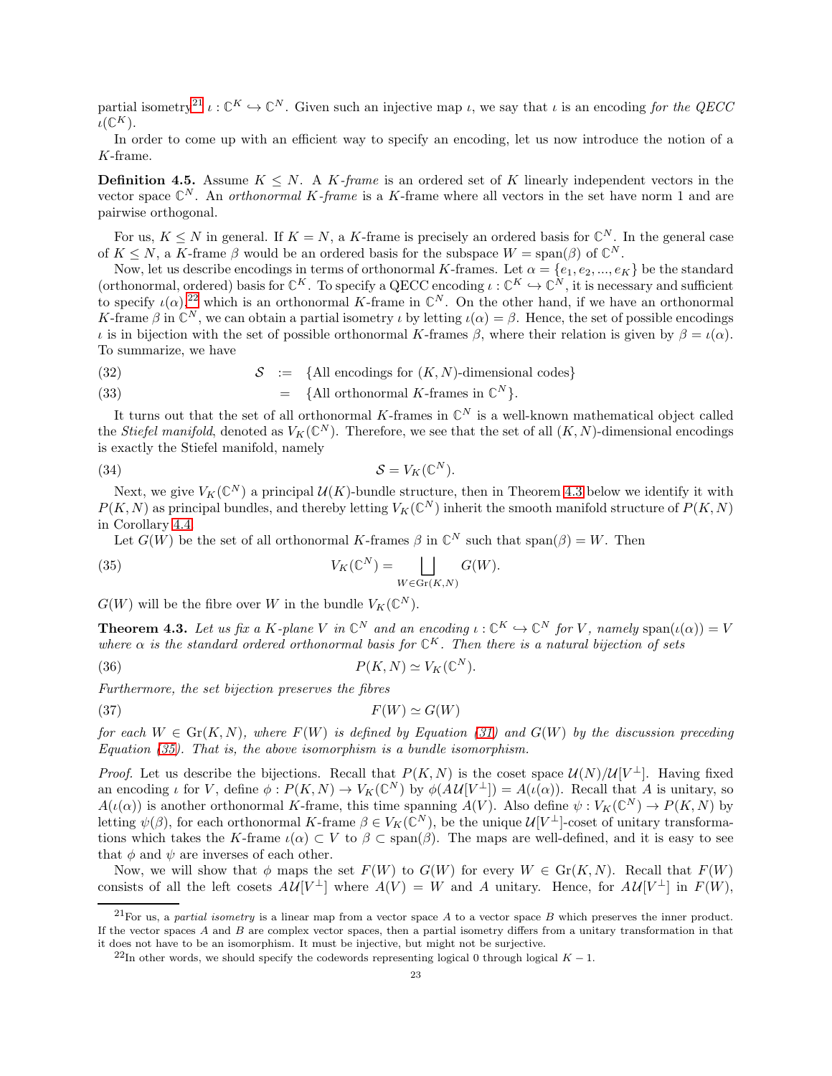partial isometry<sup>[21](#page-22-0)</sup>  $\iota : \mathbb{C}^K \hookrightarrow \mathbb{C}^N$ . Given such an injective map  $\iota$ , we say that  $\iota$  is an encoding for the QECC  $\iota(\mathbb{C}^K)$ .

In order to come up with an efficient way to specify an encoding, let us now introduce the notion of a K-frame.

**Definition 4.5.** Assume  $K \leq N$ . A K-frame is an ordered set of K linearly independent vectors in the vector space  $\mathbb{C}^N$ . An *orthonormal K-frame* is a K-frame where all vectors in the set have norm 1 and are pairwise orthogonal.

For us,  $K \leq N$  in general. If  $K = N$ , a K-frame is precisely an ordered basis for  $\mathbb{C}^N$ . In the general case of  $K \leq N$ , a K-frame  $\beta$  would be an ordered basis for the subspace  $W = \text{span}(\beta)$  of  $\mathbb{C}^N$ .

Now, let us describe encodings in terms of orthonormal K-frames. Let  $\alpha = \{e_1, e_2, ..., e_K\}$  be the standard (orthonormal, ordered) basis for  $\mathbb{C}^K$ . To specify a QECC encoding  $\iota : \mathbb{C}^K \hookrightarrow \mathbb{C}^N$ , it is necessary and sufficient to specify  $\iota(\alpha)$ ,<sup>[22](#page-22-1)</sup> which is an orthonormal K-frame in  $\mathbb{C}^N$ . On the other hand, if we have an orthonormal K-frame  $\beta$  in  $\mathbb{C}^N$ , we can obtain a partial isometry  $\iota$  by letting  $\iota(\alpha) = \beta$ . Hence, the set of possible encodings ι is in bijection with the set of possible orthonormal K-frames β, where their relation is given by  $β = ρ(α)$ . To summarize, we have

(32) 
$$
\mathcal{S} := \{ \text{All encodings for } (K, N)\text{-dimensional codes} \}
$$

(33) = {All orthonormal K-frames in 
$$
\mathbb{C}^N
$$
 }.

It turns out that the set of all orthonormal K-frames in  $\mathbb{C}^N$  is a well-known mathematical object called the *Stiefel manifold*, denoted as  $V_K(\mathbb{C}^N)$ . Therefore, we see that the set of all  $(K, N)$ -dimensional encodings is exactly the Stiefel manifold, namely

$$
(34) \t\t S = V_K(\mathbb{C}^N).
$$

Next, we give  $V_K(\mathbb{C}^N)$  a principal  $\mathcal{U}(K)$ -bundle structure, then in Theorem [4.3](#page-22-2) below we identify it with  $P(K, N)$  as principal bundles, and thereby letting  $V_K(\mathbb{C}^N)$  inherit the smooth manifold structure of  $P(K, N)$ in Corollary [4.4.](#page-23-1)

<span id="page-22-3"></span>Let  $G(W)$  be the set of all orthonormal K-frames  $\beta$  in  $\mathbb{C}^N$  such that span $(\beta) = W$ . Then

(35) 
$$
V_K(\mathbb{C}^N) = \bigsqcup_{W \in \text{Gr}(K,N)} G(W).
$$

 $G(W)$  will be the fibre over W in the bundle  $V_K(\mathbb{C}^N)$ .

**Theorem 4.3.** Let us fix a K-plane V in  $\mathbb{C}^N$  and an encoding  $\iota : \mathbb{C}^K \hookrightarrow \mathbb{C}^N$  for V, namely span $(\iota(\alpha)) = V$ where  $\alpha$  is the standard ordered orthonormal basis for  $\mathbb{C}^K$ . Then there is a natural bijection of sets

(36) 
$$
P(K,N) \simeq V_K(\mathbb{C}^N).
$$

Furthermore, the set bijection preserves the fibres

<span id="page-22-2"></span>
$$
(37)\t\t F(W) \simeq G(W)
$$

for each  $W \in \text{Gr}(K, N)$ , where  $F(W)$  is defined by Equation [\(31\)](#page-21-8) and  $G(W)$  by the discussion preceding Equation [\(35\)](#page-22-3). That is, the above isomorphism is a bundle isomorphism.

*Proof.* Let us describe the bijections. Recall that  $P(K, N)$  is the coset space  $\mathcal{U}(N)/\mathcal{U}[V^{\perp}]$ . Having fixed an encoding  $\iota$  for V, define  $\phi: P(K, N) \to V_K(\mathbb{C}^N)$  by  $\phi(AU[V^{\perp}]) = A(\iota(\alpha))$ . Recall that A is unitary, so  $A(\iota(\alpha))$  is another orthonormal K-frame, this time spanning  $A(V)$ . Also define  $\psi: V_K(\mathbb{C}^N) \to P(K, N)$  by letting  $\psi(\beta)$ , for each orthonormal K-frame  $\beta \in V_K(\mathbb{C}^N)$ , be the unique  $\mathcal{U}[V^{\perp}]$ -coset of unitary transformations which takes the K-frame  $\iota(\alpha) \subset V$  to  $\beta \subset \text{span}(\beta)$ . The maps are well-defined, and it is easy to see that  $\phi$  and  $\psi$  are inverses of each other.

Now, we will show that  $\phi$  maps the set  $F(W)$  to  $G(W)$  for every  $W \in \mathrm{Gr}(K, N)$ . Recall that  $F(W)$ consists of all the left cosets  $A \mathcal{U}[V^{\perp}]$  where  $A(V) = W$  and A unitary. Hence, for  $A \mathcal{U}[V^{\perp}]$  in  $F(W)$ ,

<span id="page-22-0"></span> $^{21}$ For us, a partial isometry is a linear map from a vector space A to a vector space B which preserves the inner product. If the vector spaces  $A$  and  $B$  are complex vector spaces, then a partial isometry differs from a unitary transformation in that it does not have to be an isomorphism. It must be injective, but might not be surjective.

<span id="page-22-1"></span><sup>&</sup>lt;sup>22</sup>In other words, we should specify the codewords representing logical 0 through logical  $K - 1$ .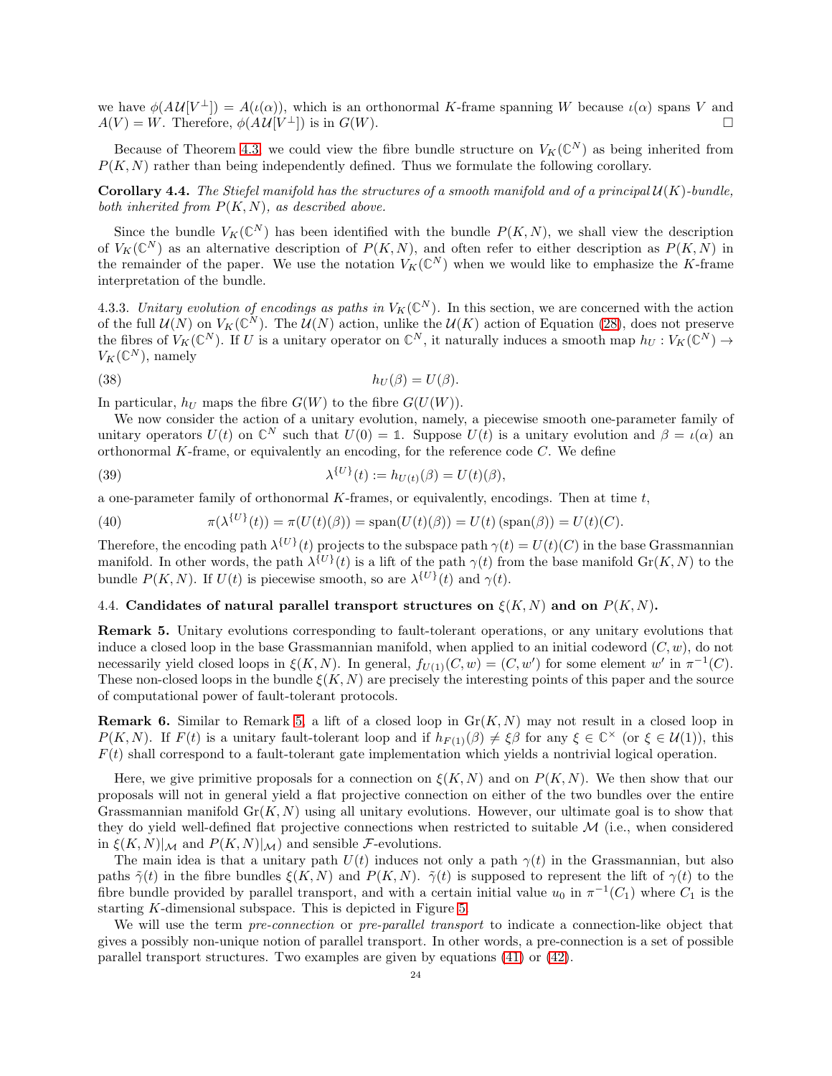we have  $\phi(AU[V^{\perp}]) = A(\iota(\alpha))$ , which is an orthonormal K-frame spanning W because  $\iota(\alpha)$  spans V and  $A(V) = W$ . Therefore,  $\phi(A\mathcal{U}[V^{\perp}])$  is in  $G(W)$ .

Because of Theorem [4.3,](#page-22-2) we could view the fibre bundle structure on  $V_K(\mathbb{C}^N)$  as being inherited from  $P(K, N)$  rather than being independently defined. Thus we formulate the following corollary.

<span id="page-23-1"></span>**Corollary 4.4.** The Stiefel manifold has the structures of a smooth manifold and of a principal  $\mathcal{U}(K)$ -bundle, both inherited from  $P(K, N)$ , as described above.

Since the bundle  $V_K(\mathbb{C}^N)$  has been identified with the bundle  $P(K, N)$ , we shall view the description of  $V_K(\mathbb{C}^N)$  as an alternative description of  $P(K, N)$ , and often refer to either description as  $P(K, N)$  in the remainder of the paper. We use the notation  $V_K(\mathbb{C}^N)$  when we would like to emphasize the K-frame interpretation of the bundle.

4.3.3. Unitary evolution of encodings as paths in  $V_K(\mathbb{C}^N)$ . In this section, we are concerned with the action of the full  $U(N)$  on  $V_K(\mathbb{C}^N)$ . The  $U(N)$  action, unlike the  $U(K)$  action of Equation [\(28\)](#page-21-4), does not preserve the fibres of  $V_K(\mathbb{C}^N)$ . If U is a unitary operator on  $\mathbb{C}^N$ , it naturally induces a smooth map  $h_U: V_K(\mathbb{C}^N) \to$  $V_K(\mathbb{C}^N)$ , namely

<span id="page-23-4"></span>(38) 
$$
h_U(\beta) = U(\beta).
$$

In particular,  $h_U$  maps the fibre  $G(W)$  to the fibre  $G(U(W))$ .

We now consider the action of a unitary evolution, namely, a piecewise smooth one-parameter family of unitary operators  $U(t)$  on  $\mathbb{C}^N$  such that  $U(0) = \mathbb{1}$ . Suppose  $U(t)$  is a unitary evolution and  $\beta = \iota(\alpha)$  and orthonormal  $K$ -frame, or equivalently an encoding, for the reference code  $C$ . We define

<span id="page-23-3"></span>(39) 
$$
\lambda^{\{U\}}(t) := h_{U(t)}(\beta) = U(t)(\beta),
$$

a one-parameter family of orthonormal  $K$ -frames, or equivalently, encodings. Then at time  $t$ ,

(40) 
$$
\pi(\lambda^{\{U\}}(t)) = \pi(U(t)(\beta)) = \text{span}(U(t)(\beta)) = U(t) \text{ (span}(\beta)) = U(t)(C).
$$

Therefore, the encoding path  $\lambda^{\{U\}}(t)$  projects to the subspace path  $\gamma(t) = U(t)(C)$  in the base Grassmannian manifold. In other words, the path  $\lambda^{\{U\}}(t)$  is a lift of the path  $\gamma(t)$  from the base manifold  $\text{Gr}(K, N)$  to the bundle  $P(K, N)$ . If  $U(t)$  is piecewise smooth, so are  $\lambda^{\{U\}}(t)$  and  $\gamma(t)$ .

# <span id="page-23-0"></span>4.4. Candidates of natural parallel transport structures on  $\xi(K, N)$  and on  $P(K, N)$ .

<span id="page-23-2"></span>Remark 5. Unitary evolutions corresponding to fault-tolerant operations, or any unitary evolutions that induce a closed loop in the base Grassmannian manifold, when applied to an initial codeword  $(C, w)$ , do not necessarily yield closed loops in  $\xi(K, N)$ . In general,  $f_{U(1)}(C, w) = (C, w')$  for some element w' in  $\pi^{-1}(C)$ . These non-closed loops in the bundle  $\xi(K, N)$  are precisely the interesting points of this paper and the source of computational power of fault-tolerant protocols.

**Remark 6.** Similar to Remark [5,](#page-23-2) a lift of a closed loop in  $Gr(K, N)$  may not result in a closed loop in  $P(K, N)$ . If  $F(t)$  is a unitary fault-tolerant loop and if  $h_{F(1)}(\beta) \neq \xi\beta$  for any  $\xi \in \mathbb{C}^\times$  (or  $\xi \in \mathcal{U}(1)$ ), this  $F(t)$  shall correspond to a fault-tolerant gate implementation which yields a nontrivial logical operation.

Here, we give primitive proposals for a connection on  $\xi(K, N)$  and on  $P(K, N)$ . We then show that our proposals will not in general yield a flat projective connection on either of the two bundles over the entire Grassmannian manifold  $Gr(K, N)$  using all unitary evolutions. However, our ultimate goal is to show that they do yield well-defined flat projective connections when restricted to suitable  $M$  (i.e., when considered in  $\xi(K,N)|_{\mathcal{M}}$  and  $P(K,N)|_{\mathcal{M}}$  and sensible F-evolutions.

The main idea is that a unitary path  $U(t)$  induces not only a path  $\gamma(t)$  in the Grassmannian, but also paths  $\tilde{\gamma}(t)$  in the fibre bundles  $\xi(K, N)$  and  $P(K, N)$ .  $\tilde{\gamma}(t)$  is supposed to represent the lift of  $\gamma(t)$  to the fibre bundle provided by parallel transport, and with a certain initial value  $u_0$  in  $\pi^{-1}(C_1)$  where  $C_1$  is the starting K-dimensional subspace. This is depicted in Figure [5.](#page-28-1)

We will use the term *pre-connection* or *pre-parallel transport* to indicate a connection-like object that gives a possibly non-unique notion of parallel transport. In other words, a pre-connection is a set of possible parallel transport structures. Two examples are given by equations [\(41\)](#page-24-1) or [\(42\)](#page-24-2).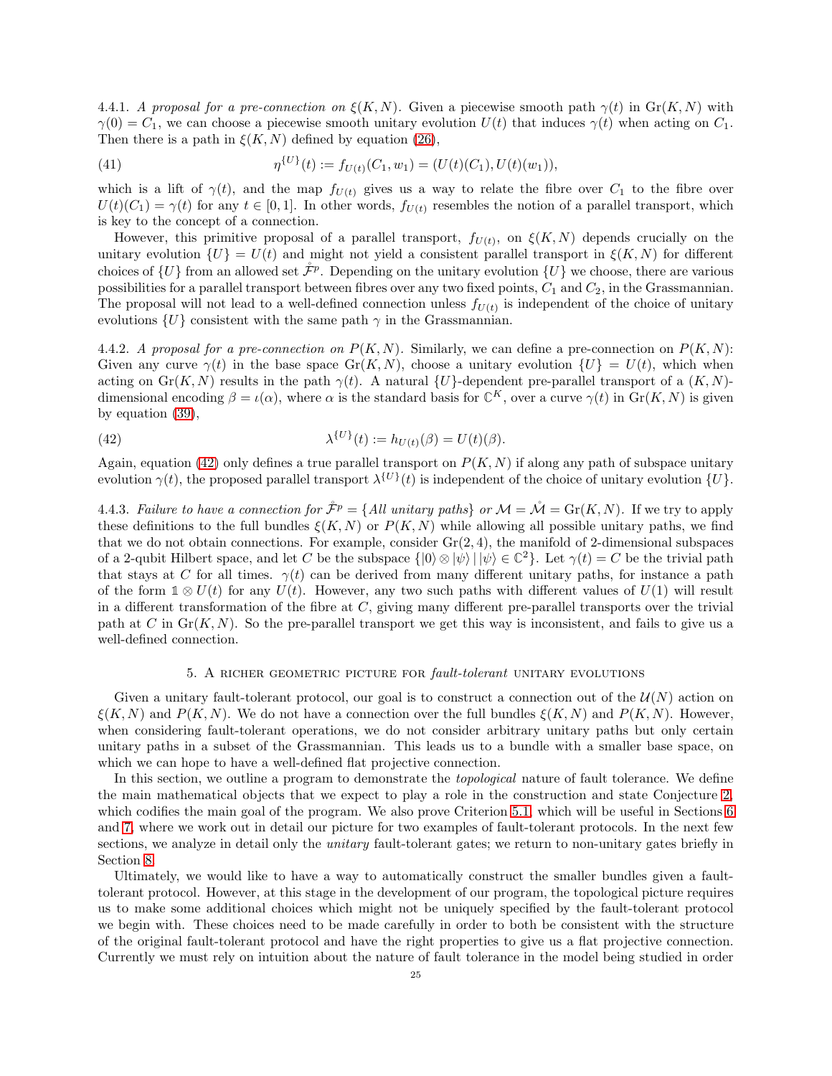<span id="page-24-4"></span>4.4.1. A proposal for a pre-connection on  $\xi(K, N)$ . Given a piecewise smooth path  $\gamma(t)$  in  $\text{Gr}(K, N)$  with  $\gamma(0) = C_1$ , we can choose a piecewise smooth unitary evolution  $U(t)$  that induces  $\gamma(t)$  when acting on  $C_1$ . Then there is a path in  $\xi(K, N)$  defined by equation [\(26\)](#page-20-2),

<span id="page-24-1"></span>(41) 
$$
\eta^{\{U\}}(t) := f_{U(t)}(C_1, w_1) = (U(t)(C_1), U(t)(w_1)),
$$

which is a lift of  $\gamma(t)$ , and the map  $f_{U(t)}$  gives us a way to relate the fibre over  $C_1$  to the fibre over  $U(t)(C_1) = \gamma(t)$  for any  $t \in [0, 1]$ . In other words,  $f_{U(t)}$  resembles the notion of a parallel transport, which is key to the concept of a connection.

However, this primitive proposal of a parallel transport,  $f_{U(t)}$ , on  $\xi(K,N)$  depends crucially on the unitary evolution  $\{U\} = U(t)$  and might not yield a consistent parallel transport in  $\xi(K,N)$  for different choices of  $\{U\}$  from an allowed set  $\mathcal{F}^p$ . Depending on the unitary evolution  $\{U\}$  we choose, there are various possibilities for a parallel transport between fibres over any two fixed points,  $C_1$  and  $C_2$ , in the Grassmannian. The proposal will not lead to a well-defined connection unless  $f_{U(t)}$  is independent of the choice of unitary evolutions  $\{U\}$  consistent with the same path  $\gamma$  in the Grassmannian.

<span id="page-24-5"></span>4.4.2. A proposal for a pre-connection on  $P(K, N)$ . Similarly, we can define a pre-connection on  $P(K, N)$ : Given any curve  $\gamma(t)$  in the base space Gr(K, N), choose a unitary evolution  $\{U\} = U(t)$ , which when acting on Gr(K, N) results in the path  $\gamma(t)$ . A natural  $\{U\}$ -dependent pre-parallel transport of a  $(K, N)$ dimensional encoding  $\beta = \iota(\alpha)$ , where  $\alpha$  is the standard basis for  $\mathbb{C}^K$ , over a curve  $\gamma(t)$  in  $\text{Gr}(K, N)$  is given by equation [\(39\)](#page-23-3),

<span id="page-24-2"></span>(42) 
$$
\lambda^{\{U\}}(t) := h_{U(t)}(\beta) = U(t)(\beta).
$$

Again, equation [\(42\)](#page-24-2) only defines a true parallel transport on  $P(K, N)$  if along any path of subspace unitary evolution  $\gamma(t)$ , the proposed parallel transport  $\lambda^{\{U\}}(t)$  is independent of the choice of unitary evolution  $\{U\}$ .

<span id="page-24-3"></span>4.4.3. Failure to have a connection for  $\mathcal{\hat{F}}^p = \{All unitary paths\}$  or  $\mathcal{M} = \mathcal{\hat{M}} = \text{Gr}(K, N)$ . If we try to apply these definitions to the full bundles  $\xi(K, N)$  or  $P(K, N)$  while allowing all possible unitary paths, we find that we do not obtain connections. For example, consider  $Gr(2, 4)$ , the manifold of 2-dimensional subspaces of a 2-qubit Hilbert space, and let C be the subspace  $\{ |0\rangle \otimes |\psi\rangle | |\psi\rangle \in \mathbb{C}^2 \}$ . Let  $\gamma(t) = C$  be the trivial path that stays at C for all times.  $\gamma(t)$  can be derived from many different unitary paths, for instance a path of the form  $1 \otimes U(t)$  for any  $U(t)$ . However, any two such paths with different values of  $U(1)$  will result in a different transformation of the fibre at  $C$ , giving many different pre-parallel transports over the trivial path at C in  $\text{Gr}(K, N)$ . So the pre-parallel transport we get this way is inconsistent, and fails to give us a well-defined connection.

# 5. A RICHER GEOMETRIC PICTURE FOR fault-tolerant UNITARY EVOLUTIONS

<span id="page-24-0"></span>Given a unitary fault-tolerant protocol, our goal is to construct a connection out of the  $\mathcal{U}(N)$  action on  $\xi(K, N)$  and  $P(K, N)$ . We do not have a connection over the full bundles  $\xi(K, N)$  and  $P(K, N)$ . However, when considering fault-tolerant operations, we do not consider arbitrary unitary paths but only certain unitary paths in a subset of the Grassmannian. This leads us to a bundle with a smaller base space, on which we can hope to have a well-defined flat projective connection.

In this section, we outline a program to demonstrate the *topological* nature of fault tolerance. We define the main mathematical objects that we expect to play a role in the construction and state Conjecture [2,](#page-29-0) which codifies the main goal of the program. We also prove Criterion [5.1,](#page-29-1) which will be useful in Sections [6](#page-30-1) and [7,](#page-37-0) where we work out in detail our picture for two examples of fault-tolerant protocols. In the next few sections, we analyze in detail only the *unitary* fault-tolerant gates; we return to non-unitary gates briefly in Section [8.](#page-59-0)

Ultimately, we would like to have a way to automatically construct the smaller bundles given a faulttolerant protocol. However, at this stage in the development of our program, the topological picture requires us to make some additional choices which might not be uniquely specified by the fault-tolerant protocol we begin with. These choices need to be made carefully in order to both be consistent with the structure of the original fault-tolerant protocol and have the right properties to give us a flat projective connection. Currently we must rely on intuition about the nature of fault tolerance in the model being studied in order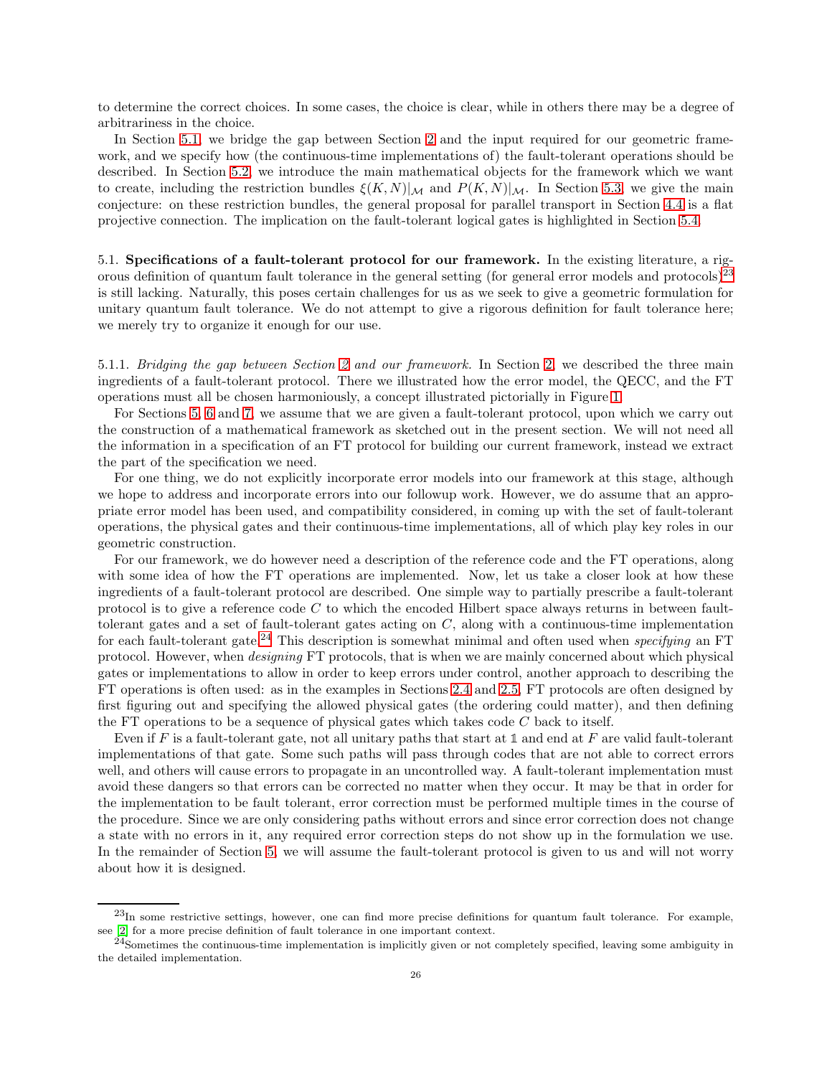to determine the correct choices. In some cases, the choice is clear, while in others there may be a degree of arbitrariness in the choice.

In Section [5.1,](#page-25-0) we bridge the gap between Section [2](#page-4-0) and the input required for our geometric framework, and we specify how (the continuous-time implementations of) the fault-tolerant operations should be described. In Section [5.2,](#page-26-0) we introduce the main mathematical objects for the framework which we want to create, including the restriction bundles  $\xi(K,N)|_{\mathcal{M}}$  and  $P(K,N)|_{\mathcal{M}}$ . In Section [5.3,](#page-28-0) we give the main conjecture: on these restriction bundles, the general proposal for parallel transport in Section [4.4](#page-23-0) is a flat projective connection. The implication on the fault-tolerant logical gates is highlighted in Section [5.4.](#page-30-0)

<span id="page-25-0"></span>5.1. Specifications of a fault-tolerant protocol for our framework. In the existing literature, a rigorous definition of quantum fault tolerance in the general setting (for general error models and protocols) $23$ is still lacking. Naturally, this poses certain challenges for us as we seek to give a geometric formulation for unitary quantum fault tolerance. We do not attempt to give a rigorous definition for fault tolerance here; we merely try to organize it enough for our use.

5.1.1. Bridging the gap between Section [2](#page-4-0) and our framework. In Section [2,](#page-4-0) we described the three main ingredients of a fault-tolerant protocol. There we illustrated how the error model, the QECC, and the FT operations must all be chosen harmoniously, a concept illustrated pictorially in Figure [1.](#page-4-2)

For Sections [5,](#page-24-0) [6](#page-30-1) and [7,](#page-37-0) we assume that we are given a fault-tolerant protocol, upon which we carry out the construction of a mathematical framework as sketched out in the present section. We will not need all the information in a specification of an FT protocol for building our current framework, instead we extract the part of the specification we need.

For one thing, we do not explicitly incorporate error models into our framework at this stage, although we hope to address and incorporate errors into our followup work. However, we do assume that an appropriate error model has been used, and compatibility considered, in coming up with the set of fault-tolerant operations, the physical gates and their continuous-time implementations, all of which play key roles in our geometric construction.

For our framework, we do however need a description of the reference code and the FT operations, along with some idea of how the FT operations are implemented. Now, let us take a closer look at how these ingredients of a fault-tolerant protocol are described. One simple way to partially prescribe a fault-tolerant protocol is to give a reference code  $C$  to which the encoded Hilbert space always returns in between faulttolerant gates and a set of fault-tolerant gates acting on C, along with a continuous-time implementation for each fault-tolerant gate.<sup>[24](#page-25-2)</sup> This description is somewhat minimal and often used when *specifying* an FT protocol. However, when designing FT protocols, that is when we are mainly concerned about which physical gates or implementations to allow in order to keep errors under control, another approach to describing the FT operations is often used: as in the examples in Sections [2.4](#page-8-0) and [2.5,](#page-9-0) FT protocols are often designed by first figuring out and specifying the allowed physical gates (the ordering could matter), and then defining the FT operations to be a sequence of physical gates which takes code  $C$  back to itself.

Even if F is a fault-tolerant gate, not all unitary paths that start at **1** and end at F are valid fault-tolerant implementations of that gate. Some such paths will pass through codes that are not able to correct errors well, and others will cause errors to propagate in an uncontrolled way. A fault-tolerant implementation must avoid these dangers so that errors can be corrected no matter when they occur. It may be that in order for the implementation to be fault tolerant, error correction must be performed multiple times in the course of the procedure. Since we are only considering paths without errors and since error correction does not change a state with no errors in it, any required error correction steps do not show up in the formulation we use. In the remainder of Section [5,](#page-24-0) we will assume the fault-tolerant protocol is given to us and will not worry about how it is designed.

<span id="page-25-1"></span> $^{23}$ In some restrictive settings, however, one can find more precise definitions for quantum fault tolerance. For example, see [\[2\]](#page-63-17) for a more precise definition of fault tolerance in one important context.

<span id="page-25-2"></span> $^{24}$ Sometimes the continuous-time implementation is implicitly given or not completely specified, leaving some ambiguity in the detailed implementation.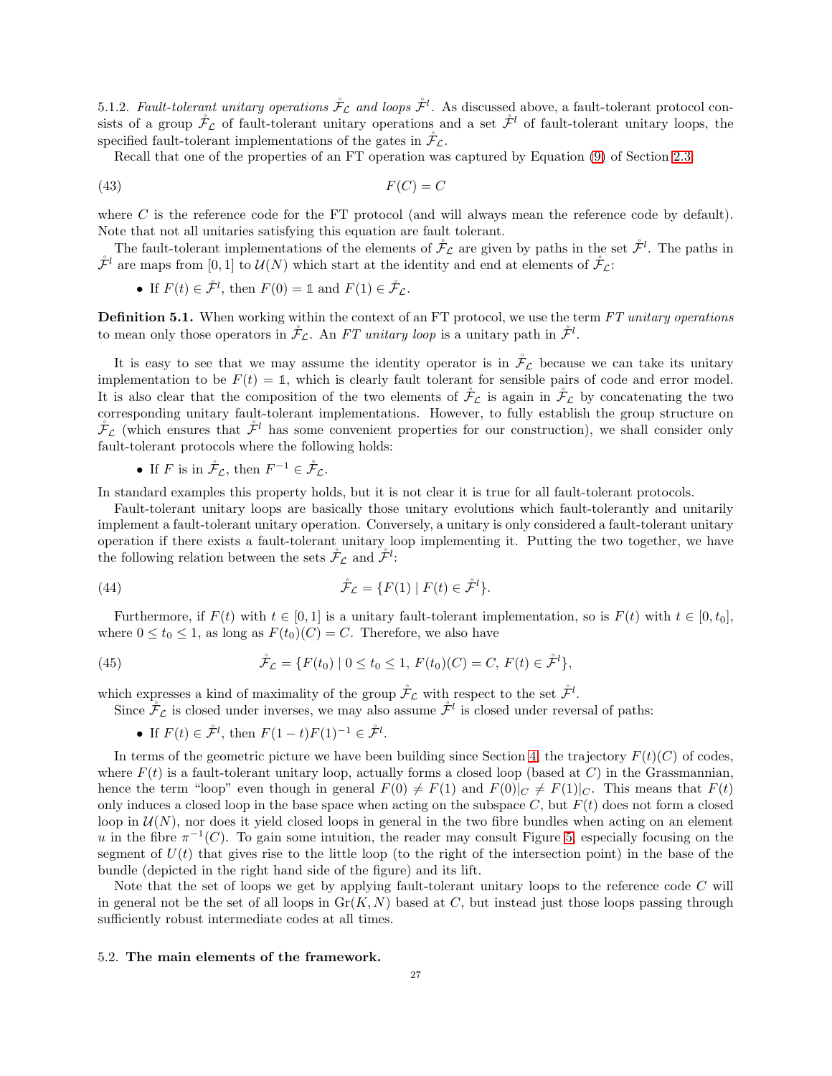5.1.2. Fault-tolerant unitary operations  $\mathcal{F}_{\mathcal{L}}$  and loops  $\mathcal{F}^l$ . As discussed above, a fault-tolerant protocol consists of a group  $\mathcal{F}_{\mathcal{L}}$  of fault-tolerant unitary operations and a set  $\mathcal{F}^l$  of fault-tolerant unitary loops, the specified fault-tolerant implementations of the gates in  $\mathcal{F}_{\mathcal{L}}$ .

Recall that one of the properties of an FT operation was captured by Equation [\(9\)](#page-8-2) of Section [2.3:](#page-7-0)

$$
(43)\t\t\t F(C) = C
$$

where  $C$  is the reference code for the FT protocol (and will always mean the reference code by default). Note that not all unitaries satisfying this equation are fault tolerant.

The fault-tolerant implementations of the elements of  $\mathcal{F}_{\mathcal{L}}$  are given by paths in the set  $\mathcal{F}^l$ . The paths in  $\mathring{\mathcal{F}}^l$  are maps from [0, 1] to  $\mathcal{U}(N)$  which start at the identity and end at elements of  $\mathring{\mathcal{F}}_{\mathcal{L}}$ :

• If  $F(t) \in \mathring{\mathcal{F}}^l$ , then  $F(0) = \mathbb{1}$  and  $F(1) \in \mathring{\mathcal{F}}_{\mathcal{L}}$ .

Definition 5.1. When working within the context of an FT protocol, we use the term FT unitary operations to mean only those operators in  $\mathcal{F}_{\mathcal{L}}$ . An FT unitary loop is a unitary path in  $\mathcal{F}^l$ .

It is easy to see that we may assume the identity operator is in  $\mathcal{F}_{\mathcal{L}}$  because we can take its unitary implementation to be  $F(t) = 1$ , which is clearly fault tolerant for sensible pairs of code and error model. It is also clear that the composition of the two elements of  $\ddot{\mathcal{F}}_{\mathcal{L}}$  is again in  $\ddot{\mathcal{F}}_{\mathcal{L}}$  by concatenating the two corresponding unitary fault-tolerant implementations. However, to fully establish the group structure on  $\mathcal{F}_L$  (which ensures that  $\mathcal{F}^l$  has some convenient properties for our construction), we shall consider only fault-tolerant protocols where the following holds:

• If F is in  $\mathcal{F}_{\mathcal{L}}$ , then  $F^{-1} \in \mathcal{F}_{\mathcal{L}}$ .

In standard examples this property holds, but it is not clear it is true for all fault-tolerant protocols.

Fault-tolerant unitary loops are basically those unitary evolutions which fault-tolerantly and unitarily implement a fault-tolerant unitary operation. Conversely, a unitary is only considered a fault-tolerant unitary operation if there exists a fault-tolerant unitary loop implementing it. Putting the two together, we have the following relation between the sets  $\mathcal{F}_{\mathcal{L}}$  and  $\mathcal{F}^l$ :

(44) 
$$
\mathring{\mathcal{F}}_{\mathcal{L}} = \{F(1) \mid F(t) \in \mathring{\mathcal{F}}^l\}.
$$

Furthermore, if  $F(t)$  with  $t \in [0, 1]$  is a unitary fault-tolerant implementation, so is  $F(t)$  with  $t \in [0, t_0]$ , where  $0 \le t_0 \le 1$ , as long as  $F(t_0)(C) = C$ . Therefore, we also have

(45) 
$$
\mathring{\mathcal{F}}_{\mathcal{L}} = \{ F(t_0) \mid 0 \le t_0 \le 1, F(t_0)(C) = C, F(t) \in \mathring{\mathcal{F}}^l \},
$$

which expresses a kind of maximality of the group  $\mathcal{F}_{\mathcal{L}}$  with respect to the set  $\mathcal{F}^l$ .

Since  $\mathcal{F}_{\mathcal{L}}$  is closed under inverses, we may also assume  $\mathcal{F}^l$  is closed under reversal of paths:

• If  $F(t) \in \mathring{\mathcal{F}}^l$ , then  $F(1-t)F(1)^{-1} \in \mathring{\mathcal{F}}^l$ .

In terms of the geometric picture we have been building since Section [4,](#page-17-0) the trajectory  $F(t)(C)$  of codes, where  $F(t)$  is a fault-tolerant unitary loop, actually forms a closed loop (based at C) in the Grassmannian, hence the term "loop" even though in general  $F(0) \neq F(1)$  and  $F(0)|_C \neq F(1)|_C$ . This means that  $F(t)$ only induces a closed loop in the base space when acting on the subspace C, but  $F(t)$  does not form a closed loop in  $\mathcal{U}(N)$ , nor does it yield closed loops in general in the two fibre bundles when acting on an element u in the fibre  $\pi^{-1}(C)$ . To gain some intuition, the reader may consult Figure [5,](#page-28-1) especially focusing on the segment of  $U(t)$  that gives rise to the little loop (to the right of the intersection point) in the base of the bundle (depicted in the right hand side of the figure) and its lift.

Note that the set of loops we get by applying fault-tolerant unitary loops to the reference code C will in general not be the set of all loops in  $\text{Gr}(K, N)$  based at C, but instead just those loops passing through sufficiently robust intermediate codes at all times.

#### <span id="page-26-0"></span>5.2. The main elements of the framework.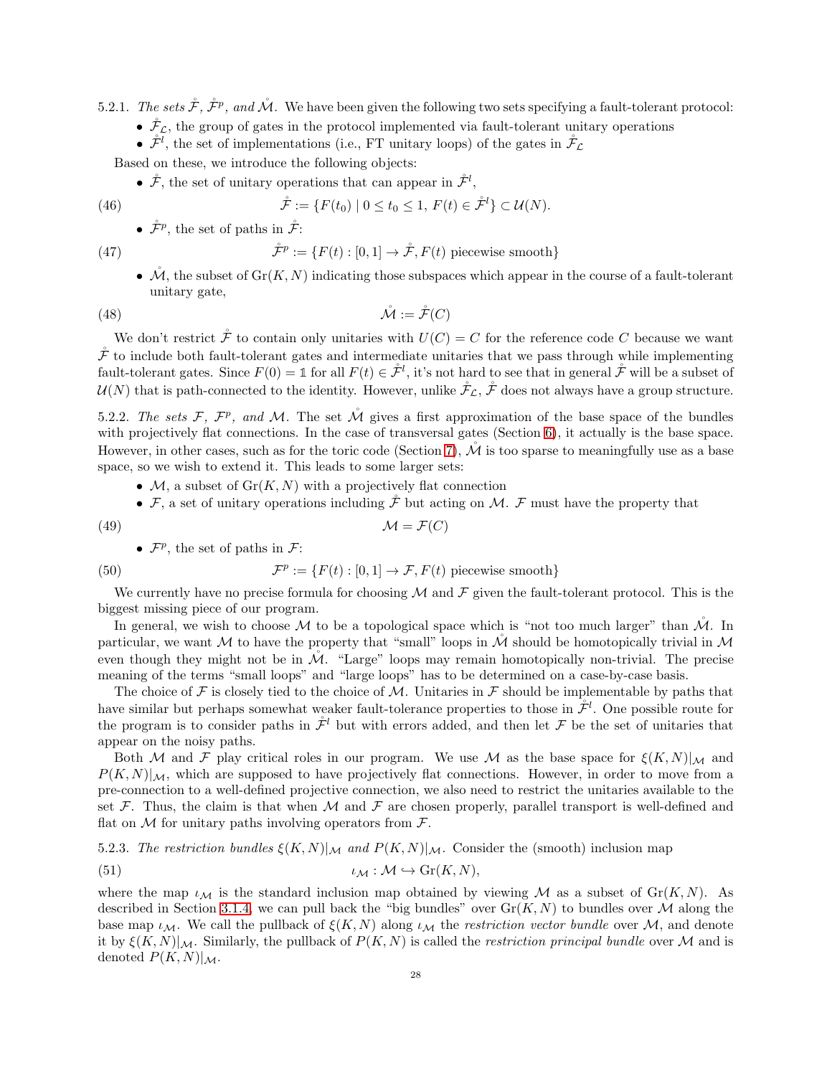5.2.1. The sets  $\mathcal{F}, \mathcal{F}^p$ , and  $\mathcal{M}$ . We have been given the following two sets specifying a fault-tolerant protocol:

- $\mathcal{F}_{\mathcal{L}}$ , the group of gates in the protocol implemented via fault-tolerant unitary operations
- $\mathcal{F}^l$ , the set of implementations (i.e., FT unitary loops) of the gates in  $\mathcal{F}_\mathcal{L}$

Based on these, we introduce the following objects:

•  $\mathcal{F}$ , the set of unitary operations that can appear in  $\mathcal{F}^l$ ,

(46) 
$$
\mathring{\mathcal{F}} := \{ F(t_0) \mid 0 \le t_0 \le 1, F(t) \in \mathring{\mathcal{F}}^l \} \subset \mathcal{U}(N).
$$

•  $\mathring{\mathcal{F}}^p$ , the set of paths in  $\mathring{\mathcal{F}}$ :

(47) 
$$
\mathring{\mathcal{F}}^p := \{ F(t) : [0,1] \to \mathring{\mathcal{F}}, F(t) \text{ piecewise smooth} \}
$$

•  $\mathcal{M}$ , the subset of  $\text{Gr}(K, N)$  indicating those subspaces which appear in the course of a fault-tolerant unitary gate,

$$
(48)\qquad \qquad \mathcal{M} := \mathcal{\mathring{F}}(C)
$$

We don't restrict  $\mathring{\mathcal{F}}$  to contain only unitaries with  $U(C) = C$  for the reference code C because we want  $\mathcal F$  to include both fault-tolerant gates and intermediate unitaries that we pass through while implementing fault-tolerant gates. Since  $F(0) = \mathbb{1}$  for all  $F(t) \in \mathcal{F}^l$ , it's not hard to see that in general  $\mathcal{F}$  will be a subset of  $U(N)$  that is path-connected to the identity. However, unlike  $\mathcal{F}_{\mathcal{L}}$ ,  $\mathcal{F}$  does not always have a group structure.

5.2.2. The sets F,  $\mathcal{F}^p$ , and M. The set  $\mathcal M$  gives a first approximation of the base space of the bundles with projectively flat connections. In the case of transversal gates (Section [6\)](#page-30-1), it actually is the base space. However, in other cases, such as for the toric code (Section [7\)](#page-37-0),  $\mathcal M$  is too sparse to meaningfully use as a base space, so we wish to extend it. This leads to some larger sets:

- $M$ , a subset of  $Gr(K, N)$  with a projectively flat connection
- $\mathcal F$ , a set of unitary operations including  $\overset{\circ}{\mathcal F}$  but acting on M.  $\mathcal F$  must have the property that  $M = \mathcal{F}(C)$

$$
(49)
$$

• 
$$
\mathcal{F}^p
$$
, the set of paths in  $\mathcal{F}$ :

(50) 
$$
\mathcal{F}^p := \{ F(t) : [0,1] \to \mathcal{F}, F(t) \text{ piecewise smooth} \}
$$

We currently have no precise formula for choosing  $\mathcal M$  and  $\mathcal F$  given the fault-tolerant protocol. This is the biggest missing piece of our program.

In general, we wish to choose M to be a topological space which is "not too much larger" than  $\mathring{M}$ . In particular, we want M to have the property that "small" loops in  $\dot{M}$  should be homotopically trivial in M even though they might not be in  $\mathcal{M}$ . "Large" loops may remain homotopically non-trivial. The precise meaning of the terms "small loops" and "large loops" has to be determined on a case-by-case basis.

The choice of F is closely tied to the choice of M. Unitaries in F should be implementable by paths that have similar but perhaps somewhat weaker fault-tolerance properties to those in  $\mathcal{F}^l$ . One possible route for the program is to consider paths in  $\mathcal{F}^l$  but with errors added, and then let F be the set of unitaries that appear on the noisy paths.

Both M and F play critical roles in our program. We use M as the base space for  $\xi(K,N)|_{\mathcal{M}}$  and  $P(K, N)|_{\mathcal{M}}$ , which are supposed to have projectively flat connections. However, in order to move from a pre-connection to a well-defined projective connection, we also need to restrict the unitaries available to the set F. Thus, the claim is that when M and F are chosen properly, parallel transport is well-defined and flat on  $M$  for unitary paths involving operators from  $\mathcal{F}$ .

<span id="page-27-0"></span>5.2.3. The restriction bundles  $\xi(K,N)|_{\mathcal{M}}$  and  $P(K,N)|_{\mathcal{M}}$ . Consider the (smooth) inclusion map

(51) 
$$
\iota_{\mathcal{M}} : \mathcal{M} \hookrightarrow \mathrm{Gr}(K, N),
$$

where the map  $\iota_{\mathcal{M}}$  is the standard inclusion map obtained by viewing  $\mathcal M$  as a subset of  $Gr(K, N)$ . As described in Section [3.1.4,](#page-12-1) we can pull back the "big bundles" over  $\text{Gr}(K, N)$  to bundles over M along the base map  $\iota_M$ . We call the pullback of  $\xi(K,N)$  along  $\iota_M$  the restriction vector bundle over M, and denote it by  $\xi(K,N)|_{\mathcal{M}}$ . Similarly, the pullback of  $P(K,N)$  is called the *restriction principal bundle* over M and is denoted  $P(K, N)|_{\mathcal{M}}$ .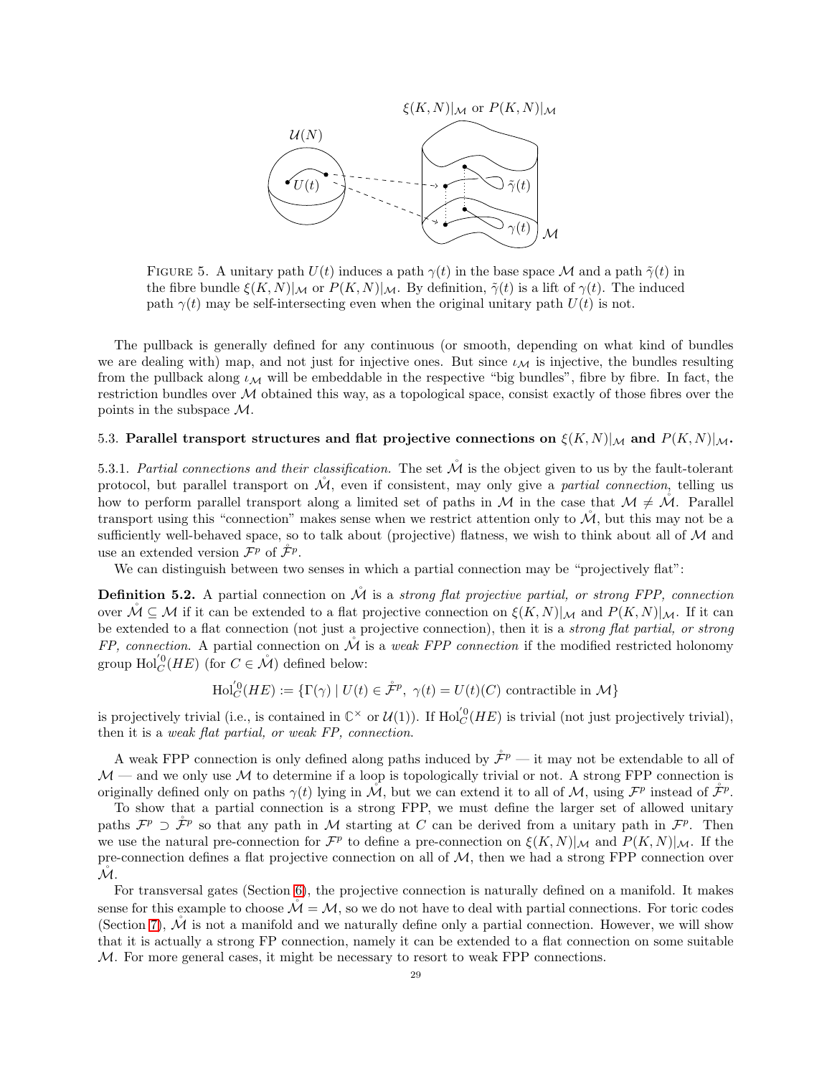

<span id="page-28-1"></span>FIGURE 5. A unitary path  $U(t)$  induces a path  $\gamma(t)$  in the base space M and a path  $\tilde{\gamma}(t)$  in the fibre bundle  $\xi(K,N)|_{\mathcal{M}}$  or  $P(K,N)|_{\mathcal{M}}$ . By definition,  $\tilde{\gamma}(t)$  is a lift of  $\gamma(t)$ . The induced path  $\gamma(t)$  may be self-intersecting even when the original unitary path  $U(t)$  is not.

The pullback is generally defined for any continuous (or smooth, depending on what kind of bundles we are dealing with) map, and not just for injective ones. But since  $\iota_M$  is injective, the bundles resulting from the pullback along  $\iota_{\mathcal{M}}$  will be embeddable in the respective "big bundles", fibre by fibre. In fact, the restriction bundles over M obtained this way, as a topological space, consist exactly of those fibres over the points in the subspace M.

# <span id="page-28-0"></span>5.3. Parallel transport structures and flat projective connections on  $\mathcal{E}(K,N)|_{\mathcal{M}}$  and  $P(K,N)|_{\mathcal{M}}$ .

5.3.1. Partial connections and their classification. The set  $\tilde{\mathcal{M}}$  is the object given to us by the fault-tolerant protocol, but parallel transport on  $\mathcal{M}$ , even if consistent, may only give a partial connection, telling us how to perform parallel transport along a limited set of paths in M in the case that  $M \neq M$ . Parallel transport using this "connection" makes sense when we restrict attention only to  $\mathcal{M}$ , but this may not be a sufficiently well-behaved space, so to talk about (projective) flatness, we wish to think about all of  $M$  and use an extended version  $\mathcal{F}^p$  of  $\mathcal{F}^p$ .

We can distinguish between two senses in which a partial connection may be "projectively flat":

<span id="page-28-2"></span>**Definition 5.2.** A partial connection on  $M$  is a strong flat projective partial, or strong FPP, connection over  $\mathcal{M} \subseteq \mathcal{M}$  if it can be extended to a flat projective connection on  $\xi(K,N)|_{\mathcal{M}}$  and  $P(K,N)|_{\mathcal{M}}$ . If it can be extended to a flat connection (not just a projective connection), then it is a *strong flat partial, or strong*  $FP$ , connection. A partial connection on  $\dot{M}$  is a weak FPP connection if the modified restricted holonomy group  $\text{Hol}_C^{'0}(HE)$  (for  $C \in \mathring{\mathcal{M}}$ ) defined below:

$$
\mathrm{Hol}_{C}^{'}0(HE) := \{ \Gamma(\gamma) \mid U(t) \in \mathring{\mathcal{F}}^{p}, \ \gamma(t) = U(t)(C) \ \mathrm{contractible \ in} \ \mathcal{M} \}
$$

is projectively trivial (i.e., is contained in  $\mathbb{C}^{\times}$  or  $\mathcal{U}(1)$ ). If  $\text{Hol}_{C}^{0}(HE)$  is trivial (not just projectively trivial), then it is a weak flat partial, or weak FP, connection.

A weak FPP connection is only defined along paths induced by  $\mathring{\mathcal{F}}^p$  — it may not be extendable to all of  $M$  — and we only use M to determine if a loop is topologically trivial or not. A strong FPP connection is originally defined only on paths  $\gamma(t)$  lying in  $\mathcal{M}$ , but we can extend it to all of  $\mathcal{M}$ , using  $\mathcal{F}^p$  instead of  $\mathcal{F}^p$ .

To show that a partial connection is a strong FPP, we must define the larger set of allowed unitary paths  $\mathcal{F}^p \supset \mathcal{F}^p$  so that any path in M starting at C can be derived from a unitary path in  $\mathcal{F}^p$ . Then we use the natural pre-connection for  $\mathcal{F}^p$  to define a pre-connection on  $\xi(K,N)|_{\mathcal{M}}$  and  $P(K,N)|_{\mathcal{M}}$ . If the pre-connection defines a flat projective connection on all of  $M$ , then we had a strong FPP connection over  $\mathcal{M}.$ 

For transversal gates (Section [6\)](#page-30-1), the projective connection is naturally defined on a manifold. It makes sense for this example to choose  $\mathcal{M} = \mathcal{M}$ , so we do not have to deal with partial connections. For toric codes (Section [7\)](#page-37-0),  $\dot{M}$  is not a manifold and we naturally define only a partial connection. However, we will show that it is actually a strong FP connection, namely it can be extended to a flat connection on some suitable M. For more general cases, it might be necessary to resort to weak FPP connections.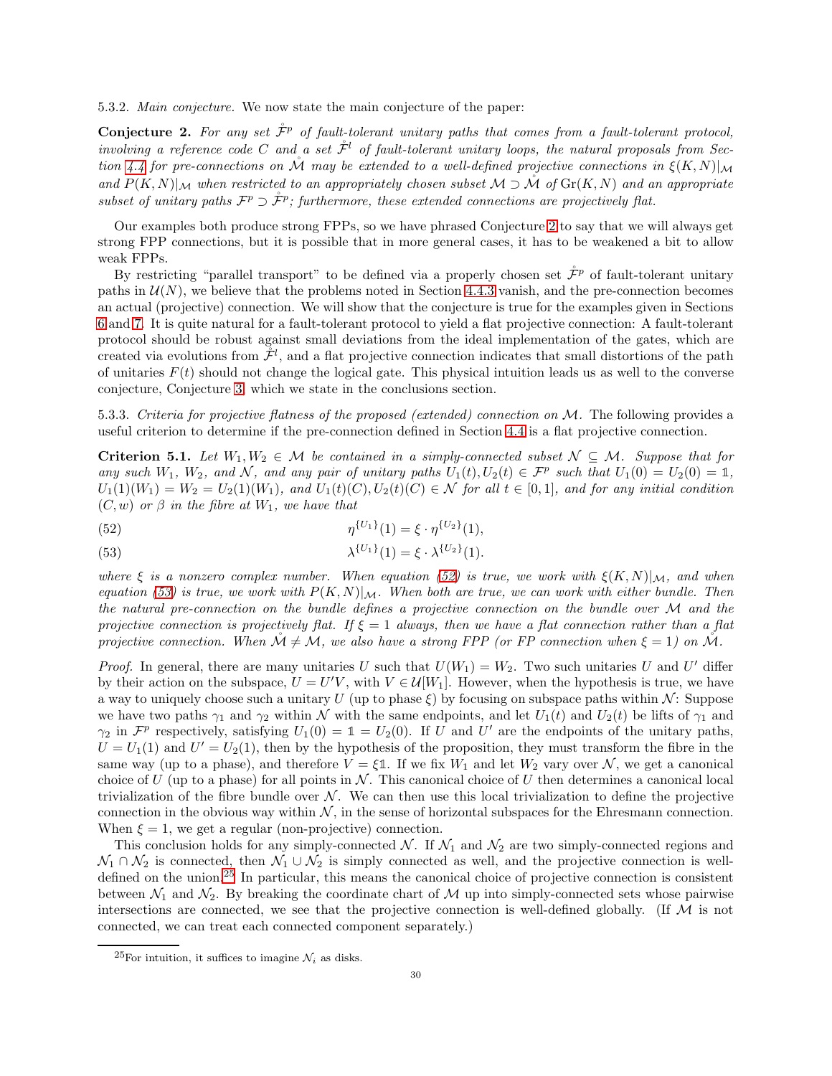5.3.2. Main conjecture. We now state the main conjecture of the paper:

<span id="page-29-0"></span>**Conjecture 2.** For any set  $\mathcal{F}^p$  of fault-tolerant unitary paths that comes from a fault-tolerant protocol, involving a reference code C and a set  $\mathcal{F}^l$  of fault-tolerant unitary loops, the natural proposals from Sec-tion [4.4](#page-23-0) for pre-connections on  $\mathcal M$  may be extended to a well-defined projective connections in  $\xi(K,N)|_{\mathcal M}$ and  $P(K, N)|_{\mathcal{M}}$  when restricted to an appropriately chosen subset  $\mathcal{M} \supset \mathcal{M}$  of  $\text{Gr}(K, N)$  and an appropriate subset of unitary paths  $\mathcal{F}^p \supset \mathcal{F}^p$ ; furthermore, these extended connections are projectively flat.

Our examples both produce strong FPPs, so we have phrased Conjecture [2](#page-29-0) to say that we will always get strong FPP connections, but it is possible that in more general cases, it has to be weakened a bit to allow weak FPPs.

By restricting "parallel transport" to be defined via a properly chosen set  $\mathring{\mathcal{F}}^p$  of fault-tolerant unitary paths in  $\mathcal{U}(N)$ , we believe that the problems noted in Section [4.4.3](#page-24-3) vanish, and the pre-connection becomes an actual (projective) connection. We will show that the conjecture is true for the examples given in Sections [6](#page-30-1) and [7.](#page-37-0) It is quite natural for a fault-tolerant protocol to yield a flat projective connection: A fault-tolerant protocol should be robust against small deviations from the ideal implementation of the gates, which are created via evolutions from  $\mathcal{F}^l$ , and a flat projective connection indicates that small distortions of the path of unitaries  $F(t)$  should not change the logical gate. This physical intuition leads us as well to the converse conjecture, Conjecture [3,](#page-62-2) which we state in the conclusions section.

5.3.3. Criteria for projective flatness of the proposed (extended) connection on M. The following provides a useful criterion to determine if the pre-connection defined in Section [4.4](#page-23-0) is a flat projective connection.

<span id="page-29-1"></span>**Criterion 5.1.** Let  $W_1, W_2 \in \mathcal{M}$  be contained in a simply-connected subset  $\mathcal{N} \subseteq \mathcal{M}$ . Suppose that for any such  $W_1$ ,  $W_2$ , and  $N$ , and any pair of unitary paths  $U_1(t)$ ,  $U_2(t) \in \mathcal{F}^p$  such that  $U_1(0) = U_2(0) = \mathbb{1}$ ,  $U_1(1)(W_1) = W_2 = U_2(1)(W_1)$ , and  $U_1(t)(C), U_2(t)(C) \in \mathcal{N}$  for all  $t \in [0,1]$ , and for any initial condition  $(C, w)$  or  $\beta$  in the fibre at  $W_1$ , we have that

<span id="page-29-2"></span>(52) 
$$
\eta^{\{U_1\}}(1) = \xi \cdot \eta^{\{U_2\}}(1),
$$

<span id="page-29-3"></span>(53) 
$$
\lambda^{\{U_1\}}(1) = \xi \cdot \lambda^{\{U_2\}}(1).
$$

where  $\xi$  is a nonzero complex number. When equation [\(52\)](#page-29-2) is true, we work with  $\xi(K,N)|_{\mathcal{M}}$ , and when equation [\(53\)](#page-29-3) is true, we work with  $P(K, N)|_{\mathcal{M}}$ . When both are true, we can work with either bundle. Then the natural pre-connection on the bundle defines a projective connection on the bundle over  $\mathcal M$  and the projective connection is projectively flat. If  $\xi = 1$  always, then we have a flat connection rather than a flat projective connection. When  $\mathcal{M} \neq \mathcal{M}$ , we also have a strong FPP (or FP connection when  $\xi = 1$ ) on  $\mathcal{M}$ .

*Proof.* In general, there are many unitaries U such that  $U(W_1) = W_2$ . Two such unitaries U and U' differ by their action on the subspace,  $U = U'V$ , with  $V \in \mathcal{U}[W_1]$ . However, when the hypothesis is true, we have a way to uniquely choose such a unitary U (up to phase  $\xi$ ) by focusing on subspace paths within N: Suppose we have two paths  $\gamma_1$  and  $\gamma_2$  within N with the same endpoints, and let  $U_1(t)$  and  $U_2(t)$  be lifts of  $\gamma_1$  and  $\gamma_2$  in  $\mathcal{F}^p$  respectively, satisfying  $U_1(0) = \mathbb{1} = U_2(0)$ . If U and U' are the endpoints of the unitary paths,  $U = U_1(1)$  and  $U' = U_2(1)$ , then by the hypothesis of the proposition, they must transform the fibre in the same way (up to a phase), and therefore  $V = \xi \mathbb{1}$ . If we fix  $W_1$  and let  $W_2$  vary over N, we get a canonical choice of U (up to a phase) for all points in  $\mathcal N$ . This canonical choice of U then determines a canonical local trivialization of the fibre bundle over  $N$ . We can then use this local trivialization to define the projective connection in the obvious way within  $N$ , in the sense of horizontal subspaces for the Ehresmann connection. When  $\xi = 1$ , we get a regular (non-projective) connection.

This conclusion holds for any simply-connected  $N$ . If  $\mathcal{N}_1$  and  $\mathcal{N}_2$  are two simply-connected regions and  $\mathcal{N}_1 \cap \mathcal{N}_2$  is connected, then  $\mathcal{N}_1 \cup \mathcal{N}_2$  is simply connected as well, and the projective connection is welldefined on the union.[25](#page-29-4) In particular, this means the canonical choice of projective connection is consistent between  $\mathcal{N}_1$  and  $\mathcal{N}_2$ . By breaking the coordinate chart of M up into simply-connected sets whose pairwise intersections are connected, we see that the projective connection is well-defined globally. (If  $\mathcal M$  is not connected, we can treat each connected component separately.)

<span id="page-29-4"></span><sup>&</sup>lt;sup>25</sup>For intuition, it suffices to imagine  $\mathcal{N}_i$  as disks.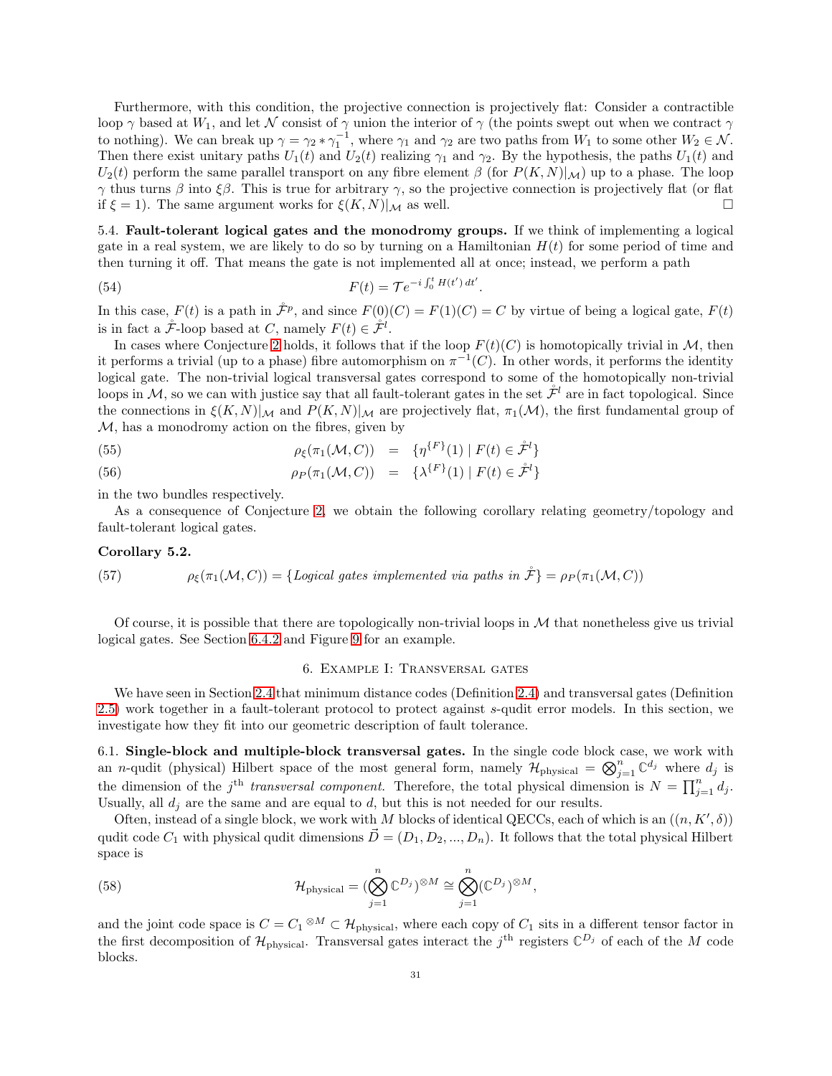Furthermore, with this condition, the projective connection is projectively flat: Consider a contractible loop  $\gamma$  based at  $W_1$ , and let N consist of  $\gamma$  union the interior of  $\gamma$  (the points swept out when we contract  $\gamma$ to nothing). We can break up  $\gamma = \gamma_2 * \gamma_1^{-1}$ , where  $\gamma_1$  and  $\gamma_2$  are two paths from  $W_1$  to some other  $W_2 \in \mathcal{N}$ . Then there exist unitary paths  $U_1(t)$  and  $U_2(t)$  realizing  $\gamma_1$  and  $\gamma_2$ . By the hypothesis, the paths  $U_1(t)$  and  $U_2(t)$  perform the same parallel transport on any fibre element  $\beta$  (for  $P(K, N)|_{\mathcal{M}}$ ) up to a phase. The loop γ thus turns β into ξβ. This is true for arbitrary γ, so the projective connection is projectively flat (or flat if  $\xi = 1$ ). The same argument works for  $\xi(K,N)|_{\mathcal{M}}$  as well.

<span id="page-30-0"></span>5.4. Fault-tolerant logical gates and the monodromy groups. If we think of implementing a logical gate in a real system, we are likely to do so by turning on a Hamiltonian  $H(t)$  for some period of time and then turning it off. That means the gate is not implemented all at once; instead, we perform a path

(54) 
$$
F(t) = \mathcal{T}e^{-i\int_0^t H(t') dt'}.
$$

In this case,  $F(t)$  is a path in  $\mathcal{F}^p$ , and since  $F(0)(C) = F(1)(C) = C$  by virtue of being a logical gate,  $F(t)$ is in fact a  $\mathcal{F}$ -loop based at C, namely  $F(t) \in \mathcal{F}^l$ .

In cases where Conjecture [2](#page-29-0) holds, it follows that if the loop  $F(t)(C)$  is homotopically trivial in M, then it performs a trivial (up to a phase) fibre automorphism on  $\pi^{-1}(C)$ . In other words, it performs the identity logical gate. The non-trivial logical transversal gates correspond to some of the homotopically non-trivial loops in M, so we can with justice say that all fault-tolerant gates in the set  $\mathcal{F}^l$  are in fact topological. Since the connections in  $\xi(K,N)|_{\mathcal{M}}$  and  $P(K,N)|_{\mathcal{M}}$  are projectively flat,  $\pi_1(\mathcal{M})$ , the first fundamental group of  $M$ , has a monodromy action on the fibres, given by

(55) 
$$
\rho_{\xi}(\pi_1(\mathcal{M}, C)) = \{ \eta^{\{F\}}(1) \mid F(t) \in \mathring{\mathcal{F}}^l \}
$$

(56) 
$$
\rho_P(\pi_1(\mathcal{M}, C)) = {\lambda^{\{F\}}(1) | F(t) \in \mathcal{F}^l}
$$

in the two bundles respectively.

As a consequence of Conjecture [2,](#page-29-0) we obtain the following corollary relating geometry/topology and fault-tolerant logical gates.

# Corollary 5.2.

<span id="page-30-3"></span>(57) 
$$
\rho_{\xi}(\pi_1(\mathcal{M}, C)) = \{Logical\;gates\; implemented\;via\;paths\;in\; \mathcal{F}\} = \rho_P(\pi_1(\mathcal{M}, C))
$$

<span id="page-30-1"></span>Of course, it is possible that there are topologically non-trivial loops in  $M$  that nonetheless give us trivial logical gates. See Section [6.4.2](#page-36-0) and Figure [9](#page-37-1) for an example.

#### 6. Example I: Transversal gates

We have seen in Section [2.4](#page-8-0) that minimum distance codes (Definition [2.4\)](#page-6-7) and transversal gates (Definition [2.5\)](#page-9-2) work together in a fault-tolerant protocol to protect against s-qudit error models. In this section, we investigate how they fit into our geometric description of fault tolerance.

<span id="page-30-2"></span>6.1. Single-block and multiple-block transversal gates. In the single code block case, we work with an *n*-qudit (physical) Hilbert space of the most general form, namely  $\mathcal{H}_{\text{physical}} = \bigotimes_{j=1}^{n} \mathbb{C}^{d_j}$  where  $d_j$  is the dimension of the j<sup>th</sup> transversal component. Therefore, the total physical dimension is  $N = \prod_{j=1}^{n} d_j$ . Usually, all  $d_i$  are the same and are equal to  $d$ , but this is not needed for our results.

Often, instead of a single block, we work with M blocks of identical QECCs, each of which is an  $((n, K', \delta))$ qudit code  $C_1$  with physical qudit dimensions  $\vec{D} = (D_1, D_2, ..., D_n)$ . It follows that the total physical Hilbert space is

(58) 
$$
\mathcal{H}_{\text{physical}} = (\bigotimes_{j=1}^{n} \mathbb{C}^{D_j})^{\otimes M} \cong \bigotimes_{j=1}^{n} (\mathbb{C}^{D_j})^{\otimes M},
$$

and the joint code space is  $C = C_1 \otimes M \subset \mathcal{H}_{\text{physical}}$ , where each copy of  $C_1$  sits in a different tensor factor in the first decomposition of  $\mathcal{H}_{\text{physical}}$ . Transversal gates interact the j<sup>th</sup> registers  $\mathbb{C}^{D_j}$  of each of the M code blocks.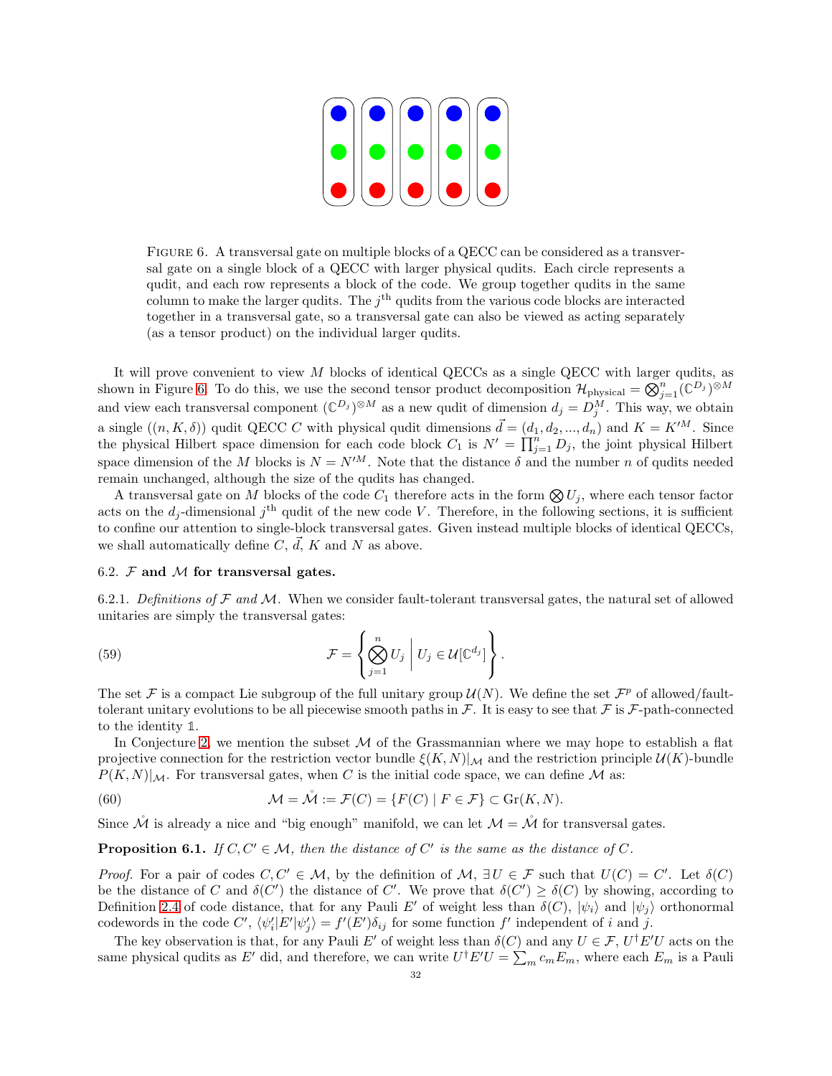

FIGURE 6. A transversal gate on multiple blocks of a QECC can be considered as a transversal gate on a single block of a QECC with larger physical qudits. Each circle represents a qudit, and each row represents a block of the code. We group together qudits in the same column to make the larger qudits. The  $j<sup>th</sup>$  qudits from the various code blocks are interacted together in a transversal gate, so a transversal gate can also be viewed as acting separately (as a tensor product) on the individual larger qudits.

<span id="page-31-1"></span>It will prove convenient to view  $M$  blocks of identical QECCs as a single QECC with larger qudits, as shown in Figure [6.](#page-31-1) To do this, we use the second tensor product decomposition  $\mathcal{H}_{\text{physical}} = \bigotimes_{j=1}^{n} (\mathbb{C}^{D_j})^{\otimes M}$ and view each transversal component  $(\mathbb{C}^{D_j})^{\otimes M}$  as a new qudit of dimension  $d_j = D_j^M$ . This way, we obtain a single  $((n, K, \delta))$  qudit QECC C with physical qudit dimensions  $\vec{d} = (d_1, d_2, ..., d_n)$  and  $K = K^{\prime M}$ . Since the physical Hilbert space dimension for each code block  $C_1$  is  $N' = \prod_{j=1}^n D_j$ , the joint physical Hilbert space dimension of the M blocks is  $N = N^M$ . Note that the distance  $\delta$  and the number n of qudits needed remain unchanged, although the size of the qudits has changed.

A transversal gate on M blocks of the code  $C_1$  therefore acts in the form  $\bigotimes U_i$ , where each tensor factor acts on the  $d_j$ -dimensional  $j<sup>th</sup>$  qudit of the new code V. Therefore, in the following sections, it is sufficient to confine our attention to single-block transversal gates. Given instead multiple blocks of identical QECCs, we shall automatically define C,  $\vec{d}$ , K and N as above.

#### <span id="page-31-0"></span>6.2.  $\mathcal F$  and  $\mathcal M$  for transversal gates.

6.2.1. Definitions of  $\mathcal F$  and  $\mathcal M$ . When we consider fault-tolerant transversal gates, the natural set of allowed unitaries are simply the transversal gates:

<span id="page-31-3"></span>(59) 
$$
\mathcal{F} = \left\{ \bigotimes_{j=1}^{n} U_j \middle| U_j \in \mathcal{U}[\mathbb{C}^{d_j}] \right\}.
$$

The set  $\mathcal F$  is a compact Lie subgroup of the full unitary group  $\mathcal U(N)$ . We define the set  $\mathcal F^p$  of allowed/faulttolerant unitary evolutions to be all piecewise smooth paths in  $\mathcal F$ . It is easy to see that  $\mathcal F$  is  $\mathcal F$ -path-connected to the identity **1**.

In Conjecture [2,](#page-29-0) we mention the subset  $\mathcal M$  of the Grassmannian where we may hope to establish a flat projective connection for the restriction vector bundle  $\xi(K,N)|_{\mathcal{M}}$  and the restriction principle  $\mathcal{U}(K)$ -bundle  $P(K, N)|_{\mathcal{M}}$ . For transversal gates, when C is the initial code space, we can define M as:

<span id="page-31-2"></span>(60) 
$$
\mathcal{M} = \mathring{\mathcal{M}} := \mathcal{F}(C) = \{F(C) \mid F \in \mathcal{F}\} \subset \text{Gr}(K, N).
$$

Since  $\mathcal{\hat{M}}$  is already a nice and "big enough" manifold, we can let  $\mathcal{M} = \mathcal{\hat{M}}$  for transversal gates.

# **Proposition 6.1.** If  $C, C' \in \mathcal{M}$ , then the distance of  $C'$  is the same as the distance of  $C$ .

*Proof.* For a pair of codes  $C, C' \in \mathcal{M}$ , by the definition of  $\mathcal{M}, \exists U \in \mathcal{F}$  such that  $U(C) = C'$ . Let  $\delta(C)$ be the distance of C and  $\delta(C')$  the distance of C'. We prove that  $\delta(C') \geq \delta(C)$  by showing, according to Definition [2.4](#page-6-7) of code distance, that for any Pauli E' of weight less than  $\delta(C)$ ,  $|\psi_i\rangle$  and  $|\psi_j\rangle$  orthonormal codewords in the code  $C'$ ,  $\langle \psi'_i | E' | \psi'_j \rangle = f'(E') \delta_{ij}$  for some function  $f'$  independent of i and j.

The key observation is that, for any Pauli E' of weight less than  $\delta(C)$  and any  $U \in \mathcal{F}$ ,  $U^{\dagger}E'U$  acts on the same physical qudits as E' did, and therefore, we can write  $U^{\dagger}E'U = \sum_m c_m E_m$ , where each  $E_m$  is a Pauli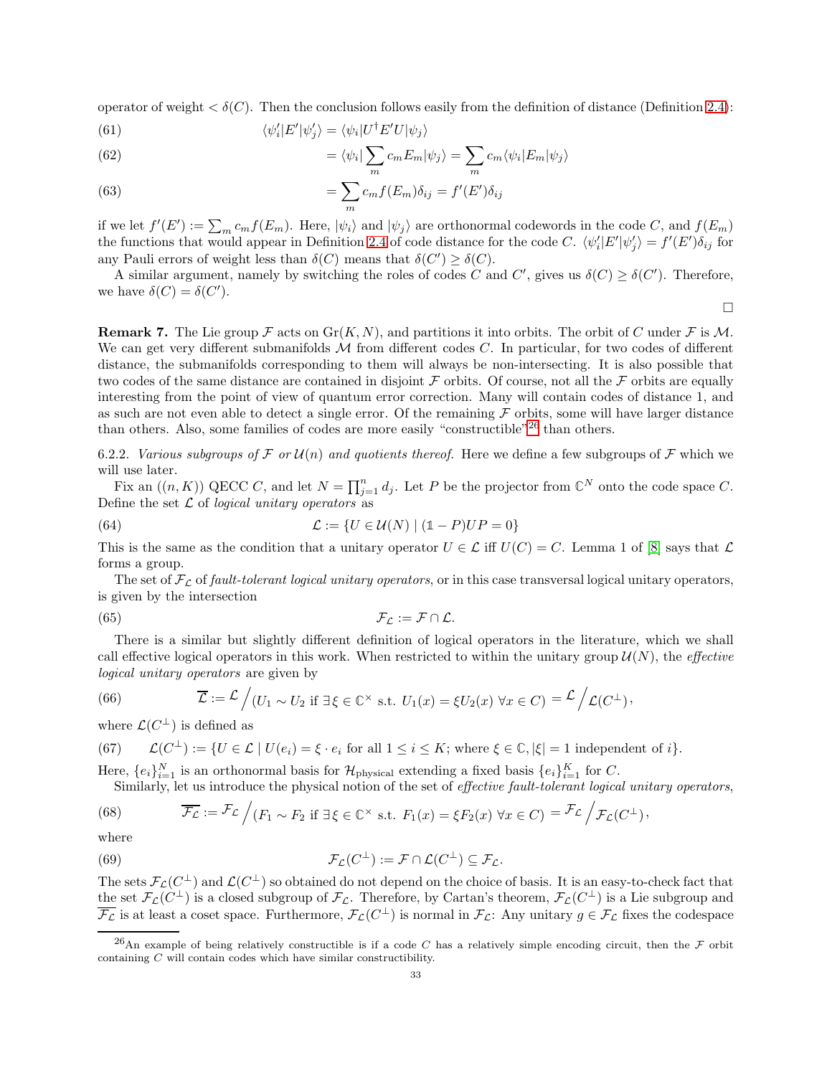operator of weight  $\langle \delta(C) \rangle$ . Then the conclusion follows easily from the definition of distance (Definition [2.4\)](#page-6-7):

(61) 
$$
\langle \psi_i' | E' | \psi_j' \rangle = \langle \psi_i | U^{\dagger} E' U | \psi_j \rangle
$$

(62) 
$$
= \langle \psi_i | \sum_m c_m E_m | \psi_j \rangle = \sum_m c_m \langle \psi_i | E_m | \psi_j \rangle
$$

(63) 
$$
= \sum_{m} c_m f(E_m) \delta_{ij} = f'(E') \delta_{ij}
$$

if we let  $f'(E') := \sum_m c_m f(E_m)$ . Here,  $|\psi_i\rangle$  and  $|\psi_j\rangle$  are orthonormal codewords in the code C, and  $f(E_m)$ the functions that would appear in Definition [2.4](#page-6-7) of code distance for the code C.  $\langle \psi'_i | E' | \psi'_j \rangle = f'(E') \delta_{ij}$  for any Pauli errors of weight less than  $\delta(C)$  means that  $\delta(C') \geq \delta(C)$ .

A similar argument, namely by switching the roles of codes C and C', gives us  $\delta(C) \geq \delta(C')$ . Therefore, we have  $\delta(C) = \delta(C')$ .

 $\Box$ 

**Remark 7.** The Lie group F acts on  $\text{Gr}(K, N)$ , and partitions it into orbits. The orbit of C under F is M. We can get very different submanifolds  $M$  from different codes  $C$ . In particular, for two codes of different distance, the submanifolds corresponding to them will always be non-intersecting. It is also possible that two codes of the same distance are contained in disjoint  $\mathcal F$  orbits. Of course, not all the  $\mathcal F$  orbits are equally interesting from the point of view of quantum error correction. Many will contain codes of distance 1, and as such are not even able to detect a single error. Of the remaining  $\mathcal F$  orbits, some will have larger distance than others. Also, some families of codes are more easily "constructible"<sup>[26](#page-32-0)</sup> than others.

6.2.2. Various subgroups of F or  $\mathcal{U}(n)$  and quotients thereof. Here we define a few subgroups of F which we will use later.

Fix an  $((n, K))$  QECC C, and let  $N = \prod_{j=1}^{n} d_j$ . Let P be the projector from  $\mathbb{C}^N$  onto the code space C. Define the set  $\mathcal L$  of *logical unitary operators* as

(64) 
$$
\mathcal{L} := \{ U \in \mathcal{U}(N) \mid (\mathbb{1} - P)UP = 0 \}
$$

This is the same as the condition that a unitary operator  $U \in \mathcal{L}$  iff  $U(C) = C$ . Lemma 1 of [\[8\]](#page-63-7) says that  $\mathcal{L}$ forms a group.

The set of  $\mathcal{F}_c$  of fault-tolerant logical unitary operators, or in this case transversal logical unitary operators, is given by the intersection

<span id="page-32-2"></span>(65) 
$$
\mathcal{F}_{\mathcal{L}} := \mathcal{F} \cap \mathcal{L}.
$$

There is a similar but slightly different definition of logical operators in the literature, which we shall call effective logical operators in this work. When restricted to within the unitary group  $\mathcal{U}(N)$ , the *effective* logical unitary operators are given by

(66) 
$$
\overline{\mathcal{L}} := \mathcal{L} / (U_1 \sim U_2 \text{ if } \exists \xi \in \mathbb{C}^\times \text{ s.t. } U_1(x) = \xi U_2(x) \ \forall x \in C) = \mathcal{L} / \mathcal{L}(C^\perp),
$$

where  $\mathcal{L}(C^{\perp})$  is defined as

(67) 
$$
\mathcal{L}(C^{\perp}) := \{ U \in \mathcal{L} \mid U(e_i) = \xi \cdot e_i \text{ for all } 1 \le i \le K; \text{ where } \xi \in \mathbb{C}, |\xi| = 1 \text{ independent of } i \}.
$$

Here,  $\{e_i\}_{i=1}^N$  is an orthonormal basis for  $\mathcal{H}_{\text{physical}}$  extending a fixed basis  $\{e_i\}_{i=1}^K$  for C.

<span id="page-32-1"></span>Similarly, let us introduce the physical notion of the set of *effective fault-tolerant logical unitary operators*,

(68) 
$$
\overline{\mathcal{F}_{\mathcal{L}}} := \mathcal{F}_{\mathcal{L}} \Big/ (F_1 \sim F_2 \text{ if } \exists \xi \in \mathbb{C}^{\times} \text{ s.t. } F_1(x) = \xi F_2(x) \ \forall x \in C) = \mathcal{F}_{\mathcal{L}} \Big/ \mathcal{F}_{\mathcal{L}}(C^{\perp}),
$$

where

(69) 
$$
\mathcal{F}_{\mathcal{L}}(C^{\perp}) := \mathcal{F} \cap \mathcal{L}(C^{\perp}) \subseteq \mathcal{F}_{\mathcal{L}}.
$$

The sets  $\mathcal{F}_\mathcal{L}(C^\perp)$  and  $\mathcal{L}(C^\perp)$  so obtained do not depend on the choice of basis. It is an easy-to-check fact that the set  $\mathcal{F}_{\mathcal{L}}(C^{\perp})$  is a closed subgroup of  $\mathcal{F}_{\mathcal{L}}$ . Therefore, by Cartan's theorem,  $\mathcal{F}_{\mathcal{L}}(C^{\perp})$  is a Lie subgroup and  $\overline{\mathcal{F}_{\mathcal{L}}}$  is at least a coset space. Furthermore,  $\mathcal{F}_{\mathcal{L}}(C^{\perp})$  is normal in  $\mathcal{F}_{\mathcal{L}}$ : Any unitary  $g \in \mathcal{F}_{\mathcal{L}}$  fixes the codespace

<span id="page-32-0"></span><sup>&</sup>lt;sup>26</sup>An example of being relatively constructible is if a code C has a relatively simple encoding circuit, then the F orbit containing C will contain codes which have similar constructibility.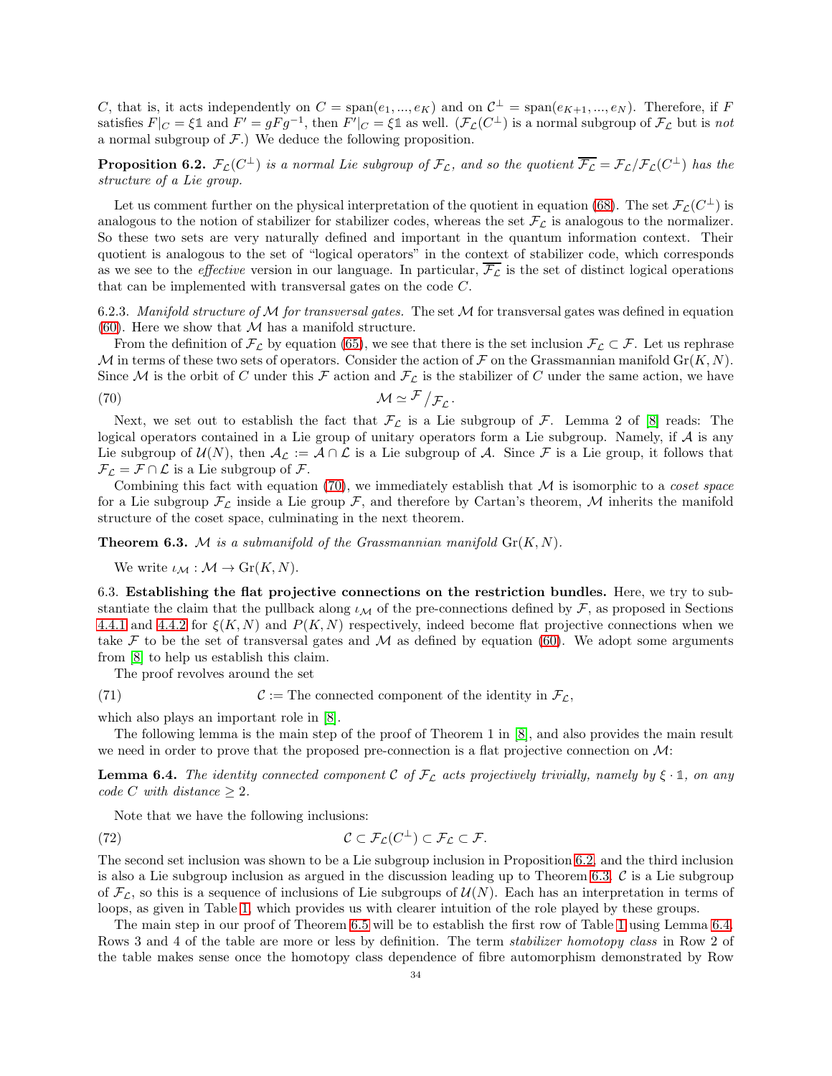C, that is, it acts independently on  $C = \text{span}(e_1, ..., e_K)$  and on  $C^{\perp} = \text{span}(e_{K+1}, ..., e_N)$ . Therefore, if F satisfies  $F|_C = \xi \mathbb{1}$  and  $F' = gFg^{-1}$ , then  $F'|_C = \xi \mathbb{1}$  as well.  $(\mathcal{F}_\mathcal{L}(C^\perp))$  is a normal subgroup of  $\mathcal{F}_\mathcal{L}$  but is not a normal subgroup of  $F$ .) We deduce the following proposition.

<span id="page-33-2"></span>**Proposition 6.2.**  $\mathcal{F}_{\mathcal{L}}(C^{\perp})$  is a normal Lie subgroup of  $\mathcal{F}_{\mathcal{L}}$ , and so the quotient  $\overline{\mathcal{F}_{\mathcal{L}}} = \mathcal{F}_{\mathcal{L}}/\mathcal{F}_{\mathcal{L}}(C^{\perp})$  has the structure of a Lie group.

Let us comment further on the physical interpretation of the quotient in equation [\(68\)](#page-32-1). The set  $\mathcal{F}_\mathcal{L}(C^\perp)$  is analogous to the notion of stabilizer for stabilizer codes, whereas the set  $\mathcal{F}_\mathcal{L}$  is analogous to the normalizer. So these two sets are very naturally defined and important in the quantum information context. Their quotient is analogous to the set of "logical operators" in the context of stabilizer code, which corresponds as we see to the *effective* version in our language. In particular,  $\overline{\mathcal{F}}_c$  is the set of distinct logical operations that can be implemented with transversal gates on the code C.

6.2.3. Manifold structure of M for transversal gates. The set  $M$  for transversal gates was defined in equation [\(60\)](#page-31-2). Here we show that  $M$  has a manifold structure.

From the definition of  $\mathcal{F}_\mathcal{L}$  by equation [\(65\)](#page-32-2), we see that there is the set inclusion  $\mathcal{F}_\mathcal{L} \subset \mathcal{F}$ . Let us rephrase M in terms of these two sets of operators. Consider the action of F on the Grassmannian manifold  $\text{Gr}(K, N)$ . Since M is the orbit of C under this F action and  $\mathcal{F}_\mathcal{L}$  is the stabilizer of C under the same action, we have

<span id="page-33-1"></span>.

$$
\mathcal{M} \simeq \mathcal{F}/\mathcal{F}_\mathcal{L}
$$

Next, we set out to establish the fact that  $\mathcal{F}_\mathcal{L}$  is a Lie subgroup of  $\mathcal{F}$ . Lemma 2 of [\[8\]](#page-63-7) reads: The logical operators contained in a Lie group of unitary operators form a Lie subgroup. Namely, if A is any Lie subgroup of  $U(N)$ , then  $\mathcal{A}_{\mathcal{L}} := \mathcal{A} \cap \mathcal{L}$  is a Lie subgroup of  $\mathcal{A}$ . Since  $\mathcal{F}$  is a Lie group, it follows that  $\mathcal{F}_{\mathcal{L}} = \mathcal{F} \cap \mathcal{L}$  is a Lie subgroup of  $\mathcal{F}$ .

Combining this fact with equation  $(70)$ , we immediately establish that M is isomorphic to a *coset space* for a Lie subgroup  $\mathcal{F}_\mathcal{L}$  inside a Lie group  $\mathcal{F}$ , and therefore by Cartan's theorem, M inherits the manifold structure of the coset space, culminating in the next theorem.

<span id="page-33-3"></span>**Theorem 6.3.** M is a submanifold of the Grassmannian manifold  $\text{Gr}(K, N)$ .

We write  $\iota_{\mathcal{M}} : \mathcal{M} \to Gr(K,N).$ 

<span id="page-33-0"></span>6.3. Establishing the flat projective connections on the restriction bundles. Here, we try to substantiate the claim that the pullback along  $\iota_M$  of the pre-connections defined by F, as proposed in Sections [4.4.1](#page-24-4) and [4.4.2](#page-24-5) for  $\xi(K, N)$  and  $P(K, N)$  respectively, indeed become flat projective connections when we take F to be the set of transversal gates and M as defined by equation [\(60\)](#page-31-2). We adopt some arguments from [\[8\]](#page-63-7) to help us establish this claim.

The proof revolves around the set

(71)  $\mathcal{C} := \text{The connected component of the identity in } \mathcal{F}_{\mathcal{L}},$ 

which also plays an important role in [\[8\]](#page-63-7).

The following lemma is the main step of the proof of Theorem 1 in [\[8\]](#page-63-7), and also provides the main result we need in order to prove that the proposed pre-connection is a flat projective connection on  $\mathcal{M}$ :

<span id="page-33-4"></span>**Lemma 6.4.** The identity connected component C of  $\mathcal{F}_\mathcal{L}$  acts projectively trivially, namely by  $\xi \cdot \mathbb{1}$ , on any code C with distance  $\geq 2$ .

Note that we have the following inclusions:

(72) 
$$
\mathcal{C} \subset \mathcal{F}_{\mathcal{L}}(C^{\perp}) \subset \mathcal{F}_{\mathcal{L}} \subset \mathcal{F}.
$$

The second set inclusion was shown to be a Lie subgroup inclusion in Proposition [6.2,](#page-33-2) and the third inclusion is also a Lie subgroup inclusion as argued in the discussion leading up to Theorem [6.3.](#page-33-3)  $\mathcal C$  is a Lie subgroup of  $\mathcal{F}_{\mathcal{L}}$ , so this is a sequence of inclusions of Lie subgroups of  $\mathcal{U}(N)$ . Each has an interpretation in terms of loops, as given in Table [1,](#page-34-1) which provides us with clearer intuition of the role played by these groups.

The main step in our proof of Theorem [6.5](#page-34-0) will be to establish the first row of Table [1](#page-34-1) using Lemma [6.4.](#page-33-4) Rows 3 and 4 of the table are more or less by definition. The term stabilizer homotopy class in Row 2 of the table makes sense once the homotopy class dependence of fibre automorphism demonstrated by Row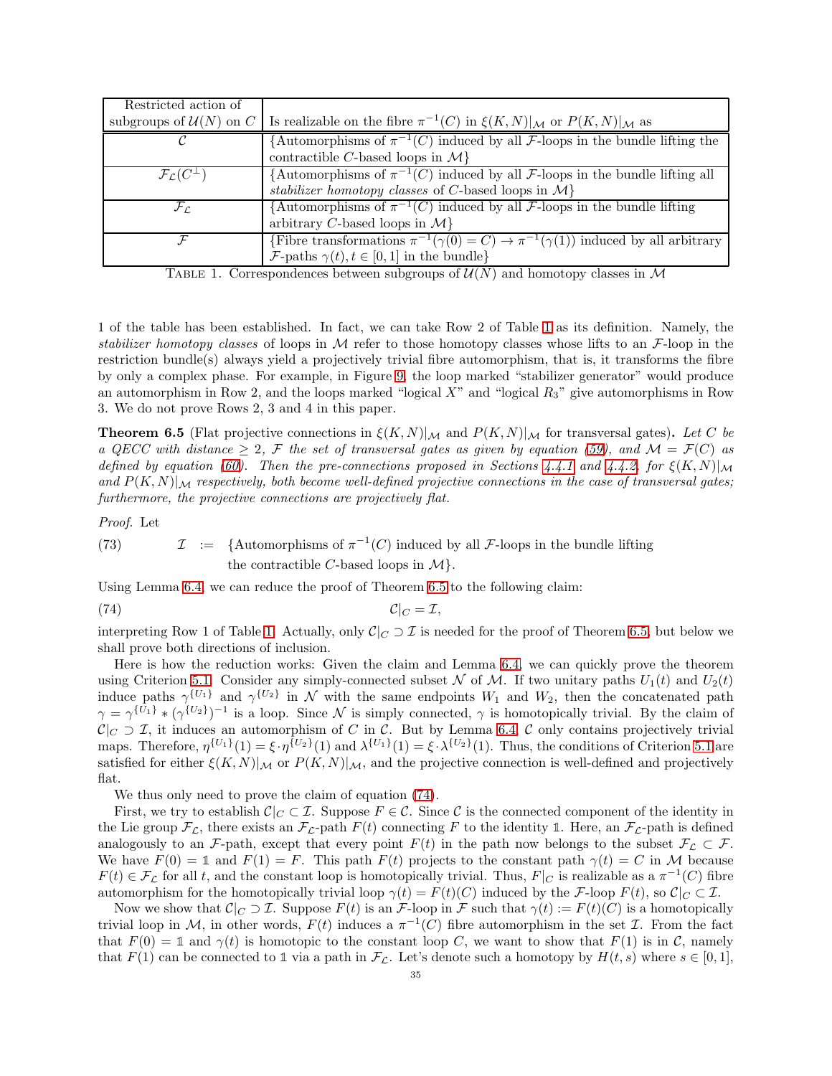| Restricted action of               |                                                                                                                  |
|------------------------------------|------------------------------------------------------------------------------------------------------------------|
| subgroups of $\mathcal{U}(N)$ on C | Is realizable on the fibre $\pi^{-1}(C)$ in $\xi(K,N) _{\mathcal{M}}$ or $P(K,N) _{\mathcal{M}}$ as              |
|                                    | {Automorphisms of $\pi^{-1}(C)$ induced by all <i>F</i> -loops in the bundle lifting the                         |
|                                    | contractible C-based loops in $\mathcal{M}\}$                                                                    |
| $\mathcal{F}_C(C^{\perp})$         | $\overline{A$ utomorphisms of $\pi^{-1}(C)$ induced by all F-loops in the bundle lifting all                     |
|                                    | stabilizer homotopy classes of C-based loops in $\mathcal{M}\}$                                                  |
| $\mathcal{F}_{\mathcal{L}}$        | $\overline{A$ utomorphisms of $\pi^{-1}(C)$ induced by all F-loops in the bundle lifting                         |
|                                    | arbitrary C-based loops in $\mathcal{M}\}$                                                                       |
|                                    | $\overline{\text{Fibre transformations }\pi^{-1}(\gamma(0)=C)} \to \pi^{-1}(\gamma(1))$ induced by all arbitrary |
|                                    | $\mathcal{F}\text{-paths } \gamma(t), t \in [0,1] \text{ in the bundle}$                                         |

<span id="page-34-1"></span>TABLE 1. Correspondences between subgroups of  $\mathcal{U}(N)$  and homotopy classes in M

1 of the table has been established. In fact, we can take Row 2 of Table [1](#page-34-1) as its definition. Namely, the stabilizer homotopy classes of loops in M refer to those homotopy classes whose lifts to an  $\mathcal{F}$ -loop in the restriction bundle(s) always yield a projectively trivial fibre automorphism, that is, it transforms the fibre by only a complex phase. For example, in Figure [9,](#page-37-1) the loop marked "stabilizer generator" would produce an automorphism in Row 2, and the loops marked "logical  $X$ " and "logical  $R_3$ " give automorphisms in Row 3. We do not prove Rows 2, 3 and 4 in this paper.

<span id="page-34-0"></span>**Theorem 6.5** (Flat projective connections in  $\zeta(K,N)|_{\mathcal{M}}$  and  $P(K,N)|_{\mathcal{M}}$  for transversal gates). Let C be a QECC with distance  $\geq 2$ , F the set of transversal gates as given by equation [\(59\)](#page-31-3), and  $\mathcal{M} = \mathcal{F}(C)$  as defined by equation [\(60\)](#page-31-2). Then the pre-connections proposed in Sections [4.4.1](#page-24-4) and [4.4.2,](#page-24-5) for  $\xi(K,N)|_{\mathcal{M}}$ and  $P(K, N)|_{\mathcal{M}}$  respectively, both become well-defined projective connections in the case of transversal gates; furthermore, the projective connections are projectively flat.

Proof. Let

(73) 
$$
\mathcal{I} := \{ \text{Automorphisms of } \pi^{-1}(C) \text{ induced by all } \mathcal{F}\text{-loops in the bundle lifting the contractible } C\text{-based loops in } \mathcal{M} \}.
$$

Using Lemma [6.4,](#page-33-4) we can reduce the proof of Theorem [6.5](#page-34-0) to the following claim:

<span id="page-34-2"></span>
$$
C|_C = \mathcal{I},
$$

interpreting Row 1 of Table [1.](#page-34-1) Actually, only  $C|_C \supset \mathcal{I}$  is needed for the proof of Theorem [6.5,](#page-34-0) but below we shall prove both directions of inclusion.

Here is how the reduction works: Given the claim and Lemma [6.4,](#page-33-4) we can quickly prove the theorem using Criterion [5.1.](#page-29-1) Consider any simply-connected subset N of M. If two unitary paths  $U_1(t)$  and  $U_2(t)$ induce paths  $\gamma^{\{U_1\}}$  and  $\gamma^{\{U_2\}}$  in N with the same endpoints  $W_1$  and  $W_2$ , then the concatenated path  $\gamma = \gamma^{\{U_1\}} * (\gamma^{\{U_2\}})^{-1}$  is a loop. Since N is simply connected,  $\gamma$  is homotopically trivial. By the claim of  $C|_C \supset \mathcal{I}$ , it induces an automorphism of C in C. But by Lemma [6.4,](#page-33-4) C only contains projectively trivial maps. Therefore,  $\eta^{\{U_1\}}(1) = \xi \cdot \eta^{\{U_2\}}(1)$  and  $\lambda^{\{U_1\}}(1) = \xi \cdot \lambda^{\{U_2\}}(1)$ . Thus, the conditions of Criterion [5.1](#page-29-1) are satisfied for either  $\xi(K,N)|_{\mathcal{M}}$  or  $P(K,N)|_{\mathcal{M}}$ , and the projective connection is well-defined and projectively flat.

We thus only need to prove the claim of equation [\(74\)](#page-34-2).

First, we try to establish  $\mathcal{C}|_C \subset \mathcal{I}$ . Suppose  $F \in \mathcal{C}$ . Since  $\mathcal{C}$  is the connected component of the identity in the Lie group  $\mathcal{F}_{\mathcal{L}}$ , there exists an  $\mathcal{F}_{\mathcal{L}}$ -path  $F(t)$  connecting F to the identity 1. Here, an  $\mathcal{F}_{\mathcal{L}}$ -path is defined analogously to an F-path, except that every point  $F(t)$  in the path now belongs to the subset  $\mathcal{F}_{\mathcal{L}} \subset \mathcal{F}$ . We have  $F(0) = \mathbb{1}$  and  $F(1) = F$ . This path  $F(t)$  projects to the constant path  $\gamma(t) = C$  in M because  $F(t) \in \mathcal{F}_\mathcal{L}$  for all t, and the constant loop is homotopically trivial. Thus,  $F|_C$  is realizable as a  $\pi^{-1}(C)$  fibre automorphism for the homotopically trivial loop  $\gamma(t) = F(t)(C)$  induced by the F-loop  $F(t)$ , so  $C|_C \subset \mathcal{I}$ .

Now we show that  $\mathcal{C}|_C \supset \mathcal{I}$ . Suppose  $F(t)$  is an  $\mathcal{F}$ -loop in  $\mathcal{F}$  such that  $\gamma(t) := F(t)(C)$  is a homotopically trivial loop in M, in other words,  $F(t)$  induces a  $\pi^{-1}(C)$  fibre automorphism in the set  $\mathcal I$ . From the fact that  $F(0) = \mathbb{1}$  and  $\gamma(t)$  is homotopic to the constant loop C, we want to show that  $F(1)$  is in C, namely that  $F(1)$  can be connected to 1 via a path in  $\mathcal{F}_{\mathcal{L}}$ . Let's denote such a homotopy by  $H(t, s)$  where  $s \in [0, 1]$ ,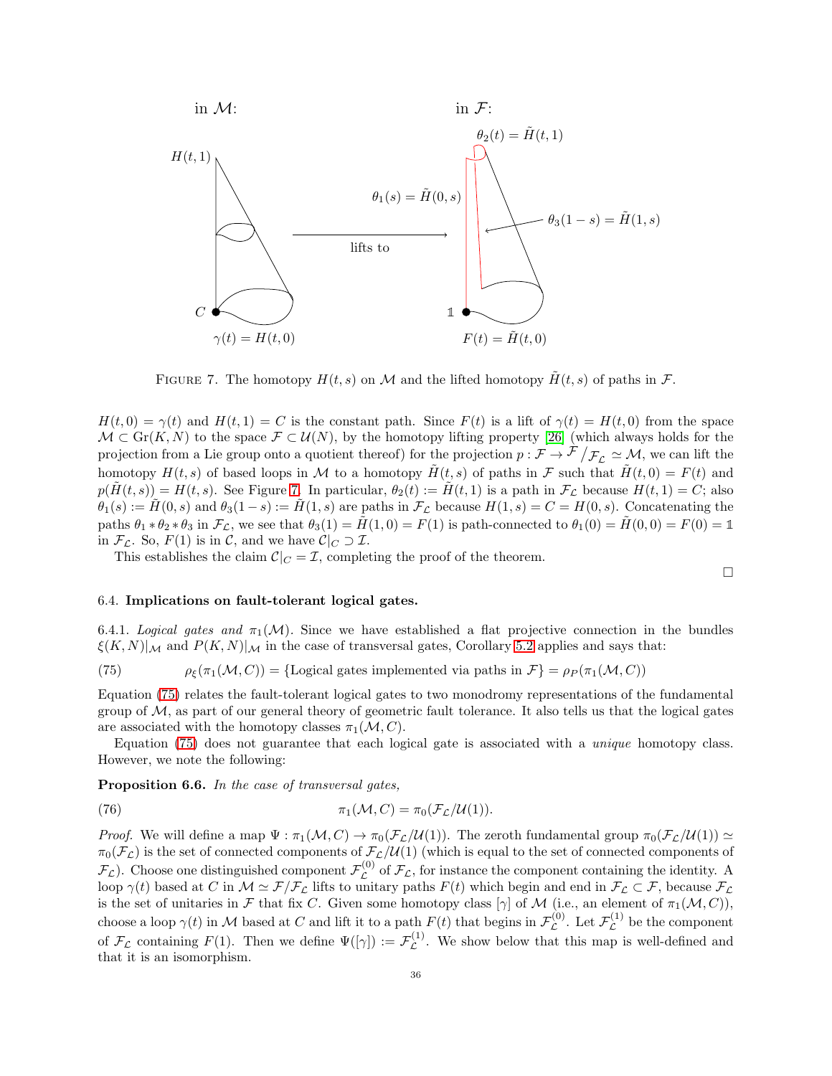

<span id="page-35-1"></span>FIGURE 7. The homotopy  $H(t, s)$  on M and the lifted homotopy  $\tilde{H}(t, s)$  of paths in F.

 $H(t, 0) = \gamma(t)$  and  $H(t, 1) = C$  is the constant path. Since  $F(t)$  is a lift of  $\gamma(t) = H(t, 0)$  from the space  $\mathcal{M} \subset \text{Gr}(K, N)$  to the space  $\mathcal{F} \subset \mathcal{U}(N)$ , by the homotopy lifting property [\[26\]](#page-63-18) (which always holds for the projection from a Lie group onto a quotient thereof) for the projection  $p : \mathcal{F} \to \mathcal{F}/\mathcal{F}_\mathcal{L} \simeq \mathcal{M}$ , we can lift the homotopy  $H(t, s)$  of based loops in M to a homotopy  $\tilde{H}(t, s)$  of paths in F such that  $\tilde{H}(t, 0) = F(t)$  and  $p(\tilde{H}(t, s)) = H(t, s)$ . See Figure [7.](#page-35-1) In particular,  $\theta_2(t) := \tilde{H}(t, 1)$  is a path in  $\mathcal{F}_L$  because  $H(t, 1) = C$ ; also  $\theta_1(s) := \tilde{H}(0, s)$  and  $\theta_3(1-s) := \tilde{H}(1, s)$  are paths in  $\mathcal{F}_\mathcal{L}$  because  $H(1, s) = C = H(0, s)$ . Concatenating the paths  $\theta_1 * \theta_2 * \theta_3$  in  $\mathcal{F}_\mathcal{L}$ , we see that  $\theta_3(1) = \tilde{H}(1,0) = F(1)$  is path-connected to  $\theta_1(0) = \tilde{H}(0,0) = F(0) = \mathbb{1}$ in  $\mathcal{F}_{\mathcal{L}}$ . So,  $F(1)$  is in C, and we have  $\mathcal{C}|_C \supset \mathcal{I}$ .

This establishes the claim  $\mathcal{C}|_C = \mathcal{I}$ , completing the proof of the theorem.

#### <span id="page-35-0"></span>6.4. Implications on fault-tolerant logical gates.

6.4.1. Logical gates and  $\pi_1(\mathcal{M})$ . Since we have established a flat projective connection in the bundles  $\xi(K, N)|_{\mathcal{M}}$  and  $P(K, N)|_{\mathcal{M}}$  in the case of transversal gates, Corollary [5.2](#page-30-3) applies and says that:

 $\Box$ 

<span id="page-35-2"></span>(75) 
$$
\rho_{\xi}(\pi_1(\mathcal{M}, C)) = {\text{Logical gates implemented via paths in } \mathcal{F} = \rho_P(\pi_1(\mathcal{M}, C))
$$

Equation [\(75\)](#page-35-2) relates the fault-tolerant logical gates to two monodromy representations of the fundamental group of  $M$ , as part of our general theory of geometric fault tolerance. It also tells us that the logical gates are associated with the homotopy classes  $\pi_1(\mathcal{M}, C)$ .

Equation [\(75\)](#page-35-2) does not guarantee that each logical gate is associated with a unique homotopy class. However, we note the following:

Proposition 6.6. In the case of transversal gates,

(76) 
$$
\pi_1(\mathcal{M}, C) = \pi_0(\mathcal{F}_\mathcal{L}/\mathcal{U}(1)).
$$

*Proof.* We will define a map  $\Psi : \pi_1(\mathcal{M}, C) \to \pi_0(\mathcal{F}_\mathcal{L}/\mathcal{U}(1))$ . The zeroth fundamental group  $\pi_0(\mathcal{F}_\mathcal{L}/\mathcal{U}(1)) \simeq$  $\pi_0(\mathcal{F}_\mathcal{L})$  is the set of connected components of  $\mathcal{F}_\mathcal{L}/\mathcal{U}(1)$  (which is equal to the set of connected components of  $\mathcal{F}_\mathcal{L}$ ). Choose one distinguished component  $\mathcal{F}_\mathcal{L}^{(0)}$  $\mathcal{L}^{(0)}$  of  $\mathcal{F}_{\mathcal{L}}$ , for instance the component containing the identity. A loop  $\gamma(t)$  based at C in  $\mathcal{M} \simeq \mathcal{F}/\mathcal{F}_\mathcal{L}$  lifts to unitary paths  $F(t)$  which begin and end in  $\mathcal{F}_\mathcal{L} \subset \mathcal{F}$ , because  $\mathcal{F}_\mathcal{L}$ is the set of unitaries in F that fix C. Given some homotopy class  $[\gamma]$  of M (i.e., an element of  $\pi_1(\mathcal{M}, C)$ ), choose a loop  $\gamma(t)$  in M based at C and lift it to a path  $F(t)$  that begins in  $\mathcal{F}_{\mathcal{L}}^{(0)}$  $\mathcal{L}^{(0)}$ . Let  $\mathcal{F}_{\mathcal{L}}^{(1)}$  $\mathcal{L}^{(1)}$  be the component of  $\mathcal{F}_{\mathcal{L}}$  containing  $F(1)$ . Then we define  $\Psi([\gamma]) := \mathcal{F}_{\mathcal{L}}^{(1)}$  $\mathcal{L}^{(1)}$ . We show below that this map is well-defined and that it is an isomorphism.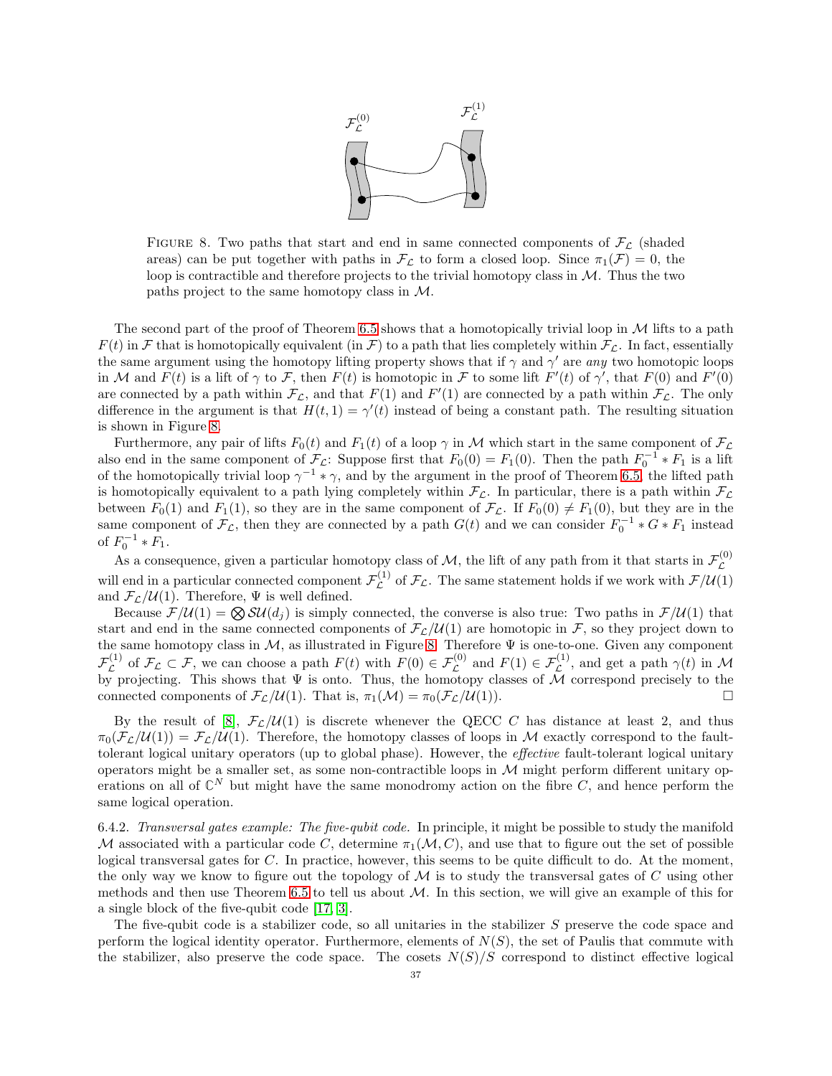

<span id="page-36-1"></span>FIGURE 8. Two paths that start and end in same connected components of  $\mathcal{F}_{\mathcal{L}}$  (shaded areas) can be put together with paths in  $\mathcal{F}_{\mathcal{L}}$  to form a closed loop. Since  $\pi_1(\mathcal{F}) = 0$ , the loop is contractible and therefore projects to the trivial homotopy class in  $M$ . Thus the two paths project to the same homotopy class in M.

The second part of the proof of Theorem [6.5](#page-34-0) shows that a homotopically trivial loop in  $\mathcal M$  lifts to a path  $F(t)$  in F that is homotopically equivalent (in F) to a path that lies completely within  $\mathcal{F}_\mathcal{L}$ . In fact, essentially the same argument using the homotopy lifting property shows that if  $\gamma$  and  $\gamma'$  are any two homotopic loops in M and  $F(t)$  is a lift of  $\gamma$  to F, then  $F(t)$  is homotopic in F to some lift  $F'(t)$  of  $\gamma'$ , that  $F(0)$  and  $F'(0)$ are connected by a path within  $\mathcal{F}_\mathcal{L}$ , and that  $F(1)$  and  $F'(1)$  are connected by a path within  $\mathcal{F}_\mathcal{L}$ . The only difference in the argument is that  $H(t, 1) = \gamma'(t)$  instead of being a constant path. The resulting situation is shown in Figure [8.](#page-36-1)

Furthermore, any pair of lifts  $F_0(t)$  and  $F_1(t)$  of a loop  $\gamma$  in M which start in the same component of  $\mathcal{F}_\mathcal{L}$ also end in the same component of  $\mathcal{F}_c$ : Suppose first that  $F_0(0) = F_1(0)$ . Then the path  $F_0^{-1} * F_1$  is a lift of the homotopically trivial loop  $\gamma^{-1} * \gamma$ , and by the argument in the proof of Theorem [6.5,](#page-34-0) the lifted path is homotopically equivalent to a path lying completely within  $\mathcal{F}_L$ . In particular, there is a path within  $\mathcal{F}_L$ between  $F_0(1)$  and  $F_1(1)$ , so they are in the same component of  $\mathcal{F}_L$ . If  $F_0(0) \neq F_1(0)$ , but they are in the same component of  $\mathcal{F}_{\mathcal{L}}$ , then they are connected by a path  $G(t)$  and we can consider  $F_0^{-1} * G * F_1$  instead of  $F_0^{-1} * F_1$ .

As a consequence, given a particular homotopy class of  $M$ , the lift of any path from it that starts in  $\mathcal{F}_{\mathcal{L}}^{(0)}$  $\mathcal{L}% _{G}$ will end in a particular connected component  $\mathcal{F}_{\mathcal{L}}^{(1)}$  $\mathcal{L}^{(1)}$  of  $\mathcal{F}_{\mathcal{L}}$ . The same statement holds if we work with  $\mathcal{F}/\mathcal{U}(1)$ and  ${\cal F_L}/U(1).$  Therefore,  $\Psi$  is well defined.

Because  $\mathcal{F}/\mathcal{U}(1) = \bigotimes \mathcal{SU}(d_i)$  is simply connected, the converse is also true: Two paths in  $\mathcal{F}/\mathcal{U}(1)$  that start and end in the same connected components of  $\mathcal{F}_\mathcal{L}(\mathcal{U}(1))$  are homotopic in  $\mathcal{F}$ , so they project down to the same homotopy class in  $M$ , as illustrated in Figure [8.](#page-36-1) Therefore  $\Psi$  is one-to-one. Given any component  $\mathcal{F}_{\mathcal{L}}^{(1)}$ <sup>(1)</sup> of  $\mathcal{F}_{\mathcal{L}} \subset \mathcal{F}$ , we can choose a path  $F(t)$  with  $F(0) \in \mathcal{F}_{\mathcal{L}}^{(0)}$  and  $F(1) \in \mathcal{F}_{\mathcal{L}}^{(1)}$ , and get a path  $\gamma(t)$  in M by projecting. This shows that  $\Psi$  is onto. Thus, the homotopy classes of M correspond precisely to the connected components of  $\mathcal{F}_{\mathcal{L}}/U(1)$ . That is,  $\pi_1(\mathcal{M}) = \pi_0(\mathcal{F}_{\mathcal{L}}/U(1))$ .

By the result of [\[8\]](#page-63-7),  $\mathcal{F}_{\mathcal{L}}/\mathcal{U}(1)$  is discrete whenever the QECC C has distance at least 2, and thus  $\pi_0(\mathcal{F}_\mathcal{L}/\mathcal{U}(1)) = \mathcal{F}_\mathcal{L}/\mathcal{U}(1)$ . Therefore, the homotopy classes of loops in M exactly correspond to the faulttolerant logical unitary operators (up to global phase). However, the effective fault-tolerant logical unitary operators might be a smaller set, as some non-contractible loops in  $M$  might perform different unitary operations on all of  $\mathbb{C}^N$  but might have the same monodromy action on the fibre  $C$ , and hence perform the same logical operation.

<span id="page-36-0"></span>6.4.2. Transversal gates example: The five-qubit code. In principle, it might be possible to study the manifold M associated with a particular code C, determine  $\pi_1(\mathcal{M}, C)$ , and use that to figure out the set of possible logical transversal gates for C. In practice, however, this seems to be quite difficult to do. At the moment, the only way we know to figure out the topology of  $\cal{M}$  is to study the transversal gates of C using other methods and then use Theorem [6.5](#page-34-0) to tell us about  $M$ . In this section, we will give an example of this for a single block of the five-qubit code [\[17,](#page-63-19) [3\]](#page-63-9).

The five-qubit code is a stabilizer code, so all unitaries in the stabilizer S preserve the code space and perform the logical identity operator. Furthermore, elements of  $N(S)$ , the set of Paulis that commute with the stabilizer, also preserve the code space. The cosets  $N(S)/S$  correspond to distinct effective logical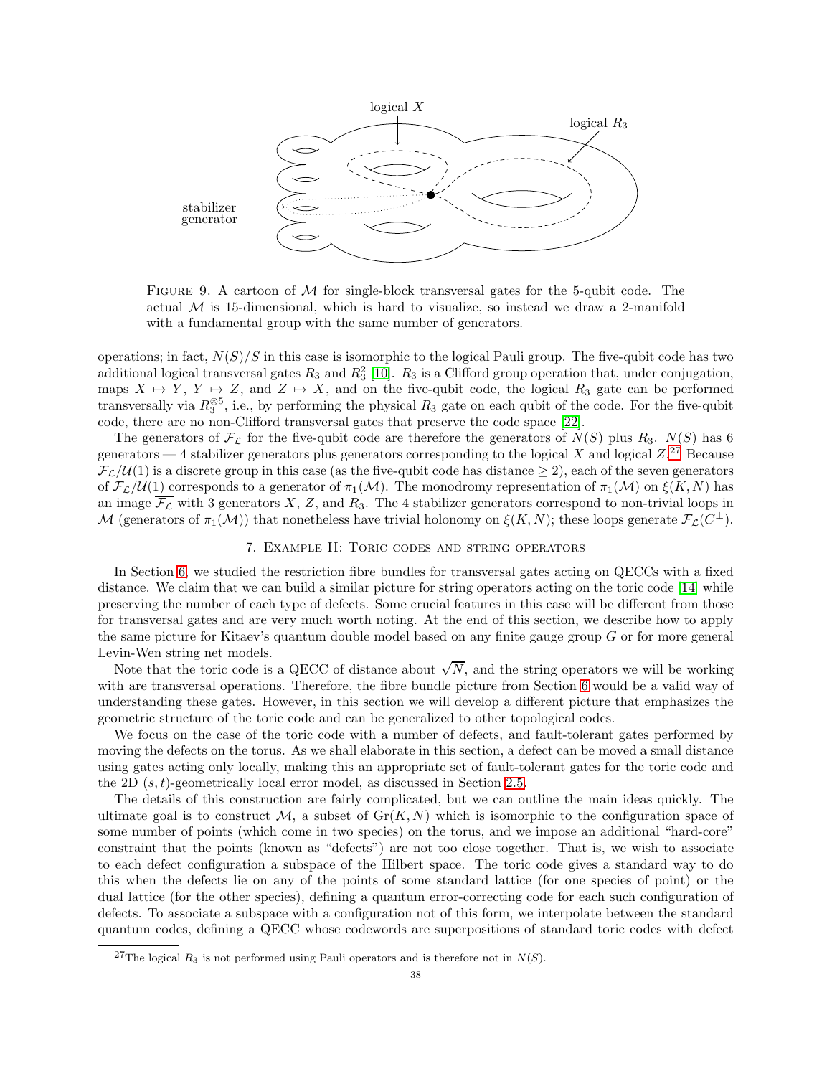

<span id="page-37-1"></span>FIGURE 9. A cartoon of  $M$  for single-block transversal gates for the 5-qubit code. The actual  $M$  is 15-dimensional, which is hard to visualize, so instead we draw a 2-manifold with a fundamental group with the same number of generators.

operations; in fact,  $N(S)/S$  in this case is isomorphic to the logical Pauli group. The five-qubit code has two additional logical transversal gates  $R_3$  and  $R_3^2$  [\[10\]](#page-63-20).  $R_3$  is a Clifford group operation that, under conjugation, maps  $X \mapsto Y$ ,  $Y \mapsto Z$ , and  $Z \mapsto X$ , and on the five-qubit code, the logical  $R_3$  gate can be performed transversally via  $R_3^{\otimes 5}$ , i.e., by performing the physical  $R_3$  gate on each qubit of the code. For the five-qubit code, there are no non-Clifford transversal gates that preserve the code space [\[22\]](#page-63-21).

The generators of  $\mathcal{F}_{\mathcal{L}}$  for the five-qubit code are therefore the generators of  $N(S)$  plus  $R_3$ .  $N(S)$  has 6 generators — 4 stabilizer generators plus generators corresponding to the logical X and logical  $Z$ .<sup>[27](#page-37-2)</sup> Because  $\mathcal{F}_\mathcal{L}/\mathcal{U}(1)$  is a discrete group in this case (as the five-qubit code has distance  $\geq 2$ ), each of the seven generators of  $\mathcal{F}_\mathcal{L}/\mathcal{U}(1)$  corresponds to a generator of  $\pi_1(\mathcal{M})$ . The monodromy representation of  $\pi_1(\mathcal{M})$  on  $\xi(K, N)$  has an image  $\overline{\mathcal{F}_{\mathcal{L}}}$  with 3 generators X, Z, and R<sub>3</sub>. The 4 stabilizer generators correspond to non-trivial loops in M (generators of  $\pi_1(\mathcal{M})$ ) that nonetheless have trivial holonomy on  $\xi(K, N)$ ; these loops generate  $\mathcal{F}_\mathcal{L}(C^{\perp})$ .

### 7. Example II: Toric codes and string operators

<span id="page-37-0"></span>In Section [6,](#page-30-1) we studied the restriction fibre bundles for transversal gates acting on QECCs with a fixed distance. We claim that we can build a similar picture for string operators acting on the toric code [\[14\]](#page-63-2) while preserving the number of each type of defects. Some crucial features in this case will be different from those for transversal gates and are very much worth noting. At the end of this section, we describe how to apply the same picture for Kitaev's quantum double model based on any finite gauge group  $G$  or for more general Levin-Wen string net models.

Note that the toric code is a QECC of distance about  $\sqrt{N}$ , and the string operators we will be working with are transversal operations. Therefore, the fibre bundle picture from Section [6](#page-30-1) would be a valid way of understanding these gates. However, in this section we will develop a different picture that emphasizes the geometric structure of the toric code and can be generalized to other topological codes.

We focus on the case of the toric code with a number of defects, and fault-tolerant gates performed by moving the defects on the torus. As we shall elaborate in this section, a defect can be moved a small distance using gates acting only locally, making this an appropriate set of fault-tolerant gates for the toric code and the 2D  $(s, t)$ -geometrically local error model, as discussed in Section [2.5.](#page-9-0)

The details of this construction are fairly complicated, but we can outline the main ideas quickly. The ultimate goal is to construct M, a subset of  $\text{Gr}(K, N)$  which is isomorphic to the configuration space of some number of points (which come in two species) on the torus, and we impose an additional "hard-core" constraint that the points (known as "defects") are not too close together. That is, we wish to associate to each defect configuration a subspace of the Hilbert space. The toric code gives a standard way to do this when the defects lie on any of the points of some standard lattice (for one species of point) or the dual lattice (for the other species), defining a quantum error-correcting code for each such configuration of defects. To associate a subspace with a configuration not of this form, we interpolate between the standard quantum codes, defining a QECC whose codewords are superpositions of standard toric codes with defect

<span id="page-37-2"></span><sup>&</sup>lt;sup>27</sup>The logical  $R_3$  is not performed using Pauli operators and is therefore not in  $N(S)$ .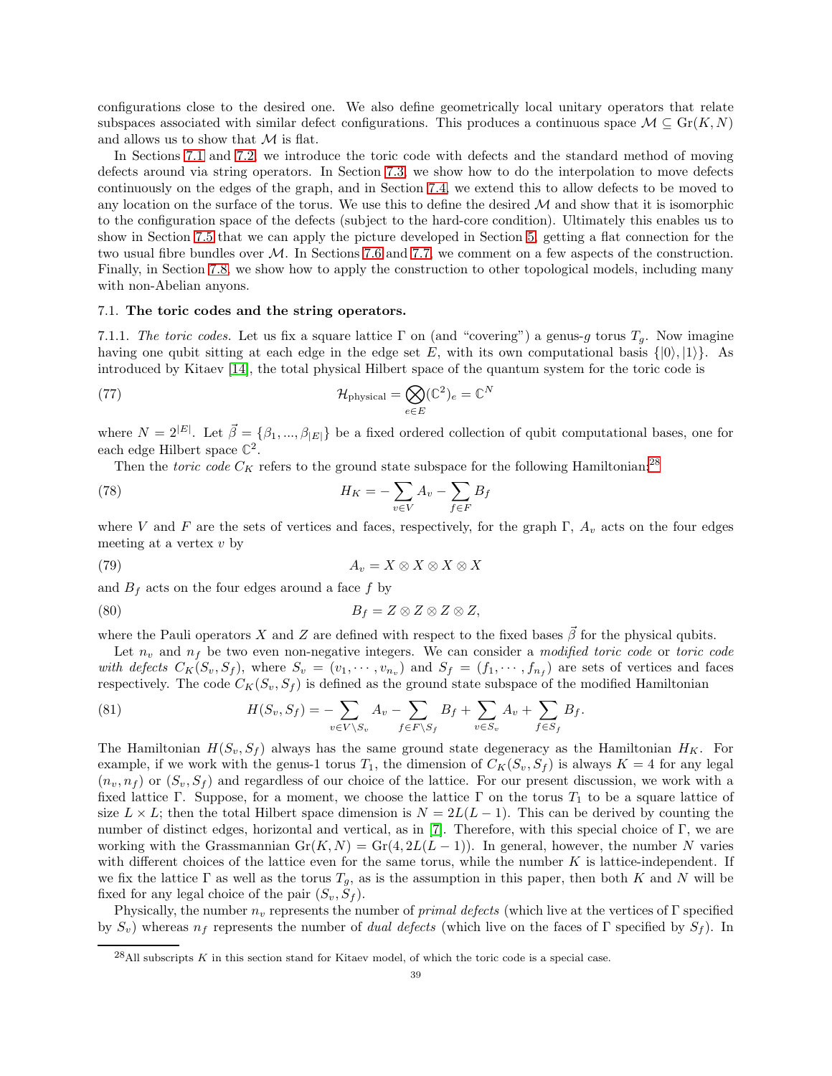configurations close to the desired one. We also define geometrically local unitary operators that relate subspaces associated with similar defect configurations. This produces a continuous space  $\mathcal{M} \subseteq \text{Gr}(K, N)$ and allows us to show that  $\mathcal M$  is flat.

In Sections [7.1](#page-38-0) and [7.2,](#page-39-0) we introduce the toric code with defects and the standard method of moving defects around via string operators. In Section [7.3,](#page-43-0) we show how to do the interpolation to move defects continuously on the edges of the graph, and in Section [7.4,](#page-46-0) we extend this to allow defects to be moved to any location on the surface of the torus. We use this to define the desired  $\mathcal M$  and show that it is isomorphic to the configuration space of the defects (subject to the hard-core condition). Ultimately this enables us to show in Section [7.5](#page-54-0) that we can apply the picture developed in Section [5,](#page-24-0) getting a flat connection for the two usual fibre bundles over M. In Sections [7.6](#page-56-0) and [7.7,](#page-57-0) we comment on a few aspects of the construction. Finally, in Section [7.8,](#page-57-1) we show how to apply the construction to other topological models, including many with non-Abelian anyons.

#### <span id="page-38-1"></span><span id="page-38-0"></span>7.1. The toric codes and the string operators.

7.1.1. The toric codes. Let us fix a square lattice  $\Gamma$  on (and "covering") a genus-g torus  $T_q$ . Now imagine having one qubit sitting at each edge in the edge set E, with its own computational basis  $\{|0\rangle, |1\rangle\}$ . As introduced by Kitaev [\[14\]](#page-63-2), the total physical Hilbert space of the quantum system for the toric code is

(77) 
$$
\mathcal{H}_{\text{physical}} = \bigotimes_{e \in E} (\mathbb{C}^2)_e = \mathbb{C}^N
$$

where  $N = 2^{|E|}$ . Let  $\vec{\beta} = \{\beta_1, ..., \beta_{|E|}\}$  be a fixed ordered collection of qubit computational bases, one for each edge Hilbert space **C** 2 .

Then the *toric code*  $C_K$  refers to the ground state subspace for the following Hamiltonian:<sup>[28](#page-38-2)</sup>

$$
(78)\qquad H_K = -\sum_{v \in V} A_v - \sum_{f \in F} B_f
$$

where V and F are the sets of vertices and faces, respectively, for the graph Γ,  $A_v$  acts on the four edges meeting at a vertex  $v$  by

$$
(79) \t\t A_v = X \otimes X \otimes X \otimes X
$$

and  $B_f$  acts on the four edges around a face f by

$$
(80) \t\t Bf = Z \otimes Z \otimes Z \otimes Z,
$$

where the Pauli operators X and Z are defined with respect to the fixed bases  $\vec{\beta}$  for the physical qubits.

Let  $n_v$  and  $n_f$  be two even non-negative integers. We can consider a modified toric code or toric code with defects  $C_K(S_v, S_f)$ , where  $S_v = (v_1, \dots, v_{n_v})$  and  $S_f = (f_1, \dots, f_{n_f})$  are sets of vertices and faces respectively. The code  $C_K(S_v, S_f)$  is defined as the ground state subspace of the modified Hamiltonian

(81) 
$$
H(S_v, S_f) = -\sum_{v \in V \backslash S_v} A_v - \sum_{f \in F \backslash S_f} B_f + \sum_{v \in S_v} A_v + \sum_{f \in S_f} B_f.
$$

The Hamiltonian  $H(S_v, S_f)$  always has the same ground state degeneracy as the Hamiltonian  $H_K$ . For example, if we work with the genus-1 torus  $T_1$ , the dimension of  $C_K(S_v, S_f)$  is always  $K = 4$  for any legal  $(n_v, n_f)$  or  $(S_v, S_f)$  and regardless of our choice of the lattice. For our present discussion, we work with a fixed lattice Γ. Suppose, for a moment, we choose the lattice Γ on the torus  $T_1$  to be a square lattice of size  $L \times L$ ; then the total Hilbert space dimension is  $N = 2L(L-1)$ . This can be derived by counting the number of distinct edges, horizontal and vertical, as in [\[7\]](#page-63-4). Therefore, with this special choice of Γ, we are working with the Grassmannian  $Gr(K, N) = Gr(4, 2L(L-1))$ . In general, however, the number N varies with different choices of the lattice even for the same torus, while the number  $K$  is lattice-independent. If we fix the lattice  $\Gamma$  as well as the torus  $T_g$ , as is the assumption in this paper, then both K and N will be fixed for any legal choice of the pair  $(S_v, S_f)$ .

Physically, the number  $n_v$  represents the number of *primal defects* (which live at the vertices of Γ specified by  $S_v$ ) whereas  $n_f$  represents the number of *dual defects* (which live on the faces of Γ specified by  $S_f$ ). In

<span id="page-38-2"></span> $^{28}$ All subscripts K in this section stand for Kitaev model, of which the toric code is a special case.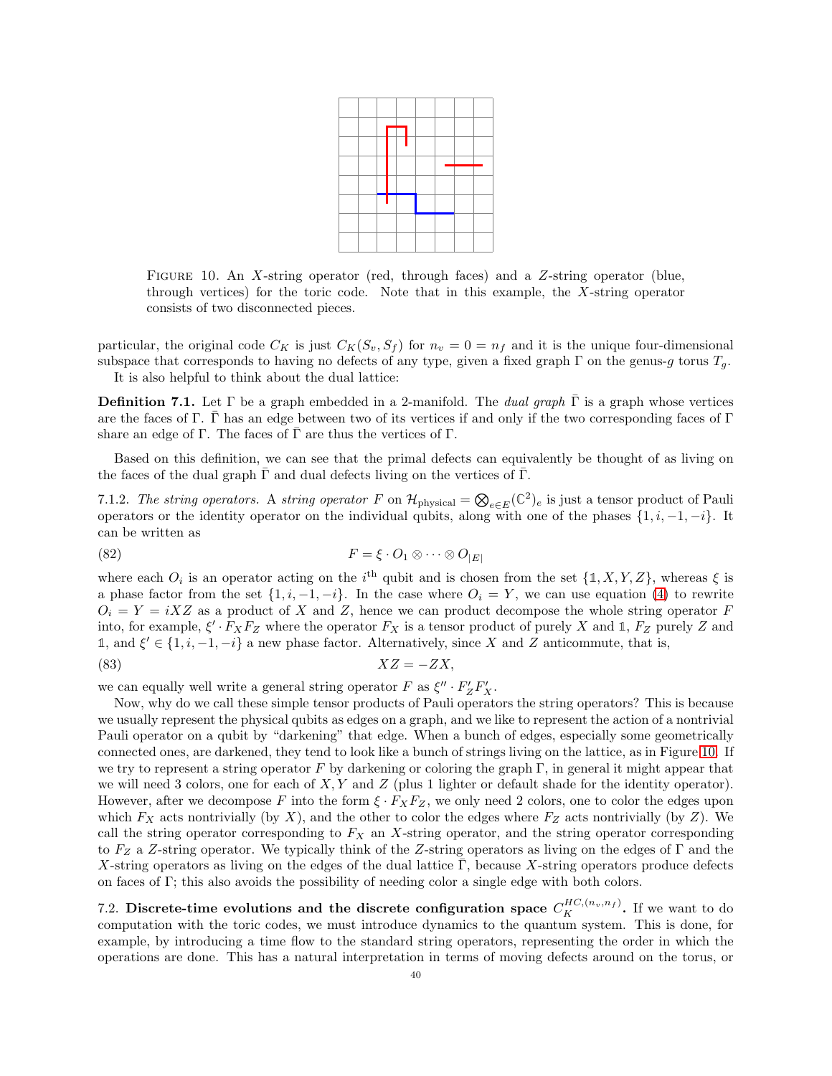

<span id="page-39-1"></span>FIGURE 10. An X-string operator (red, through faces) and a Z-string operator (blue, through vertices) for the toric code. Note that in this example, the X-string operator consists of two disconnected pieces.

particular, the original code  $C_K$  is just  $C_K(S_v, S_f)$  for  $n_v = 0 = n_f$  and it is the unique four-dimensional subspace that corresponds to having no defects of any type, given a fixed graph  $\Gamma$  on the genus-g torus  $T_g$ . It is also helpful to think about the dual lattice:

**Definition 7.1.** Let Γ be a graph embedded in a 2-manifold. The *dual graph*  $\bar{\Gamma}$  is a graph whose vertices are the faces of Γ. Γ has an edge between two of its vertices if and only if the two corresponding faces of Γ share an edge of Γ. The faces of  $\bar{\Gamma}$  are thus the vertices of Γ.

Based on this definition, we can see that the primal defects can equivalently be thought of as living on the faces of the dual graph  $\Gamma$  and dual defects living on the vertices of  $\Gamma$ .

7.1.2. The string operators. A string operator F on  $\mathcal{H}_{\text{physical}} = \bigotimes_{e \in E} (\mathbb{C}^2)_e$  is just a tensor product of Pauli operators or the identity operator on the individual qubits, along with one of the phases  $\{1, i, -1, -i\}$ . It can be written as

(82) 
$$
F = \xi \cdot O_1 \otimes \cdots \otimes O_{|E|}
$$

where each  $O_i$  is an operator acting on the i<sup>th</sup> qubit and is chosen from the set  $\{1, X, Y, Z\}$ , whereas  $\xi$  is a phase factor from the set  $\{1, i, -1, -i\}$ . In the case where  $O_i = Y$ , we can use equation [\(4\)](#page-6-8) to rewrite  $O_i = Y = iXZ$  as a product of X and Z, hence we can product decompose the whole string operator F into, for example,  $\xi' \cdot F_X F_Z$  where the operator  $F_X$  is a tensor product of purely X and 1,  $F_Z$  purely Z and 1, and  $\xi' \in \{1, i, -1, -i\}$  a new phase factor. Alternatively, since X and Z anticommute, that is,

$$
(83)\t\t\t XZ = -ZX,
$$

we can equally well write a general string operator  $F$  as  $\xi'' \cdot F'_Z F'_X$ .

Now, why do we call these simple tensor products of Pauli operators the string operators? This is because we usually represent the physical qubits as edges on a graph, and we like to represent the action of a nontrivial Pauli operator on a qubit by "darkening" that edge. When a bunch of edges, especially some geometrically connected ones, are darkened, they tend to look like a bunch of strings living on the lattice, as in Figure [10.](#page-39-1) If we try to represent a string operator F by darkening or coloring the graph  $\Gamma$ , in general it might appear that we will need 3 colors, one for each of  $X, Y$  and  $Z$  (plus 1 lighter or default shade for the identity operator). However, after we decompose F into the form  $\xi \cdot F_X F_Z$ , we only need 2 colors, one to color the edges upon which  $F_X$  acts nontrivially (by X), and the other to color the edges where  $F_Z$  acts nontrivially (by Z). We call the string operator corresponding to  $F_X$  an X-string operator, and the string operator corresponding to  $F_Z$  a Z-string operator. We typically think of the Z-string operators as living on the edges of Γ and the X-string operators as living on the edges of the dual lattice  $\overline{\Gamma}$ , because X-string operators produce defects on faces of Γ; this also avoids the possibility of needing color a single edge with both colors.

<span id="page-39-0"></span>7.2. Discrete-time evolutions and the discrete configuration space  $C_K^{HC,(n_v,n_f)}$ . If we want to do computation with the toric codes, we must introduce dynamics to the quantum system. This is done, for example, by introducing a time flow to the standard string operators, representing the order in which the operations are done. This has a natural interpretation in terms of moving defects around on the torus, or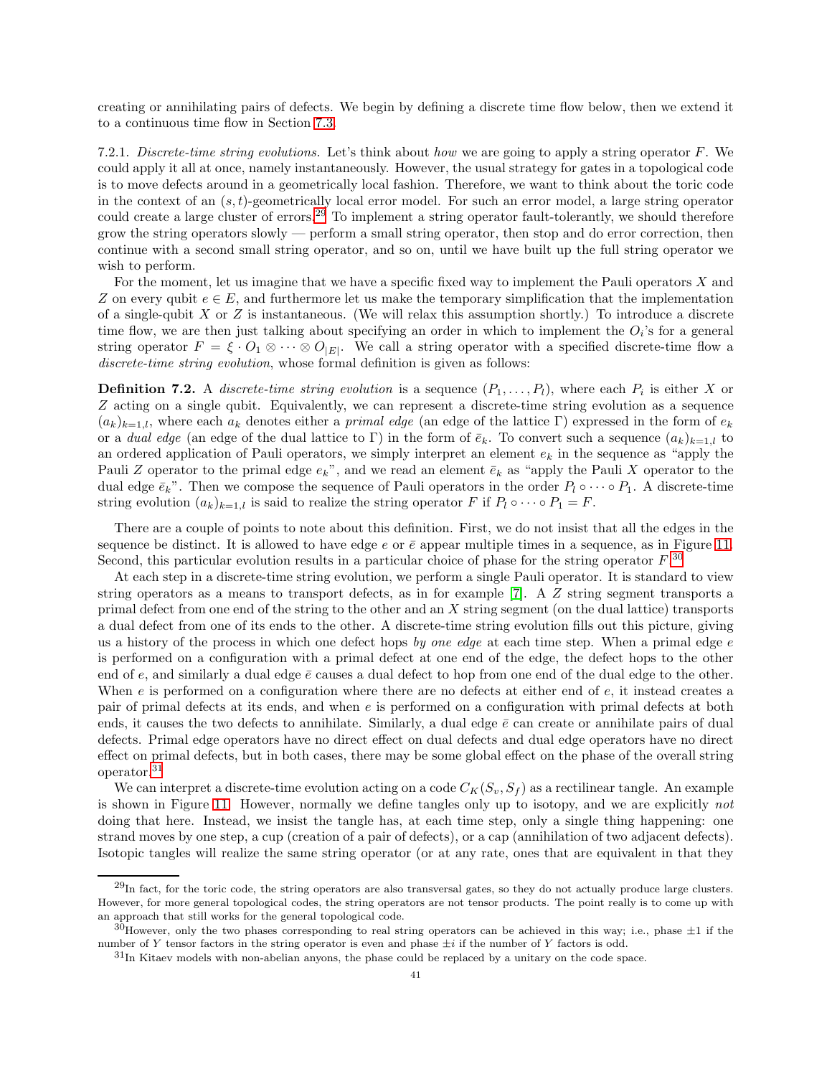creating or annihilating pairs of defects. We begin by defining a discrete time flow below, then we extend it to a continuous time flow in Section [7.3.](#page-43-0)

7.2.1. Discrete-time string evolutions. Let's think about how we are going to apply a string operator F. We could apply it all at once, namely instantaneously. However, the usual strategy for gates in a topological code is to move defects around in a geometrically local fashion. Therefore, we want to think about the toric code in the context of an  $(s, t)$ -geometrically local error model. For such an error model, a large string operator could create a large cluster of errors.[29](#page-40-0) To implement a string operator fault-tolerantly, we should therefore grow the string operators slowly — perform a small string operator, then stop and do error correction, then continue with a second small string operator, and so on, until we have built up the full string operator we wish to perform.

For the moment, let us imagine that we have a specific fixed way to implement the Pauli operators X and Z on every qubit  $e \in E$ , and furthermore let us make the temporary simplification that the implementation of a single-qubit X or  $Z$  is instantaneous. (We will relax this assumption shortly.) To introduce a discrete time flow, we are then just talking about specifying an order in which to implement the  $O_i$ 's for a general string operator  $F = \xi \cdot O_1 \otimes \cdots \otimes O_{|E|}$ . We call a string operator with a specified discrete-time flow a discrete-time string evolution, whose formal definition is given as follows:

<span id="page-40-3"></span>**Definition 7.2.** A *discrete-time string evolution* is a sequence  $(P_1, \ldots, P_l)$ , where each  $P_i$  is either X or Z acting on a single qubit. Equivalently, we can represent a discrete-time string evolution as a sequence  $(a_k)_{k=1,l}$ , where each  $a_k$  denotes either a primal edge (an edge of the lattice Γ) expressed in the form of  $e_k$ or a dual edge (an edge of the dual lattice to Γ) in the form of  $\bar{e}_k$ . To convert such a sequence  $(a_k)_{k=1,l}$  to an ordered application of Pauli operators, we simply interpret an element  $e_k$  in the sequence as "apply the Pauli Z operator to the primal edge  $e_k$ ", and we read an element  $\bar{e}_k$  as "apply the Pauli X operator to the dual edge  $\bar{e}_k$ ". Then we compose the sequence of Pauli operators in the order  $P_l \circ \cdots \circ P_1$ . A discrete-time string evolution  $(a_k)_{k=1,l}$  is said to realize the string operator F if  $P_l \circ \cdots \circ P_1 = F$ .

There are a couple of points to note about this definition. First, we do not insist that all the edges in the sequence be distinct. It is allowed to have edge e or  $\bar{e}$  appear multiple times in a sequence, as in Figure [11.](#page-41-0) Second, this particular evolution results in a particular choice of phase for the string operator  $F^{,30}$  $F^{,30}$  $F^{,30}$ .

At each step in a discrete-time string evolution, we perform a single Pauli operator. It is standard to view string operators as a means to transport defects, as in for example [\[7\]](#page-63-4). A Z string segment transports a primal defect from one end of the string to the other and an X string segment (on the dual lattice) transports a dual defect from one of its ends to the other. A discrete-time string evolution fills out this picture, giving us a history of the process in which one defect hops by one edge at each time step. When a primal edge  $e$ is performed on a configuration with a primal defect at one end of the edge, the defect hops to the other end of e, and similarly a dual edge  $\bar{e}$  causes a dual defect to hop from one end of the dual edge to the other. When e is performed on a configuration where there are no defects at either end of e, it instead creates a pair of primal defects at its ends, and when e is performed on a configuration with primal defects at both ends, it causes the two defects to annihilate. Similarly, a dual edge  $\bar{e}$  can create or annihilate pairs of dual defects. Primal edge operators have no direct effect on dual defects and dual edge operators have no direct effect on primal defects, but in both cases, there may be some global effect on the phase of the overall string operator.[31](#page-40-2)

We can interpret a discrete-time evolution acting on a code  $C_K(S_v, S_f)$  as a rectilinear tangle. An example is shown in Figure [11.](#page-41-0) However, normally we define tangles only up to isotopy, and we are explicitly not doing that here. Instead, we insist the tangle has, at each time step, only a single thing happening: one strand moves by one step, a cup (creation of a pair of defects), or a cap (annihilation of two adjacent defects). Isotopic tangles will realize the same string operator (or at any rate, ones that are equivalent in that they

<span id="page-40-0"></span> $^{29}$ In fact, for the toric code, the string operators are also transversal gates, so they do not actually produce large clusters. However, for more general topological codes, the string operators are not tensor products. The point really is to come up with an approach that still works for the general topological code.

 $30$ However, only the two phases corresponding to real string operators can be achieved in this way; i.e., phase  $\pm 1$  if the number of Y tensor factors in the string operator is even and phase  $\pm i$  if the number of Y factors is odd.

<span id="page-40-2"></span><span id="page-40-1"></span><sup>&</sup>lt;sup>31</sup>In Kitaev models with non-abelian anyons, the phase could be replaced by a unitary on the code space.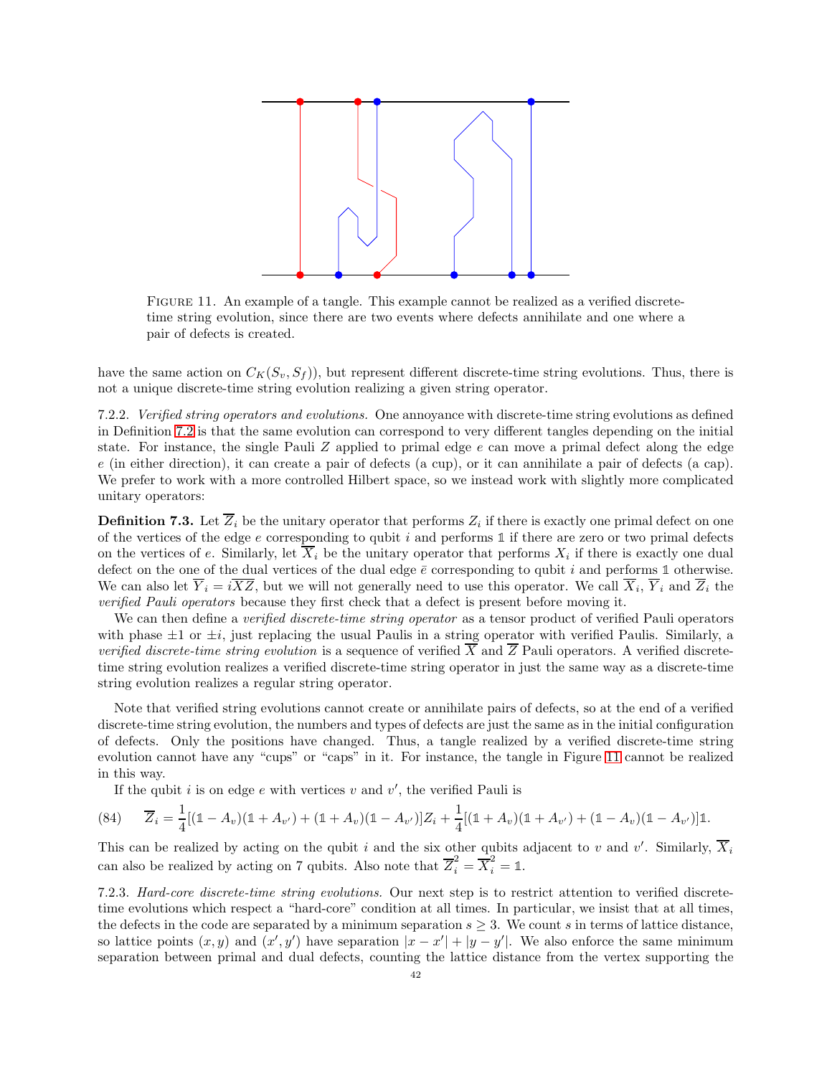

<span id="page-41-0"></span>Figure 11. An example of a tangle. This example cannot be realized as a verified discretetime string evolution, since there are two events where defects annihilate and one where a pair of defects is created.

have the same action on  $C_K(S_v, S_f)$ , but represent different discrete-time string evolutions. Thus, there is not a unique discrete-time string evolution realizing a given string operator.

7.2.2. Verified string operators and evolutions. One annoyance with discrete-time string evolutions as defined in Definition [7.2](#page-40-3) is that the same evolution can correspond to very different tangles depending on the initial state. For instance, the single Pauli  $Z$  applied to primal edge  $e$  can move a primal defect along the edge e (in either direction), it can create a pair of defects (a cup), or it can annihilate a pair of defects (a cap). We prefer to work with a more controlled Hilbert space, so we instead work with slightly more complicated unitary operators:

**Definition 7.3.** Let  $Z_i$  be the unitary operator that performs  $Z_i$  if there is exactly one primal defect on one of the vertices of the edge e corresponding to qubit i and performs **1** if there are zero or two primal defects on the vertices of e. Similarly, let  $X_i$  be the unitary operator that performs  $X_i$  if there is exactly one dual defect on the one of the dual vertices of the dual edge  $\bar{e}$  corresponding to qubit i and performs 1 otherwise. We can also let  $Y_i = iXZ$ , but we will not generally need to use this operator. We call  $X_i$ ,  $Y_i$  and  $Z_i$  the verified Pauli operators because they first check that a defect is present before moving it.

We can then define a verified discrete-time string operator as a tensor product of verified Pauli operators with phase  $\pm 1$  or  $\pm i$ , just replacing the usual Paulis in a string operator with verified Paulis. Similarly, a verified discrete-time string evolution is a sequence of verified  $\overline{X}$  and  $\overline{Z}$  Pauli operators. A verified discretetime string evolution realizes a verified discrete-time string operator in just the same way as a discrete-time string evolution realizes a regular string operator.

Note that verified string evolutions cannot create or annihilate pairs of defects, so at the end of a verified discrete-time string evolution, the numbers and types of defects are just the same as in the initial configuration of defects. Only the positions have changed. Thus, a tangle realized by a verified discrete-time string evolution cannot have any "cups" or "caps" in it. For instance, the tangle in Figure [11](#page-41-0) cannot be realized in this way.

<span id="page-41-1"></span>If the qubit  $i$  is on edge  $e$  with vertices  $v$  and  $v'$ , the verified Pauli is

$$
(84) \qquad \overline{Z}_i = \frac{1}{4}[(\mathbb{1} - A_v)(\mathbb{1} + A_{v'}) + (\mathbb{1} + A_v)(\mathbb{1} - A_{v'})]Z_i + \frac{1}{4}[(\mathbb{1} + A_v)(\mathbb{1} + A_{v'}) + (\mathbb{1} - A_v)(\mathbb{1} - A_{v'})]\mathbb{1}.
$$

This can be realized by acting on the qubit i and the six other qubits adjacent to v and v'. Similarly,  $\overline{X}_i$ can also be realized by acting on 7 qubits. Also note that  $\overline{Z}_i^2 = \overline{X}_i^2 = 1$ .

7.2.3. Hard-core discrete-time string evolutions. Our next step is to restrict attention to verified discretetime evolutions which respect a "hard-core" condition at all times. In particular, we insist that at all times, the defects in the code are separated by a minimum separation  $s \geq 3$ . We count s in terms of lattice distance, so lattice points  $(x, y)$  and  $(x', y')$  have separation  $|x - x'| + |y - y'|$ . We also enforce the same minimum separation between primal and dual defects, counting the lattice distance from the vertex supporting the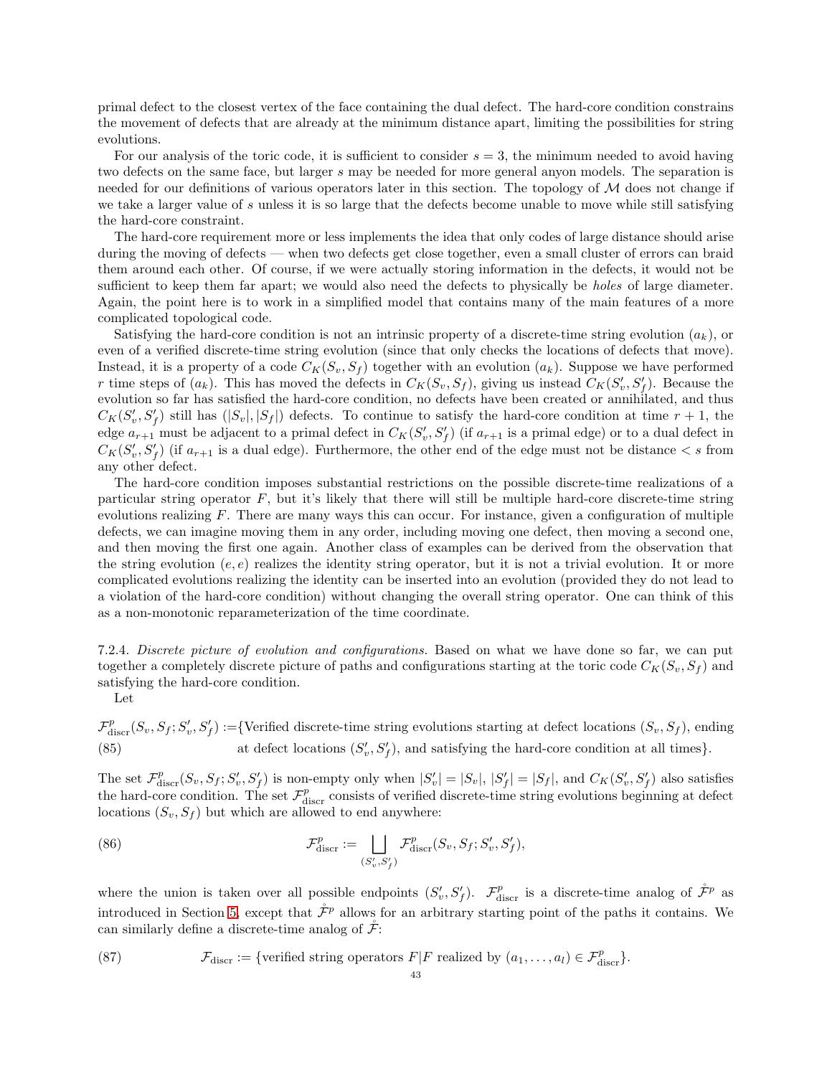primal defect to the closest vertex of the face containing the dual defect. The hard-core condition constrains the movement of defects that are already at the minimum distance apart, limiting the possibilities for string evolutions.

For our analysis of the toric code, it is sufficient to consider  $s = 3$ , the minimum needed to avoid having two defects on the same face, but larger s may be needed for more general anyon models. The separation is needed for our definitions of various operators later in this section. The topology of  $\mathcal M$  does not change if we take a larger value of s unless it is so large that the defects become unable to move while still satisfying the hard-core constraint.

The hard-core requirement more or less implements the idea that only codes of large distance should arise during the moving of defects — when two defects get close together, even a small cluster of errors can braid them around each other. Of course, if we were actually storing information in the defects, it would not be sufficient to keep them far apart; we would also need the defects to physically be *holes* of large diameter. Again, the point here is to work in a simplified model that contains many of the main features of a more complicated topological code.

Satisfying the hard-core condition is not an intrinsic property of a discrete-time string evolution  $(a_k)$ , or even of a verified discrete-time string evolution (since that only checks the locations of defects that move). Instead, it is a property of a code  $C_K(S_v, S_f)$  together with an evolution  $(a_k)$ . Suppose we have performed r time steps of  $(a_k)$ . This has moved the defects in  $C_K(S_v, S_f)$ , giving us instead  $C_K(S'_v, S'_f)$ . Because the evolution so far has satisfied the hard-core condition, no defects have been created or annihilated, and thus  $C_K(S'_v, S'_f)$  still has  $(|S_v|, |S_f|)$  defects. To continue to satisfy the hard-core condition at time  $r + 1$ , the edge  $a_{r+1}$  must be adjacent to a primal defect in  $C_K(S'_v, S'_f)$  (if  $a_{r+1}$  is a primal edge) or to a dual defect in  $C_K(S'_v, S'_f)$  (if  $a_{r+1}$  is a dual edge). Furthermore, the other end of the edge must not be distance  $\lt s$  from any other defect.

The hard-core condition imposes substantial restrictions on the possible discrete-time realizations of a particular string operator F, but it's likely that there will still be multiple hard-core discrete-time string evolutions realizing  $F$ . There are many ways this can occur. For instance, given a configuration of multiple defects, we can imagine moving them in any order, including moving one defect, then moving a second one, and then moving the first one again. Another class of examples can be derived from the observation that the string evolution  $(e, e)$  realizes the identity string operator, but it is not a trivial evolution. It or more complicated evolutions realizing the identity can be inserted into an evolution (provided they do not lead to a violation of the hard-core condition) without changing the overall string operator. One can think of this as a non-monotonic reparameterization of the time coordinate.

7.2.4. Discrete picture of evolution and configurations. Based on what we have done so far, we can put together a completely discrete picture of paths and configurations starting at the toric code  $C_K(S_v, S_f)$  and satisfying the hard-core condition.

Let

 $\mathcal{F}^p_\text{discr}(S_v, S_f; S'_v, S'_f) := \{ \text{Verified discrete-time string evolutions starting at defect locations } (S_v, S_f), \text{ ending}$ (85) at defect locations  $(S'_v, S'_f)$ , and satisfying the hard-core condition at all times}.

The set  $\mathcal{F}_{\text{discr}}^p(S_v, S_f; S'_v, S'_f)$  is non-empty only when  $|S'_v| = |S_v|, |S'_f| = |S_f|$ , and  $C_K(S'_v, S'_f)$  also satisfies the hard-core condition. The set  $\mathcal{F}^p_{\text{discr}}$  consists of verified discrete-time string evolutions beginning at defect locations  $(S_v, S_f)$  but which are allowed to end anywhere:

(86) 
$$
\mathcal{F}_{\text{discr}}^p := \bigsqcup_{(S_v', S_f')} \mathcal{F}_{\text{discr}}^p(S_v, S_f; S_v', S_f'),
$$

where the union is taken over all possible endpoints  $(S'_v, S'_f)$ .  $\mathcal{F}^p_{\text{discr}}$  is a discrete-time analog of  $\mathcal{F}^p$  as introduced in Section [5,](#page-24-0) except that  $\mathcal{F}^p$  allows for an arbitrary starting point of the paths it contains. We can similarly define a discrete-time analog of  $\tilde{\mathcal{F}}$ :

(87) 
$$
\mathcal{F}_{\text{discr}} := \{ \text{verified string operators } F | F \text{ realized by } (a_1, \ldots, a_l) \in \mathcal{F}_{\text{discr}}^p \}.
$$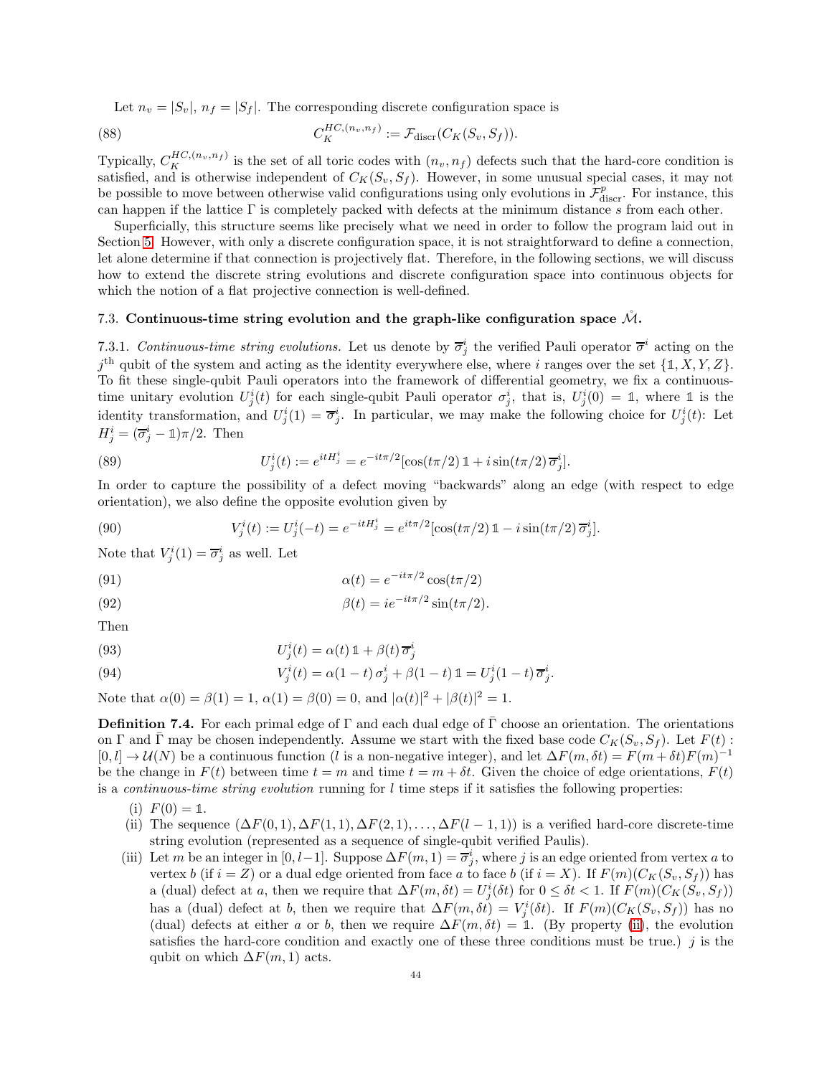Let  $n_v = |S_v|$ ,  $n_f = |S_f|$ . The corresponding discrete configuration space is

(88) 
$$
C_K^{HC,(n_v,n_f)} := \mathcal{F}_{\text{discr}}(C_K(S_v, S_f)).
$$

Typically,  $C_K^{HC,(n_v,n_f)}$  is the set of all toric codes with  $(n_v, n_f)$  defects such that the hard-core condition is satisfied, and is otherwise independent of  $C_K(S_v, S_f)$ . However, in some unusual special cases, it may not be possible to move between otherwise valid configurations using only evolutions in  $\mathcal{F}^p_{\text{discr}}$ . For instance, this can happen if the lattice  $\Gamma$  is completely packed with defects at the minimum distance s from each other.

Superficially, this structure seems like precisely what we need in order to follow the program laid out in Section [5.](#page-24-0) However, with only a discrete configuration space, it is not straightforward to define a connection, let alone determine if that connection is projectively flat. Therefore, in the following sections, we will discuss how to extend the discrete string evolutions and discrete configuration space into continuous objects for which the notion of a flat projective connection is well-defined.

# <span id="page-43-4"></span><span id="page-43-0"></span>7.3. Continuous-time string evolution and the graph-like configuration space  $\mathcal{M}$ .

7.3.1. Continuous-time string evolutions. Let us denote by  $\overline{\sigma}_j^i$  the verified Pauli operator  $\overline{\sigma}^i$  acting on the  $j^{\text{th}}$  qubit of the system and acting as the identity everywhere else, where i ranges over the set  $\{\mathbb{1}, X, Y, Z\}$ . To fit these single-qubit Pauli operators into the framework of differential geometry, we fix a continuoustime unitary evolution  $U_j^i(t)$  for each single-qubit Pauli operator  $\sigma_j^i$ , that is,  $U_j^i(0) = \mathbb{1}$ , where  $\mathbb{1}$  is the identity transformation, and  $U_j^i(1) = \overline{\sigma}_j^i$ . In particular, we may make the following choice for  $U_j^i(t)$ : Let  $H_j^i = (\overline{\sigma}_j^i - \mathbb{1})\pi/2$ . Then

<span id="page-43-5"></span>(89) 
$$
U_j^i(t) := e^{itH_j^i} = e^{-it\pi/2} [\cos(t\pi/2) \, \mathbb{1} + i \sin(t\pi/2) \, \overline{\sigma}_j^i].
$$

In order to capture the possibility of a defect moving "backwards" along an edge (with respect to edge orientation), we also define the opposite evolution given by

(90) 
$$
V_j^i(t) := U_j^i(-t) = e^{-itH_j^i} = e^{it\pi/2} [\cos(t\pi/2) \mathbb{1} - i \sin(t\pi/2) \overline{\sigma}_j^i].
$$

Note that  $V_j^i(1) = \overline{\sigma}_j^i$  as well. Let

(91) 
$$
\alpha(t) = e^{-it\pi/2} \cos(t\pi/2)
$$

(92) 
$$
\beta(t) = ie^{-it\pi/2}\sin(t\pi/2).
$$

Then

(93) 
$$
U_j^i(t) = \alpha(t) \mathbb{1} + \beta(t) \overline{\sigma}_j^i
$$

<span id="page-43-3"></span>(94) 
$$
V_j^i(t) = \alpha(1-t)\sigma_j^i + \beta(1-t)\mathbb{1} = U_j^i(1-t)\overline{\sigma}_j^i.
$$

Note that  $\alpha(0) = \beta(1) = 1$ ,  $\alpha(1) = \beta(0) = 0$ , and  $|\alpha(t)|^2 + |\beta(t)|^2 = 1$ .

<span id="page-43-2"></span>**Definition 7.4.** For each primal edge of Γ and each dual edge of  $\overline{\Gamma}$  choose an orientation. The orientations on Γ and Γ may be chosen independently. Assume we start with the fixed base code  $C_K(S_v, S_f)$ . Let  $F(t)$ :  $[0, l] \to \mathcal{U}(N)$  be a continuous function (l is a non-negative integer), and let  $\Delta F(m, \delta t) = F(m + \delta t)F(m)^{-1}$ be the change in  $F(t)$  between time  $t = m$  and time  $t = m + \delta t$ . Given the choice of edge orientations,  $F(t)$ is a *continuous-time string evolution* running for  $l$  time steps if it satisfies the following properties:

- (i)  $F(0) = 1$ .
- <span id="page-43-1"></span>(ii) The sequence  $(\Delta F(0,1), \Delta F(1,1), \Delta F(2,1), \ldots, \Delta F(l-1,1))$  is a verified hard-core discrete-time string evolution (represented as a sequence of single-qubit verified Paulis).
- (iii) Let m be an integer in [0, l-1]. Suppose  $\Delta F(m, 1) = \overline{\sigma}_j^i$ , where j is an edge oriented from vertex a to vertex b (if  $i = Z$ ) or a dual edge oriented from face a to face b (if  $i = X$ ). If  $F(m)(C_K(S_v, S_f))$  has a (dual) defect at a, then we require that  $\Delta F(m, \delta t) = U_j^i(\delta t)$  for  $0 \leq \delta t < 1$ . If  $F(m)(C_K(S_v, S_f))$ has a (dual) defect at b, then we require that  $\Delta F(m,\delta t) = V_j^i(\delta t)$ . If  $F(m)(C_K(S_v, S_f))$  has no (dual) defects at either a or b, then we require  $\Delta F(m, \delta t) = 1$ . (By property [\(ii\)](#page-43-1), the evolution satisfies the hard-core condition and exactly one of these three conditions must be true.)  $j$  is the qubit on which  $\Delta F(m, 1)$  acts.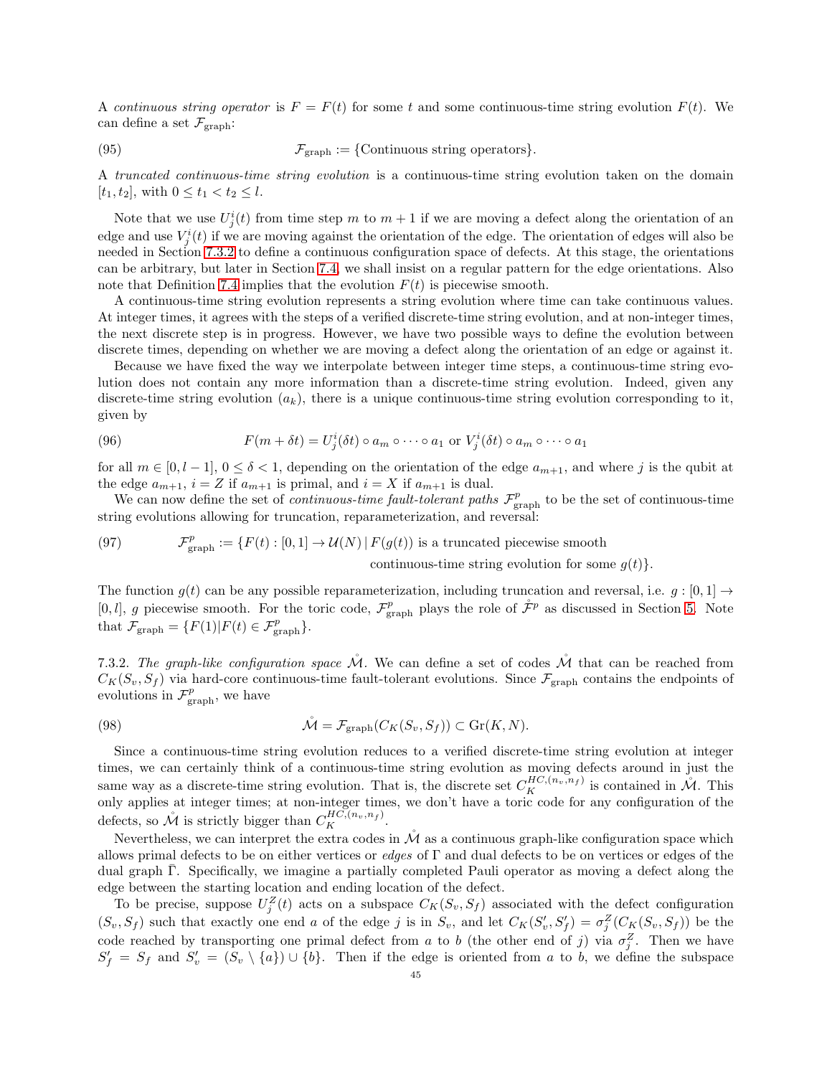A continuous string operator is  $F = F(t)$  for some t and some continuous-time string evolution  $F(t)$ . We can define a set  $\mathcal{F}_{graph}$ :

(95) 
$$
\mathcal{F}_{\text{graph}} := \{\text{Continuous string operators}\}.
$$

A truncated continuous-time string evolution is a continuous-time string evolution taken on the domain  $[t_1, t_2]$ , with  $0 \le t_1 < t_2 \le l$ .

Note that we use  $U_j^i(t)$  from time step m to  $m+1$  if we are moving a defect along the orientation of an edge and use  $V_j^i(t)$  if we are moving against the orientation of the edge. The orientation of edges will also be needed in Section [7.3.2](#page-44-0) to define a continuous configuration space of defects. At this stage, the orientations can be arbitrary, but later in Section [7.4,](#page-46-0) we shall insist on a regular pattern for the edge orientations. Also note that Definition [7.4](#page-43-2) implies that the evolution  $F(t)$  is piecewise smooth.

A continuous-time string evolution represents a string evolution where time can take continuous values. At integer times, it agrees with the steps of a verified discrete-time string evolution, and at non-integer times, the next discrete step is in progress. However, we have two possible ways to define the evolution between discrete times, depending on whether we are moving a defect along the orientation of an edge or against it.

Because we have fixed the way we interpolate between integer time steps, a continuous-time string evolution does not contain any more information than a discrete-time string evolution. Indeed, given any discrete-time string evolution  $(a_k)$ , there is a unique continuous-time string evolution corresponding to it, given by

(96) 
$$
F(m + \delta t) = U_j^i(\delta t) \circ a_m \circ \cdots \circ a_1 \text{ or } V_j^i(\delta t) \circ a_m \circ \cdots \circ a_1
$$

for all  $m \in [0, l-1]$ ,  $0 \le \delta < 1$ , depending on the orientation of the edge  $a_{m+1}$ , and where j is the qubit at the edge  $a_{m+1}$ ,  $i = Z$  if  $a_{m+1}$  is primal, and  $i = X$  if  $a_{m+1}$  is dual.

We can now define the set of *continuous-time fault-tolerant paths*  $\mathcal{F}_{graph}^p$  to be the set of continuous-time string evolutions allowing for truncation, reparameterization, and reversal:

(97) 
$$
\mathcal{F}_{\text{graph}}^p := \{ F(t) : [0,1] \to \mathcal{U}(N) \mid F(g(t)) \text{ is a truncated piecewise smooth} \text{ continuous-time string evolution for some } g(t) \}.
$$

The function  $g(t)$  can be any possible reparameterization, including truncation and reversal, i.e.  $g:[0,1] \rightarrow$ [0, l], g piecewise smooth. For the toric code,  $\mathcal{F}_{\text{graph}}^p$  plays the role of  $\mathcal{F}^p$  as discussed in Section [5.](#page-24-0) Note that  $\mathcal{F}_{\text{graph}} = \{F(1)|F(t) \in \mathcal{F}_{\text{graph}}^p\}.$ 

<span id="page-44-0"></span>7.3.2. The graph-like configuration space  $\dot{M}$ . We can define a set of codes  $\dot{M}$  that can be reached from  $C_K(S_v, S_f)$  via hard-core continuous-time fault-tolerant evolutions. Since  $\mathcal{F}_{graph}$  contains the endpoints of evolutions in  $\mathcal{F}_{\text{graph}}^p$ , we have

(98) 
$$
\mathcal{M} = \mathcal{F}_{\text{graph}}(C_K(S_v, S_f)) \subset \text{Gr}(K, N).
$$

Since a continuous-time string evolution reduces to a verified discrete-time string evolution at integer times, we can certainly think of a continuous-time string evolution as moving defects around in just the same way as a discrete-time string evolution. That is, the discrete set  $C_K^{HC,(n_v,n_f)}$  is contained in  $\mathcal{M}$ . This only applies at integer times; at non-integer times, we don't have a toric code for any configuration of the defects, so  $\mathring{M}$  is strictly bigger than  $C_K^{HC,(n_v,n_f)}$ .

Nevertheless, we can interpret the extra codes in  $\mathcal M$  as a continuous graph-like configuration space which allows primal defects to be on either vertices or *edges* of  $\Gamma$  and dual defects to be on vertices or edges of the dual graph Γ. Specifically, we imagine a partially completed Pauli operator as moving a defect along the edge between the starting location and ending location of the defect.

To be precise, suppose  $U_j^Z(t)$  acts on a subspace  $C_K(S_v, S_f)$  associated with the defect configuration  $(S_v, S_f)$  such that exactly one end a of the edge j is in  $S_v$ , and let  $C_K(S'_v, S'_f) = \sigma_j^Z(C_K(S_v, S_f))$  be the code reached by transporting one primal defect from a to b (the other end of j) via  $\sigma_j^Z$ . Then we have  $S'_f = S_f$  and  $S'_v = (S_v \setminus \{a\}) \cup \{b\}$ . Then if the edge is oriented from a to b, we define the subspace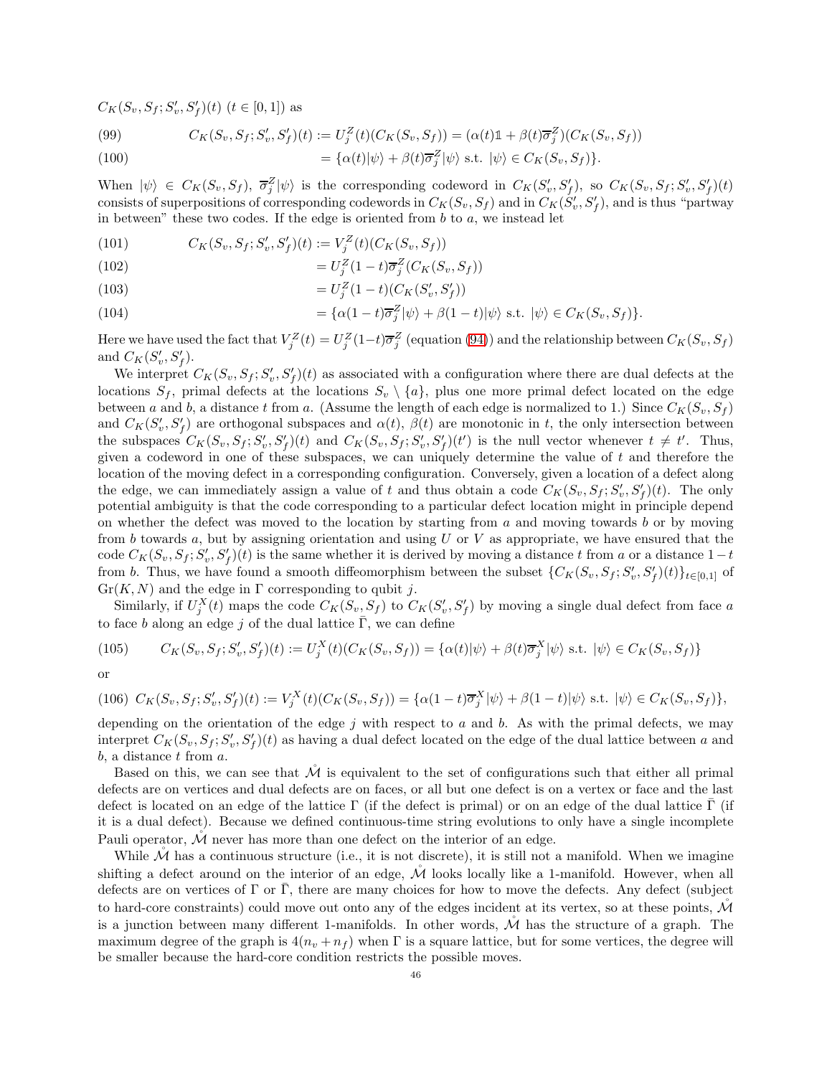$C_K(S_v, S_f; S'_v, S'_f)(t)$   $(t \in [0, 1])$  as

(99) 
$$
C_K(S_v, S_f; S'_v, S'_f)(t) := U_j^Z(t)(C_K(S_v, S_f)) = (\alpha(t)\mathbb{1} + \beta(t)\overline{\sigma}_j^Z)(C_K(S_v, S_f))
$$

(100) 
$$
= \{\alpha(t)|\psi\rangle + \beta(t)\overline{\sigma}_j^Z|\psi\rangle \text{ s.t. } |\psi\rangle \in C_K(S_v, S_f)\}.
$$

When  $|\psi\rangle \in C_K(S_v, S_f)$ ,  $\overline{\sigma}_j^Z |\psi\rangle$  is the corresponding codeword in  $C_K(S'_v, S'_f)$ , so  $C_K(S_v, S_f; S'_v, S'_f)(t)$ consists of superpositions of corresponding codewords in  $C_K(S_v, S_f)$  and in  $C_K(\check{S}'_v, S'_f)$ , and is thus "partway in between" these two codes. If the edge is oriented from  $b$  to  $a$ , we instead let

(101) 
$$
C_K(S_v, S_f; S'_v, S'_f)(t) := V_j^Z(t)(C_K(S_v, S_f))
$$

$$
(102)\qquad \qquad = U_j^Z(1-t)\overline{\sigma}_j^Z(C_K(S_v, S_f))
$$

(103) 
$$
= U_j^Z (1-t) (C_K(S'_v, S'_f))
$$

(104) 
$$
= \{\alpha(1-t)\overline{\sigma}_j^Z|\psi\rangle + \beta(1-t)|\psi\rangle \text{ s.t. } |\psi\rangle \in C_K(S_v, S_f)\}.
$$

Here we have used the fact that  $V_j^Z(t) = U_j^Z(1-t)\overline{\sigma}_j^Z$  (equation [\(94\)](#page-43-3)) and the relationship between  $C_K(S_v, S_f)$ and  $C_K(S'_v, S'_f)$ .

We interpret  $C_K(S_v, S_f; S'_v, S'_f)(t)$  as associated with a configuration where there are dual defects at the locations  $S_f$ , primal defects at the locations  $S_v \setminus \{a\}$ , plus one more primal defect located on the edge between a and b, a distance t from a. (Assume the length of each edge is normalized to 1.) Since  $C_K(S_v, S_f)$ and  $C_K(S'_v, S'_f)$  are orthogonal subspaces and  $\alpha(t)$ ,  $\beta(t)$  are monotonic in t, the only intersection between the subspaces  $C_K(S_v, S_f; S'_v, S'_f)(t)$  and  $C_K(S_v, S_f; S'_v, S'_f)(t')$  is the null vector whenever  $t \neq t'$ . Thus, given a codeword in one of these subspaces, we can uniquely determine the value of  $t$  and therefore the location of the moving defect in a corresponding configuration. Conversely, given a location of a defect along the edge, we can immediately assign a value of t and thus obtain a code  $C_K(S_v, S_f; S'_v, S'_f)(t)$ . The only potential ambiguity is that the code corresponding to a particular defect location might in principle depend on whether the defect was moved to the location by starting from  $a$  and moving towards  $b$  or by moving from b towards a, but by assigning orientation and using  $U$  or  $V$  as appropriate, we have ensured that the code  $C_K(S_v, S_f; S'_v, S'_f)(t)$  is the same whether it is derived by moving a distance t from a or a distance  $1-t$ from b. Thus, we have found a smooth diffeomorphism between the subset  $\{C_K(S_v, S_f; S'_v, S'_f)(t)\}_{t\in[0,1]}$  of  $Gr(K, N)$  and the edge in  $\Gamma$  corresponding to qubit j.

Similarly, if  $U_j^X(t)$  maps the code  $C_K(S_v, S_f)$  to  $C_K(S'_v, S'_f)$  by moving a single dual defect from face a to face b along an edge j of the dual lattice  $\overline{\Gamma}$ , we can define

(105) 
$$
C_K(S_v, S_f; S'_v, S'_f)(t) := U_j^X(t)(C_K(S_v, S_f)) = {\alpha(t)|\psi\rangle + \beta(t)\overline{\sigma}_j^X|\psi\rangle \text{ s.t. } |\psi\rangle \in C_K(S_v, S_f)}
$$

or

$$
(106)\ \ C_K(S_v, S_f; S'_v, S'_f)(t) := V_j^X(t)(C_K(S_v, S_f)) = \{ \alpha(1-t)\overline{\sigma}_j^X|\psi\rangle + \beta(1-t)|\psi\rangle \text{ s.t. } |\psi\rangle \in C_K(S_v, S_f) \},
$$

depending on the orientation of the edge j with respect to a and b. As with the primal defects, we may interpret  $C_K(S_v, S_f; S'_v, S'_f)(t)$  as having a dual defect located on the edge of the dual lattice between a and  $b$ , a distance  $t$  from  $a$ .

Based on this, we can see that  $\tilde{\mathcal{M}}$  is equivalent to the set of configurations such that either all primal defects are on vertices and dual defects are on faces, or all but one defect is on a vertex or face and the last defect is located on an edge of the lattice  $\Gamma$  (if the defect is primal) or on an edge of the dual lattice  $\Gamma$  (if it is a dual defect). Because we defined continuous-time string evolutions to only have a single incomplete Pauli operator,  $\mathcal M$  never has more than one defect on the interior of an edge.

While  $M$  has a continuous structure (i.e., it is not discrete), it is still not a manifold. When we imagine shifting a defect around on the interior of an edge,  $\mathcal{\hat{M}}$  looks locally like a 1-manifold. However, when all defects are on vertices of  $\Gamma$  or  $\overline{\Gamma}$ , there are many choices for how to move the defects. Any defect (subject to hard-core constraints) could move out onto any of the edges incident at its vertex, so at these points,  $\dot{M}$ is a junction between many different 1-manifolds. In other words,  $\dot{M}$  has the structure of a graph. The maximum degree of the graph is  $4(n_v + n_f)$  when  $\Gamma$  is a square lattice, but for some vertices, the degree will be smaller because the hard-core condition restricts the possible moves.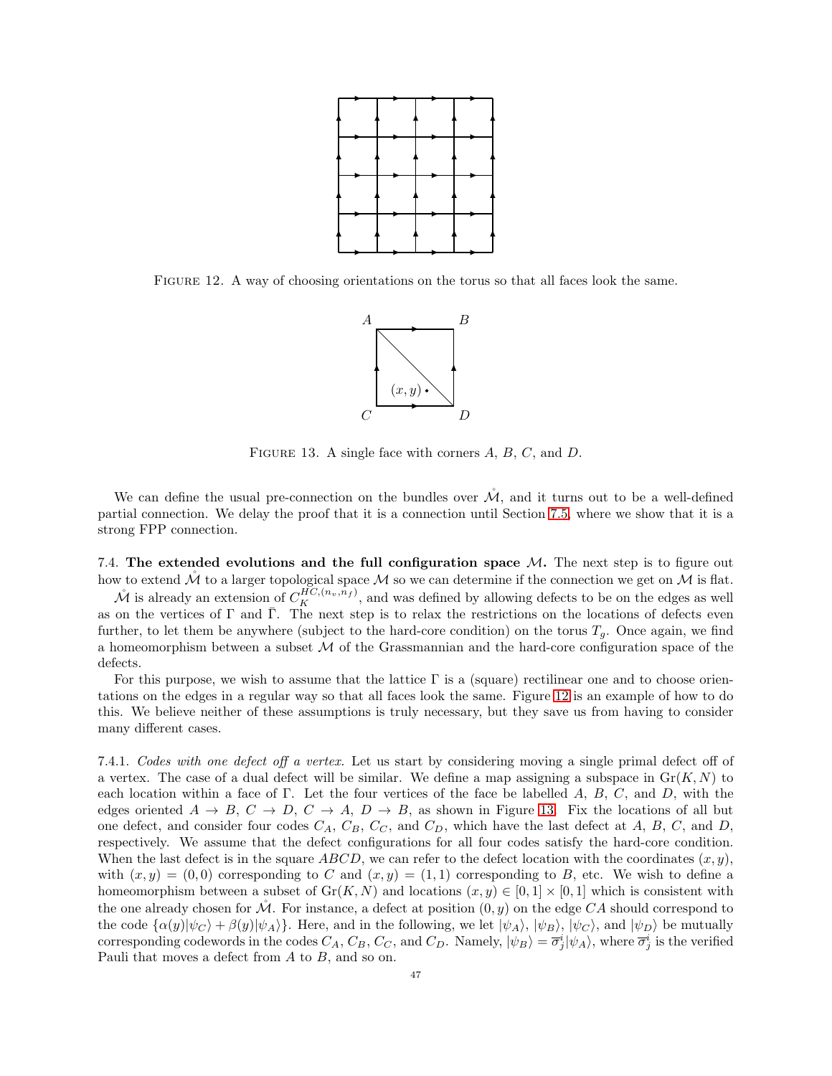

<span id="page-46-1"></span>Figure 12. A way of choosing orientations on the torus so that all faces look the same.



<span id="page-46-2"></span>FIGURE 13. A single face with corners  $A, B, C$ , and  $D$ .

We can define the usual pre-connection on the bundles over  $\mathcal{M}$ , and it turns out to be a well-defined partial connection. We delay the proof that it is a connection until Section [7.5,](#page-54-0) where we show that it is a strong FPP connection.

<span id="page-46-0"></span>7.4. The extended evolutions and the full configuration space  $M$ . The next step is to figure out how to extend  $\check{\mathcal{M}}$  to a larger topological space  $\mathcal M$  so we can determine if the connection we get on  $\mathcal M$  is flat.  $\mathcal{M}$  is already an extension of  $C_K^{HC,(n_v,n_f)}$ , and was defined by allowing defects to be on the edges as well as on the vertices of  $\Gamma$  and  $\overline{\Gamma}$ . The next step is to relax the restrictions on the locations of defects even further, to let them be anywhere (subject to the hard-core condition) on the torus  $T_q$ . Once again, we find a homeomorphism between a subset  $\mathcal M$  of the Grassmannian and the hard-core configuration space of the defects.

For this purpose, we wish to assume that the lattice Γ is a (square) rectilinear one and to choose orientations on the edges in a regular way so that all faces look the same. Figure [12](#page-46-1) is an example of how to do this. We believe neither of these assumptions is truly necessary, but they save us from having to consider many different cases.

<span id="page-46-3"></span>7.4.1. Codes with one defect off a vertex. Let us start by considering moving a single primal defect off of a vertex. The case of a dual defect will be similar. We define a map assigning a subspace in  $\text{Gr}(K, N)$  to each location within a face of Γ. Let the four vertices of the face be labelled A, B, C, and D, with the edges oriented  $A \to B$ ,  $C \to D$ ,  $C \to A$ ,  $D \to B$ , as shown in Figure [13.](#page-46-2) Fix the locations of all but one defect, and consider four codes  $C_A$ ,  $C_B$ ,  $C_C$ , and  $C_D$ , which have the last defect at A, B, C, and D, respectively. We assume that the defect configurations for all four codes satisfy the hard-core condition. When the last defect is in the square ABCD, we can refer to the defect location with the coordinates  $(x, y)$ , with  $(x, y) = (0, 0)$  corresponding to C and  $(x, y) = (1, 1)$  corresponding to B, etc. We wish to define a homeomorphism between a subset of  $\text{Gr}(K, N)$  and locations  $(x, y) \in [0, 1] \times [0, 1]$  which is consistent with the one already chosen for  $\mathcal M$ . For instance, a defect at position  $(0, y)$  on the edge CA should correspond to the code  $\{\alpha(y)|\psi_C\rangle + \beta(y)|\psi_A\rangle\}$ . Here, and in the following, we let  $|\psi_A\rangle$ ,  $|\psi_B\rangle$ ,  $|\psi_C\rangle$ , and  $|\psi_D\rangle$  be mutually corresponding codewords in the codes  $C_A$ ,  $C_B$ ,  $C_C$ , and  $C_D$ . Namely,  $|\psi_B\rangle = \overline{\sigma}_j^i |\psi_A\rangle$ , where  $\overline{\sigma}_j^i$  is the verified Pauli that moves a defect from  $A$  to  $B$ , and so on.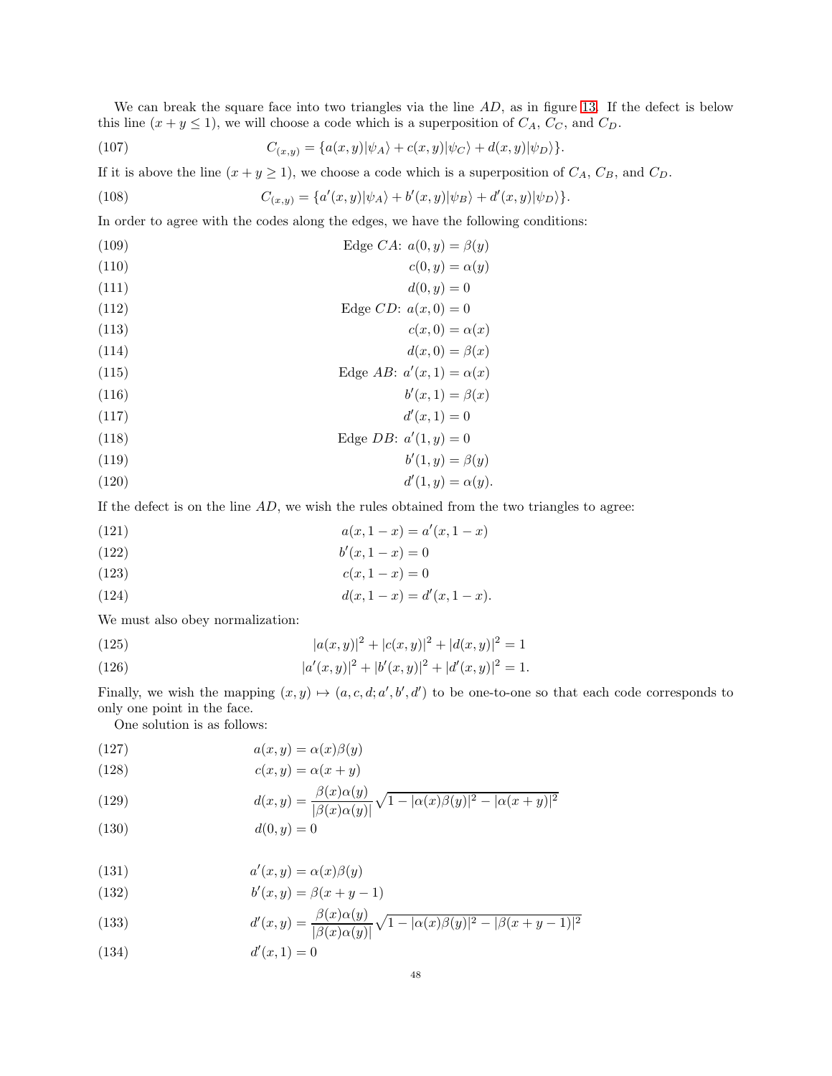We can break the square face into two triangles via the line  $AD$ , as in figure [13.](#page-46-2) If the defect is below this line  $(x + y \le 1)$ , we will choose a code which is a superposition of  $C_A$ ,  $C_C$ , and  $C_D$ .

<span id="page-47-0"></span>(107) 
$$
C_{(x,y)} = \{a(x,y)|\psi_A\rangle + c(x,y)|\psi_C\rangle + d(x,y)|\psi_D\rangle\}.
$$

If it is above the line  $(x + y \ge 1)$ , we choose a code which is a superposition of  $C_A$ ,  $C_B$ , and  $C_D$ .

<span id="page-47-1"></span>(108) 
$$
C_{(x,y)} = \{a'(x,y)|\psi_A\rangle + b'(x,y)|\psi_B\rangle + d'(x,y)|\psi_D\rangle\}.
$$

In order to agree with the codes along the edges, we have the following conditions:

(109) 
$$
\text{Edge } CA: a(0, y) = \beta(y)
$$

$$
c(0, y) = \alpha(y)
$$

$$
d(0, y) = 0
$$

$$
\text{(112)} \qquad \qquad \text{Edge } CD: \ a(x,0) = 0
$$

$$
c(x,0) = \alpha(x)
$$

$$
d(x,0) = \beta(x)
$$

(115)  $\text{Edge } AB: a'(x, 1) = \alpha(x)$ 

$$
(116) \t\t b'(x,1) = \beta(x)
$$

$$
d'(x,1) = 0
$$

$$
\text{(118)} \qquad \qquad \text{Edge } DB: \ a'(1, y) = 0
$$

$$
(119) \t\t b'(1,y) = \beta(y)
$$

$$
(120) \t d'(1,y) = \alpha(y).
$$

If the defect is on the line  $AD$ , we wish the rules obtained from the two triangles to agree:

(121) 
$$
a(x, 1-x) = a'(x, 1-x)
$$

(122) 
$$
b'(x, 1-x) = 0
$$

(123) 
$$
c(x, 1-x) = 0
$$

(124) 
$$
d(x, 1-x) = d'(x, 1-x).
$$

We must also obey normalization:

(125) 
$$
|a(x,y)|^2 + |c(x,y)|^2 + |d(x,y)|^2 = 1
$$

(126) 
$$
|a'(x,y)|^2 + |b'(x,y)|^2 + |d'(x,y)|^2 = 1.
$$

Finally, we wish the mapping  $(x, y) \mapsto (a, c, d; a', b', d')$  to be one-to-one so that each code corresponds to only one point in the face.

One solution is as follows:

(127) 
$$
a(x, y) = \alpha(x)\beta(y)
$$

(128) 
$$
c(x,y) = \alpha(x+y)
$$

(129) 
$$
d(x,y) = \frac{\beta(x)\alpha(y)}{|\beta(x)\alpha(y)|}\sqrt{1-|\alpha(x)\beta(y)|^2-|\alpha(x+y)|^2}
$$

$$
d(0, y) = 0
$$

(131) 
$$
a'(x, y) = \alpha(x)\beta(y)
$$

(132) 
$$
b'(x, y) = \beta(x + y - 1)
$$

(133) 
$$
d'(x,y) = \frac{\beta(x)\alpha(y)}{|\beta(x)\alpha(y)|} \sqrt{1 - |\alpha(x)\beta(y)|^2 - |\beta(x+y-1)|^2}
$$

$$
(134) \qquad \qquad d'(x,1) = 0
$$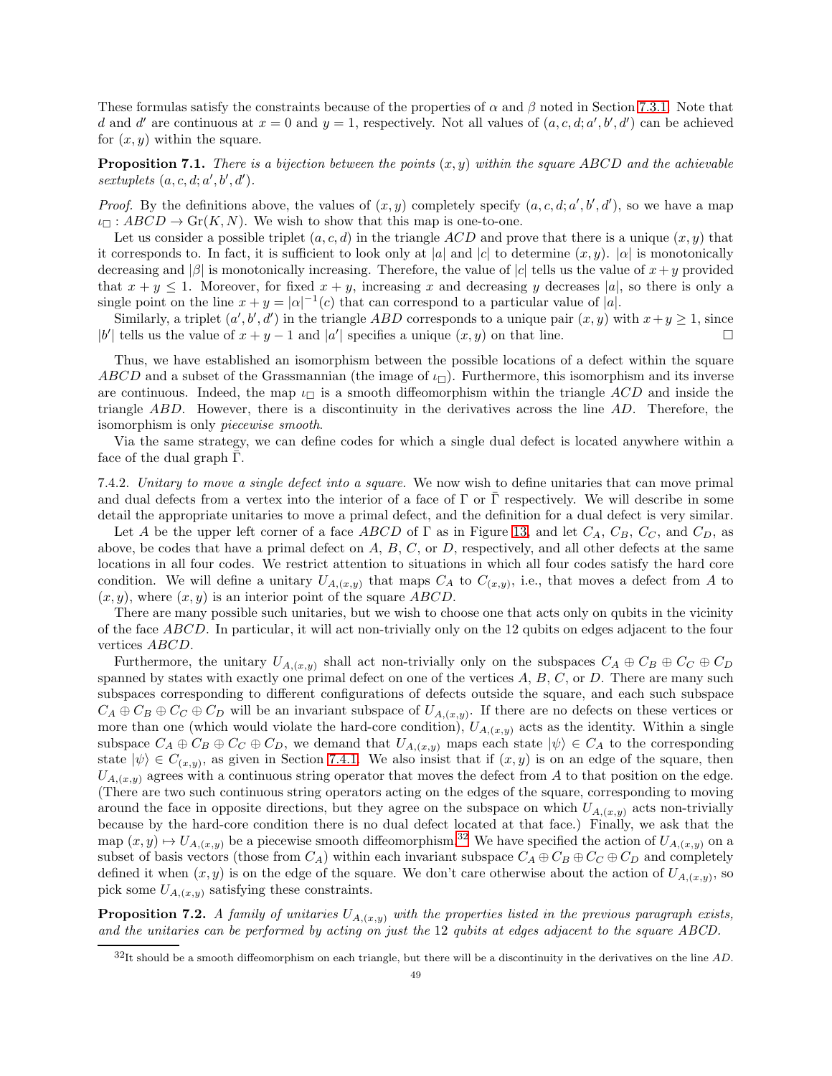These formulas satisfy the constraints because of the properties of  $\alpha$  and  $\beta$  noted in Section [7.3.1.](#page-43-4) Note that d and d' are continuous at  $x = 0$  and  $y = 1$ , respectively. Not all values of  $(a, c, d; a', b', d')$  can be achieved for  $(x, y)$  within the square.

**Proposition 7.1.** There is a bijection between the points  $(x, y)$  within the square ABCD and the achievable sextuplets  $(a, c, d; a', b', d')$ .

*Proof.* By the definitions above, the values of  $(x, y)$  completely specify  $(a, c, d; a', b', d')$ , so we have a map  $\iota_{\Box}: ABCD \to Gr(K, N)$ . We wish to show that this map is one-to-one.

Let us consider a possible triplet  $(a, c, d)$  in the triangle ACD and prove that there is a unique  $(x, y)$  that it corresponds to. In fact, it is sufficient to look only at |a| and |c| to determine  $(x, y)$ .  $|\alpha|$  is monotonically decreasing and  $|\beta|$  is monotonically increasing. Therefore, the value of  $|c|$  tells us the value of  $x + y$  provided that  $x + y \le 1$ . Moreover, for fixed  $x + y$ , increasing x and decreasing y decreases |a|, so there is only a single point on the line  $x + y = |\alpha|^{-1}(c)$  that can correspond to a particular value of |a|.

Similarly, a triplet  $(a', b', d')$  in the triangle ABD corresponds to a unique pair  $(x, y)$  with  $x + y \ge 1$ , since |b'| tells us the value of  $x + y - 1$  and |a'| specifies a unique  $(x, y)$  on that line.

Thus, we have established an isomorphism between the possible locations of a defect within the square ABCD and a subset of the Grassmannian (the image of  $\iota_{\Box}$ ). Furthermore, this isomorphism and its inverse are continuous. Indeed, the map  $\iota_{\Box}$  is a smooth diffeomorphism within the triangle ACD and inside the triangle ABD. However, there is a discontinuity in the derivatives across the line AD. Therefore, the isomorphism is only piecewise smooth.

Via the same strategy, we can define codes for which a single dual defect is located anywhere within a face of the dual graph  $\bar{\Gamma}$ .

7.4.2. Unitary to move a single defect into a square. We now wish to define unitaries that can move primal and dual defects from a vertex into the interior of a face of  $\Gamma$  or  $\overline{\Gamma}$  respectively. We will describe in some detail the appropriate unitaries to move a primal defect, and the definition for a dual defect is very similar.

Let A be the upper left corner of a face ABCD of  $\Gamma$  as in Figure [13,](#page-46-2) and let  $C_A$ ,  $C_B$ ,  $C_C$ , and  $C_D$ , as above, be codes that have a primal defect on  $A, B, C$ , or  $D$ , respectively, and all other defects at the same locations in all four codes. We restrict attention to situations in which all four codes satisfy the hard core condition. We will define a unitary  $U_{A,(x,y)}$  that maps  $C_A$  to  $C_{(x,y)}$ , i.e., that moves a defect from A to  $(x, y)$ , where  $(x, y)$  is an interior point of the square ABCD.

There are many possible such unitaries, but we wish to choose one that acts only on qubits in the vicinity of the face ABCD. In particular, it will act non-trivially only on the 12 qubits on edges adjacent to the four vertices ABCD.

Furthermore, the unitary  $U_{A,(x,y)}$  shall act non-trivially only on the subspaces  $C_A \oplus C_B \oplus C_C \oplus C_D$ spanned by states with exactly one primal defect on one of the vertices  $A, B, C$ , or  $D$ . There are many such subspaces corresponding to different configurations of defects outside the square, and each such subspace  $C_A \oplus C_B \oplus C_C \oplus C_D$  will be an invariant subspace of  $U_{A,(x,y)}$ . If there are no defects on these vertices or more than one (which would violate the hard-core condition),  $U_{A,(x,y)}$  acts as the identity. Within a single subspace  $C_A \oplus C_B \oplus C_C \oplus C_D$ , we demand that  $U_{A,(x,y)}$  maps each state  $|\psi\rangle \in C_A$  to the corresponding state  $|\psi\rangle \in C_{(x,y)}$ , as given in Section [7.4.1.](#page-46-3) We also insist that if  $(x,y)$  is on an edge of the square, then  $U_{A,(x,y)}$  agrees with a continuous string operator that moves the defect from A to that position on the edge. (There are two such continuous string operators acting on the edges of the square, corresponding to moving around the face in opposite directions, but they agree on the subspace on which  $U_{A,(x,y)}$  acts non-trivially because by the hard-core condition there is no dual defect located at that face.) Finally, we ask that the map  $(x, y) \mapsto U_{A,(x,y)}$  be a piecewise smooth diffeomorphism.<sup>[32](#page-48-0)</sup> We have specified the action of  $U_{A,(x,y)}$  on a subset of basis vectors (those from  $C_A$ ) within each invariant subspace  $C_A \oplus C_B \oplus C_C \oplus C_D$  and completely defined it when  $(x, y)$  is on the edge of the square. We don't care otherwise about the action of  $U_{A,(x,y)}$ , so pick some  $U_{A,(x,y)}$  satisfying these constraints.

<span id="page-48-1"></span>**Proposition 7.2.** A family of unitaries  $U_{A,(x,y)}$  with the properties listed in the previous paragraph exists, and the unitaries can be performed by acting on just the 12 qubits at edges adjacent to the square ABCD.

<span id="page-48-0"></span> $32$ It should be a smooth diffeomorphism on each triangle, but there will be a discontinuity in the derivatives on the line  $AD$ .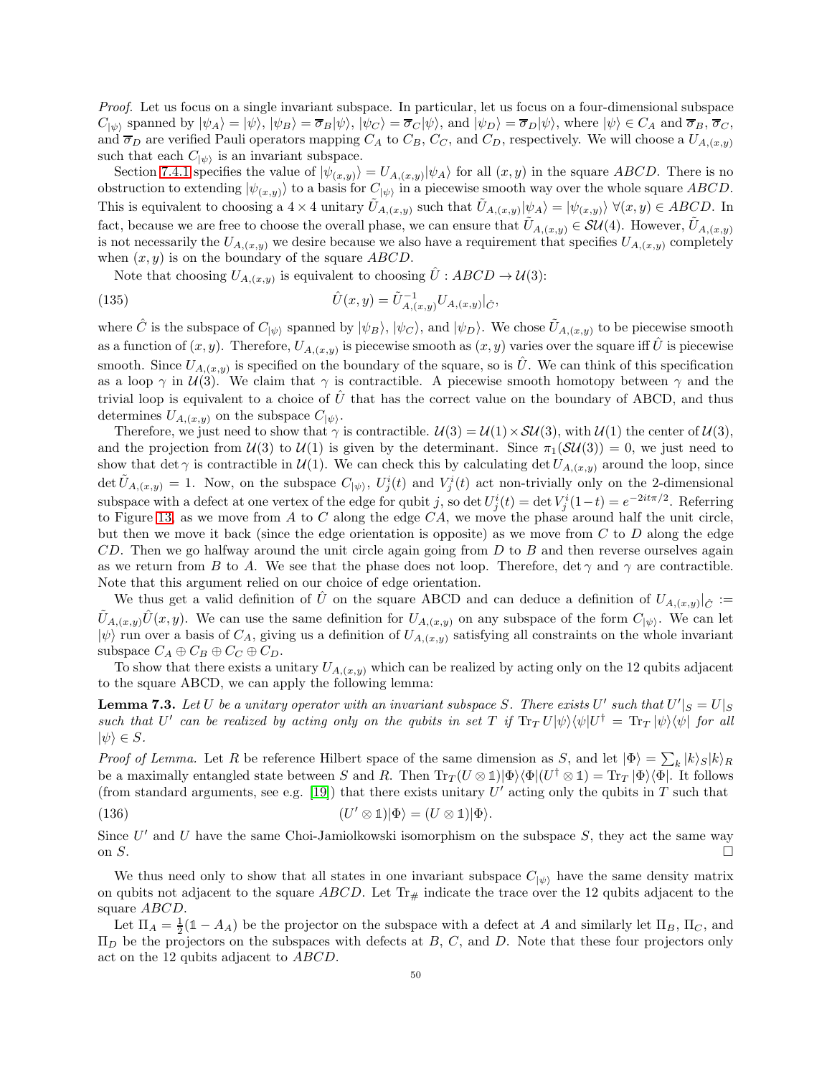Proof. Let us focus on a single invariant subspace. In particular, let us focus on a four-dimensional subspace  $C_{|\psi\rangle}$  spanned by  $|\psi_A\rangle = |\psi\rangle, |\psi_B\rangle = \overline{\sigma}_B |\psi\rangle, |\psi_C\rangle = \overline{\sigma}_C |\psi\rangle$ , and  $|\psi_D\rangle = \overline{\sigma}_D |\psi\rangle$ , where  $|\psi\rangle \in C_A$  and  $\overline{\sigma}_B, \overline{\sigma}_C$ , and  $\overline{\sigma}_D$  are verified Pauli operators mapping  $C_A$  to  $C_B$ ,  $C_C$ , and  $C_D$ , respectively. We will choose a  $U_{A,(x,y)}$ such that each  $C_{\ket{\psi}}$  is an invariant subspace.

Section [7.4.1](#page-46-3) specifies the value of  $|\psi_{(x,y)}\rangle = U_{A,(x,y)}|\psi_A\rangle$  for all  $(x,y)$  in the square ABCD. There is no obstruction to extending  $|\psi(x,y)\rangle$  to a basis for  $C_{|\psi\rangle}$  in a piecewise smooth way over the whole square ABCD. This is equivalent to choosing a  $4 \times 4$  unitary  $\tilde{U}_{A,(x,y)}$  such that  $\tilde{U}_{A,(x,y)}|\psi_A\rangle = |\psi_{(x,y)}\rangle \ \forall (x,y) \in ABCD$ . In fact, because we are free to choose the overall phase, we can ensure that  $\hat{U}_{A,(x,y)} \in \mathcal{SU}(4)$ . However,  $U_{A,(x,y)}$ is not necessarily the  $U_{A,(x,y)}$  we desire because we also have a requirement that specifies  $U_{A,(x,y)}$  completely when  $(x, y)$  is on the boundary of the square ABCD.

Note that choosing  $U_{A,(x,y)}$  is equivalent to choosing  $\hat{U} : ABCD \to \mathcal{U}(3)$ :

(135) 
$$
\hat{U}(x,y) = \tilde{U}_{A,(x,y)}^{-1} U_{A,(x,y)}|_{\hat{C}},
$$

where  $\hat{C}$  is the subspace of  $C_{|\psi\rangle}$  spanned by  $|\psi_B\rangle$ ,  $|\psi_C\rangle$ , and  $|\psi_D\rangle$ . We chose  $\tilde{U}_{A,(x,y)}$  to be piecewise smooth as a function of  $(x, y)$ . Therefore,  $U_{A,(x,y)}$  is piecewise smooth as  $(x, y)$  varies over the square iff  $\hat{U}$  is piecewise smooth. Since  $U_{A,(x,y)}$  is specified on the boundary of the square, so is  $\hat{U}$ . We can think of this specification as a loop  $\gamma$  in  $\mathcal{U}(3)$ . We claim that  $\gamma$  is contractible. A piecewise smooth homotopy between  $\gamma$  and the trivial loop is equivalent to a choice of  $\hat{U}$  that has the correct value on the boundary of ABCD, and thus determines  $U_{A,(x,y)}$  on the subspace  $C_{|\psi\rangle}$ .

Therefore, we just need to show that  $\gamma$  is contractible.  $\mathcal{U}(3) = \mathcal{U}(1) \times \mathcal{SU}(3)$ , with  $\mathcal{U}(1)$  the center of  $\mathcal{U}(3)$ , and the projection from  $U(3)$  to  $U(1)$  is given by the determinant. Since  $\pi_1(SU(3)) = 0$ , we just need to show that det  $\gamma$  is contractible in  $\mathcal{U}(1)$ . We can check this by calculating det  $U_{A,(x,y)}$  around the loop, since  $\det \tilde{U}_{A,(x,y)} = 1$ . Now, on the subspace  $C_{\ket{\psi}}$ ,  $U_j^i(t)$  and  $V_j^i(t)$  act non-trivially only on the 2-dimensional subspace with a defect at one vertex of the edge for qubit j, so det  $U_j^i(t) = \det V_j^i(1-t) = e^{-2it\pi/2}$ . Referring to Figure [13,](#page-46-2) as we move from A to C along the edge  $CA$ , we move the phase around half the unit circle, but then we move it back (since the edge orientation is opposite) as we move from  $C$  to  $D$  along the edge  $CD$ . Then we go halfway around the unit circle again going from  $D$  to  $B$  and then reverse ourselves again as we return from B to A. We see that the phase does not loop. Therefore,  $\det \gamma$  and  $\gamma$  are contractible. Note that this argument relied on our choice of edge orientation.

We thus get a valid definition of  $\hat{U}$  on the square ABCD and can deduce a definition of  $U_{A,(x,y)}|_{\hat{C}}:=$  $\tilde{U}_{A,(x,y)}\hat{U}(x,y)$ . We can use the same definition for  $U_{A,(x,y)}$  on any subspace of the form  $C_{|\psi\rangle}$ . We can let  $|\psi\rangle$  run over a basis of  $C_A$ , giving us a definition of  $U_{A,(x,y)}$  satisfying all constraints on the whole invariant subspace  $C_A \oplus C_B \oplus C_C \oplus C_D$ .

To show that there exists a unitary  $U_{A,(x,y)}$  which can be realized by acting only on the 12 qubits adjacent to the square ABCD, we can apply the following lemma:

**Lemma 7.3.** Let U be a unitary operator with an invariant subspace S. There exists U' such that  $U'|_S = U|_S$ such that U' can be realized by acting only on the qubits in set T if  $\text{Tr}_T U|\psi\rangle\langle\psi|U^{\dagger} = \text{Tr}_T |\psi\rangle\langle\psi|$  for all  $|\psi\rangle \in S$ .

*Proof of Lemma.* Let R be reference Hilbert space of the same dimension as S, and let  $|\Phi\rangle = \sum_{k} |k\rangle_{S} |k\rangle_{R}$ be a maximally entangled state between S and R. Then  $\text{Tr}_T(U \otimes \mathbb{1})|\Phi\rangle\langle\Phi|(U^{\dagger} \otimes \mathbb{1}) = \text{Tr}_T |\Phi\rangle\langle\Phi|$ . It follows (from standard arguments, see e.g. [\[19\]](#page-63-22)) that there exists unitary  $U'$  acting only the qubits in T such that

(136) 
$$
(U' \otimes 1)|\Phi\rangle = (U \otimes 1)|\Phi\rangle.
$$

Since  $U'$  and U have the same Choi-Jamiolkowski isomorphism on the subspace  $S$ , they act the same way on  $S$ .

We thus need only to show that all states in one invariant subspace  $C_{\ket{\psi}}$  have the same density matrix on qubits not adjacent to the square ABCD. Let  $\text{Tr}_{\#}$  indicate the trace over the 12 qubits adjacent to the square ABCD.

Let  $\Pi_A = \frac{1}{2}(\mathbb{1} - A_A)$  be the projector on the subspace with a defect at A and similarly let  $\Pi_B$ ,  $\Pi_C$ , and  $\Pi_D$  be the projectors on the subspaces with defects at B, C, and D. Note that these four projectors only act on the 12 qubits adjacent to ABCD.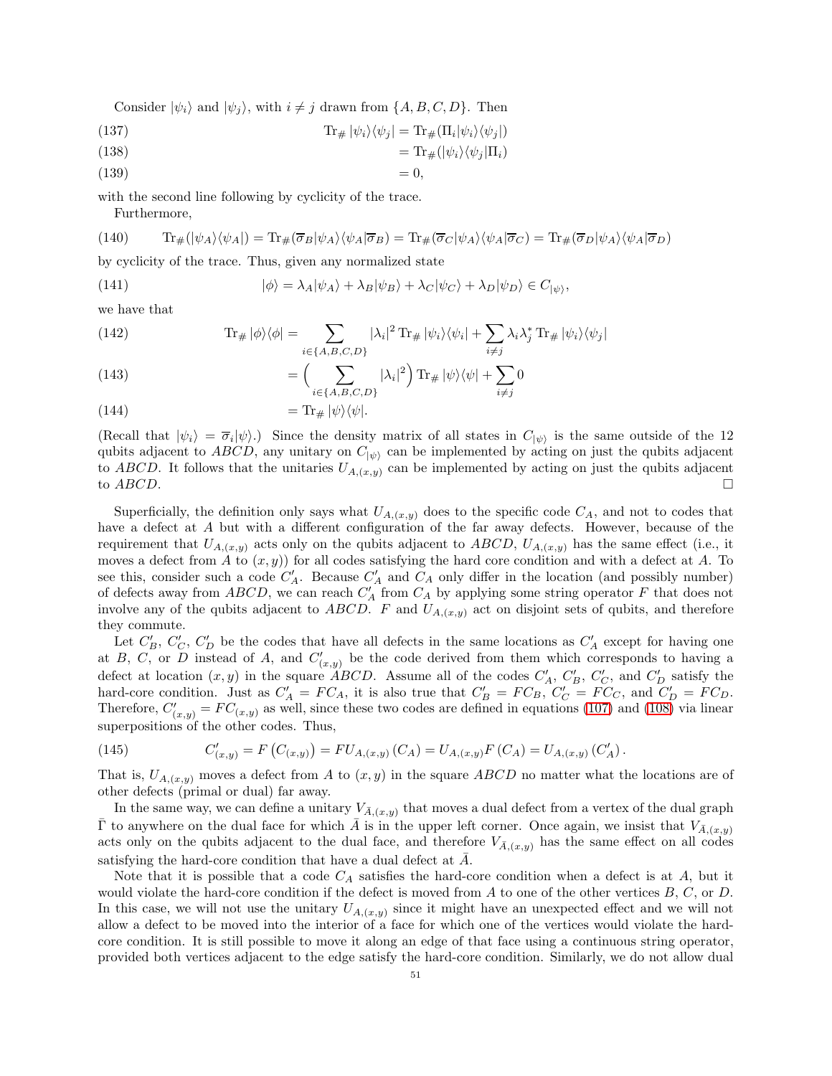Consider  $|\psi_i\rangle$  and  $|\psi_j\rangle$ , with  $i \neq j$  drawn from  $\{A, B, C, D\}$ . Then

(137) 
$$
\text{Tr}_{\#} |\psi_i\rangle \langle \psi_j| = \text{Tr}_{\#}(\Pi_i |\psi_i\rangle \langle \psi_j|)
$$

(138) 
$$
= \text{Tr}_{\#}(|\psi_i\rangle \langle \psi_j| \Pi_i)
$$

$$
(139) \t\t\t= 0,
$$

with the second line following by cyclicity of the trace.

Furthermore,

(140) 
$$
\text{Tr}_{\#}(|\psi_{A}\rangle\langle\psi_{A}|) = \text{Tr}_{\#}(\overline{\sigma}_{B}|\psi_{A}\rangle\langle\psi_{A}|\overline{\sigma}_{B}) = \text{Tr}_{\#}(\overline{\sigma}_{C}|\psi_{A}\rangle\langle\psi_{A}|\overline{\sigma}_{C}) = \text{Tr}_{\#}(\overline{\sigma}_{D}|\psi_{A}\rangle\langle\psi_{A}|\overline{\sigma}_{D})
$$

by cyclicity of the trace. Thus, given any normalized state

(141) 
$$
|\phi\rangle = \lambda_A |\psi_A\rangle + \lambda_B |\psi_B\rangle + \lambda_C |\psi_C\rangle + \lambda_D |\psi_D\rangle \in C_{|\psi\rangle},
$$

we have that

(142) 
$$
\text{Tr}_{\#} |\phi\rangle\langle\phi| = \sum_{i \in \{A, B, C, D\}} |\lambda_i|^2 \text{Tr}_{\#} |\psi_i\rangle\langle\psi_i| + \sum_{i \neq j} \lambda_i \lambda_j^* \text{Tr}_{\#} |\psi_i\rangle\langle\psi_j|
$$

(143) 
$$
= \left(\sum_{i \in \{A, B, C, D\}} |\lambda_i|^2 \right) \text{Tr}_{\#} |\psi\rangle \langle \psi| + \sum_{i \neq j} 0
$$

(144) 
$$
= \text{Tr}_{\#} |\psi\rangle\langle\psi|.
$$

(Recall that  $|\psi_i\rangle = \overline{\sigma}_i |\psi\rangle$ .) Since the density matrix of all states in  $C_{|\psi\rangle}$  is the same outside of the 12 qubits adjacent to ABCD, any unitary on  $C_{\ket{\psi}}$  can be implemented by acting on just the qubits adjacent to ABCD. It follows that the unitaries  $U_{A,(x,y)}$  can be implemented by acting on just the qubits adjacent to  $ABCD$ .

Superficially, the definition only says what  $U_{A,(x,y)}$  does to the specific code  $C_A$ , and not to codes that have a defect at A but with a different configuration of the far away defects. However, because of the requirement that  $U_{A,(x,y)}$  acts only on the qubits adjacent to ABCD,  $U_{A,(x,y)}$  has the same effect (i.e., it moves a defect from A to  $(x, y)$  for all codes satisfying the hard core condition and with a defect at A. To see this, consider such a code  $C'_A$ . Because  $C'_A$  and  $C_A$  only differ in the location (and possibly number) of defects away from  $ABCD$ , we can reach  $C_A'$  from  $C_A$  by applying some string operator F that does not involve any of the qubits adjacent to ABCD. F and  $U_{A,(x,y)}$  act on disjoint sets of qubits, and therefore they commute.

Let  $C'_B$ ,  $C'_C$ ,  $C'_D$  be the codes that have all defects in the same locations as  $C'_A$  except for having one at B, C, or D instead of A, and  $C'_{(x,y)}$  be the code derived from them which corresponds to having a defect at location  $(x, y)$  in the square *ABCD*. Assume all of the codes  $C'_A$ ,  $C'_B$ ,  $C'_C$ , and  $C'_D$  satisfy the hard-core condition. Just as  $C'_A = FC_A$ , it is also true that  $C'_B = FC_B$ ,  $C'_C = FC_C$ , and  $C'_D = FC_D$ . Therefore,  $C'_{(x,y)} = FC_{(x,y)}$  as well, since these two codes are defined in equations [\(107\)](#page-47-0) and [\(108\)](#page-47-1) via linear superpositions of the other codes. Thus,

(145) 
$$
C'_{(x,y)} = F(C_{(x,y)}) = FU_{A,(x,y)}(C_A) = U_{A,(x,y)}F(C_A) = U_{A,(x,y)}(C'_A).
$$

That is,  $U_{A,(x,y)}$  moves a defect from A to  $(x, y)$  in the square ABCD no matter what the locations are of other defects (primal or dual) far away.

In the same way, we can define a unitary  $V_{\bar{A},(x,y)}$  that moves a dual defect from a vertex of the dual graph  $\bar{\Gamma}$  to anywhere on the dual face for which  $\bar{A}$  is in the upper left corner. Once again, we insist that  $V_{\bar{A},(x,y)}$ acts only on the qubits adjacent to the dual face, and therefore  $V_{\bar{A},(x,y)}$  has the same effect on all codes satisfying the hard-core condition that have a dual defect at  $\bar{A}$ .

Note that it is possible that a code  $C_A$  satisfies the hard-core condition when a defect is at A, but it would violate the hard-core condition if the defect is moved from  $A$  to one of the other vertices  $B, C,$  or  $D$ . In this case, we will not use the unitary  $U_{A,(x,y)}$  since it might have an unexpected effect and we will not allow a defect to be moved into the interior of a face for which one of the vertices would violate the hardcore condition. It is still possible to move it along an edge of that face using a continuous string operator, provided both vertices adjacent to the edge satisfy the hard-core condition. Similarly, we do not allow dual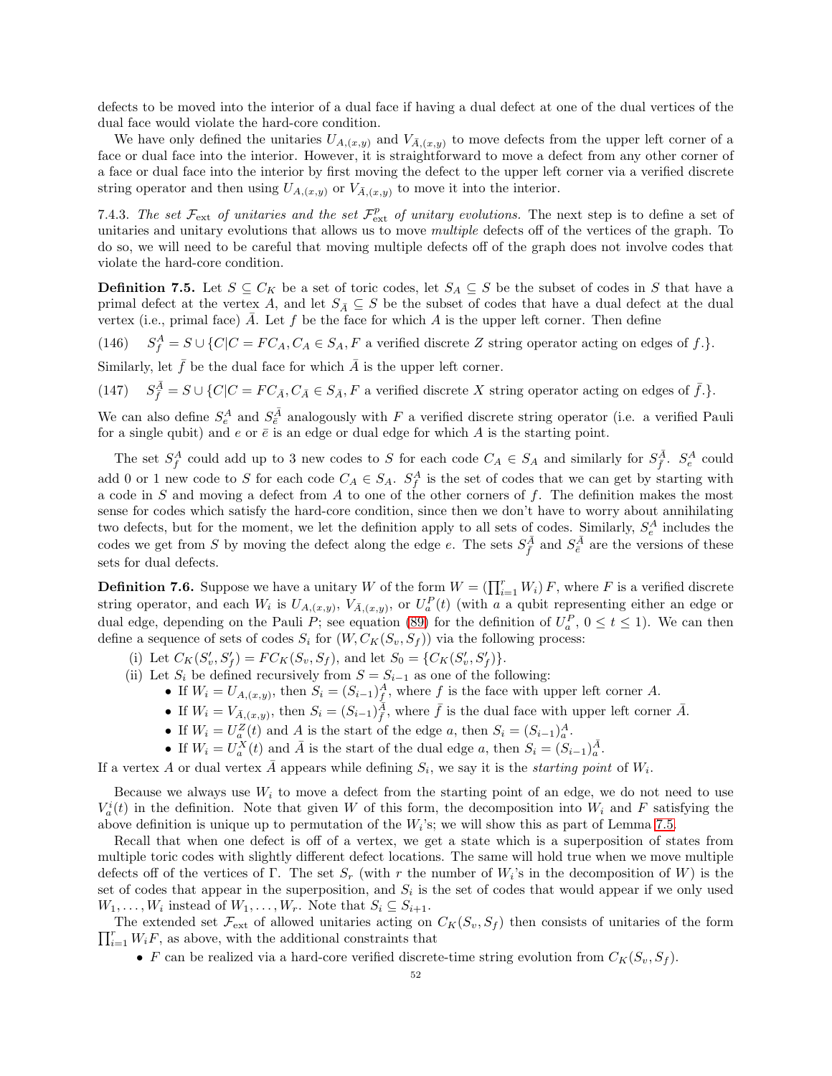defects to be moved into the interior of a dual face if having a dual defect at one of the dual vertices of the dual face would violate the hard-core condition.

We have only defined the unitaries  $U_{A,(x,y)}$  and  $V_{\bar{A},(x,y)}$  to move defects from the upper left corner of a face or dual face into the interior. However, it is straightforward to move a defect from any other corner of a face or dual face into the interior by first moving the defect to the upper left corner via a verified discrete string operator and then using  $U_{A,(x,y)}$  or  $V_{\bar{A},(x,y)}$  to move it into the interior.

7.4.3. The set  $\mathcal{F}_{ext}$  of unitaries and the set  $\mathcal{F}_{ext}^p$  of unitary evolutions. The next step is to define a set of unitaries and unitary evolutions that allows us to move multiple defects off of the vertices of the graph. To do so, we will need to be careful that moving multiple defects off of the graph does not involve codes that violate the hard-core condition.

**Definition 7.5.** Let  $S \subseteq C_K$  be a set of toric codes, let  $S_A \subseteq S$  be the subset of codes in S that have a primal defect at the vertex A, and let  $S_{\bar{A}} \subseteq S$  be the subset of codes that have a dual defect at the dual vertex (i.e., primal face)  $\overline{A}$ . Let f be the face for which A is the upper left corner. Then define

 $(146)$  $A_f^A = S \cup \{C|C = FC_A, C_A \in S_A, F \text{ a verified discrete } Z \text{ string operator acting on edges of } f.\}.$ 

Similarly, let  $\bar{f}$  be the dual face for which  $\bar{A}$  is the upper left corner.

 $(147)$  $A_{\bar{f}}^{\bar{A}} = S \cup \{C | C = FC_{\bar{A}}, C_{\bar{A}} \in S_{\bar{A}}, F$  a verified discrete X string operator acting on edges of  $\bar{f}$ .}.

We can also define  $S_e^A$  and  $S_{\bar{e}}^{\bar{A}}$  analogously with F a verified discrete string operator (i.e. a verified Pauli for a single qubit) and e or  $\bar{e}$  is an edge or dual edge for which A is the starting point.

The set  $S_f^A$  could add up to 3 new codes to S for each code  $C_A \in S_A$  and similarly for  $S_{\bar{f}}^{\bar{A}}$ .  $S_e^A$  could add 0 or 1 new code to S for each code  $C_A \in S_A$ .  $S_f^A$  is the set of codes that we can get by starting with a code in  $S$  and moving a defect from  $A$  to one of the other corners of  $f$ . The definition makes the most sense for codes which satisfy the hard-core condition, since then we don't have to worry about annihilating two defects, but for the moment, we let the definition apply to all sets of codes. Similarly,  $S_e^A$  includes the codes we get from S by moving the defect along the edge e. The sets  $S_{\bar{f}}^{\bar{A}}$  and  $S_{\bar{e}}^{\bar{A}}$  are the versions of these sets for dual defects.

<span id="page-51-0"></span>**Definition 7.6.** Suppose we have a unitary W of the form  $W = (\prod_{i=1}^r W_i) F$ , where F is a verified discrete string operator, and each  $W_i$  is  $U_{A,(x,y)}, V_{\bar{A},(x,y)},$  or  $U_a^P(t)$  (with a a qubit representing either an edge or dual edge, depending on the Pauli P; see equation [\(89\)](#page-43-5) for the definition of  $U_a^P$ ,  $0 \le t \le 1$ ). We can then define a sequence of sets of codes  $S_i$  for  $(W, C_K(S_v, S_f))$  via the following process:

- (i) Let  $C_K(S'_v, S'_f) = FC_K(S_v, S_f)$ , and let  $S_0 = \{C_K(S'_v, S'_f)\}.$
- (ii) Let  $S_i$  be defined recursively from  $S = S_{i-1}$  as one of the following:
	- If  $W_i = U_{A_i(x,y)}$ , then  $S_i = (S_{i-1})_f^A$ , where f is the face with upper left corner A.
	- If  $W_i = V_{\bar{A},(x,y)}$ , then  $S_i = (S_{i-1})^{\bar{A}}_{\bar{f}}$ , where  $\bar{f}$  is the dual face with upper left corner  $\bar{A}$ .
	- If  $W_i = U_a^Z(t)$  and A is the start of the edge a, then  $S_i = (S_{i-1})_a^A$ .
	- If  $W_i = U_a^X(t)$  and  $\overline{A}$  is the start of the dual edge  $a$ , then  $S_i = (S_{i-1})_a^{\overline{A}}$ .

If a vertex A or dual vertex  $\bar{A}$  appears while defining  $S_i$ , we say it is the *starting point* of  $W_i$ .

Because we always use  $W_i$  to move a defect from the starting point of an edge, we do not need to use  $V_a^i(t)$  in the definition. Note that given W of this form, the decomposition into  $W_i$  and F satisfying the above definition is unique up to permutation of the  $W_i$ 's; we will show this as part of Lemma [7.5.](#page-53-0)

Recall that when one defect is off of a vertex, we get a state which is a superposition of states from multiple toric codes with slightly different defect locations. The same will hold true when we move multiple defects of of the vertices of  $\Gamma$ . The set  $S_r$  (with r the number of  $W_i$ 's in the decomposition of W) is the set of codes that appear in the superposition, and  $S_i$  is the set of codes that would appear if we only used  $W_1, \ldots, W_i$  instead of  $W_1, \ldots, W_r$ . Note that  $S_i \subseteq S_{i+1}$ .

 $\prod_{i=1}^r W_i F$ , as above, with the additional constraints that The extended set  $\mathcal{F}_{ext}$  of allowed unitaries acting on  $C_K(S_v, S_f)$  then consists of unitaries of the form

• F can be realized via a hard-core verified discrete-time string evolution from  $C_K(S_v, S_f)$ .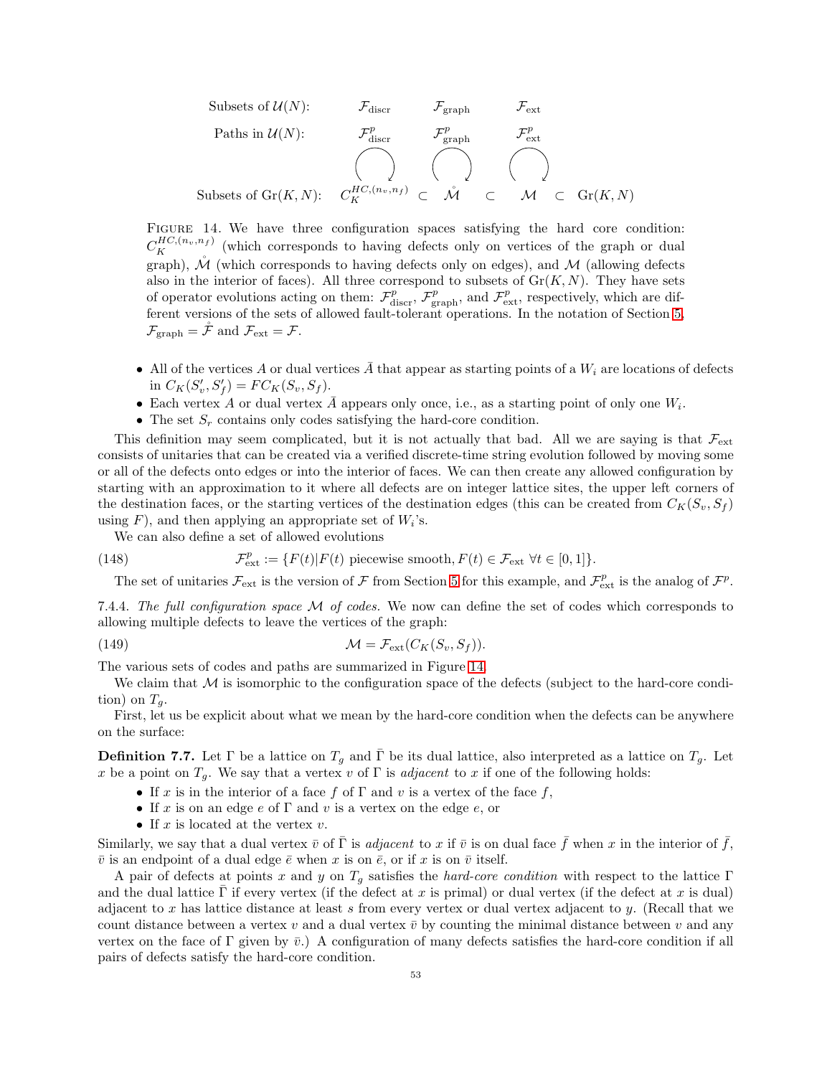Subsets of 
$$
U(N)
$$
:  
\n $\mathcal{F}_{\text{disc}}$   $\mathcal{F}_{\text{graph}}$   $\mathcal{F}_{\text{ext}}$   
\nPaths in  $U(N)$ :  
\n $\mathcal{F}_{\text{disc}}^p$   $\mathcal{F}_{\text{graph}}^p$   $\mathcal{F}_{\text{ext}}^p$   
\n $\left(\bigcup_{K \in \mathcal{F}_K} \bigcap_{m \in \mathcal{F}_K} \bigcap_{\tau \in \mathcal{F}_K} \bigcap_{\tau \in \mathcal{F}_K} \bigcap_{\tau \in \mathcal{F}_K} \bigcap_{\tau \in \mathcal{F}_K} \bigcap_{\tau \in \mathcal{F}_K} \bigcap_{\tau \in \mathcal{F}_K} \bigcap_{\tau \in \mathcal{F}_K} \bigcap_{\tau \in \mathcal{F}_K} \bigcap_{\tau \in \mathcal{F}_K} \bigcap_{\tau \in \mathcal{F}_K} \bigcap_{\tau \in \mathcal{F}_K} \bigcap_{\tau \in \mathcal{F}_K} \bigcap_{\tau \in \mathcal{F}_K} \bigcap_{\tau \in \mathcal{F}_K} \bigcap_{\tau \in \mathcal{F}_K} \bigcap_{\tau \in \mathcal{F}_K} \bigcap_{\tau \in \mathcal{F}_K} \bigcap_{\tau \in \mathcal{F}_K} \bigcap_{\tau \in \mathcal{F}_K} \bigcap_{\tau \in \mathcal{F}_K} \bigcap_{\tau \in \mathcal{F}_K} \bigcap_{\tau \in \mathcal{F}_K} \bigcap_{\tau \in \mathcal{F}_K} \bigcap_{\tau \in \mathcal{F}_K} \bigcap_{\tau \in \mathcal{F}_K} \bigcap_{\tau \in \mathcal{F}_K} \bigcap_{\tau \in \mathcal{F}_K} \bigcap_{\tau \in \mathcal{F}_K} \bigcap_{\tau \in \mathcal{F}_K} \bigcap_{\tau \in \mathcal{F}_K} \bigcap_{\tau \in \mathcal{F}_K} \bigcap_{\tau \in \mathcal{F}_K} \bigcap_{\tau \in \mathcal{F}_K} \bigcap_{\tau \in \mathcal{F}_K} \bigcap_{\tau \in \mathcal{F}_K} \bigcap_{\tau \in \mathcal{F}_K} \bigcap_{\tau \in \mathcal{F}_K} \bigcap_{\$ 

<span id="page-52-0"></span>Figure 14. We have three configuration spaces satisfying the hard core condition:  $C_{K}^{HC,(n_v,n_f)}$  (which corresponds to having defects only on vertices of the graph or dual graph),  $\mathcal M$  (which corresponds to having defects only on edges), and  $\mathcal M$  (allowing defects also in the interior of faces). All three correspond to subsets of  $Gr(K, N)$ . They have sets of operator evolutions acting on them:  $\mathcal{F}_{\text{disc}}^p$ ,  $\mathcal{F}_{\text{graph}}^p$ , and  $\mathcal{F}_{\text{ext}}^p$ , respectively, which are different versions of the sets of allowed fault-tolerant operations. In the notation of Section [5,](#page-24-0)  $\mathcal{F}_{\text{graph}} = \tilde{\mathcal{F}} \text{ and } \mathcal{F}_{\text{ext}} = \mathcal{F}.$ 

- All of the vertices A or dual vertices  $\bar{A}$  that appear as starting points of a  $W_i$  are locations of defects in  $C_K(S'_v, S'_f) = FC_K(S_v, S_f).$
- Each vertex A or dual vertex  $\overline{A}$  appears only once, i.e., as a starting point of only one  $W_i$ .
- The set  $S_r$  contains only codes satisfying the hard-core condition.

This definition may seem complicated, but it is not actually that bad. All we are saying is that  $\mathcal{F}_{ext}$ consists of unitaries that can be created via a verified discrete-time string evolution followed by moving some or all of the defects onto edges or into the interior of faces. We can then create any allowed configuration by starting with an approximation to it where all defects are on integer lattice sites, the upper left corners of the destination faces, or the starting vertices of the destination edges (this can be created from  $C_K(S_v, S_f)$ ) using  $F$ ), and then applying an appropriate set of  $W_i$ 's.

We can also define a set of allowed evolutions

(148) 
$$
\mathcal{F}_{\text{ext}}^p := \{ F(t) | F(t) \text{ piecewise smooth}, F(t) \in \mathcal{F}_{\text{ext}} \ \forall t \in [0,1] \}.
$$

<span id="page-52-1"></span>The set of unitaries  $\mathcal{F}_{ext}$  is the version of  $\mathcal F$  from Section [5](#page-24-0) for this example, and  $\mathcal{F}_{ext}^p$  is the analog of  $\mathcal{F}^p$ .

7.4.4. The full configuration space  $M$  of codes. We now can define the set of codes which corresponds to allowing multiple defects to leave the vertices of the graph:

(149) 
$$
\mathcal{M} = \mathcal{F}_{\text{ext}}(C_K(S_v, S_f)).
$$

The various sets of codes and paths are summarized in Figure [14.](#page-52-0)

We claim that  $M$  is isomorphic to the configuration space of the defects (subject to the hard-core condition) on  $T_g$ .

First, let us be explicit about what we mean by the hard-core condition when the defects can be anywhere on the surface:

**Definition 7.7.** Let  $\Gamma$  be a lattice on  $T_g$  and  $\bar{\Gamma}$  be its dual lattice, also interpreted as a lattice on  $T_g$ . Let x be a point on  $T_g$ . We say that a vertex v of  $\Gamma$  is *adjacent* to x if one of the following holds:

- If x is in the interior of a face f of  $\Gamma$  and v is a vertex of the face f,
- If x is on an edge e of  $\Gamma$  and v is a vertex on the edge e, or
- If  $x$  is located at the vertex  $v$ .

Similarly, we say that a dual vertex  $\bar{v}$  of  $\bar{\Gamma}$  is *adjacent* to x if  $\bar{v}$  is on dual face  $\bar{f}$  when x in the interior of  $\bar{f}$ ,  $\bar{v}$  is an endpoint of a dual edge  $\bar{e}$  when x is on  $\bar{e}$ , or if x is on  $\bar{v}$  itself.

A pair of defects at points x and y on  $T_q$  satisfies the hard-core condition with respect to the lattice  $\Gamma$ and the dual lattice Γ if every vertex (if the defect at x is primal) or dual vertex (if the defect at x is dual) adjacent to x has lattice distance at least s from every vertex or dual vertex adjacent to y. (Recall that we count distance between a vertex v and a dual vertex  $\bar{v}$  by counting the minimal distance between v and any vertex on the face of Γ given by  $\bar{v}$ .) A configuration of many defects satisfies the hard-core condition if all pairs of defects satisfy the hard-core condition.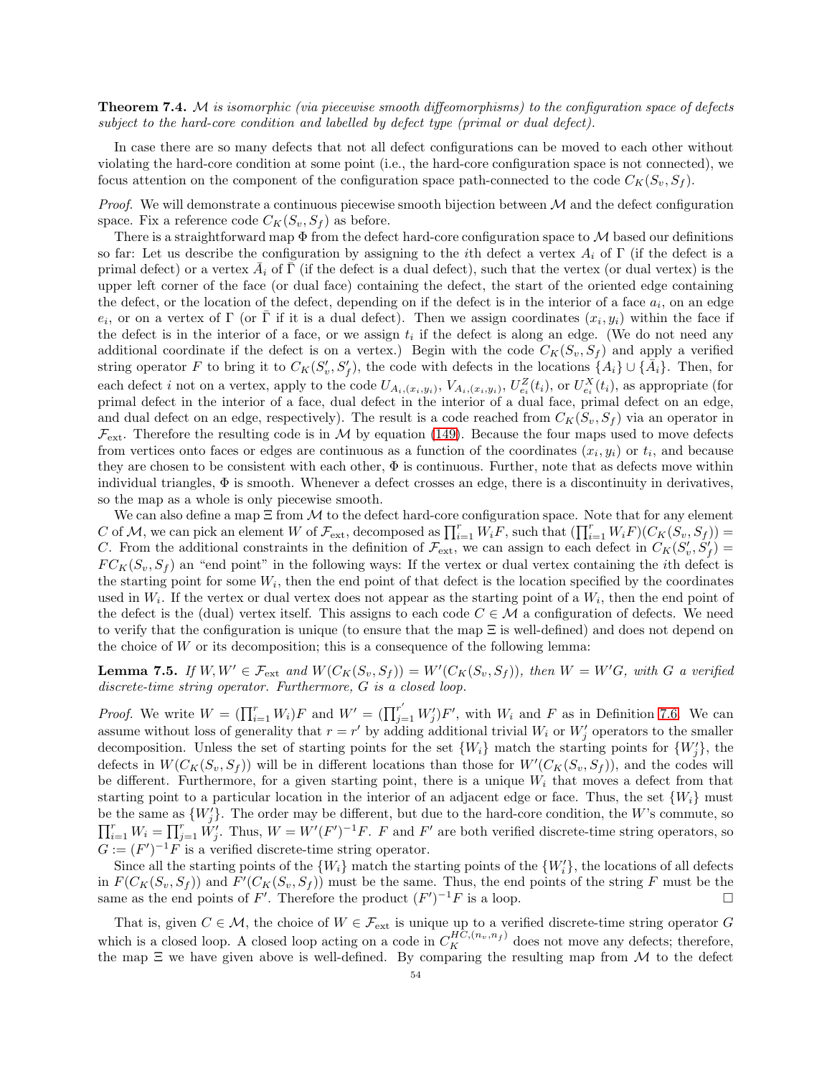**Theorem 7.4.** M is isomorphic (via piecewise smooth diffeomorphisms) to the configuration space of defects subject to the hard-core condition and labelled by defect type (primal or dual defect).

In case there are so many defects that not all defect configurations can be moved to each other without violating the hard-core condition at some point (i.e., the hard-core configuration space is not connected), we focus attention on the component of the configuration space path-connected to the code  $C_K(S_v, S_f)$ .

*Proof.* We will demonstrate a continuous piecewise smooth bijection between  $M$  and the defect configuration space. Fix a reference code  $C_K(S_v, S_f)$  as before.

There is a straightforward map  $\Phi$  from the defect hard-core configuration space to  $\mathcal M$  based our definitions so far: Let us describe the configuration by assigning to the *i*th defect a vertex  $A_i$  of Γ (if the defect is a primal defect) or a vertex  $\bar{A}_i$  of  $\bar{\Gamma}$  (if the defect is a dual defect), such that the vertex (or dual vertex) is the upper left corner of the face (or dual face) containing the defect, the start of the oriented edge containing the defect, or the location of the defect, depending on if the defect is in the interior of a face  $a_i$ , on an edge  $e_i$ , or on a vertex of  $\Gamma$  (or  $\overline{\Gamma}$  if it is a dual defect). Then we assign coordinates  $(x_i, y_i)$  within the face if the defect is in the interior of a face, or we assign  $t_i$  if the defect is along an edge. (We do not need any additional coordinate if the defect is on a vertex.) Begin with the code  $C_K(S_v, S_f)$  and apply a verified string operator F to bring it to  $C_K(S'_v, S'_f)$ , the code with defects in the locations  $\{A_i\} \cup \{\overline{A}_i\}$ . Then, for each defect i not on a vertex, apply to the code  $U_{A_i,(x_i,y_i)}, V_{A_i,(x_i,y_i)}, U_{e_i}^Z(t_i)$ , or  $U_{e_i}^X(t_i)$ , as appropriate (for primal defect in the interior of a face, dual defect in the interior of a dual face, primal defect on an edge, and dual defect on an edge, respectively). The result is a code reached from  $C_K(S_v, S_f)$  via an operator in  $\mathcal{F}_{ext}$ . Therefore the resulting code is in M by equation [\(149\)](#page-52-1). Because the four maps used to move defects from vertices onto faces or edges are continuous as a function of the coordinates  $(x_i, y_i)$  or  $t_i$ , and because they are chosen to be consistent with each other,  $\Phi$  is continuous. Further, note that as defects move within individual triangles,  $\Phi$  is smooth. Whenever a defect crosses an edge, there is a discontinuity in derivatives, so the map as a whole is only piecewise smooth.

We can also define a map  $\Xi$  from  $\mathcal M$  to the defect hard-core configuration space. Note that for any element C of M, we can pick an element W of  $\mathcal{F}_{ext}$ , decomposed as  $\prod_{i=1}^r W_i \overline{F}$ , such that  $(\prod_{i=1}^r W_i \overline{F})(C_K(S_v, S_f))$ C. From the additional constraints in the definition of  $\mathcal{F}_{ext}$ , we can assign to each defect in  $C_K(S'_v, S'_f)$  $FC_K(S_v, S_f)$  an "end point" in the following ways: If the vertex or dual vertex containing the *i*th defect is the starting point for some  $W_i$ , then the end point of that defect is the location specified by the coordinates used in  $W_i$ . If the vertex or dual vertex does not appear as the starting point of a  $W_i$ , then the end point of the defect is the (dual) vertex itself. This assigns to each code  $C \in \mathcal{M}$  a configuration of defects. We need to verify that the configuration is unique (to ensure that the map Ξ is well-defined) and does not depend on the choice of  $W$  or its decomposition; this is a consequence of the following lemma:

<span id="page-53-0"></span>**Lemma 7.5.** If  $W, W' \in \mathcal{F}_{ext}$  and  $W(C_K(S_v, S_f)) = W'(C_K(S_v, S_f))$ , then  $W = W'G$ , with G a verified discrete-time string operator. Furthermore, G is a closed loop.

*Proof.* We write  $W = (\prod_{i=1}^r W_i)F$  and  $W' = (\prod_{j=1}^{r'} W'_j)F'$ , with  $W_i$  and F as in Definition [7.6.](#page-51-0) We can assume without loss of generality that  $r = r'$  by adding additional trivial  $W_i$  or  $W'_j$  operators to the smaller decomposition. Unless the set of starting points for the set  $\{W_i\}$  match the starting points for  $\{W'_j\}$ , the defects in  $W(C_K(S_v, S_f))$  will be in different locations than those for  $W'(C_K(S_v, S_f))$ , and the codes will be different. Furthermore, for a given starting point, there is a unique  $W_i$  that moves a defect from that starting point to a particular location in the interior of an adjacent edge or face. Thus, the set  $\{W_i\}$  must be the same as  $\{W'_j\}$ . The order may be different, but due to the hard-core condition, the W's commute, so  $\prod_{i=1}^r W_i = \prod_{j=1}^r \check{W'_j}$ . Thus,  $W = W'(F')^{-1}F$ . F and F' are both verified discrete-time string operators, so  $G := (F')^{-1}F$  is a verified discrete-time string operator.

Since all the starting points of the  $\{W_i\}$  match the starting points of the  $\{W'_i\}$ , the locations of all defects in  $F(C_K(S_v, S_f))$  and  $F'(C_K(S_v, S_f))$  must be the same. Thus, the end points of the string F must be the same as the end points of F'. Therefore the product  $(F')^{-1}F$  is a loop.

That is, given  $C \in \mathcal{M}$ , the choice of  $W \in \mathcal{F}_{ext}$  is unique up to a verified discrete-time string operator G which is a closed loop. A closed loop acting on a code in  $C_K^{HC,(n_v,n_f)}$  does not move any defects; therefore, the map  $\Xi$  we have given above is well-defined. By comparing the resulting map from M to the defect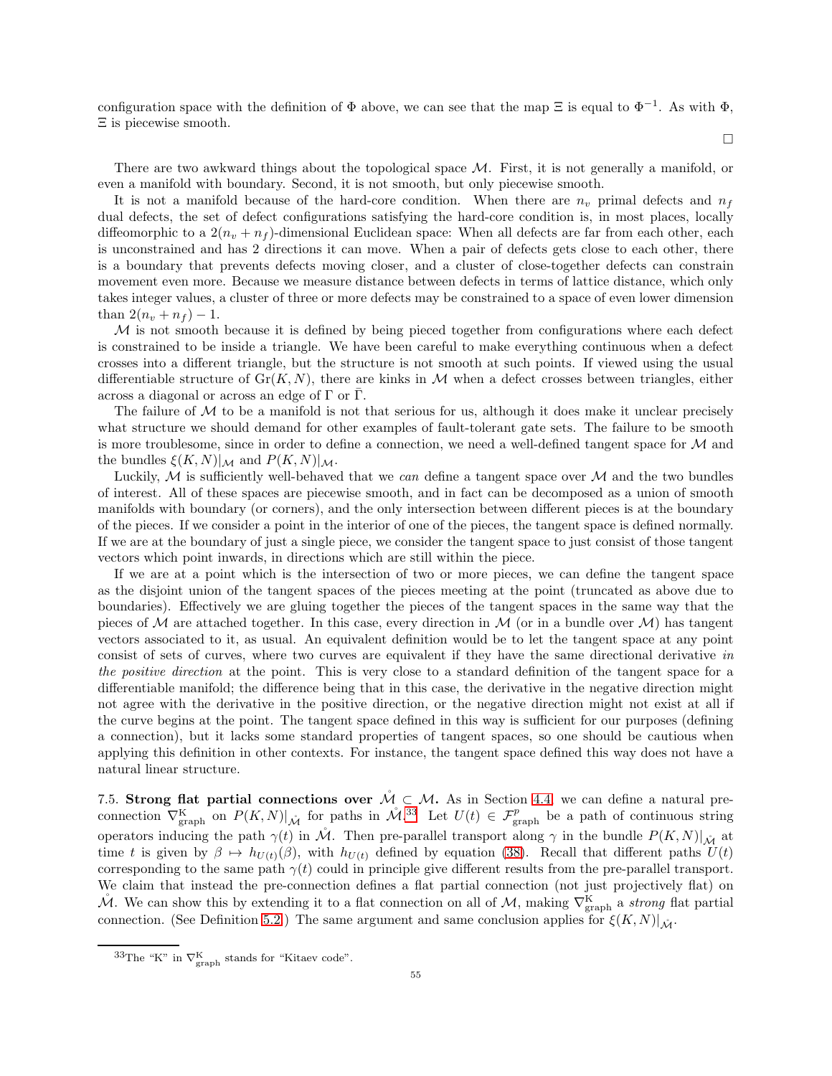configuration space with the definition of  $\Phi$  above, we can see that the map  $\Xi$  is equal to  $\Phi^{-1}$ . As with  $\Phi$ , Ξ is piecewise smooth.

 $\Box$ 

There are two awkward things about the topological space  $M$ . First, it is not generally a manifold, or even a manifold with boundary. Second, it is not smooth, but only piecewise smooth.

It is not a manifold because of the hard-core condition. When there are  $n_v$  primal defects and  $n_f$ dual defects, the set of defect configurations satisfying the hard-core condition is, in most places, locally diffeomorphic to a  $2(n_v + n_f)$ -dimensional Euclidean space: When all defects are far from each other, each is unconstrained and has 2 directions it can move. When a pair of defects gets close to each other, there is a boundary that prevents defects moving closer, and a cluster of close-together defects can constrain movement even more. Because we measure distance between defects in terms of lattice distance, which only takes integer values, a cluster of three or more defects may be constrained to a space of even lower dimension than  $2(n_v + n_f) - 1$ .

 $M$  is not smooth because it is defined by being pieced together from configurations where each defect is constrained to be inside a triangle. We have been careful to make everything continuous when a defect crosses into a different triangle, but the structure is not smooth at such points. If viewed using the usual differentiable structure of  $Gr(K, N)$ , there are kinks in M when a defect crosses between triangles, either across a diagonal or across an edge of  $\Gamma$  or  $\overline{\Gamma}$ .

The failure of  $M$  to be a manifold is not that serious for us, although it does make it unclear precisely what structure we should demand for other examples of fault-tolerant gate sets. The failure to be smooth is more troublesome, since in order to define a connection, we need a well-defined tangent space for  $\mathcal M$  and the bundles  $\xi(K,N)|_{\mathcal{M}}$  and  $P(K,N)|_{\mathcal{M}}$ .

Luckily,  $M$  is sufficiently well-behaved that we can define a tangent space over  $M$  and the two bundles of interest. All of these spaces are piecewise smooth, and in fact can be decomposed as a union of smooth manifolds with boundary (or corners), and the only intersection between different pieces is at the boundary of the pieces. If we consider a point in the interior of one of the pieces, the tangent space is defined normally. If we are at the boundary of just a single piece, we consider the tangent space to just consist of those tangent vectors which point inwards, in directions which are still within the piece.

If we are at a point which is the intersection of two or more pieces, we can define the tangent space as the disjoint union of the tangent spaces of the pieces meeting at the point (truncated as above due to boundaries). Effectively we are gluing together the pieces of the tangent spaces in the same way that the pieces of M are attached together. In this case, every direction in M (or in a bundle over M) has tangent vectors associated to it, as usual. An equivalent definition would be to let the tangent space at any point consist of sets of curves, where two curves are equivalent if they have the same directional derivative in the positive direction at the point. This is very close to a standard definition of the tangent space for a differentiable manifold; the difference being that in this case, the derivative in the negative direction might not agree with the derivative in the positive direction, or the negative direction might not exist at all if the curve begins at the point. The tangent space defined in this way is sufficient for our purposes (defining a connection), but it lacks some standard properties of tangent spaces, so one should be cautious when applying this definition in other contexts. For instance, the tangent space defined this way does not have a natural linear structure.

<span id="page-54-0"></span>7.5. Strong flat partial connections over  $\mathcal{M}_{\text{C}} \subset \mathcal{M}$ . As in Section [4.4,](#page-23-0) we can define a natural preconnection  $\nabla_{\text{graph}}^K$  on  $P(K, N)|_{\mathcal{M}}$  for paths in  $\mathcal{M}^{33}$  $\mathcal{M}^{33}$  $\mathcal{M}^{33}$ . Let  $U(t) \in \mathcal{F}_{\text{graph}}^p$  be a path of continuous string operators inducing the path  $\gamma(t)$  in M. Then pre-parallel transport along  $\gamma$  in the bundle  $P(K, N)|_{\mathcal{M}}$  at time t is given by  $\beta \mapsto h_{U(t)}(\beta)$ , with  $h_{U(t)}$  defined by equation [\(38\)](#page-23-4). Recall that different paths  $U(t)$ corresponding to the same path  $\gamma(t)$  could in principle give different results from the pre-parallel transport. We claim that instead the pre-connection defines a flat partial connection (not just projectively flat) on  $\mathcal{M}$ . We can show this by extending it to a flat connection on all of  $\mathcal{M}$ , making  $\nabla_{\text{graph}}^{\text{K}}$  a *strong* flat partial connection. (See Definition [5.2.](#page-28-2)) The same argument and same conclusion applies for  $\xi(K,N)|_{\hat{M}}$ .

<span id="page-54-1"></span><sup>&</sup>lt;sup>33</sup>The "K" in  $\nabla_{\text{graph}}^K$  stands for "Kitaev code".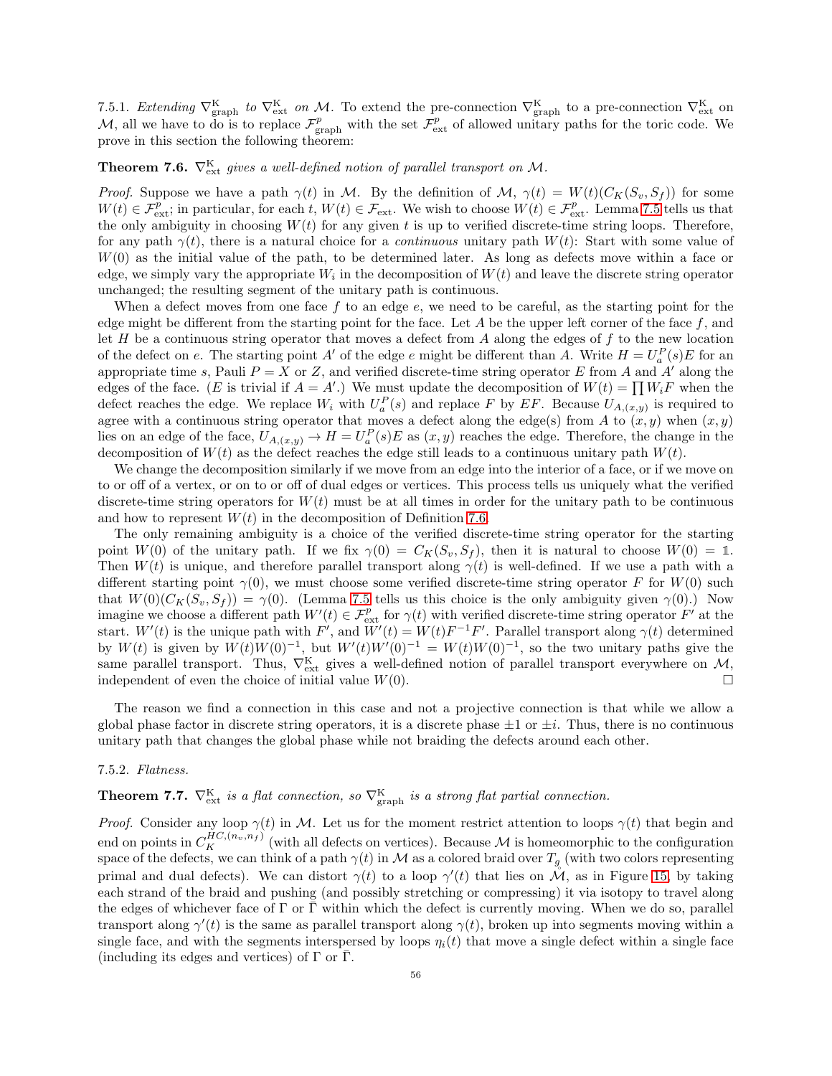7.5.1. Extending  $\nabla_{\text{graph}}^{\text{K}}$  to  $\nabla_{\text{ext}}^{\text{K}}$  on M. To extend the pre-connection  $\nabla_{\text{graph}}^{\text{K}}$  to a pre-connection  $\nabla_{\text{ext}}^{\text{K}}$  on M, all we have to do is to replace  $\mathcal{F}_{\text{graph}}^p$  with the set  $\mathcal{F}_{\text{ext}}^p$  of allowed unitary paths for the toric code. We prove in this section the following theorem:

**Theorem 7.6.**  $\nabla_{\text{ext}}^{\text{K}}$  gives a well-defined notion of parallel transport on M.

*Proof.* Suppose we have a path  $\gamma(t)$  in M. By the definition of M,  $\gamma(t) = W(t)(C_K(S_v, S_f))$  for some  $W(t) \in \mathcal{F}_{\text{ext}}^p$ ; in particular, for each t,  $W(t) \in \mathcal{F}_{\text{ext}}$ . We wish to choose  $W(t) \in \mathcal{F}_{\text{ext}}^p$ . Lemma [7.5](#page-53-0) tells us that the only ambiguity in choosing  $W(t)$  for any given t is up to verified discrete-time string loops. Therefore, for any path  $\gamma(t)$ , there is a natural choice for a *continuous* unitary path  $W(t)$ : Start with some value of  $W(0)$  as the initial value of the path, to be determined later. As long as defects move within a face or edge, we simply vary the appropriate  $W_i$  in the decomposition of  $W(t)$  and leave the discrete string operator unchanged; the resulting segment of the unitary path is continuous.

When a defect moves from one face  $f$  to an edge  $e$ , we need to be careful, as the starting point for the edge might be different from the starting point for the face. Let A be the upper left corner of the face  $f$ , and let H be a continuous string operator that moves a defect from A along the edges of f to the new location of the defect on e. The starting point A' of the edge e might be different than A. Write  $H = U_a^P(s)E$  for an appropriate time s, Pauli  $P = X$  or Z, and verified discrete-time string operator E from A and A' along the edges of the face. (E is trivial if  $A = A'$ .) We must update the decomposition of  $W(t) = \prod W_i F$  when the defect reaches the edge. We replace  $W_i$  with  $U_a^P(s)$  and replace F by EF. Because  $U_{A,(x,y)}$  is required to agree with a continuous string operator that moves a defect along the edge(s) from A to  $(x, y)$  when  $(x, y)$ lies on an edge of the face,  $U_{A,(x,y)} \to H = U_a^P(s)E$  as  $(x, y)$  reaches the edge. Therefore, the change in the decomposition of  $W(t)$  as the defect reaches the edge still leads to a continuous unitary path  $W(t)$ .

We change the decomposition similarly if we move from an edge into the interior of a face, or if we move on to or off of a vertex, or on to or off of dual edges or vertices. This process tells us uniquely what the verified discrete-time string operators for  $W(t)$  must be at all times in order for the unitary path to be continuous and how to represent  $W(t)$  in the decomposition of Definition [7.6.](#page-51-0)

The only remaining ambiguity is a choice of the verified discrete-time string operator for the starting point  $W(0)$  of the unitary path. If we fix  $\gamma(0) = C_K(S_v, S_f)$ , then it is natural to choose  $W(0) = 1$ . Then  $W(t)$  is unique, and therefore parallel transport along  $\gamma(t)$  is well-defined. If we use a path with a different starting point  $\gamma(0)$ , we must choose some verified discrete-time string operator F for  $W(0)$  such that  $W(0)(C_K(S_v, S_f)) = \gamma(0)$ . (Lemma [7.5](#page-53-0) tells us this choice is the only ambiguity given  $\gamma(0)$ .) Now imagine we choose a different path  $W'(t) \in \mathcal{F}_{ext}^p$  for  $\gamma(t)$  with verified discrete-time string operator  $F'$  at the start.  $W'(t)$  is the unique path with F', and  $W'(t) = W(t)F^{-1}F'$ . Parallel transport along  $\gamma(t)$  determined by  $W(t)$  is given by  $W(t)W(0)^{-1}$ , but  $W'(t)W'(0)^{-1} = W(t)W(0)^{-1}$ , so the two unitary paths give the same parallel transport. Thus,  $\nabla_{\text{ext}}^{K}$  gives a well-defined notion of parallel transport everywhere on  $\mathcal{M}$ , independent of even the choice of initial value  $W(0)$ .

The reason we find a connection in this case and not a projective connection is that while we allow a global phase factor in discrete string operators, it is a discrete phase  $\pm 1$  or  $\pm i$ . Thus, there is no continuous unitary path that changes the global phase while not braiding the defects around each other.

# 7.5.2. Flatness.

# <span id="page-55-0"></span>**Theorem 7.7.**  $\nabla_{\text{ext}}^{\text{K}}$  is a flat connection, so  $\nabla_{\text{graph}}^{\text{K}}$  is a strong flat partial connection.

*Proof.* Consider any loop  $\gamma(t)$  in M. Let us for the moment restrict attention to loops  $\gamma(t)$  that begin and end on points in  $C_K^{HC,(n_v,n_f)}$  (with all defects on vertices). Because M is homeomorphic to the configuration space of the defects, we can think of a path  $\gamma(t)$  in M as a colored braid over  $T_g$  (with two colors representing primal and dual defects). We can distort  $\gamma(t)$  to a loop  $\gamma'(t)$  that lies on  $\mathcal{M}$ , as in Figure [15,](#page-56-1) by taking each strand of the braid and pushing (and possibly stretching or compressing) it via isotopy to travel along the edges of whichever face of  $\Gamma$  or  $\bar{\Gamma}$  within which the defect is currently moving. When we do so, parallel transport along  $\gamma'(t)$  is the same as parallel transport along  $\gamma(t)$ , broken up into segments moving within a single face, and with the segments interspersed by loops  $\eta_i(t)$  that move a single defect within a single face (including its edges and vertices) of  $\Gamma$  or  $\overline{\Gamma}$ .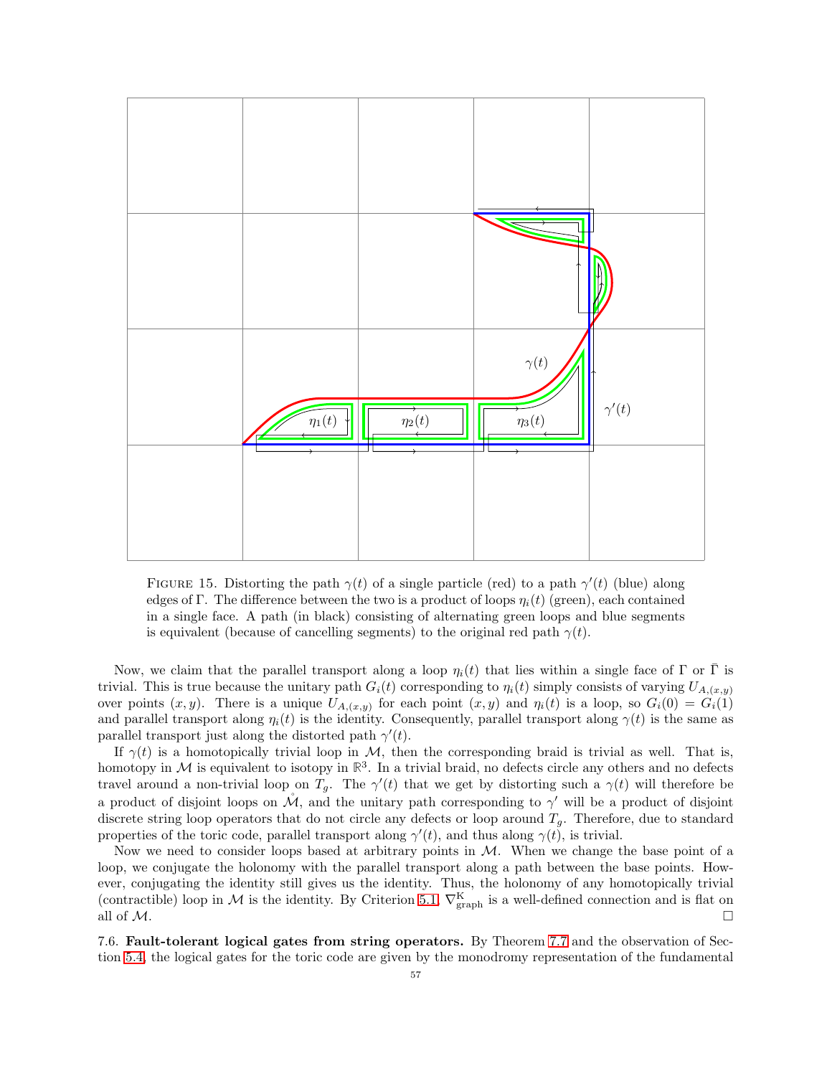

<span id="page-56-1"></span>FIGURE 15. Distorting the path  $\gamma(t)$  of a single particle (red) to a path  $\gamma'(t)$  (blue) along edges of Γ. The difference between the two is a product of loops  $\eta_i(t)$  (green), each contained in a single face. A path (in black) consisting of alternating green loops and blue segments is equivalent (because of cancelling segments) to the original red path  $\gamma(t)$ .

Now, we claim that the parallel transport along a loop  $\eta_i(t)$  that lies within a single face of Γ or Γ is trivial. This is true because the unitary path  $G_i(t)$  corresponding to  $\eta_i(t)$  simply consists of varying  $U_{A,(x,y)}$ over points  $(x, y)$ . There is a unique  $U_{A_i(x, y)}$  for each point  $(x, y)$  and  $\eta_i(t)$  is a loop, so  $G_i(0) = G_i(1)$ and parallel transport along  $\eta_i(t)$  is the identity. Consequently, parallel transport along  $\gamma(t)$  is the same as parallel transport just along the distorted path  $\gamma'(t)$ .

If  $\gamma(t)$  is a homotopically trivial loop in M, then the corresponding braid is trivial as well. That is, homotopy in  $M$  is equivalent to isotopy in  $\mathbb{R}^3$ . In a trivial braid, no defects circle any others and no defects travel around a non-trivial loop on  $T_g$ . The  $\gamma'(t)$  that we get by distorting such a  $\gamma(t)$  will therefore be a product of disjoint loops on  $\mathcal{M}$ , and the unitary path corresponding to  $\gamma'$  will be a product of disjoint discrete string loop operators that do not circle any defects or loop around  $T_g$ . Therefore, due to standard properties of the toric code, parallel transport along  $\gamma'(t)$ , and thus along  $\gamma(t)$ , is trivial.

Now we need to consider loops based at arbitrary points in  $M$ . When we change the base point of a loop, we conjugate the holonomy with the parallel transport along a path between the base points. However, conjugating the identity still gives us the identity. Thus, the holonomy of any homotopically trivial (contractible) loop in M is the identity. By Criterion [5.1,](#page-29-1)  $\nabla_{\text{graph}}^K$  is a well-defined connection and is flat on all of  $M$ .

<span id="page-56-0"></span>7.6. Fault-tolerant logical gates from string operators. By Theorem [7.7](#page-55-0) and the observation of Section [5.4,](#page-30-0) the logical gates for the toric code are given by the monodromy representation of the fundamental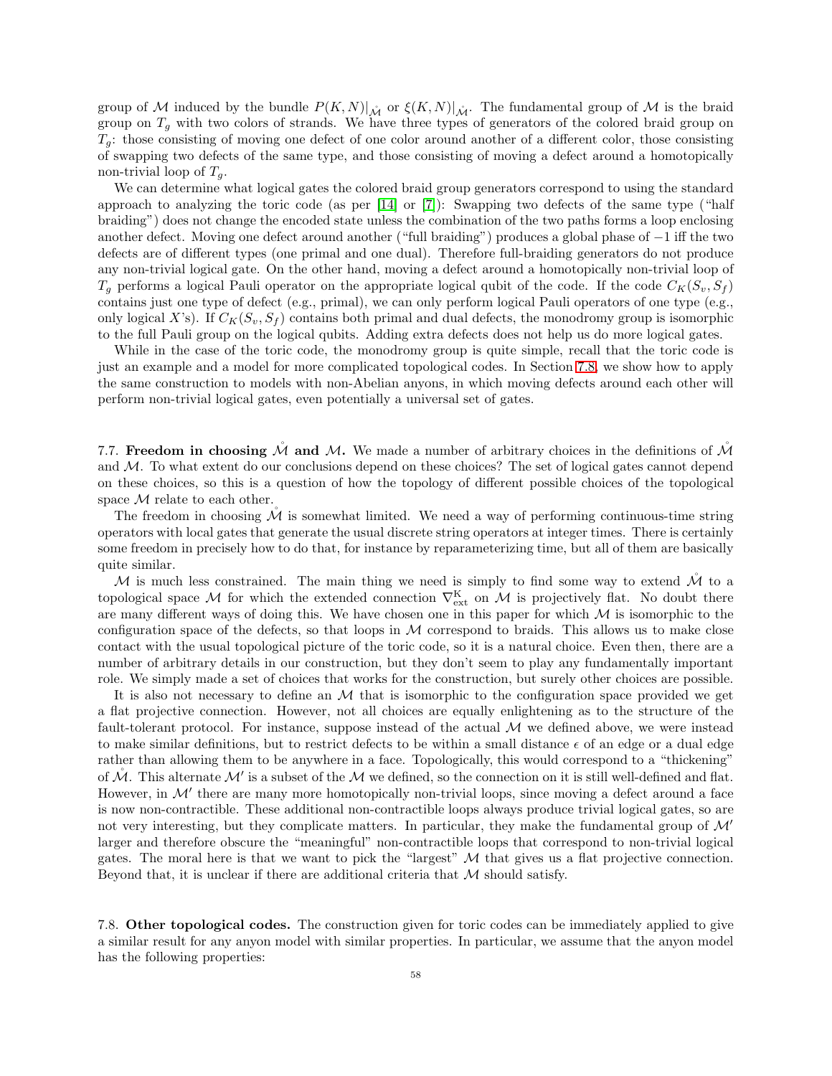group of M induced by the bundle  $P(K, N)|_{\mathring{M}}$  or  $\xi(K, N)|_{\mathring{M}}$ . The fundamental group of M is the braid group on  $T<sub>g</sub>$  with two colors of strands. We have three types of generators of the colored braid group on  $T_q$ : those consisting of moving one defect of one color around another of a different color, those consisting of swapping two defects of the same type, and those consisting of moving a defect around a homotopically non-trivial loop of  $T_q$ .

We can determine what logical gates the colored braid group generators correspond to using the standard approach to analyzing the toric code (as per [\[14\]](#page-63-2) or [\[7\]](#page-63-4)): Swapping two defects of the same type ("half braiding") does not change the encoded state unless the combination of the two paths forms a loop enclosing another defect. Moving one defect around another ("full braiding") produces a global phase of −1 iff the two defects are of different types (one primal and one dual). Therefore full-braiding generators do not produce any non-trivial logical gate. On the other hand, moving a defect around a homotopically non-trivial loop of  $T_g$  performs a logical Pauli operator on the appropriate logical qubit of the code. If the code  $C_K(S_v, S_f)$ contains just one type of defect (e.g., primal), we can only perform logical Pauli operators of one type (e.g., only logical X's). If  $C_K(S_v, S_f)$  contains both primal and dual defects, the monodromy group is isomorphic to the full Pauli group on the logical qubits. Adding extra defects does not help us do more logical gates.

While in the case of the toric code, the monodromy group is quite simple, recall that the toric code is just an example and a model for more complicated topological codes. In Section [7.8,](#page-57-1) we show how to apply the same construction to models with non-Abelian anyons, in which moving defects around each other will perform non-trivial logical gates, even potentially a universal set of gates.

<span id="page-57-0"></span>7.7. Freedom in choosing  $\mathcal M$  and  $\mathcal M$ . We made a number of arbitrary choices in the definitions of  $\mathcal M$ and  $M$ . To what extent do our conclusions depend on these choices? The set of logical gates cannot depend on these choices, so this is a question of how the topology of different possible choices of the topological space  $M$  relate to each other.

The freedom in choosing  $\dot{M}$  is somewhat limited. We need a way of performing continuous-time string operators with local gates that generate the usual discrete string operators at integer times. There is certainly some freedom in precisely how to do that, for instance by reparameterizing time, but all of them are basically quite similar.

M is much less constrained. The main thing we need is simply to find some way to extend  $\mathcal M$  to a topological space M for which the extended connection  $\nabla_{\text{ext}}^{\text{K}}$  on M is projectively flat. No doubt there are many different ways of doing this. We have chosen one in this paper for which  $\mathcal M$  is isomorphic to the configuration space of the defects, so that loops in  $M$  correspond to braids. This allows us to make close contact with the usual topological picture of the toric code, so it is a natural choice. Even then, there are a number of arbitrary details in our construction, but they don't seem to play any fundamentally important role. We simply made a set of choices that works for the construction, but surely other choices are possible.

It is also not necessary to define an  $\mathcal M$  that is isomorphic to the configuration space provided we get a flat projective connection. However, not all choices are equally enlightening as to the structure of the fault-tolerant protocol. For instance, suppose instead of the actual  $M$  we defined above, we were instead to make similar definitions, but to restrict defects to be within a small distance  $\epsilon$  of an edge or a dual edge rather than allowing them to be anywhere in a face. Topologically, this would correspond to a "thickening" of  $\mathcal{M}$ . This alternate  $\mathcal{M}'$  is a subset of the  $\mathcal M$  we defined, so the connection on it is still well-defined and flat. However, in  $\mathcal{M}'$  there are many more homotopically non-trivial loops, since moving a defect around a face is now non-contractible. These additional non-contractible loops always produce trivial logical gates, so are not very interesting, but they complicate matters. In particular, they make the fundamental group of  $\mathcal{M}'$ larger and therefore obscure the "meaningful" non-contractible loops that correspond to non-trivial logical gates. The moral here is that we want to pick the "largest"  $M$  that gives us a flat projective connection. Beyond that, it is unclear if there are additional criteria that  $M$  should satisfy.

<span id="page-57-1"></span>7.8. Other topological codes. The construction given for toric codes can be immediately applied to give a similar result for any anyon model with similar properties. In particular, we assume that the anyon model has the following properties: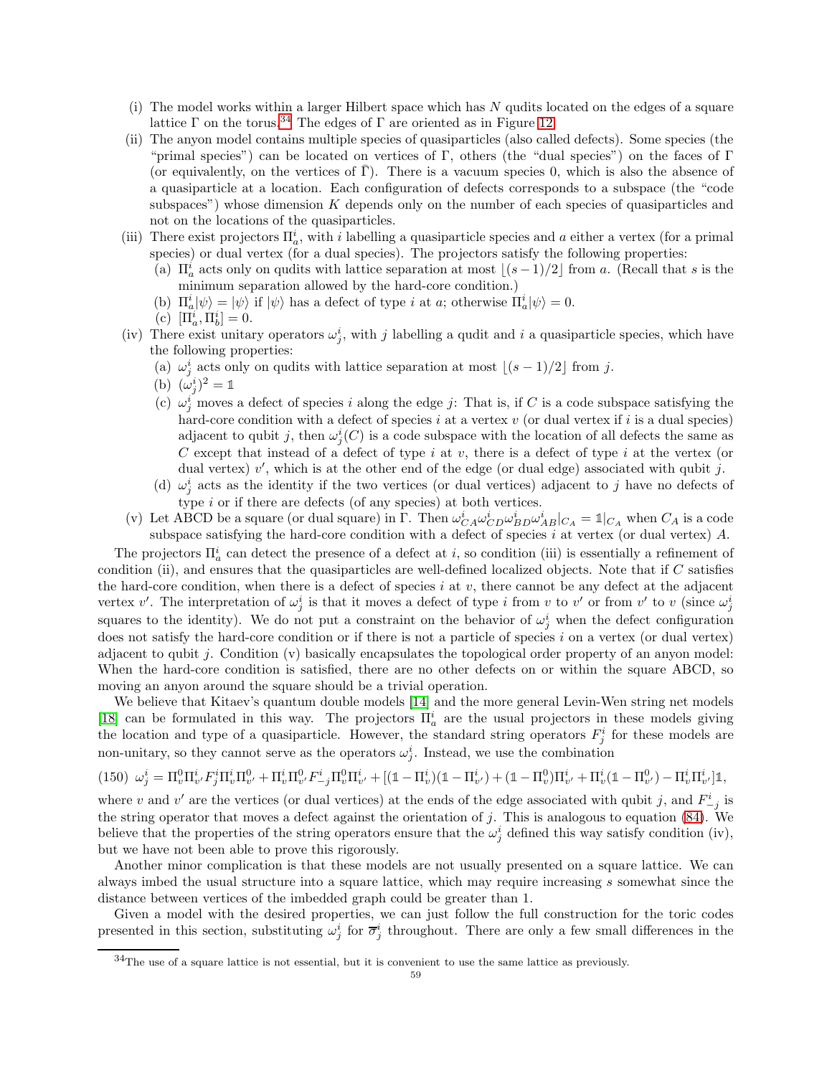- (i) The model works within a larger Hilbert space which has N qudits located on the edges of a square lattice  $\Gamma$  on the torus.<sup>[34](#page-58-0)</sup> The edges of  $\Gamma$  are oriented as in Figure [12.](#page-46-1)
- (ii) The anyon model contains multiple species of quasiparticles (also called defects). Some species (the "primal species") can be located on vertices of Γ, others (the "dual species") on the faces of Γ (or equivalently, on the vertices of  $\bar{\Gamma}$ ). There is a vacuum species 0, which is also the absence of a quasiparticle at a location. Each configuration of defects corresponds to a subspace (the "code subspaces") whose dimension K depends only on the number of each species of quasiparticles and not on the locations of the quasiparticles.
- (iii) There exist projectors  $\Pi_a^i$ , with i labelling a quasiparticle species and a either a vertex (for a primal species) or dual vertex (for a dual species). The projectors satisfy the following properties:
	- (a)  $\Pi_a^i$  acts only on qudits with lattice separation at most  $\lfloor (s-1)/2 \rfloor$  from a. (Recall that s is the minimum separation allowed by the hard-core condition.)
	- (b)  $\Pi_a^i |\psi\rangle = |\psi\rangle$  if  $|\psi\rangle$  has a defect of type *i* at *a*; otherwise  $\Pi_a^i |\psi\rangle = 0$ .
	- (c)  $[\Pi_a^i, \Pi_b^i] = 0.$
- (iv) There exist unitary operators  $\omega_j^i$ , with j labelling a qudit and i a quasiparticle species, which have the following properties:
	- (a)  $\omega_j^i$  acts only on qudits with lattice separation at most  $\lfloor (s-1)/2 \rfloor$  from j.
	- (b)  $(\omega_j^i)^2 = 1$
	- (c)  $\omega_j^i$  moves a defect of species i along the edge j: That is, if C is a code subspace satisfying the hard-core condition with a defect of species i at a vertex v (or dual vertex if i is a dual species) adjacent to qubit j, then  $\omega_j^i(C)$  is a code subspace with the location of all defects the same as C except that instead of a defect of type  $i$  at  $v$ , there is a defect of type  $i$  at the vertex (or dual vertex)  $v'$ , which is at the other end of the edge (or dual edge) associated with qubit j.
	- (d)  $\omega_j^i$  acts as the identity if the two vertices (or dual vertices) adjacent to j have no defects of type i or if there are defects (of any species) at both vertices.
- (v) Let ABCD be a square (or dual square) in  $\Gamma$ . Then  $\omega_{CA}^i \omega_{CD}^i \omega_{BD}^i \omega_{AB}^i|_{CA} = \mathbb{1}|_{CA}$  when  $C_A$  is a code subspace satisfying the hard-core condition with a defect of species  $i$  at vertex (or dual vertex)  $A$ .

The projectors  $\Pi_a^i$  can detect the presence of a defect at *i*, so condition (iii) is essentially a refinement of condition (ii), and ensures that the quasiparticles are well-defined localized objects. Note that if  $C$  satisfies the hard-core condition, when there is a defect of species  $i$  at  $v$ , there cannot be any defect at the adjacent vertex v'. The interpretation of  $\omega_j^i$  is that it moves a defect of type i from v to v' or from v' to v (since  $\omega_j^i$ squares to the identity). We do not put a constraint on the behavior of  $\omega_j^i$  when the defect configuration does not satisfy the hard-core condition or if there is not a particle of species i on a vertex (or dual vertex) adjacent to qubit j. Condition (v) basically encapsulates the topological order property of an anyon model: When the hard-core condition is satisfied, there are no other defects on or within the square ABCD, so moving an anyon around the square should be a trivial operation.

We believe that Kitaev's quantum double models [\[14\]](#page-63-2) and the more general Levin-Wen string net models [\[18\]](#page-63-3) can be formulated in this way. The projectors  $\Pi_a^i$  are the usual projectors in these models giving the location and type of a quasiparticle. However, the standard string operators  $F_j^i$  for these models are non-unitary, so they cannot serve as the operators  $\omega_j^i$ . Instead, we use the combination

$$
(150)\ \omega_j^i = \Pi_v^0 \Pi_{v'}^i F_j^i \Pi_v^i \Pi_v^0 + \Pi_v^i \Pi_{v'}^0 F_{-j}^i \Pi_v^0 \Pi_{v'}^i + [(\mathbb{1} - \Pi_v^i)(\mathbb{1} - \Pi_{v'}^i) + (\mathbb{1} - \Pi_v^0)\Pi_{v'}^i + \Pi_v^i(\mathbb{1} - \Pi_{v'}^0) - \Pi_v^i \Pi_{v'}^i]\mathbb{1},
$$

where v and v' are the vertices (or dual vertices) at the ends of the edge associated with qubit j, and  $F_{-j}^i$  is the string operator that moves a defect against the orientation of j. This is analogous to equation [\(84\)](#page-41-1). We believe that the properties of the string operators ensure that the  $\omega_j^i$  defined this way satisfy condition (iv), but we have not been able to prove this rigorously.

Another minor complication is that these models are not usually presented on a square lattice. We can always imbed the usual structure into a square lattice, which may require increasing s somewhat since the distance between vertices of the imbedded graph could be greater than 1.

Given a model with the desired properties, we can just follow the full construction for the toric codes presented in this section, substituting  $\omega_j^i$  for  $\overline{\sigma}_j^i$  throughout. There are only a few small differences in the

<span id="page-58-0"></span> $34$ The use of a square lattice is not essential, but it is convenient to use the same lattice as previously.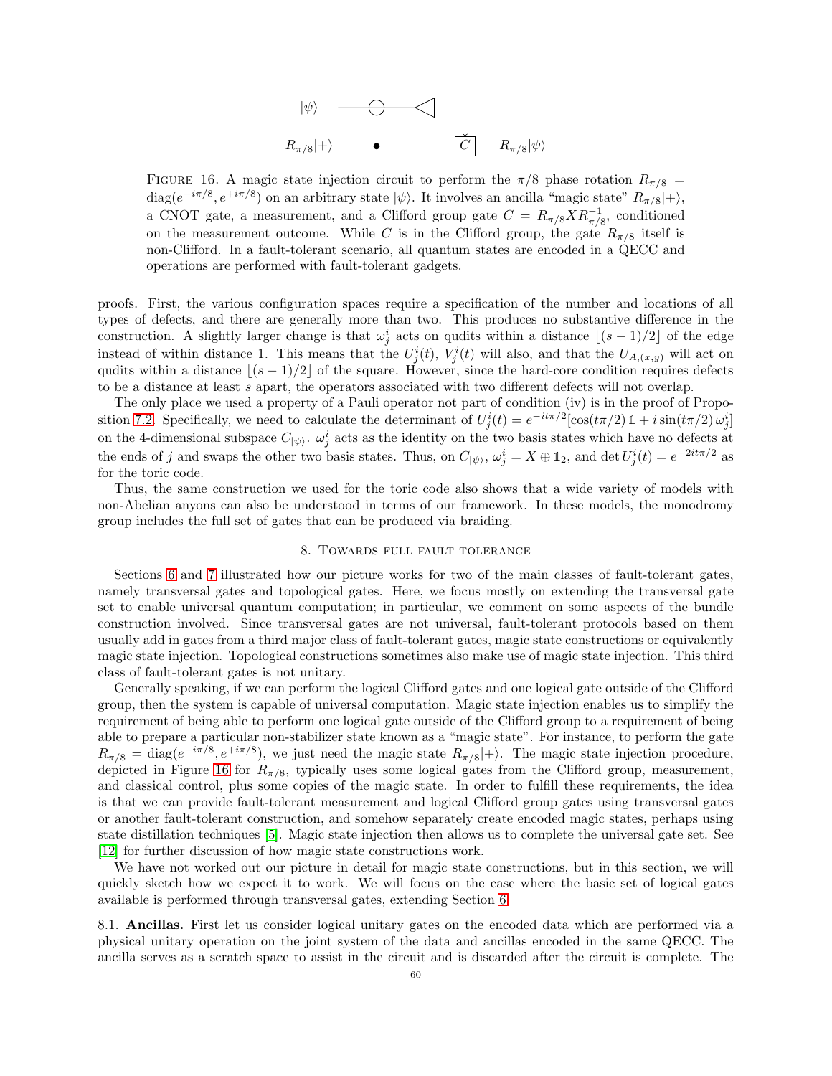

<span id="page-59-2"></span>FIGURE 16. A magic state injection circuit to perform the  $\pi/8$  phase rotation  $R_{\pi/8}$  = diag( $e^{-i\pi/8}$ ,  $e^{+i\pi/8}$ ) on an arbitrary state  $|\psi\rangle$ . It involves an ancilla "magic state"  $R_{\pi/8}|+\rangle$ , a CNOT gate, a measurement, and a Clifford group gate  $C = R_{\pi/8} X R_{\pi/8}^{-1}$ , conditioned on the measurement outcome. While C is in the Clifford group, the gate  $R_{\pi/8}$  itself is non-Clifford. In a fault-tolerant scenario, all quantum states are encoded in a QECC and operations are performed with fault-tolerant gadgets.

proofs. First, the various configuration spaces require a specification of the number and locations of all types of defects, and there are generally more than two. This produces no substantive difference in the construction. A slightly larger change is that  $\omega_j^i$  acts on qudits within a distance  $\lfloor (s-1)/2 \rfloor$  of the edge instead of within distance 1. This means that the  $U_j^i(t)$ ,  $V_j^i(t)$  will also, and that the  $U_{A,(x,y)}$  will act on qudits within a distance  $|(s - 1)/2|$  of the square. However, since the hard-core condition requires defects to be a distance at least s apart, the operators associated with two different defects will not overlap.

The only place we used a property of a Pauli operator not part of condition (iv) is in the proof of Propo-sition [7.2.](#page-48-1) Specifically, we need to calculate the determinant of  $U_j^i(t) = e^{-it\pi/2} [\cos(t\pi/2) \mathbb{1} + i \sin(t\pi/2) \omega_j^i]$ on the 4-dimensional subspace  $C_{\ket{\psi}}$ .  $\omega_j^i$  acts as the identity on the two basis states which have no defects at the ends of j and swaps the other two basis states. Thus, on  $C_{|\psi\rangle}$ ,  $\omega_j^i = X \oplus \mathbb{1}_2$ , and  $\det U_j^i(t) = e^{-2it\pi/2}$  as for the toric code.

Thus, the same construction we used for the toric code also shows that a wide variety of models with non-Abelian anyons can also be understood in terms of our framework. In these models, the monodromy group includes the full set of gates that can be produced via braiding.

#### 8. Towards full fault tolerance

<span id="page-59-0"></span>Sections [6](#page-30-1) and [7](#page-37-0) illustrated how our picture works for two of the main classes of fault-tolerant gates, namely transversal gates and topological gates. Here, we focus mostly on extending the transversal gate set to enable universal quantum computation; in particular, we comment on some aspects of the bundle construction involved. Since transversal gates are not universal, fault-tolerant protocols based on them usually add in gates from a third major class of fault-tolerant gates, magic state constructions or equivalently magic state injection. Topological constructions sometimes also make use of magic state injection. This third class of fault-tolerant gates is not unitary.

Generally speaking, if we can perform the logical Clifford gates and one logical gate outside of the Clifford group, then the system is capable of universal computation. Magic state injection enables us to simplify the requirement of being able to perform one logical gate outside of the Clifford group to a requirement of being able to prepare a particular non-stabilizer state known as a "magic state". For instance, to perform the gate  $R_{\pi/8} = \text{diag}(e^{-i\pi/8}, e^{+i\pi/8}),$  we just need the magic state  $R_{\pi/8}|+\rangle$ . The magic state injection procedure, depicted in Figure [16](#page-59-2) for  $R_{\pi/8}$ , typically uses some logical gates from the Clifford group, measurement, and classical control, plus some copies of the magic state. In order to fulfill these requirements, the idea is that we can provide fault-tolerant measurement and logical Clifford group gates using transversal gates or another fault-tolerant construction, and somehow separately create encoded magic states, perhaps using state distillation techniques [\[5\]](#page-63-23). Magic state injection then allows us to complete the universal gate set. See [\[12\]](#page-63-24) for further discussion of how magic state constructions work.

We have not worked out our picture in detail for magic state constructions, but in this section, we will quickly sketch how we expect it to work. We will focus on the case where the basic set of logical gates available is performed through transversal gates, extending Section [6.](#page-30-1)

<span id="page-59-1"></span>8.1. Ancillas. First let us consider logical unitary gates on the encoded data which are performed via a physical unitary operation on the joint system of the data and ancillas encoded in the same QECC. The ancilla serves as a scratch space to assist in the circuit and is discarded after the circuit is complete. The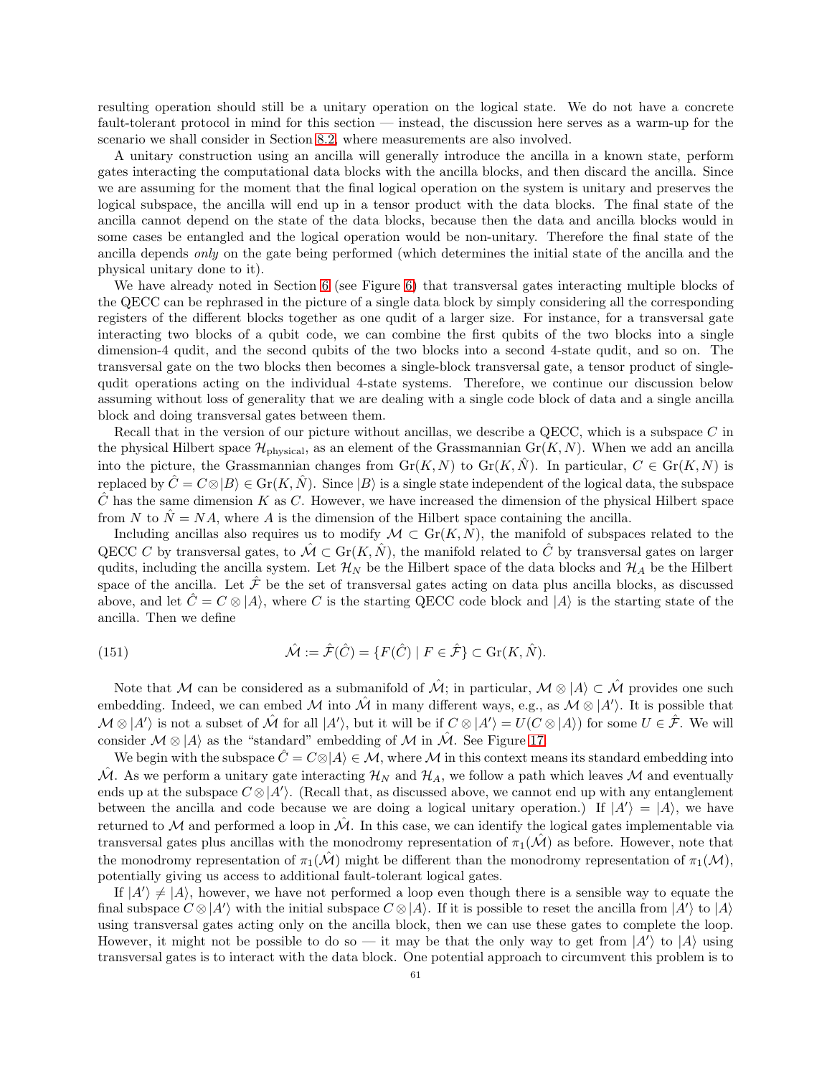resulting operation should still be a unitary operation on the logical state. We do not have a concrete fault-tolerant protocol in mind for this section — instead, the discussion here serves as a warm-up for the scenario we shall consider in Section [8.2,](#page-61-0) where measurements are also involved.

A unitary construction using an ancilla will generally introduce the ancilla in a known state, perform gates interacting the computational data blocks with the ancilla blocks, and then discard the ancilla. Since we are assuming for the moment that the final logical operation on the system is unitary and preserves the logical subspace, the ancilla will end up in a tensor product with the data blocks. The final state of the ancilla cannot depend on the state of the data blocks, because then the data and ancilla blocks would in some cases be entangled and the logical operation would be non-unitary. Therefore the final state of the ancilla depends only on the gate being performed (which determines the initial state of the ancilla and the physical unitary done to it).

We have already noted in Section [6](#page-30-1) (see Figure [6\)](#page-31-1) that transversal gates interacting multiple blocks of the QECC can be rephrased in the picture of a single data block by simply considering all the corresponding registers of the different blocks together as one qudit of a larger size. For instance, for a transversal gate interacting two blocks of a qubit code, we can combine the first qubits of the two blocks into a single dimension-4 qudit, and the second qubits of the two blocks into a second 4-state qudit, and so on. The transversal gate on the two blocks then becomes a single-block transversal gate, a tensor product of singlequdit operations acting on the individual 4-state systems. Therefore, we continue our discussion below assuming without loss of generality that we are dealing with a single code block of data and a single ancilla block and doing transversal gates between them.

Recall that in the version of our picture without ancillas, we describe a QECC, which is a subspace C in the physical Hilbert space  $\mathcal{H}_{\text{physical}}$ , as an element of the Grassmannian Gr(K, N). When we add an ancilla into the picture, the Grassmannian changes from  $\text{Gr}(K, N)$  to  $\text{Gr}(K, \hat{N})$ . In particular,  $C \in \text{Gr}(K, N)$  is replaced by  $\hat{C} = C \otimes |B\rangle \in \text{Gr}(K, \hat{N})$ . Since  $|B\rangle$  is a single state independent of the logical data, the subspace  $\hat{C}$  has the same dimension K as C. However, we have increased the dimension of the physical Hilbert space from N to  $\hat{N} = NA$ , where A is the dimension of the Hilbert space containing the ancilla.

Including ancillas also requires us to modify  $\mathcal{M} \subset Gr(K,N)$ , the manifold of subspaces related to the QECC C by transversal gates, to  $\mathcal{M} \subset \mathrm{Gr}(K, \hat{N})$ , the manifold related to  $\hat{C}$  by transversal gates on larger qudits, including the ancilla system. Let  $\mathcal{H}_N$  be the Hilbert space of the data blocks and  $\mathcal{H}_A$  be the Hilbert space of the ancilla. Let  $\hat{\mathcal{F}}$  be the set of transversal gates acting on data plus ancilla blocks, as discussed above, and let  $\hat{C} = C \otimes |A\rangle$ , where C is the starting QECC code block and  $|A\rangle$  is the starting state of the ancilla. Then we define

<span id="page-60-0"></span>(151) 
$$
\hat{\mathcal{M}} := \hat{\mathcal{F}}(\hat{C}) = \{F(\hat{C}) \mid F \in \hat{\mathcal{F}}\} \subset \text{Gr}(K, \hat{N}).
$$

Note that M can be considered as a submanifold of  $\mathcal{M}$ ; in particular,  $\mathcal{M} \otimes |A\rangle \subset \mathcal{M}$  provides one such embedding. Indeed, we can embed M into  $\hat{\mathcal{M}}$  in many different ways, e.g., as  $\mathcal{M} \otimes |A'\rangle$ . It is possible that  $\mathcal{M} \otimes |A'\rangle$  is not a subset of  $\hat{\mathcal{M}}$  for all  $|A'\rangle$ , but it will be if  $C \otimes |A'\rangle = U(C \otimes |A\rangle)$  for some  $U \in \hat{\mathcal{F}}$ . We will consider  $\mathcal{M} \otimes |A\rangle$  as the "standard" embedding of  $\mathcal{M}$  in  $\mathcal{\hat{M}}$ . See Figure [17.](#page-61-1)

We begin with the subspace  $\hat{C} = C \otimes |A| \in \mathcal{M}$ , where M in this context means its standard embedding into  $\hat{\mathcal{M}}$ . As we perform a unitary gate interacting  $\mathcal{H}_N$  and  $\mathcal{H}_A$ , we follow a path which leaves  $\mathcal M$  and eventually ends up at the subspace  $C \otimes |A'\rangle$ . (Recall that, as discussed above, we cannot end up with any entanglement between the ancilla and code because we are doing a logical unitary operation.) If  $|A'\rangle = |A\rangle$ , we have returned to  $M$  and performed a loop in  $M$ . In this case, we can identify the logical gates implementable via transversal gates plus ancillas with the monodromy representation of  $\pi_1(\mathcal{M})$  as before. However, note that the monodromy representation of  $\pi_1(\mathcal{M})$  might be different than the monodromy representation of  $\pi_1(\mathcal{M})$ , potentially giving us access to additional fault-tolerant logical gates.

If  $|A'\rangle \neq |A\rangle$ , however, we have not performed a loop even though there is a sensible way to equate the final subspace  $C \otimes |A'\rangle$  with the initial subspace  $C \otimes |A\rangle$ . If it is possible to reset the ancilla from  $|A'\rangle$  to  $|A\rangle$ using transversal gates acting only on the ancilla block, then we can use these gates to complete the loop. However, it might not be possible to do so — it may be that the only way to get from  $|A'\rangle$  to  $|A\rangle$  using transversal gates is to interact with the data block. One potential approach to circumvent this problem is to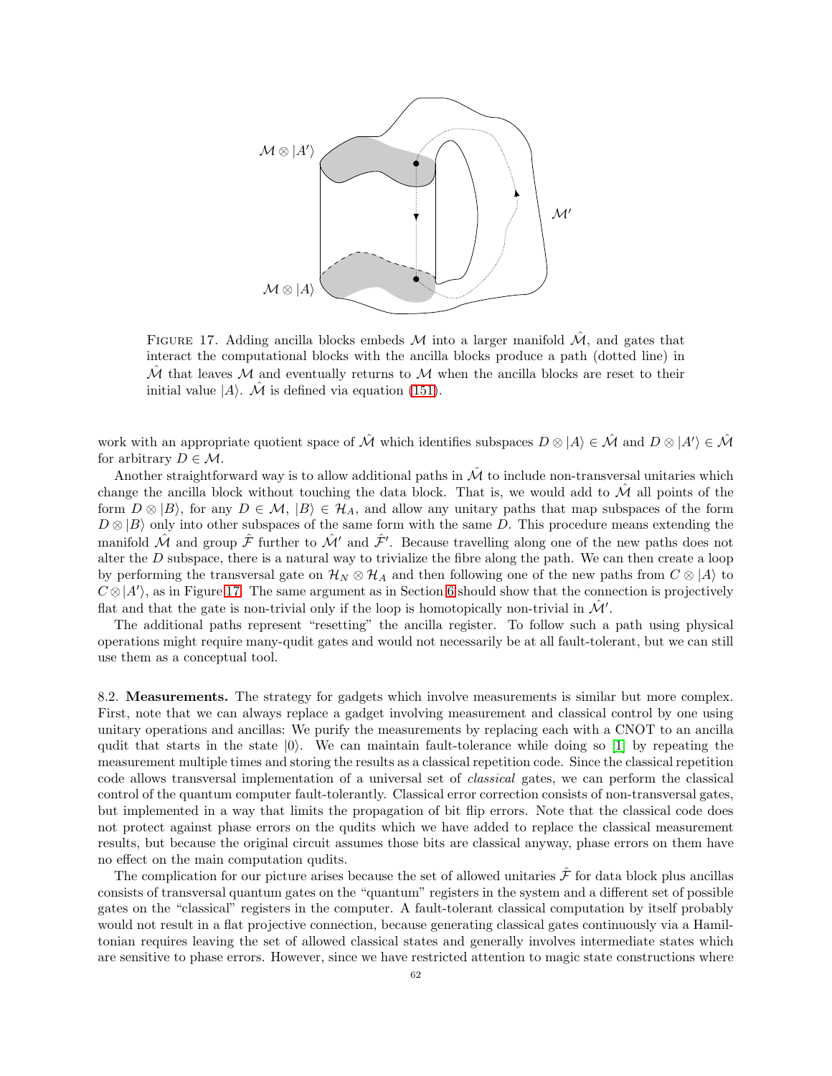

<span id="page-61-1"></span>FIGURE 17. Adding ancilla blocks embeds M into a larger manifold  $\hat{\mathcal{M}}$ , and gates that interact the computational blocks with the ancilla blocks produce a path (dotted line) in  $\hat{\mathcal{M}}$  that leaves  $\hat{\mathcal{M}}$  and eventually returns to  $\hat{\mathcal{M}}$  when the ancilla blocks are reset to their initial value  $|A\rangle$ .  $\hat{\mathcal{M}}$  is defined via equation [\(151\)](#page-60-0).

work with an appropriate quotient space of  $\hat{\mathcal{M}}$  which identifies subspaces  $D \otimes |A\rangle \in \hat{\mathcal{M}}$  and  $D \otimes |A'\rangle \in \hat{\mathcal{M}}$ for arbitrary  $D \in \mathcal{M}$ .

Another straightforward way is to allow additional paths in  $\hat{\mathcal{M}}$  to include non-transversal unitaries which change the ancilla block without touching the data block. That is, we would add to  $\mathcal M$  all points of the form  $D \otimes |B\rangle$ , for any  $D \in \mathcal{M}$ ,  $|B\rangle \in \mathcal{H}_A$ , and allow any unitary paths that map subspaces of the form  $D \otimes |B\rangle$  only into other subspaces of the same form with the same D. This procedure means extending the manifold  $\hat{\mathcal{M}}$  and group  $\hat{\mathcal{F}}$  further to  $\hat{\mathcal{M}}'$  and  $\hat{\mathcal{F}}'$ . Because travelling along one of the new paths does not alter the  $D$  subspace, there is a natural way to trivialize the fibre along the path. We can then create a loop by performing the transversal gate on  $\mathcal{H}_N \otimes \mathcal{H}_A$  and then following one of the new paths from  $C \otimes |A\rangle$  to  $C \otimes |A'\rangle$ , as in Figure [17.](#page-61-1) The same argument as in Section [6](#page-30-1) should show that the connection is projectively flat and that the gate is non-trivial only if the loop is homotopically non-trivial in  $\mathcal{M}'$ .

The additional paths represent "resetting" the ancilla register. To follow such a path using physical operations might require many-qudit gates and would not necessarily be at all fault-tolerant, but we can still use them as a conceptual tool.

<span id="page-61-0"></span>8.2. Measurements. The strategy for gadgets which involve measurements is similar but more complex. First, note that we can always replace a gadget involving measurement and classical control by one using unitary operations and ancillas: We purify the measurements by replacing each with a CNOT to an ancilla qudit that starts in the state  $|0\rangle$ . We can maintain fault-tolerance while doing so [\[1\]](#page-63-25) by repeating the measurement multiple times and storing the results as a classical repetition code. Since the classical repetition code allows transversal implementation of a universal set of classical gates, we can perform the classical control of the quantum computer fault-tolerantly. Classical error correction consists of non-transversal gates, but implemented in a way that limits the propagation of bit flip errors. Note that the classical code does not protect against phase errors on the qudits which we have added to replace the classical measurement results, but because the original circuit assumes those bits are classical anyway, phase errors on them have no effect on the main computation qudits.

The complication for our picture arises because the set of allowed unitaries  $\hat{\mathcal{F}}$  for data block plus ancillas consists of transversal quantum gates on the "quantum" registers in the system and a different set of possible gates on the "classical" registers in the computer. A fault-tolerant classical computation by itself probably would not result in a flat projective connection, because generating classical gates continuously via a Hamiltonian requires leaving the set of allowed classical states and generally involves intermediate states which are sensitive to phase errors. However, since we have restricted attention to magic state constructions where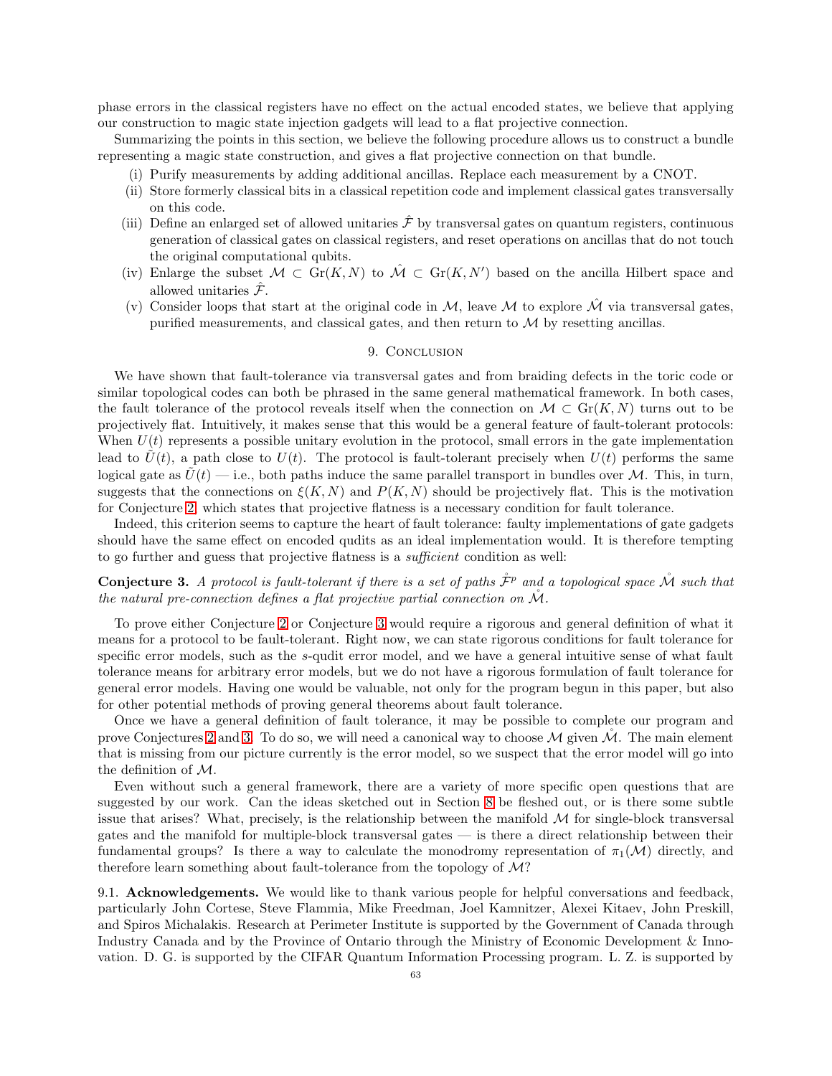phase errors in the classical registers have no effect on the actual encoded states, we believe that applying our construction to magic state injection gadgets will lead to a flat projective connection.

Summarizing the points in this section, we believe the following procedure allows us to construct a bundle representing a magic state construction, and gives a flat projective connection on that bundle.

- (i) Purify measurements by adding additional ancillas. Replace each measurement by a CNOT.
- (ii) Store formerly classical bits in a classical repetition code and implement classical gates transversally on this code.
- (iii) Define an enlarged set of allowed unitaries  $\hat{\mathcal{F}}$  by transversal gates on quantum registers, continuous generation of classical gates on classical registers, and reset operations on ancillas that do not touch the original computational qubits.
- (iv) Enlarge the subset  $\mathcal{M} \subset \text{Gr}(K,N)$  to  $\mathcal{M} \subset \text{Gr}(K,N')$  based on the ancilla Hilbert space and allowed unitaries  $\hat{\mathcal{F}}$ .
- <span id="page-62-0"></span>(v) Consider loops that start at the original code in M, leave M to explore  $\hat{\mathcal{M}}$  via transversal gates, purified measurements, and classical gates, and then return to  $\mathcal M$  by resetting ancillas.

#### 9. CONCLUSION

We have shown that fault-tolerance via transversal gates and from braiding defects in the toric code or similar topological codes can both be phrased in the same general mathematical framework. In both cases, the fault tolerance of the protocol reveals itself when the connection on  $\mathcal{M} \subset \mathrm{Gr}(K,N)$  turns out to be projectively flat. Intuitively, it makes sense that this would be a general feature of fault-tolerant protocols: When  $U(t)$  represents a possible unitary evolution in the protocol, small errors in the gate implementation lead to  $U(t)$ , a path close to  $U(t)$ . The protocol is fault-tolerant precisely when  $U(t)$  performs the same logical gate as  $U(t)$  — i.e., both paths induce the same parallel transport in bundles over M. This, in turn, suggests that the connections on  $\xi(K, N)$  and  $P(K, N)$  should be projectively flat. This is the motivation for Conjecture [2,](#page-29-0) which states that projective flatness is a necessary condition for fault tolerance.

Indeed, this criterion seems to capture the heart of fault tolerance: faulty implementations of gate gadgets should have the same effect on encoded qudits as an ideal implementation would. It is therefore tempting to go further and guess that projective flatness is a sufficient condition as well:

<span id="page-62-2"></span>**Conjecture 3.** A protocol is fault-tolerant if there is a set of paths  $\hat{\mathcal{F}}^p$  and a topological space  $\mathcal{\hat{M}}$  such that the natural pre-connection defines a flat projective partial connection on  $\mathcal{M}$ .

To prove either Conjecture [2](#page-29-0) or Conjecture [3](#page-62-2) would require a rigorous and general definition of what it means for a protocol to be fault-tolerant. Right now, we can state rigorous conditions for fault tolerance for specific error models, such as the s-qudit error model, and we have a general intuitive sense of what fault tolerance means for arbitrary error models, but we do not have a rigorous formulation of fault tolerance for general error models. Having one would be valuable, not only for the program begun in this paper, but also for other potential methods of proving general theorems about fault tolerance.

Once we have a general definition of fault tolerance, it may be possible to complete our program and prove Conjectures [2](#page-29-0) and [3.](#page-62-2) To do so, we will need a canonical way to choose  $\mathcal M$  given  $\mathcal M$ . The main element that is missing from our picture currently is the error model, so we suspect that the error model will go into the definition of M.

Even without such a general framework, there are a variety of more specific open questions that are suggested by our work. Can the ideas sketched out in Section [8](#page-59-0) be fleshed out, or is there some subtle issue that arises? What, precisely, is the relationship between the manifold  $\mathcal M$  for single-block transversal gates and the manifold for multiple-block transversal gates — is there a direct relationship between their fundamental groups? Is there a way to calculate the monodromy representation of  $\pi_1(\mathcal{M})$  directly, and therefore learn something about fault-tolerance from the topology of  $M$ ?

<span id="page-62-1"></span>9.1. Acknowledgements. We would like to thank various people for helpful conversations and feedback, particularly John Cortese, Steve Flammia, Mike Freedman, Joel Kamnitzer, Alexei Kitaev, John Preskill, and Spiros Michalakis. Research at Perimeter Institute is supported by the Government of Canada through Industry Canada and by the Province of Ontario through the Ministry of Economic Development & Innovation. D. G. is supported by the CIFAR Quantum Information Processing program. L. Z. is supported by